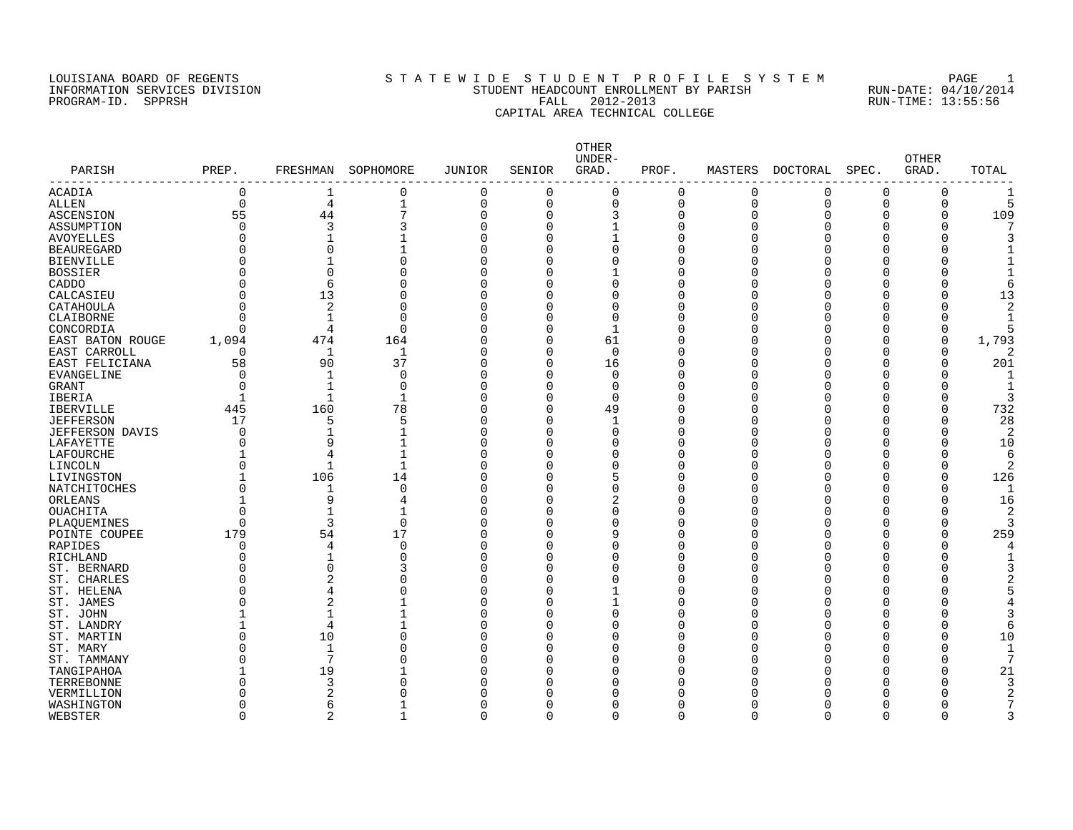#### LOUISIANA BOARD OF REGENTS SOURCLEARIE WIDE STUDENT PROFILE SYSTEM PAGE 1 INFORMATION SERVICES DIVISION STUDENT HEADCOUNT ENROLLMENT BY PARISH RUN-DATE: 04/10/2014 PROGRAM-ID. SPPRSH FALL 2012-2013 RUN-TIME: 13:55:56 CAPITAL AREA TECHNICAL COLLEGE

| PARISH                 | PREP.        | FRESHMAN       | SOPHOMORE    | <b>JUNIOR</b> | SENIOR       | OTHER<br>UNDER-<br>GRAD. | PROF.       | MASTERS     | DOCTORAL | SPEC.    | <b>OTHER</b><br>GRAD. | TOTAL |
|------------------------|--------------|----------------|--------------|---------------|--------------|--------------------------|-------------|-------------|----------|----------|-----------------------|-------|
| ACADIA                 | 0            | 1              | 0            | 0             | $\Omega$     | $\Omega$                 | 0           | 0           | 0        | 0        | 0                     |       |
| ALLEN                  | $\mathbf 0$  | 4              | $1\,$        | 0             | 0            | 0                        | $\mathbf 0$ | $\mathbf 0$ | 0        | 0        | $\Omega$              |       |
| ASCENSION              | 55           | 44             | 7            | 0             | $\Omega$     | 3                        | $\mathbf 0$ | $\mathbf 0$ | $\Omega$ |          | 0                     | 109   |
| ASSUMPTION             | $\Omega$     | 3              | 3            | $\Omega$      | $\Omega$     | $\mathbf{1}$             | $\mathbf 0$ | $\Omega$    |          |          | O                     |       |
| <b>AVOYELLES</b>       |              |                | $\mathbf{1}$ | $\Omega$      | $\Omega$     | $\mathbf{1}$             | 0           | $\Omega$    |          |          |                       |       |
| <b>BEAUREGARD</b>      |              | $\mathbf 0$    | $\mathbf{1}$ | $\Omega$      |              | 0                        | 0           | Ω           |          |          |                       |       |
| <b>BIENVILLE</b>       |              |                | 0            | O             | $\Omega$     | 0                        | 0           |             |          |          |                       |       |
| <b>BOSSIER</b>         |              | $\Omega$       | $\Omega$     | $\Omega$      |              |                          | 0           |             |          |          |                       |       |
| CADDO                  |              | 6              | $\Omega$     |               | $\Omega$     | 0                        | $\Omega$    |             |          |          |                       |       |
| CALCASIEU              |              | 13             | $\Omega$     | U             | O            | 0                        | $\Omega$    | ſ           |          |          |                       | 13    |
| CATAHOULA              | $\Omega$     | $\sqrt{2}$     | $\mathbf 0$  | O             | O            | 0                        | 0           | ſ           |          |          |                       |       |
| CLAIBORNE              |              |                | $\mathbf 0$  | O             |              | 0                        | 0           | ſ           |          |          |                       |       |
| CONCORDIA              | $\Omega$     | 4              | $\mathbf 0$  | $\Omega$      | $\Omega$     | $\mathbf{1}$             | $\mathbf 0$ | C           |          |          | $\Omega$              |       |
| EAST BATON ROUGE       | 1,094        | 474            | 164          | $\Omega$      | $\Omega$     | 61                       | $\Omega$    | ſ           |          |          | $\Omega$              | 1,793 |
| EAST CARROLL           | 0            | $\mathbf{1}$   | $\mathbf{1}$ | $\Omega$      | $\Omega$     | $\Omega$                 | 0           |             |          |          |                       |       |
| EAST FELICIANA         | 58           | 90             | 37           | $\Omega$      | $\Omega$     | 16                       | O           | ſ           |          |          | ∩                     | 201   |
| <b>EVANGELINE</b>      | $\Omega$     | 1              | $\mathbf 0$  | $\Omega$      | $\Omega$     | $\Omega$                 | 0           |             |          |          |                       |       |
| <b>GRANT</b>           | $\Omega$     | $\mathbf{1}$   | $\Omega$     | $\Omega$      | $\Omega$     | $\Omega$                 | $\Omega$    | ſ           |          |          | U                     |       |
| <b>IBERIA</b>          | $\mathbf{1}$ | $\mathbf{1}$   | $\mathbf{1}$ | $\Omega$      | $\Omega$     | $\Omega$                 | $\Omega$    |             |          |          | U                     |       |
|                        | 445          | 160            | 78           | $\Omega$      | $\Omega$     | 49                       | $\Omega$    | ſ           |          |          | $\Omega$              | 732   |
| <b>IBERVILLE</b>       |              |                |              | $\Omega$      | <sup>0</sup> |                          |             |             |          |          | O                     | 28    |
| <b>JEFFERSON</b>       | 17           | 5              | 5            |               |              | 1                        | 0           |             |          |          |                       |       |
| <b>JEFFERSON DAVIS</b> | $\Omega$     | 1              | 1            | O             | $\Omega$     | 0                        | 0           | ſ           |          |          | O                     | 2     |
| LAFAYETTE              | $\Omega$     | 9              | $\mathbf{1}$ | $\Omega$      |              | 0                        | 0           |             |          |          | O                     | 10    |
| LAFOURCHE              |              | 4              | $\mathbf{1}$ | $\Omega$      | $\Omega$     | 0                        | $\Omega$    | ſ           |          |          |                       | 6     |
| LINCOLN                | O            | $\mathbf{1}$   | $\mathbf{1}$ | $\Omega$      |              | $\Omega$                 | 0           |             |          |          | O                     |       |
| LIVINGSTON             |              | 106            | 14           | O             |              | 5                        | 0           |             |          |          | $\Omega$              | 126   |
| NATCHITOCHES           |              | 1              | 0            | $\Omega$      |              | 0                        | 0           |             |          |          |                       | -1    |
| ORLEANS                |              | 9              | 4            | $\Omega$      | $\Omega$     | 2                        | 0           | C           |          |          | 0                     | 16    |
| <b>OUACHITA</b>        |              |                |              | U             | $\Omega$     | 0                        | $\Omega$    | ſ           |          |          |                       | 2     |
| PLAQUEMINES            | $\Omega$     | 3              | $\Omega$     |               | $\Omega$     | 0                        | $\Omega$    |             |          |          |                       |       |
| POINTE COUPEE          | 179          | 54             | 17           | $\Omega$      | <sup>0</sup> | 9                        | 0           | ſ           |          |          | U                     | 259   |
| RAPIDES                | $\Omega$     | $\overline{4}$ | 0            | O             | $\Omega$     | 0                        | 0           | ſ           |          |          |                       |       |
| RICHLAND               | O            |                | $\mathbf 0$  | $\Omega$      | $\Omega$     | 0                        | 0           | ſ           |          |          |                       |       |
| ST. BERNARD            |              | $\Omega$       | 3            | O             | O            | 0                        | $\Omega$    |             |          |          |                       |       |
| ST. CHARLES            |              | 2              | $\Omega$     | $\Omega$      | O            | 0                        | $\Omega$    | ſ           |          |          |                       |       |
| ST. HELENA             |              | 4              | $\Omega$     | U             | $\Omega$     |                          | $\Omega$    | ſ           |          |          |                       |       |
| ST. JAMES              |              | $\overline{2}$ | 1            | O             | O            |                          | 0           |             |          |          |                       |       |
| ST. JOHN               |              | $\mathbf{1}$   | $\mathbf{1}$ | $\Omega$      |              | 0                        | $\mathbf 0$ |             |          |          |                       |       |
| ST. LANDRY             |              | $\overline{4}$ | $\mathbf{1}$ | U             | $\Omega$     | 0                        | $\Omega$    | ſ           |          |          | U                     |       |
| ST. MARTIN             | $\Omega$     | 10             | $\Omega$     |               |              | 0                        | $\Omega$    |             |          |          | U                     | 10    |
| ST. MARY               | O            | 1              | $\mathbf 0$  |               | ∩            | 0                        | O           |             |          |          | O                     |       |
| ST. TAMMANY            |              | 7              | $\Omega$     |               |              | 0                        | 0           |             |          |          | O                     | 7     |
| TANGIPAHOA             |              | 19             | $\mathbf{1}$ | O             | $\Omega$     | 0                        | 0           |             |          |          | 0                     | 21    |
| TERREBONNE             |              | 3              | $\mathbf 0$  |               |              | 0                        | O           |             |          |          |                       |       |
| VERMILLION             |              | 2              | $\mathbf 0$  |               |              | 0                        | O           |             |          |          |                       |       |
| WASHINGTON             |              | 6              | 1            | U             | <sup>0</sup> | 0                        | 0           |             |          |          |                       |       |
| WEBSTER                | $\Omega$     | 2              | $\mathbf{1}$ | $\Omega$      | $\Omega$     | $\Omega$                 | $\Omega$    | $\Omega$    | $\Omega$ | $\Omega$ | ∩                     |       |
|                        |              |                |              |               |              |                          |             |             |          |          |                       |       |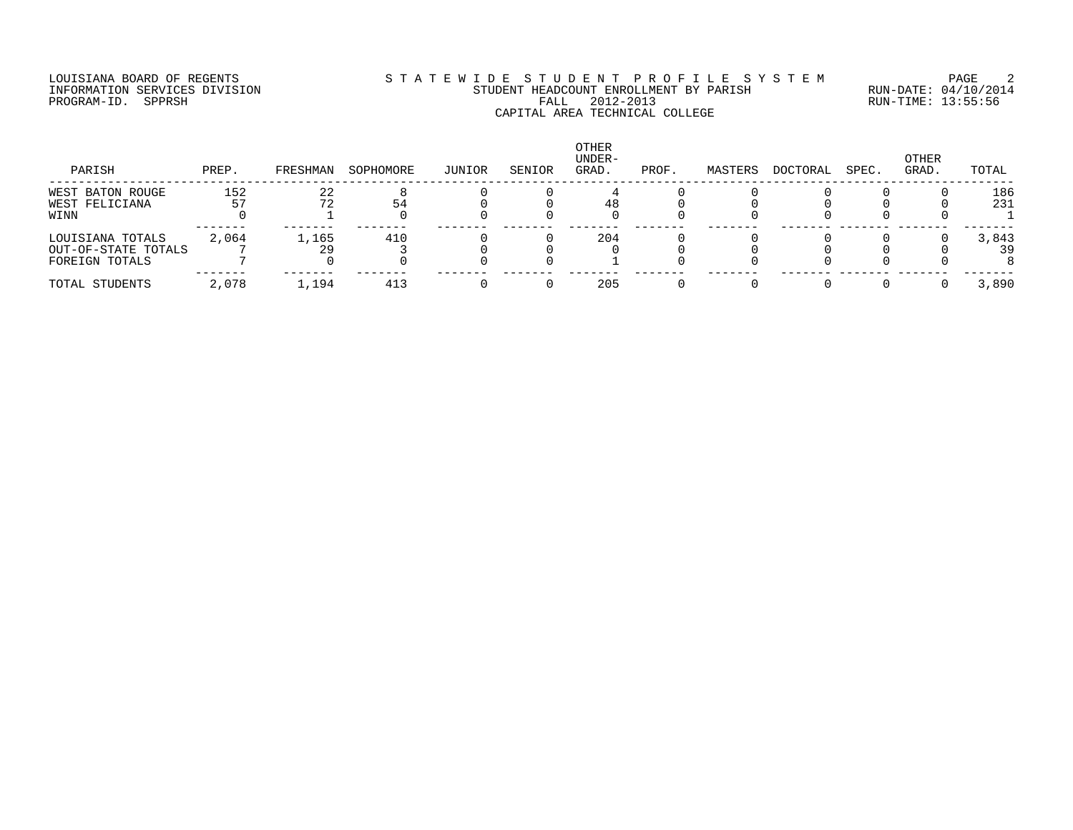#### LOUISIANA BOARD OF REGENTS SOURCLEARIE WIDE STUDENT PROFILE SYSTEM PAGE 2 INFORMATION SERVICES DIVISION STUDENT HEADCOUNT ENROLLMENT BY PARISH RUN-DATE: 04/10/2014 PROGRAM-ID. SPPRSH FALL 2012-2013 RUN-TIME: 13:55:56 CAPITAL AREA TECHNICAL COLLEGE

| PARISH                                                    | PREP. | FRESHMAN | SOPHOMORE | JUNIOR | SENIOR | OTHER<br>UNDER-<br>GRAD. | PROF. | MASTERS | DOCTORAL | SPEC. | OTHER<br>GRAD. | TOTAL       |
|-----------------------------------------------------------|-------|----------|-----------|--------|--------|--------------------------|-------|---------|----------|-------|----------------|-------------|
| WEST BATON ROUGE<br>WEST FELICIANA                        | 152   | 22       | 54        |        |        |                          |       |         |          |       |                | 186<br>231  |
| WINN                                                      |       |          |           |        |        |                          |       |         |          |       |                |             |
| LOUISIANA TOTALS<br>OUT-OF-STATE TOTALS<br>FOREIGN TOTALS | 2,064 | 1,165    | 410       |        |        | 204                      |       |         |          |       |                | 3,843<br>39 |
| TOTAL STUDENTS                                            | 2,078 | 1,194    | 413       |        |        | 205                      |       |         |          |       |                | 3,890       |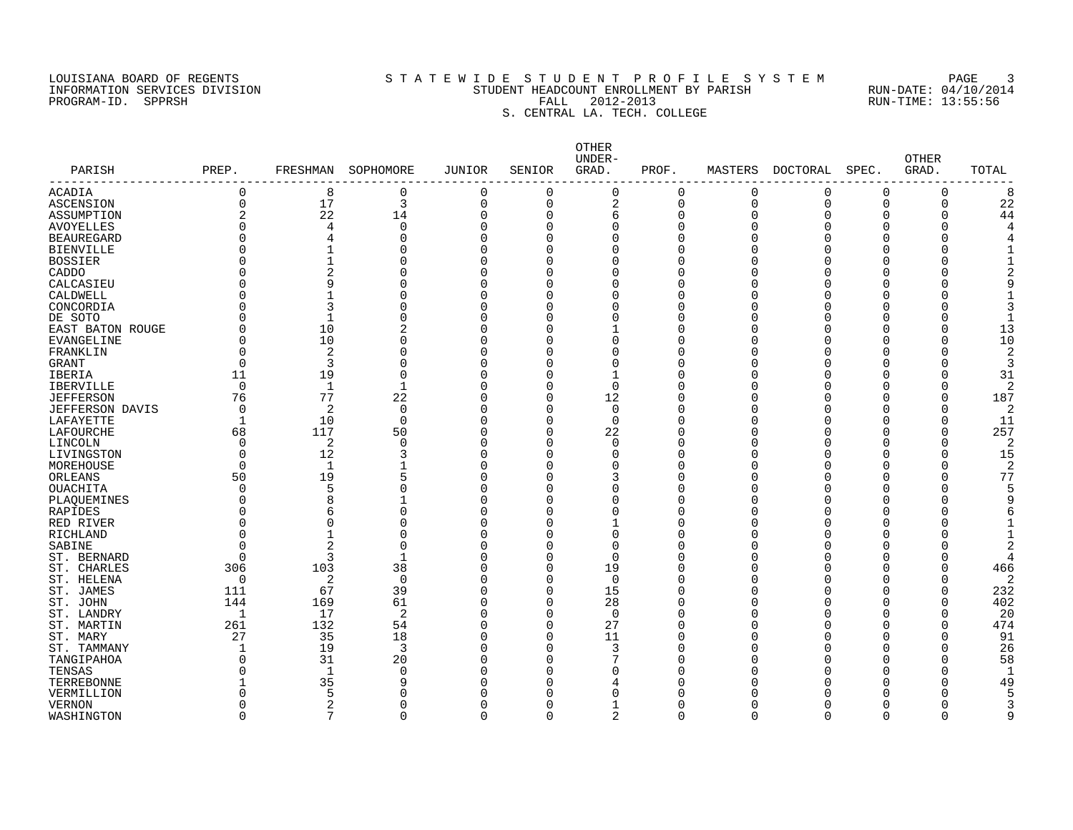#### LOUISIANA BOARD OF REGENTS SOURCLEARIE STA T E W I D E S T U D E N T P R O F I L E S Y S T E M PAGE 3 INFORMATION SERVICES DIVISION STUDENT HEADCOUNT ENROLLMENT BY PARISH RUN-DATE: 04/10/2014 PROGRAM-ID. SPPRSH FALL 2012-2013 RUN-TIME: 13:55:56 S. CENTRAL LA. TECH. COLLEGE

| PARISH                 | PREP.          | FRESHMAN       | SOPHOMORE    | <b>JUNIOR</b> | SENIOR       | OTHER<br>UNDER-<br>GRAD. | PROF.    | MASTERS        | DOCTORAL | SPEC.    | <b>OTHER</b><br>GRAD. | TOTAL          |
|------------------------|----------------|----------------|--------------|---------------|--------------|--------------------------|----------|----------------|----------|----------|-----------------------|----------------|
| ACADIA                 | 0              | 8              | 0            | $\Omega$      | $\Omega$     | 0                        | 0        | 0              | 0        | 0        | 0                     | 8              |
| ASCENSION              | $\Omega$       | 17             | 3            | $\Omega$      | $\Omega$     | 2                        | 0        | $\mathbf 0$    | $\Omega$ | $\Omega$ | 0                     | 22             |
| ASSUMPTION             | $\overline{2}$ | 22             | 14           | $\Omega$      | $\Omega$     | 6                        | 0        | $\overline{0}$ | $\Omega$ | O        | 0                     | 44             |
| <b>AVOYELLES</b>       |                | 4              | $\mathbf 0$  | $\Omega$      | $\Omega$     | $\mathbf 0$              | $\Omega$ | $\Omega$       |          |          | U                     |                |
| <b>BEAUREGARD</b>      |                | 4              | 0            | $\Omega$      | $\Omega$     | $\Omega$                 | $\Omega$ | $\Omega$       |          | ∩        |                       |                |
| <b>BIENVILLE</b>       |                |                | 0            |               | $\Omega$     | 0                        | $\Omega$ | $\Omega$       |          |          |                       |                |
| <b>BOSSIER</b>         | O              |                | 0            |               | $\Omega$     | $\Omega$                 | 0        | $\Omega$       |          | n        |                       |                |
| CADDO                  |                | $\overline{2}$ | 0            |               |              | $\Omega$                 | $\Omega$ | C              |          |          |                       |                |
| CALCASIEU              |                | 9              | 0            |               | $\Omega$     | $\Omega$                 | $\Omega$ | $\Omega$       |          |          |                       |                |
| CALDWELL               |                |                | 0            |               | $\Omega$     | 0                        | O        | $\Omega$       |          | ∩        |                       |                |
| CONCORDIA              |                | 3              | 0            |               | <sup>0</sup> | 0                        | O        | <sup>0</sup>   |          | O        |                       |                |
| DE SOTO                |                |                | 0            | Ω             | $\Omega$     | 0                        | O        | $\Omega$       |          | O        |                       |                |
| EAST BATON ROUGE       | $\Omega$       | 10             | 2            | O             | <sup>0</sup> | $\mathbf{1}$             | $\Omega$ | $\Omega$       |          | O        | $\Omega$              | 13             |
| EVANGELINE             | $\cap$         | 10             | $\Omega$     | <sup>n</sup>  | ∩            | $\Omega$                 | O        | n              |          | ∩        | U                     | 10             |
| FRANKLIN               | $\Omega$       | $\overline{2}$ | 0            | O             |              | $\Omega$                 | $\Omega$ | n              |          |          |                       | $\overline{2}$ |
| <b>GRANT</b>           | $\Omega$       | 3              | 0            | <sup>n</sup>  | ∩            | $\Omega$                 | O        | n              |          | n        | ∩                     | 3              |
| IBERIA                 | 11             | 19             | 0            | O             | $\Omega$     | 1                        | $\Omega$ | $\Omega$       |          |          |                       | 31             |
| <b>IBERVILLE</b>       | $\Omega$       | $\mathbf{1}$   | $\mathbf{1}$ | $\Omega$      | $\Omega$     | $\Omega$                 | $\Omega$ | $\Omega$       |          | ∩        | O                     |                |
| <b>JEFFERSON</b>       | 76             | 77             | 22           | Ω             | $\Omega$     | 12                       | U        | $\cap$         |          |          |                       | 187            |
| <b>JEFFERSON DAVIS</b> | $\cap$         | $\overline{2}$ | $\mathbf 0$  | n             | $\Omega$     | $\Omega$                 | U        | $\cap$         |          |          |                       | 2              |
| LAFAYETTE              | 1              | 10             | $\mathbf 0$  | Ω             | <sup>0</sup> | 0                        | O        | n              |          |          |                       | 11             |
| LAFOURCHE              | 68             | 117            | 50           | $\Omega$      | $\Omega$     | 22                       | O        | $\Omega$       |          | n        | O                     | 257            |
| LINCOLN                | $\Omega$       | 2              | $\mathbf 0$  | $\Omega$      | $\Omega$     | $\mathbf 0$              | $\Omega$ | $\Omega$       |          |          | 0                     | 2              |
| LIVINGSTON             | $\Omega$       | 12             | 3            | U             | $\Omega$     | $\Omega$                 | $\Omega$ | $\Omega$       |          | ∩        | $\Omega$              | 15             |
| MOREHOUSE              | $\Omega$       | $\mathbf{1}$   | $\mathbf{1}$ | U             | $\Omega$     | $\Omega$                 | $\Omega$ | $\Omega$       |          |          |                       | 2              |
| ORLEANS                | 50             | 19             | 5            |               | $\Omega$     | 3                        | 0        | $\Omega$       |          |          | 0                     | 77             |
| <b>OUACHITA</b>        | $\Omega$       | 5              | 0            | Ω             |              | 0                        | 0        | $\Omega$       |          |          |                       |                |
| PLAQUEMINES            |                | 8              | $\mathbf{1}$ |               |              | $\Omega$                 | $\Omega$ | $\Omega$       |          |          |                       |                |
| <b>RAPIDES</b>         |                | 6              | 0            |               | $\Omega$     | $\Omega$                 | O        | $\cap$         |          |          |                       |                |
| RED RIVER              | O              | $\Omega$       | 0            |               |              | 1                        | O        | $\Omega$       |          |          |                       |                |
| RICHLAND               | $\Omega$       |                | 0            | ∩             | ∩            | 0                        | O        | <sup>0</sup>   |          | O        |                       |                |
| SABINE                 | $\Omega$       | $\overline{2}$ | 0            |               | $\Omega$     | 0                        | 0        | $\Omega$       |          |          |                       |                |
| ST. BERNARD            | $\Omega$       | 3              | $\mathbf{1}$ | $\Omega$      | $\Omega$     | $\mathbf 0$              | O        | $\Omega$       |          | O        | 0                     |                |
| ST. CHARLES            | 306            | 103            | 38           | U             | $\Omega$     | 19                       | $\Omega$ | n              |          |          | $\Omega$              | 466            |
| ST. HELENA             | $\Omega$       | 2              | $\mathbf 0$  | $\Omega$      | $\Omega$     | $\Omega$                 | $\Omega$ | $\Omega$       |          | ∩        |                       | 2              |
| ST. JAMES              | 111            | 67             | 39           | U             | $\Omega$     | 15                       | $\Omega$ | n              |          |          | $\Omega$              | 232            |
| ST. JOHN               | 144            | 169            | 61           | $\Omega$      | $\Omega$     | 28                       | O        | $\Omega$       |          | ∩        | $\Omega$              | 402            |
| ST. LANDRY             | 1              | 17             | 2            | O             | $\Omega$     | $\overline{0}$           | $\Omega$ | $\Omega$       |          |          | $\Omega$              | 20             |
| ST. MARTIN             | 261            | 132            | 54           | <sup>n</sup>  | $\Omega$     | 27                       | $\Omega$ | $\cap$         |          | ∩        | $\Omega$              | 474            |
| ST. MARY               | 27             | 35             | 18           | Ω             | $\Omega$     | 11                       | $\Omega$ | U              |          |          |                       | 91             |
| ST. TAMMANY            | -1             | 19             | 3            | Ω             | O            | 3                        | O        | n              |          | n        | $\Omega$              | 26             |
| TANGIPAHOA             | $\Omega$       | 31             | 20           |               | $\Omega$     | 7                        | O        |                |          |          |                       | 58             |
| TENSAS                 | $\Omega$       | $\mathbf{1}$   | 0            | O             | O            | $\Omega$                 | O        | n              |          | n        | O                     |                |
| TERREBONNE             |                | 35             | 9            |               |              | 4                        | O        |                |          |          |                       | 49             |
| VERMILLION             | U              |                | 0            |               |              | O                        | U        |                |          |          |                       |                |
| <b>VERNON</b>          | <sup>0</sup>   | 2              | 0            |               | O            |                          | 0        | <sup>0</sup>   |          | n        |                       |                |
| WASHINGTON             | $\Omega$       | 7              | $\Omega$     | $\Omega$      | $\Omega$     | 2                        | $\Omega$ | $\Omega$       | $\Omega$ | $\Omega$ | $\Omega$              | q              |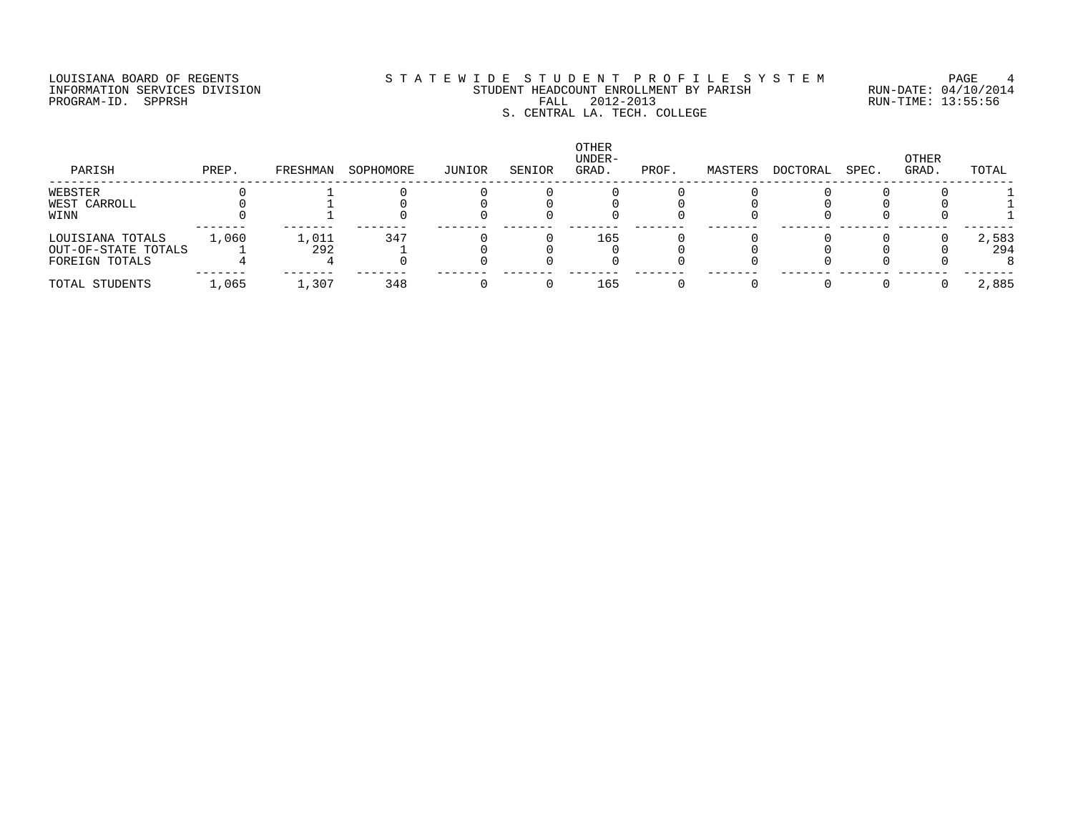# LOUISIANA BOARD OF REGENTS S T A T E W I D E S T U D E N T P R O F I L E S Y S T E M PAGE 4 INFORMATION SERVICES DIVISION STUDENT HEADCOUNT ENROLLMENT BY PARISH RUN-DATE: 04/10/2014 PROGRAM-ID. SPPRSH FALL 2012-2013 RUN-TIME: 13:55:56 EALL 2012-2013<br>S. CENTRAL LA. TECH. COLLEGE

| PARISH              | PREP. | FRESHMAN | SOPHOMORE | JUNIOR | SENIOR | <b>OTHER</b><br>UNDER-<br>GRAD. | PROF. | MASTERS | DOCTORAL | SPEC. | OTHER<br>GRAD. | TOTAL |
|---------------------|-------|----------|-----------|--------|--------|---------------------------------|-------|---------|----------|-------|----------------|-------|
| WEBSTER             |       |          |           |        |        |                                 |       |         |          |       |                |       |
| WEST CARROLL        |       |          |           |        |        |                                 |       |         |          |       |                |       |
| WINN                |       |          |           |        |        |                                 |       |         |          |       |                |       |
| LOUISIANA TOTALS    | 1,060 | 1,011    | 347       |        |        | 165                             |       |         |          |       |                | 2,583 |
| OUT-OF-STATE TOTALS |       | 292      |           |        |        |                                 |       |         |          |       |                | 294   |
| FOREIGN TOTALS      |       |          |           |        |        |                                 |       |         |          |       |                |       |
| TOTAL STUDENTS      | 1,065 | 1,307    | 348       |        |        | 165                             |       |         |          |       |                | 2,885 |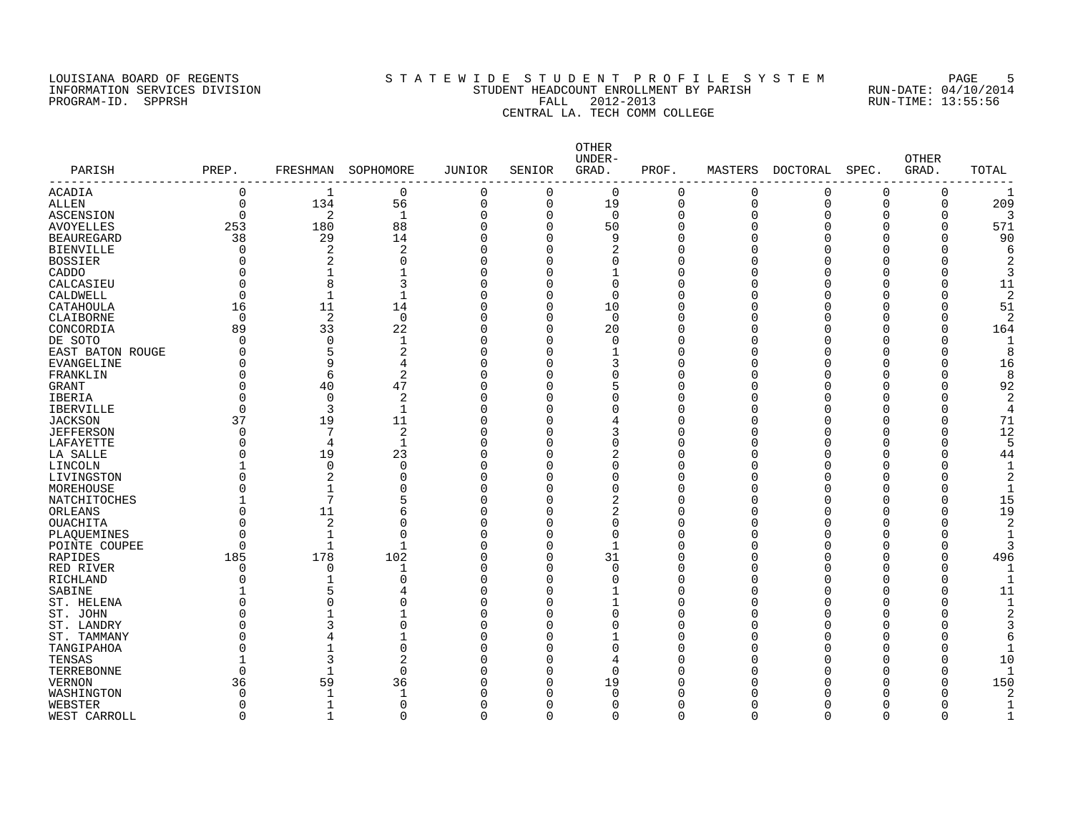## LOUISIANA BOARD OF REGENTS SOURCLEARIE STA T E W I D E S T U D E N T P R O F I L E S Y S T E M PAGE 5 INFORMATION SERVICES DIVISION STUDENT HEADCOUNT ENROLLMENT BY PARISH RUN-DATE: 04/10/2014 PROGRAM-ID. SPPRSH FALL 2012-2013 RUN-TIME: 13:55:56 EALL 2012-2013<br>
FALL 2012-2013<br>
CENTRAL LA. TECH COMM COLLEGE

| PARISH             |             |                     |                |               |                      | OTHER<br>UNDER- |                |             |             |          | <b>OTHER</b> |                     |
|--------------------|-------------|---------------------|----------------|---------------|----------------------|-----------------|----------------|-------------|-------------|----------|--------------|---------------------|
| ------------------ | PREP.       | FRESHMAN            | SOPHOMORE      | <b>JUNIOR</b> | SENIOR               | GRAD.           | PROF.          | MASTERS     | DOCTORAL    | SPEC.    | GRAD.        | TOTAL               |
| ACADIA             | $\mathbf 0$ | -1                  | $\mathbf 0$    | $\Omega$      | $\Omega$             | $\mathbf 0$     | $\mathbf 0$    | 0           | 0           | $\Omega$ | 0            |                     |
| <b>ALLEN</b>       | $\Omega$    | 134                 | 56             | 0             | $\mathbf 0$          | 19              | $\overline{0}$ | $\mathbf 0$ | $\mathbf 0$ | $\Omega$ | $\mathbf 0$  | 209                 |
| <b>ASCENSION</b>   | $\Omega$    | 2                   | $\mathbf{1}$   | $\Omega$      | $\Omega$             | $\mathbf 0$     | $\Omega$       | $\Omega$    | $\Omega$    | ∩        | O            |                     |
| <b>AVOYELLES</b>   | 253         | 180                 | 88             | $\Omega$      | $\Omega$             | 50              | $\mathbf 0$    | C           |             |          | $\Omega$     | 571                 |
| <b>BEAUREGARD</b>  | 38          | 29                  | 14             | $\Omega$      | $\Omega$             | 9               | $\Omega$       | $\Omega$    |             |          | O            | 90                  |
| <b>BIENVILLE</b>   | 0           | $\overline{2}$      | $\overline{2}$ | $\Omega$      | $\Omega$             | 2               | $\mathbf 0$    | ſ           |             |          | O            |                     |
| <b>BOSSIER</b>     | O           | $\overline{2}$      | $\mathbf 0$    | $\Omega$      | $\Omega$             | 0               | 0              |             |             |          |              |                     |
| CADDO              | U           | -1                  | $\mathbf{1}$   | $\Omega$      | O                    | 1               | $\mathbf 0$    |             |             |          |              | 3                   |
| CALCASIEU          | $\Omega$    | 8                   | 3              | U             | O                    | $\Omega$        | $\Omega$       | ſ           |             |          | U            | 11                  |
| CALDWELL           | $\Omega$    |                     | $\mathbf{1}$   | $\Omega$      | $\Omega$             | $\Omega$        | 0              | ſ           |             |          |              | 2                   |
| CATAHOULA          | 16          | 11                  | 14             | O             | $\Omega$             | 10              | 0              | ſ           |             |          | U            | 51                  |
| CLAIBORNE          | $\Omega$    | 2                   | $\mathbf 0$    | O             | $\Omega$             | $\mathbf 0$     | O              | ſ           |             |          |              | 2                   |
| CONCORDIA          | 89          | 33                  | 22             | O             | $\Omega$             | 20              | 0              | C           |             |          | O            | 164                 |
| DE SOTO            | $\Omega$    | $\mathbf 0$         | 1              | $\Omega$      | $\Omega$             | $\Omega$        | 0              | $\sqrt{ }$  |             |          | U            |                     |
| EAST BATON ROUGE   | O           | 5                   | $\overline{2}$ | $\Omega$      | $\Omega$             | 1               | $\mathbf 0$    | C           |             |          | 0            | 8                   |
| <b>EVANGELINE</b>  |             | 9                   | 4              | $\Omega$      | O                    | 3               | 0              | ſ           |             |          | O            | 16                  |
| FRANKLIN           | $\cap$      | 6                   | $\overline{2}$ | U             |                      | $\Omega$        | $\Omega$       | ſ           |             |          | O            | 8                   |
| <b>GRANT</b>       | $\Omega$    | 40                  | 47             | U             | ∩                    | 5               | $\Omega$       | ſ           |             |          | Λ            | 92                  |
| IBERIA             | U           | $\Omega$            | 2              | U             |                      | 0               | $\Omega$       |             |             |          |              | 2                   |
| <b>IBERVILLE</b>   | $\cap$      | 3                   | $\mathbf 1$    | U             |                      | 0               | O              | ſ           |             |          | U            |                     |
| <b>JACKSON</b>     | 37          | 19                  | 11             | U             |                      | 4               | 0              | ſ           |             |          | O            | 71                  |
| <b>JEFFERSON</b>   | $\Omega$    | 7                   | 2              | O             |                      | 3               | 0              | ſ           |             |          | O            | 12                  |
| LAFAYETTE          | $\Omega$    | $\overline{4}$      | $\mathbf 1$    | $\Omega$      |                      | 0               | 0              |             |             |          | $\Omega$     | 5                   |
| LA SALLE           | U           | 19                  | 23             | $\Omega$      | $\Omega$             | 2               | $\mathbf 0$    | ſ           |             |          | O            | 44                  |
| LINCOLN            |             | $\mathbf 0$         | $\mathbf 0$    | $\Omega$      |                      | $\Omega$        | $\mathbf 0$    |             |             |          |              |                     |
| LIVINGSTON         |             | $\overline{2}$      | $\mathbf 0$    | U             | O                    | 0               | $\Omega$       | r           |             |          |              | 2                   |
| MOREHOUSE          |             | 1                   | $\Omega$       | $\Omega$      |                      | 0               | $\Omega$       |             |             |          |              | $\mathbf{1}$        |
| NATCHITOCHES       |             | 7                   | 5              | U             | $\Omega$             | 2               | $\Omega$       | ſ           |             |          | O            | 15                  |
| ORLEANS            |             | 11                  | 6              | ∩             | ∩                    | 2               | 0              | ſ           |             |          | Λ            | 19                  |
|                    |             | $\overline{2}$      | $\mathbf 0$    | O             |                      | 0               | 0              | ſ           |             |          |              |                     |
| OUACHITA           | U           |                     | $\mathbf 0$    | $\Omega$      | $\Omega$             | $\Omega$        | 0              | $\sqrt{ }$  |             |          |              |                     |
| PLAQUEMINES        | $\Omega$    |                     | $\mathbf{1}$   | $\Omega$      |                      |                 |                |             |             |          |              |                     |
| POINTE COUPEE      | 185         | $\mathbf{1}$<br>178 | 102            | $\Omega$      | $\Omega$<br>$\Omega$ | $\mathbf{1}$    | 0              | C           |             |          | O            |                     |
| RAPIDES            | $\Omega$    | $\Omega$            |                | $\Omega$      | $\Omega$             | 31<br>$\Omega$  | 0<br>$\Omega$  | ſ<br>ſ      |             |          | O<br>U       | 496<br>$\mathbf{1}$ |
| RED RIVER          |             |                     | 1              | $\Omega$      | ∩                    |                 | $\Omega$       |             |             |          |              |                     |
| RICHLAND           | U           |                     | $\Omega$       |               |                      | 0               |                | r           |             |          | U            |                     |
| SABINE             |             | 5                   | 4              | U             | O                    | 1               | $\Omega$       | ſ           |             |          | U            | 11                  |
| ST. HELENA         |             | U                   | $\Omega$       | U             |                      | 1               | O              |             |             |          | Λ            |                     |
| ST. JOHN           |             |                     | 1              | U             |                      | 0               | 0              |             |             |          |              |                     |
| ST. LANDRY         |             | 3                   | $\mathbf 0$    | U             |                      | 0               | 0              | ſ           |             |          |              |                     |
| ST. TAMMANY        |             |                     | $\mathbf{1}$   | $\Omega$      |                      |                 | 0              |             |             |          |              | 6                   |
| TANGIPAHOA         |             |                     | $\mathbf 0$    |               |                      | $\Omega$        | $\mathbf 0$    |             |             |          |              |                     |
| TENSAS             |             | 3                   | $\overline{2}$ | $\Omega$      |                      | 4               | $\Omega$       |             |             |          |              | 10                  |
| TERREBONNE         | $\Omega$    |                     | $\Omega$       |               | $\Omega$             | $\Omega$        | $\Omega$       |             |             |          | U            |                     |
| <b>VERNON</b>      | 36          | 59                  | 36             | U             | $\Omega$             | 19              | O              |             |             |          | U            | 150                 |
| WASHINGTON         | $\Omega$    | -1                  | 1              |               | $\Omega$             | $\Omega$        | O              |             |             |          |              |                     |
| WEBSTER            | $\Omega$    |                     | $\mathbf 0$    | O             | <sup>0</sup>         | 0               | O              | ∩           |             |          |              |                     |
| WEST CARROLL       | $\Omega$    | 1                   | $\Omega$       | $\Omega$      | $\Omega$             | $\Omega$        | $\Omega$       | $\Omega$    | $\Omega$    | $\Omega$ | $\Omega$     |                     |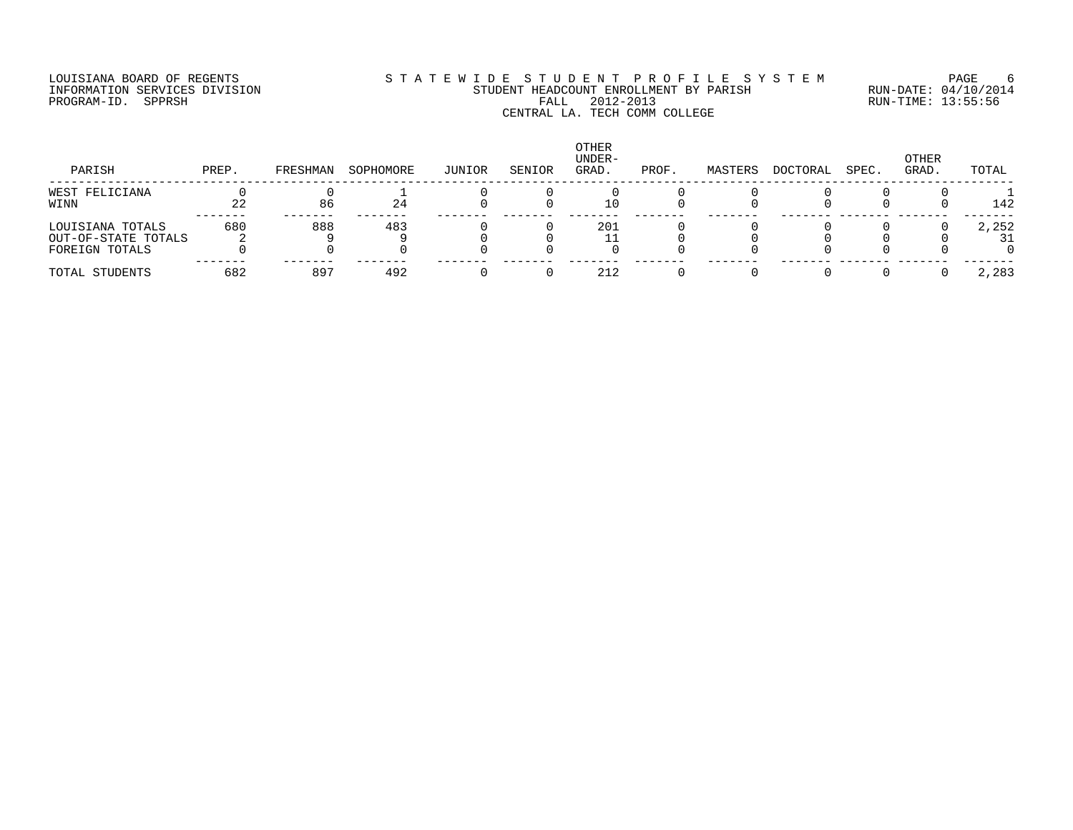## LOUISIANA BOARD OF REGENTS SOURCLEARIE STA T E W I D E S T U D E N T P R O F I L E S Y S T E M PAGE 6 INFORMATION SERVICES DIVISION STUDENT HEADCOUNT ENROLLMENT BY PARISH RUN-DATE: 04/10/2014 PROGRAM-ID. SPPRSH FALL 2012-2013 RUN-TIME: 13:55:56 EALL 2012-2013<br>CENTRAL LA. TECH COMM COLLEGE

| PARISH              | PREP. | FRESHMAN | SOPHOMORE | JUNIOR | SENIOR | <b>OTHER</b><br>UNDER-<br>GRAD. | PROF. | MASTERS | DOCTORAL | SPEC. | OTHER<br>GRAD. | TOTAL |
|---------------------|-------|----------|-----------|--------|--------|---------------------------------|-------|---------|----------|-------|----------------|-------|
| WEST FELICIANA      |       |          |           |        |        |                                 |       |         |          |       |                |       |
| WINN                | 22    | 86       | 24        |        |        | 10                              |       |         |          |       |                | 142   |
| LOUISIANA TOTALS    | 680   | 888      | 483       |        |        | 201                             |       |         |          |       |                | 2,252 |
| OUT-OF-STATE TOTALS |       |          |           |        |        |                                 |       |         |          |       |                | 31    |
| FOREIGN TOTALS      |       |          |           |        |        |                                 |       |         |          |       |                |       |
| TOTAL STUDENTS      | 682   | 897      | 492       |        |        | 212                             |       |         |          |       |                | 2,283 |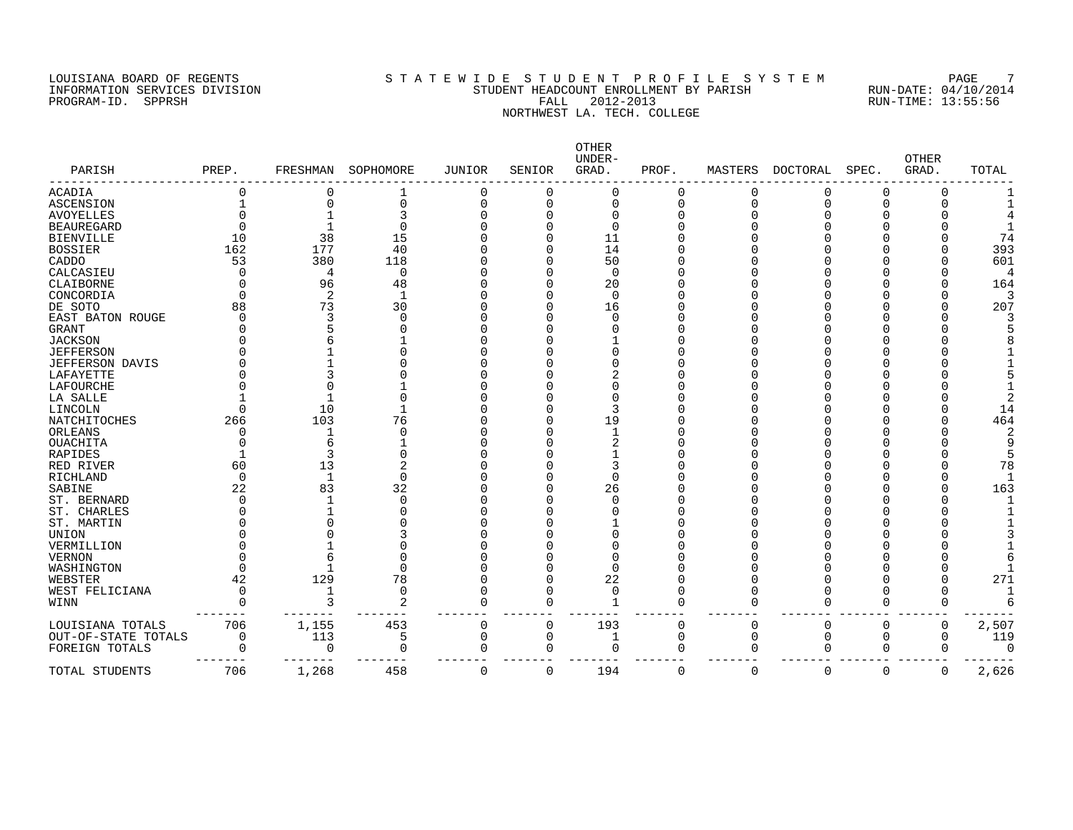## LOUISIANA BOARD OF REGENTS SOURCLEARIE STA T E W I D E S T U D E N T P R O F I L E S Y S T E M PAGE 7 INFORMATION SERVICES DIVISION STUDENT HEADCOUNT ENROLLMENT BY PARISH RUN-DATE: 04/10/2014 PROGRAM-ID. SPPRSH FALL 2012-2013 RUN-TIME: 13:55:56 NORTHERST LA. TECH. COLLEGE

| PARISH              | PREP.    | FRESHMAN       | SOPHOMORE      | <b>JUNIOR</b> | SENIOR   | OTHER<br>UNDER-<br>GRAD. | PROF.       | MASTERS     | <b>DOCTORAL</b> | SPEC.       | <b>OTHER</b><br>GRAD. | TOTAL     |
|---------------------|----------|----------------|----------------|---------------|----------|--------------------------|-------------|-------------|-----------------|-------------|-----------------------|-----------|
| <b>ACADIA</b>       | O        | $\Omega$       | 1              | 0             | C        | $\Omega$                 | $\Omega$    | 0           | 0               | 0           | O                     |           |
| <b>ASCENSION</b>    |          | $\Omega$       | $\Omega$       | 0             | 0        | $\Omega$                 | 0           | $\Omega$    | 0               | $\Omega$    |                       |           |
| <b>AVOYELLES</b>    |          |                | 3              |               |          | $\Omega$                 | 0           |             |                 | 0           |                       |           |
| <b>BEAUREGARD</b>   |          |                | 0              |               |          | $\Omega$                 |             |             |                 | O           |                       |           |
| <b>BIENVILLE</b>    | 10       | 38             | 15             |               |          | 11                       |             |             |                 |             |                       | 74        |
| <b>BOSSIER</b>      | 162      | 177            | 40             |               |          | 14                       |             |             |                 |             |                       | 393       |
| CADDO               | 53       | 380            | 118            |               |          | 50                       |             |             |                 |             |                       | 601       |
| CALCASIEU           | $\Omega$ | 4              | $\Omega$       |               |          | $\Omega$                 |             |             |                 |             |                       |           |
| CLAIBORNE           | O        | 96             | 48             |               |          | 20                       |             |             |                 |             |                       | 164       |
| CONCORDIA           | $\Omega$ | $\overline{2}$ | $\mathbf 1$    |               |          | $\Omega$                 |             |             |                 |             |                       |           |
| DE SOTO             | 88       | 73             | 30             |               |          | 16                       |             |             |                 |             |                       | 207       |
| EAST BATON ROUGE    |          |                | $\Omega$       |               |          |                          |             |             |                 |             |                       |           |
| GRANT               |          |                |                |               |          |                          |             |             |                 |             |                       |           |
| <b>JACKSON</b>      |          |                |                |               |          |                          |             |             |                 |             |                       |           |
| <b>JEFFERSON</b>    |          |                |                |               |          |                          |             |             |                 |             |                       |           |
| JEFFERSON DAVIS     |          |                |                |               |          |                          |             |             |                 |             |                       |           |
| LAFAYETTE           |          |                |                |               |          |                          |             |             |                 |             |                       |           |
| LAFOURCHE           |          |                |                |               |          |                          |             |             |                 |             |                       |           |
| LA SALLE            |          |                |                |               |          |                          |             |             |                 |             |                       |           |
| LINCOLN             | $\Omega$ | 10             |                |               |          |                          |             |             |                 |             |                       | 14        |
| NATCHITOCHES        | 266      | 103            | 76             |               |          | 19                       |             |             |                 |             |                       | 464       |
| ORLEANS             |          | -1             | U              |               |          |                          |             |             |                 |             |                       |           |
| <b>OUACHITA</b>     |          | 6              |                |               |          |                          |             |             |                 |             |                       |           |
| RAPIDES             |          | 3              | O              |               |          |                          |             |             |                 |             |                       |           |
| RED RIVER           | 60       | 13             | 2              |               |          |                          |             |             |                 |             |                       | 78        |
| RICHLAND            | $\Omega$ | 1              | 0              |               |          | $\Omega$                 |             |             |                 |             |                       | -1        |
| SABINE              | 22       | 83             | 32             |               |          | 26                       |             |             |                 |             |                       | 163       |
| ST. BERNARD         | ∩        | 1              | $\Omega$       |               |          |                          |             |             |                 |             |                       |           |
| ST. CHARLES         |          |                | U              |               |          |                          |             |             |                 |             |                       |           |
| ST. MARTIN          |          |                |                |               |          |                          |             |             |                 |             |                       |           |
| UNION               |          |                |                |               |          |                          |             |             |                 |             |                       |           |
| VERMILLION          |          |                |                |               |          |                          |             |             |                 |             |                       |           |
| <b>VERNON</b>       |          |                |                |               |          |                          |             |             |                 |             |                       |           |
| WASHINGTON          |          |                | $\Omega$       |               |          | $\Omega$                 |             |             |                 |             |                       |           |
| WEBSTER             | 42       | 129            | 78             |               |          | 22                       |             |             |                 | U           |                       | 271<br>-1 |
| WEST FELICIANA      | $\Omega$ | $\mathbf{1}$   | $\mathbf 0$    | O             | C        | $\Omega$                 | O           | $\Omega$    | U               | O           |                       |           |
| WINN                | $\cap$   |                | $\overline{2}$ | $\Omega$      | $\Omega$ |                          | $\Omega$    | $\Omega$    | O               | $\Omega$    | $\Omega$              |           |
| LOUISIANA TOTALS    | 706      | 1,155          | 453            | $\mathbf 0$   | 0        | 193                      | $\mathbf 0$ | $\mathbf 0$ | 0               | 0           | 0                     | 2,507     |
| OUT-OF-STATE TOTALS | 0        | 113            | 5              | 0             | 0        | 1                        | 0           | 0           | 0               | $\Omega$    | 0                     | 119       |
| FOREIGN TOTALS      | 0        | 0              | $\Omega$       | 0             | 0        | O                        | 0           | $\Omega$    | $\Omega$        | 0           | $\Omega$              | $\Omega$  |
| TOTAL STUDENTS      | 706      | 1,268          | 458            | $\mathbf 0$   | 0        | 194                      | $\mathbf 0$ | $\mathbf 0$ | 0               | $\mathbf 0$ | 0                     | 2,626     |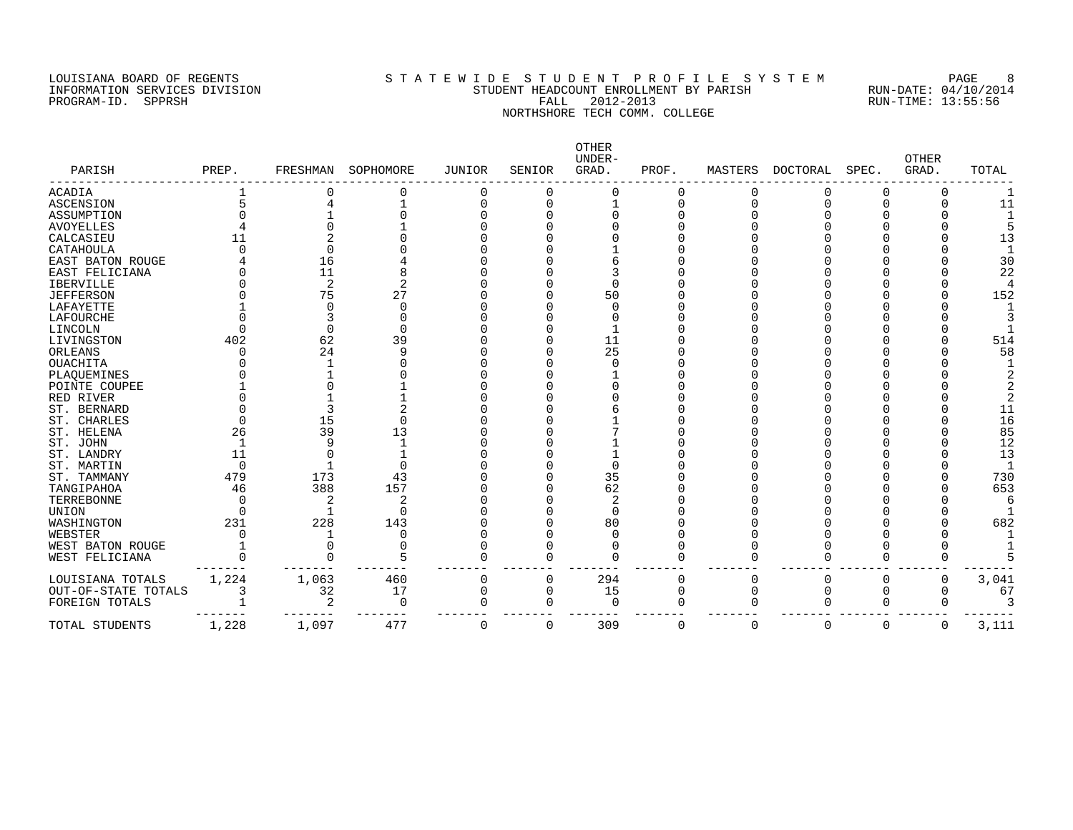#### LOUISIANA BOARD OF REGENTS SOURCLEARIE STA T E W I D E S T U D E N T P R O F I L E S Y S T E M PAGE 8 INFORMATION SERVICES DIVISION STUDENT HEADCOUNT ENROLLMENT BY PARISH RUN-DATE: 04/10/2014 PROGRAM-ID. SPPRSH FALL 2012-2013 RUN-TIME: 13:55:56 NORTHSHORE TECH COMM. COLLEGE

| PARISH              | PREP. | FRESHMAN | SOPHOMORE | JUNIOR       | SENIOR | OTHER<br>UNDER-<br>GRAD. | PROF. | MASTERS  | DOCTORAL | SPEC. | <b>OTHER</b><br>GRAD. | TOTAL |
|---------------------|-------|----------|-----------|--------------|--------|--------------------------|-------|----------|----------|-------|-----------------------|-------|
| <b>ACADIA</b>       |       |          |           | C            |        |                          |       |          |          |       |                       |       |
| <b>ASCENSION</b>    |       |          |           |              |        |                          | U     |          |          |       |                       | 11    |
| ASSUMPTION          |       |          |           |              |        |                          |       |          |          |       |                       |       |
| <b>AVOYELLES</b>    |       |          |           |              |        |                          |       |          |          |       |                       |       |
| CALCASIEU           |       |          |           |              |        |                          |       |          |          |       |                       | 13    |
| CATAHOULA           |       |          |           |              |        |                          |       |          |          |       |                       |       |
| EAST BATON ROUGE    |       | 16       |           |              |        |                          |       |          |          |       |                       | 30    |
| EAST FELICIANA      |       | 11       |           |              |        |                          |       |          |          |       |                       | 22    |
| <b>IBERVILLE</b>    |       | 2        |           |              |        |                          |       |          |          |       |                       |       |
| <b>JEFFERSON</b>    |       | 75       | 27        |              |        | 50                       |       |          |          |       |                       | 152   |
| LAFAYETTE           |       |          |           |              |        |                          |       |          |          |       |                       |       |
| LAFOURCHE           |       |          |           |              |        |                          |       |          |          |       |                       |       |
| LINCOLN             |       |          |           |              |        |                          |       |          |          |       |                       |       |
| LIVINGSTON          | 402   | 62       | 39        |              |        | 11                       |       |          |          |       |                       | 514   |
| ORLEANS             |       | 24       | 9         |              |        | 25                       |       |          |          |       |                       | 58    |
| <b>OUACHITA</b>     |       |          |           |              |        |                          |       |          |          |       |                       |       |
| PLAQUEMINES         |       |          |           |              |        |                          |       |          |          |       |                       |       |
| POINTE COUPEE       |       |          |           |              |        |                          |       |          |          |       |                       |       |
| RED RIVER           |       |          |           |              |        |                          |       |          |          |       |                       |       |
| ST. BERNARD         |       |          |           |              |        |                          |       |          |          |       |                       | 11    |
| ST. CHARLES         |       | 15       |           |              |        |                          |       |          |          |       |                       | 16    |
| ST. HELENA          | 26    | 39       | 13        |              |        |                          |       |          |          |       |                       | 85    |
| ST. JOHN            |       |          |           |              |        |                          |       |          |          |       |                       | 12    |
| ST. LANDRY          | 11    |          |           |              |        |                          |       |          |          |       |                       | 13    |
| ST. MARTIN          | U     |          |           |              |        |                          |       |          |          |       |                       |       |
| ST. TAMMANY         | 479   | 173      | 43        |              |        | 35                       |       |          |          |       |                       | 730   |
| TANGIPAHOA          | 46    | 388      | 157       |              |        | 62                       |       |          |          |       |                       | 653   |
| TERREBONNE          |       |          |           |              |        | $\overline{c}$           |       |          |          |       |                       |       |
| UNION               |       |          | O         |              |        | $\Omega$                 |       |          |          |       |                       |       |
| WASHINGTON          | 231   | 228      | 143       |              |        | 80                       |       |          |          |       |                       | 682   |
| WEBSTER             |       |          | O         |              |        |                          |       |          |          |       |                       |       |
| WEST BATON ROUGE    |       |          | U         |              |        |                          |       |          |          |       |                       |       |
| WEST FELICIANA      |       |          | 5         |              |        |                          |       |          |          |       |                       |       |
| LOUISIANA TOTALS    | 1,224 | 1,063    | 460       | 0            | O      | 294                      |       |          |          |       | O                     | 3,041 |
| OUT-OF-STATE TOTALS | 3     | 32       | 17        | <sup>0</sup> | O      | 15                       | O     |          |          |       |                       | 67    |
| FOREIGN TOTALS      |       |          | $\Omega$  |              |        | ∩                        | U     |          |          |       |                       |       |
| TOTAL STUDENTS      | 1,228 | 1,097    | 477       | $\Omega$     | 0      | 309                      | 0     | $\Omega$ | 0        | 0     | 0                     | 3,111 |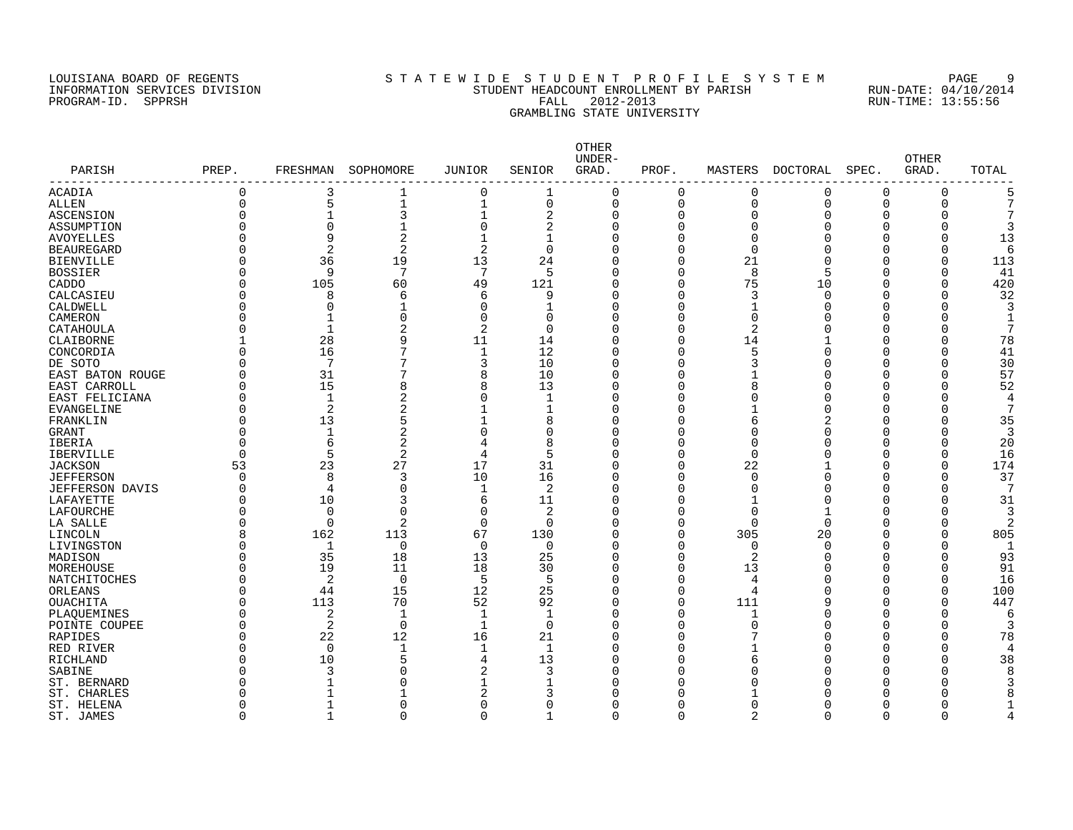#### LOUISIANA BOARD OF REGENTS SOURCLEARIE WIDE STUDENT PROFILE SYSTEM PAGE 9 INFORMATION SERVICES DIVISION STUDENT HEADCOUNT ENROLLMENT BY PARISH RUN-DATE: 04/10/2014 PROGRAM-ID. SPPRSH FALL 2012-2013 RUN-TIME: 13:55:56 GRAMBLING STATE UNIVERSITY

| PARISH            | PREP.    | FRESHMAN       | SOPHOMORE                | <b>JUNIOR</b> | SENIOR         | OTHER<br>UNDER-<br>GRAD. | PROF.    | MASTERS      | DOCTORAL | SPEC.    | <b>OTHER</b><br>GRAD. | TOTAL |
|-------------------|----------|----------------|--------------------------|---------------|----------------|--------------------------|----------|--------------|----------|----------|-----------------------|-------|
| ACADIA            | 0        | 3              | 1                        | $\mathbf 0$   | 1              | $\mathbf 0$              | 0        | 0            | 0        | $\Omega$ | 0                     | 5     |
| ALLEN             | $\Omega$ | 5              | $\mathbf{1}$             | 1             | 0              | $\mathbf 0$              | $\Omega$ | 0            | $\Omega$ | $\Omega$ | $\Omega$              | 7     |
| ASCENSION         | $\Omega$ |                | 3                        | $\mathbf{1}$  | 2              | $\mathbf 0$              | $\Omega$ | $\Omega$     | Λ        | ∩        |                       |       |
| ASSUMPTION        |          | $\Omega$       |                          | $\mathbf 0$   | 2              | $\Omega$                 | $\Omega$ |              |          |          |                       | 3     |
| <b>AVOYELLES</b>  |          | 9              | $\overline{2}$           | $\mathbf{1}$  | $\mathbf 1$    | $\Omega$                 | $\cap$   | <sup>n</sup> |          |          |                       | 13    |
| <b>BEAUREGARD</b> |          | $\overline{2}$ | $\overline{2}$           | 2             | 0              | $\Omega$                 | $\cap$   | <sup>n</sup> |          |          |                       | 6     |
| <b>BIENVILLE</b>  |          | 36             | 19                       | 13            | 24             | $\Omega$                 | $\Omega$ | 21           |          |          |                       | 113   |
| <b>BOSSIER</b>    |          | 9              | $7\phantom{.0}$          | 7             | 5              | $\Omega$                 | $\Omega$ | 8            |          |          |                       | 41    |
| CADDO             | O        | 105            | 60                       | 49            | 121            | $\Omega$                 | $\Omega$ | 75           | 10       | Λ        | O                     | 420   |
| CALCASIEU         |          | 8              | 6                        | 6             | 9              | $\Omega$                 | $\cap$   | 3            | $\cap$   |          | U                     | 32    |
| CALDWELL          |          | $\Omega$       | $\mathbf{1}$             | $\mathbf 0$   | 1              | $\Omega$                 | $\Omega$ | 1            |          |          | Λ                     |       |
| CAMERON           |          | 1              | $\Omega$                 | $\mathbf 0$   | 0              | $\Omega$                 | $\Omega$ | $\Omega$     |          |          |                       |       |
| CATAHOULA         |          | $\mathbf{1}$   | 2                        | 2             | 0              | $\Omega$                 | $\Omega$ | 2            |          |          |                       | 7     |
| CLAIBORNE         |          | 28             | 9                        | 11            | 14             | $\Omega$                 | $\Omega$ | 14           |          |          |                       | 78    |
| CONCORDIA         |          | 16             | 7                        | $\mathbf{1}$  | 12             | $\Omega$                 | $\cap$   | 5            |          |          |                       | 41    |
| DE SOTO           | U        | 7              | 7                        | 3             | 10             | $\Omega$                 | $\cap$   | 3            |          |          | ∩                     | 30    |
|                   |          | 31             | 7                        | 8             | 10             | $\Omega$                 | ∩        |              |          |          |                       | 57    |
| EAST BATON ROUGE  | $\Omega$ | 15             | 8                        | 8             | 13             | $\Omega$                 | ∩        |              |          |          |                       | 52    |
| EAST CARROLL      |          | $\mathbf{1}$   |                          |               |                | $\Omega$                 |          |              |          |          |                       | 4     |
| EAST FELICIANA    |          |                | 2                        | $\mathbf 0$   | 1              |                          |          |              |          |          |                       |       |
| EVANGELINE        |          | 2              | 2                        |               | $\mathbf{1}$   | $\Omega$                 |          |              |          |          |                       |       |
| FRANKLIN          |          | 13             | 5                        |               | 8              | $\Omega$                 |          | 6            |          |          |                       | 35    |
| GRANT             |          | $\mathbf{1}$   | 2                        | 0             | 0              | $\Omega$                 |          |              |          |          |                       | 3     |
| IBERIA            |          | 6              | 2                        | 4             | 8              | $\Omega$                 |          | Ω            |          |          |                       | 20    |
| <b>IBERVILLE</b>  | $\Omega$ | 5              | 2                        | 4             | 5              | $\Omega$                 | $\cap$   | $\Omega$     |          |          |                       | 16    |
| <b>JACKSON</b>    | 53       | 23             | 27                       | 17            | 31             | $\Omega$                 | $\cap$   | 22           |          |          | O                     | 174   |
| <b>JEFFERSON</b>  | 0        | 8              | 3                        | 10            | 16             | $\mathbf 0$              | $\Omega$ | $\Omega$     |          |          | $\Omega$              | 37    |
| JEFFERSON DAVIS   |          | $\overline{4}$ | $\Omega$                 | $\mathbf{1}$  | $\overline{a}$ | $\Omega$                 | $\Omega$ | $\cap$       |          |          |                       |       |
| LAFAYETTE         |          | 10             | 3                        | 6             | 11             | $\Omega$                 | $\cap$   |              |          |          |                       | 31    |
| LAFOURCHE         | U        | $\Omega$       | $\Omega$                 | $\Omega$      | 2              | $\Omega$                 | $\cap$   | <sup>n</sup> |          |          |                       |       |
| LA SALLE          |          | $\Omega$       | 2                        | $\Omega$      | $\Omega$       | $\Omega$                 | $\cap$   | <sup>n</sup> | ∩        |          |                       | 2     |
| LINCOLN           | 8        | 162            | 113                      | 67            | 130            | $\Omega$                 | $\cap$   | 305          | 20       |          | ∩                     | 805   |
| LIVINGSTON        |          | 1              | $\mathbf 0$              | $\mathbf 0$   | 0              | $\Omega$                 | $\cap$   | $\Omega$     | $\cap$   |          |                       | -1    |
| MADISON           |          | 35             | 18                       | 13            | 25             | $\mathbf 0$              | $\Omega$ | 2            |          |          |                       | 93    |
| MOREHOUSE         |          | 19             | 11                       | 18            | 30             | $\Omega$                 | $\cap$   | 13           |          |          |                       | 91    |
| NATCHITOCHES      |          | 2              | $\mathbf 0$              | 5             | 5              | $\Omega$                 | $\cap$   | 4            |          |          |                       | 16    |
| ORLEANS           |          | 44             | 15                       | 12            | 25             | $\Omega$                 | $\Omega$ | 4            |          |          |                       | 100   |
| <b>OUACHITA</b>   | $\Omega$ | 113            | 70                       | 52            | 92             | $\Omega$                 | $\Omega$ | 111          |          |          |                       | 447   |
| PLAQUEMINES       |          | 2              | $\overline{\phantom{a}}$ | $\mathbf 1$   | $\mathbf{1}$   | $\Omega$                 | n        |              |          |          |                       |       |
| POINTE COUPEE     |          | $\overline{2}$ | $\mathbf 0$              | $\mathbf{1}$  | $\mathbf 0$    | $\Omega$                 | $\Omega$ | $\Omega$     |          |          |                       |       |
| RAPIDES           |          | 22             | 12                       | 16            | 21             | $\Omega$                 | n        |              |          |          |                       | 78    |
| RED RIVER         |          | $\Omega$       | $\mathbf{1}$             | $\mathbf{1}$  | $\mathbf{1}$   | $\Omega$                 | n        |              |          |          | U                     |       |
| RICHLAND          |          | 10             | 5                        | 4             | 13             | $\Omega$                 | ∩        | 6            |          |          | U                     | 38    |
| SABINE            |          | 3              | $\Omega$                 | 2             | 3              | $\Omega$                 |          |              |          |          |                       |       |
| ST. BERNARD       |          |                | ∩                        | 1             | 1              | O                        |          |              |          |          |                       |       |
| ST. CHARLES       |          |                |                          | 2             | 3              | O                        |          |              |          |          |                       |       |
| ST. HELENA        |          |                | $\Omega$                 | $\Omega$      | 0              | $\Omega$                 | ∩        | ∩            |          |          |                       |       |
|                   | $\Omega$ | 1              | $\Omega$                 | 0             |                | $\Omega$                 | $\Omega$ | 2            | $\Omega$ | $\Omega$ | $\Omega$              |       |
| ST. JAMES         |          |                |                          |               | 1              |                          |          |              |          |          |                       |       |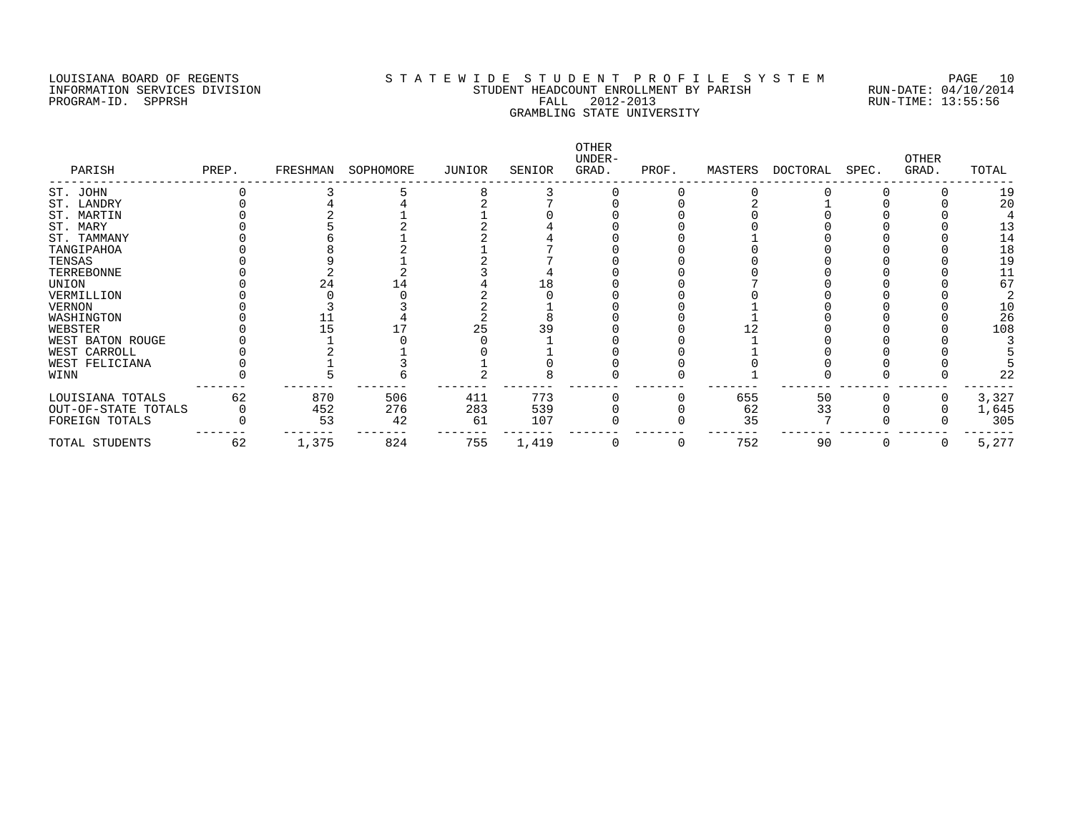#### LOUISIANA BOARD OF REGENTS S T A T E W I D E S T U D E N T P R O F I L E S Y S T E M PAGE 10 INFORMATION SERVICES DIVISION STUDENT HEADCOUNT ENROLLMENT BY PARISH RUN-DATE: 04/10/2014 PROGRAM-ID. SPPRSH FALL 2012-2013 RUN-TIME: 13:55:56 GRAMBLING STATE UNIVERSITY

| PARISH              | PREP. | FRESHMAN | SOPHOMORE | JUNIOR | SENIOR | OTHER<br>UNDER-<br>GRAD. | PROF. | MASTERS | DOCTORAL | SPEC. | OTHER<br>GRAD. | TOTAL |
|---------------------|-------|----------|-----------|--------|--------|--------------------------|-------|---------|----------|-------|----------------|-------|
| ST. JOHN            |       |          |           |        |        |                          |       |         |          |       |                | 19    |
| ST. LANDRY          |       |          |           |        |        |                          |       |         |          |       |                | 20    |
| ST. MARTIN          |       |          |           |        |        |                          |       |         |          |       |                |       |
| ST. MARY            |       |          |           |        |        |                          |       |         |          |       |                | 13    |
| ST. TAMMANY         |       |          |           |        |        |                          |       |         |          |       |                | 14    |
| TANGIPAHOA          |       |          |           |        |        |                          |       |         |          |       |                | 18    |
| TENSAS              |       |          |           |        |        |                          |       |         |          |       |                | 19    |
| TERREBONNE          |       |          |           |        |        |                          |       |         |          |       |                | 11    |
| UNION               |       | 24       |           |        | l 8    |                          |       |         |          |       |                | 67    |
| VERMILLION          |       |          |           |        |        |                          |       |         |          |       |                |       |
| VERNON              |       |          |           |        |        |                          |       |         |          |       |                | 10    |
| WASHINGTON          |       |          |           |        |        |                          |       |         |          |       |                | 26    |
| WEBSTER             |       |          |           | 25     | 39     |                          |       |         |          |       |                | 108   |
| WEST BATON ROUGE    |       |          |           |        |        |                          |       |         |          |       |                |       |
| WEST CARROLL        |       |          |           |        |        |                          |       |         |          |       |                |       |
| WEST FELICIANA      |       |          |           |        |        |                          |       |         |          |       |                |       |
| WINN                |       |          |           |        |        |                          |       |         |          |       |                | 22    |
| LOUISIANA TOTALS    | 62    | 870      | 506       | 411    | 773    |                          |       | 655     | 50       |       |                | 3,327 |
| OUT-OF-STATE TOTALS |       | 452      | 276       | 283    | 539    |                          |       | 62      | 33       |       |                | 1,645 |
| FOREIGN TOTALS      |       | 53       | 42        | 61     | 107    |                          |       | 35      |          |       |                | 305   |
| TOTAL STUDENTS      | 62    | 1,375    | 824       | 755    | 1,419  |                          | O     | 752     | 90       |       | O              | 5,277 |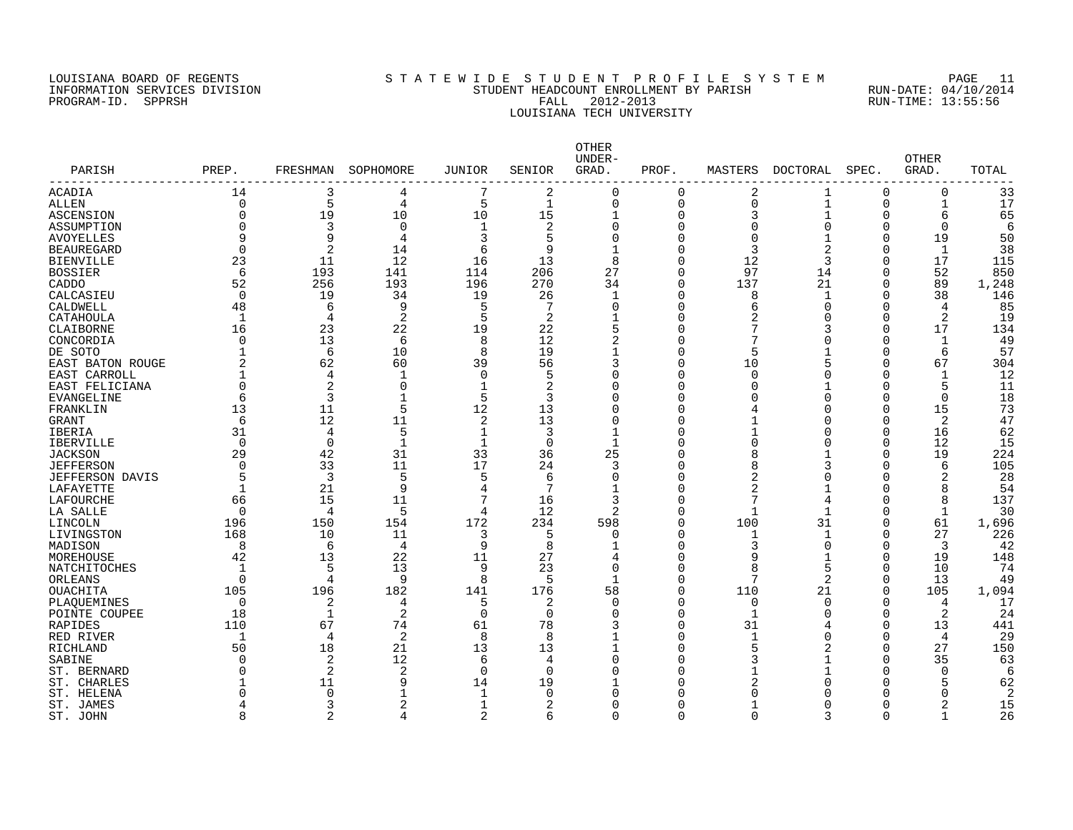#### LOUISIANA BOARD OF REGENTS S T A T E W I D E S T U D E N T P R O F I L E S Y S T E M PAGE 11 INFORMATION SERVICES DIVISION STUDENT HEADCOUNT ENROLLMENT BY PARISH RUN-DATE: 04/10/2014 PROGRAM-ID. SPPRSH FALL 2012-2013 RUN-TIME: 13:55:56 LOUISIANA TECH UNIVERSITY

| PARISH<br>-------------- | PREP.          | FRESHMAN       | SOPHOMORE    | <b>JUNIOR</b>  | SENIOR         | OTHER<br>UNDER-<br>GRAD. | PROF.    | MASTERS        | DOCTORAL       | SPEC.        | <b>OTHER</b><br>GRAD. | TOTAL |
|--------------------------|----------------|----------------|--------------|----------------|----------------|--------------------------|----------|----------------|----------------|--------------|-----------------------|-------|
| ACADIA                   | 14             | 3              | 4            |                | 2              | $\Omega$                 | $\Omega$ | 2              | 1              | $\Omega$     | 0                     | 33    |
| ALLEN                    | $\mathbf 0$    | 5              | 4            | 5              | $\mathbf{1}$   | $\Omega$                 | $\Omega$ | $\Omega$       | 1              | $\mathbf 0$  | $\mathbf{1}$          | 17    |
| <b>ASCENSION</b>         | $\Omega$       | 19             | 10           | 10             | 15             | $\mathbf{1}$             | O        | 3              | $\mathbf{1}$   | $\Omega$     | 6                     | 65    |
| ASSUMPTION               | $\Omega$       | 3              | $\Omega$     | $\mathbf{1}$   | $\overline{2}$ | $\Omega$                 | 0        | $\Omega$       | $\Omega$       | 0            | $\Omega$              | 6     |
| <b>AVOYELLES</b>         | 9              | 9              | 4            | $\mathbf{3}$   | 5              | $\Omega$                 | U        | $\Omega$       |                | $\Omega$     | 19                    | 50    |
| <b>BEAUREGARD</b>        | $\Omega$       | $\overline{2}$ | 14           | 6              | 9              |                          | $\Omega$ | 3              | 2              | $\Omega$     | 1                     | 38    |
| <b>BIENVILLE</b>         | 23             | 11             | 12           | 16             | 13             | 8                        | 0        | 12             | 3              | $\mathbf 0$  | 17                    | 115   |
| <b>BOSSIER</b>           | 6              | 193            | 141          | 114            | 206            | 27                       | 0        | 97             | 14             | $\Omega$     | 52                    | 850   |
| CADDO                    | 52             | 256            | 193          | 196            | 270            | 34                       | 0        | 137            | 21             | $\mathbf 0$  | 89                    | 1,248 |
| CALCASIEU                | $\Omega$       | 19             | 34           | 19             | 26             |                          | 0        | 8              | $\mathbf{1}$   | $\Omega$     | 38                    | 146   |
| CALDWELL                 | 48             | 6              | 9            | .5             | 7              | $\Omega$                 | 0        | 6              | O              | $\Omega$     | 4                     | 85    |
| CATAHOULA                | 1              | 4              | 2            | 5              | 2              |                          | O        | 2              | C              | O            | 2                     | 19    |
| CLAIBORNE                | 16             | 23             | 22           | 19             | 22             | 5                        | O        | 7              | 3              | $\Omega$     | 17                    | 134   |
| CONCORDIA                | $\Omega$       | 13             | 6            | 8              | 12             | 2                        | O        |                | O              | $\Omega$     | $\mathbf{1}$          | 49    |
| DE SOTO                  |                | 6              | 10           | 8              | 19             |                          | 0        | 5              |                | $\Omega$     | 6                     | 57    |
| EAST BATON ROUGE         | $\overline{2}$ | 62             | 60           | 39             | 56             | 3                        | 0        | 10             | 5              | $\Omega$     | 67                    | 304   |
| EAST CARROLL             | 1              | 4              | 1            | $\overline{0}$ | 5              | $\Omega$                 | O        | $\Omega$       | O              | O            | $\mathbf{1}$          | 12    |
| EAST FELICIANA           | $\Omega$       | 2              | 0            | $\mathbf{1}$   | 2              | $\Omega$                 | Ω        | ∩              |                | $\Omega$     | 5                     | 11    |
| EVANGELINE               | 6              | 3              | 1            | 5              | 3              | $\Omega$                 | O        | $\Omega$       | $\Omega$       | O            | 0                     | 18    |
| FRANKLIN                 | 13             | 11             | 5            | 12             | 13             | $\Omega$                 | O        | 4              | C              | $\Omega$     | 15                    | 73    |
| <b>GRANT</b>             | 6              | 12             | 11           | $\overline{2}$ | 13             | $\Omega$                 | 0        | 1              | C              | $\Omega$     | 2                     | 47    |
| IBERIA                   | 31             | 4              | 5            | $\mathbf{1}$   | 3              |                          | Ω        | 1              | U              | $\cap$       | 16                    | 62    |
| <b>IBERVILLE</b>         | $\Omega$       | $\Omega$       | $\mathbf{1}$ | $\mathbf{1}$   | $\Omega$       | $\mathbf{1}$             | O        | $\Omega$       | O              | $\Omega$     | 12                    | 15    |
| <b>JACKSON</b>           | 29             | 42             | 31           | 33             | 36             | 25                       | U        | 8              |                | $\Omega$     | 19                    | 224   |
| <b>JEFFERSON</b>         | $\Omega$       | 33             | 11           | 17             | 24             | 3                        | 0        | 8              |                | $\Omega$     | 6                     | 105   |
| <b>JEFFERSON DAVIS</b>   | 5              | 3              | 5            | 5              | 6              | $\Omega$                 | 0        | 2              | O              | O            | 2                     | 28    |
|                          | 1              | 21             | 9            | 4              | 7              |                          | 0        | $\overline{2}$ |                | $\Omega$     | 8                     | 54    |
| LAFAYETTE                | 66             | 15             | 11           | 7              | 16             | 3                        | O        | 7              |                | O            | 8                     | 137   |
| LAFOURCHE                |                |                | 5            | 4              |                | 2                        |          | 1              | 4<br>-1        | O            |                       |       |
| LA SALLE                 | $\Omega$       | 4              |              |                | 12             |                          | 0        |                |                |              | 1                     | 30    |
| LINCOLN                  | 196            | 150            | 154          | 172            | 234            | 598                      | 0        | 100            | 31             | 0            | 61                    | 1,696 |
| LIVINGSTON               | 168            | 10             | 11           | 3              | 5              | $\Omega$                 | O        | 1              | $\mathbf{1}$   | $\Omega$     | 27                    | 226   |
| MADISON                  | 8              | 6              | 4            | 9              | 8              |                          | 0        | 3              | $\Omega$       | $\Omega$     | 3                     | 42    |
| MOREHOUSE                | 42             | 13             | 22           | 11             | 27             |                          | U        | 9              | -1             | $\Omega$     | 19                    | 148   |
| NATCHITOCHES             | 1              | 5              | 13           | 9              | 23             | $\Omega$                 | O        | 8<br>7         | 5              | 0            | 10                    | 74    |
| ORLEANS                  | $\Omega$       | 4              | 9            | 8              | 5              |                          | O        |                | $\overline{a}$ | $\mathbf 0$  | 13                    | 49    |
| OUACHITA                 | 105            | 196            | 182          | 141            | 176            | 58                       | 0        | 110            | 21             | 0            | 105                   | 1,094 |
| PLAOUEMINES              | $\Omega$       | 2              | 4            | 5              | 2              | $\Omega$                 | 0        | $\mathbf 0$    | $\Omega$       | $\Omega$     | 4                     | 17    |
| POINTE COUPEE            | 18             | $\mathbf{1}$   | 2            | $\Omega$       | $\Omega$       | $\Omega$                 | 0        | $\mathbf{1}$   | $\Omega$       | $\Omega$     | 2                     | 24    |
| RAPIDES                  | 110            | 67             | 74           | 61             | 78             | 3                        | Ω        | 31             | 4              | $\Omega$     | 13                    | 441   |
| RED RIVER                | 1              | 4              | 2            | 8              | 8              |                          | O        | 1              | O              | $\Omega$     | 4                     | 29    |
| RICHLAND                 | 50             | 18             | 21           | 13             | 13             |                          | O        | 5              | 2              | <sup>0</sup> | 27                    | 150   |
| SABINE                   | $\Omega$       | 2              | 12           | 6              | 4              | $\Omega$                 | 0        | 3              |                | $\Omega$     | 35                    | 63    |
| ST. BERNARD              | $\Omega$       | $\overline{2}$ | 2            | $\Omega$       | $\Omega$       |                          | O        | 1              |                | O            | $\Omega$              | 6     |
| ST. CHARLES              |                | 11             | 9            | 14             | 19             |                          | O        | 2              |                | U            | 5                     | 62    |
| ST. HELENA               | ∩              | $\Omega$       | 1            | $\mathbf{1}$   | $\Omega$       |                          | Ω        | $\Omega$       |                | U            | U                     | 2     |
| ST. JAMES                |                | 3              | 2            | $\mathbf{1}$   | 2              |                          | 0        |                |                | O            |                       | 15    |
| ST. JOHN                 | 8              | 2              | 4            | $\overline{2}$ | 6              | $\cap$                   | $\Omega$ | $\Omega$       | ς              | $\Omega$     | -1                    | 26    |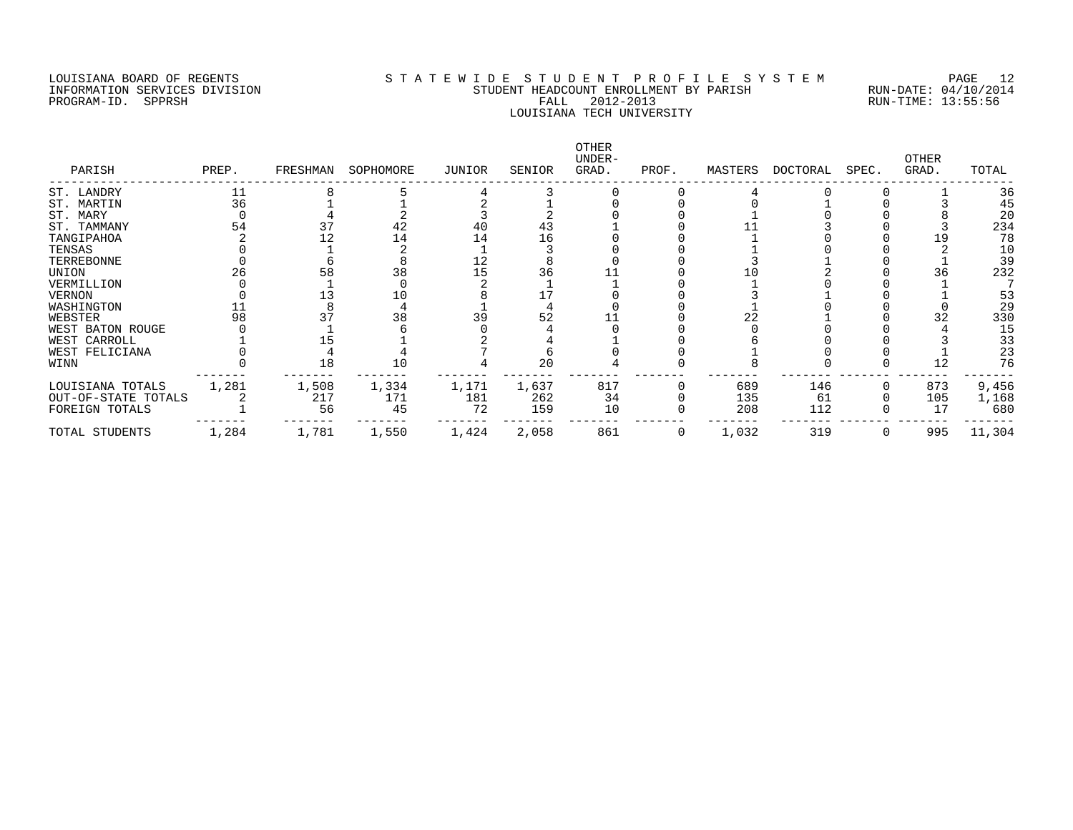## LOUISIANA BOARD OF REGENTS S T A T E W I D E S T U D E N T P R O F I L E S Y S T E M PAGE 12 INFORMATION SERVICES DIVISION STUDENT HEADCOUNT ENROLLMENT BY PARISH RUN-DATE: 04/10/2014 PROGRAM-ID. SPPRSH FALL 2012-2013 RUN-TIME: 13:55:56 LOUISIANA TECH UNIVERSITY

| PARISH              | PREP. | FRESHMAN | SOPHOMORE | JUNIOR | SENIOR | OTHER<br>UNDER-<br>GRAD. | PROF. | MASTERS | DOCTORAL | SPEC. | OTHER<br>GRAD. | TOTAL  |
|---------------------|-------|----------|-----------|--------|--------|--------------------------|-------|---------|----------|-------|----------------|--------|
| ST. LANDRY          |       |          |           |        |        |                          |       |         |          |       |                | 36     |
| ST. MARTIN          | 36    |          |           |        |        |                          |       |         |          |       |                | 45     |
| ST. MARY            |       |          |           |        |        |                          |       |         |          |       |                | 20     |
| ST. TAMMANY         | 54    |          | 42        |        | 43     |                          |       |         |          |       |                | 234    |
| TANGIPAHOA          |       |          | 14        | 14     | 16     |                          |       |         |          |       |                | 78     |
| TENSAS              |       |          |           |        |        |                          |       |         |          |       |                | 10     |
| TERREBONNE          |       |          |           | 12     |        |                          |       |         |          |       |                | 39     |
| UNION               |       | 58       | 38        | 15     | 36     |                          |       |         |          |       |                | 232    |
| VERMILLION          |       |          |           |        |        |                          |       |         |          |       |                |        |
| <b>VERNON</b>       |       |          |           |        |        |                          |       |         |          |       |                | 53     |
| WASHINGTON          |       |          |           |        |        |                          |       |         |          |       |                | 29     |
| WEBSTER             | 98    |          | 38        |        | 52     |                          |       | 22      |          |       |                | 330    |
| WEST BATON ROUGE    |       |          |           |        |        |                          |       |         |          |       |                | 15     |
| WEST CARROLL        |       |          |           |        |        |                          |       |         |          |       |                | 33     |
| WEST FELICIANA      |       |          |           |        |        |                          |       |         |          |       |                | 23     |
| WINN                |       | 18       | 10        |        | 20     |                          |       |         |          |       | 12             | 76     |
| LOUISIANA TOTALS    | 1,281 | 1,508    | 1,334     | 1,171  | 1,637  | 817                      |       | 689     | 146      |       | 873            | 9,456  |
| OUT-OF-STATE TOTALS |       | 217      | 171       | 181    | 262    | 34                       |       | 135     | 61       |       | 105            | 1,168  |
| FOREIGN TOTALS      |       | 56       | 45        | 72     | 159    | 10                       |       | 208     | 112      |       | 17             | 680    |
| TOTAL STUDENTS      | 1,284 | 1,781    | 1,550     | 1,424  | 2,058  | 861                      | 0     | 1,032   | 319      |       | 995            | 11,304 |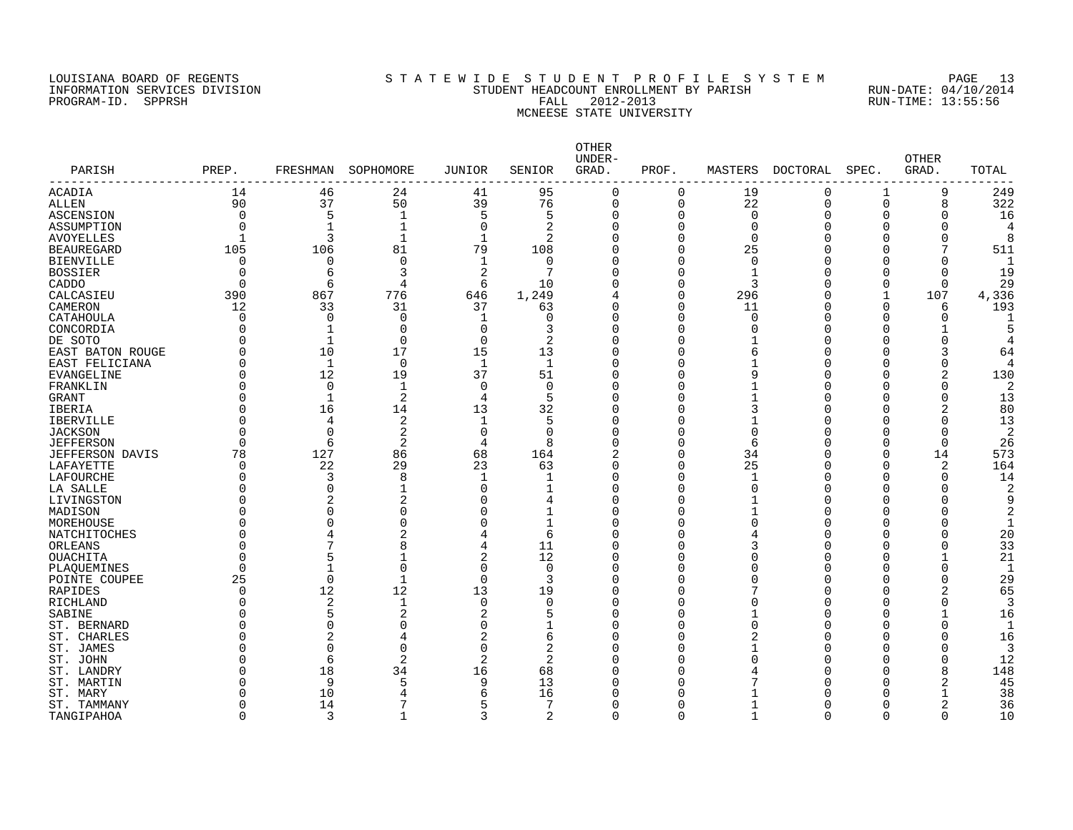#### LOUISIANA BOARD OF REGENTS S T A T E W I D E S T U D E N T P R O F I L E S Y S T E M PAGE 13 INFORMATION SERVICES DIVISION STUDENT HEADCOUNT ENROLLMENT BY PARISH RUN-DATE: 04/10/2014 PROGRAM-ID. SPPRSH FALL 2012-2013 RUN-TIME: 13:55:56 MCNEESE STATE UNIVERSITY

| PARISH<br>---------- | PREP.    | FRESHMAN       | SOPHOMORE      | JUNIOR         | SENIOR         | <b>OTHER</b><br>UNDER-<br>GRAD. | PROF.        | MASTERS      | <b>DOCTORAL</b> | SPEC.        | <b>OTHER</b><br>GRAD. | TOTAL          |
|----------------------|----------|----------------|----------------|----------------|----------------|---------------------------------|--------------|--------------|-----------------|--------------|-----------------------|----------------|
| <b>ACADIA</b>        | 14       | 46             | 24             | 41             | 95             | $\mathbf 0$                     | $\mathbf 0$  | 19           | 0               | $\mathbf 1$  | 9                     | 249            |
| ALLEN                | 90       | 37             | 50             | 39             | 76             | $\overline{0}$                  | $\mathbf 0$  | 22           | $\mathbf 0$     | 0            | 8                     | 322            |
| ASCENSION            | $\Omega$ | 5              | $\mathbf{1}$   | 5              | 5              | $\Omega$                        | $\mathbf 0$  | $\Omega$     | $\Omega$        | $\Omega$     | 0                     | 16             |
| ASSUMPTION           | O        | $\mathbf{1}$   | $\mathbf 1$    | $\Omega$       | 2              | $\Omega$                        | $\Omega$     | $\Omega$     | 0               | 0            | 0                     | 4              |
| <b>AVOYELLES</b>     |          | 3              | $\mathbf{1}$   | $\mathbf{1}$   | $\overline{2}$ | $\Omega$                        | $\Omega$     | $\Omega$     | 0               | U            | 0                     | 8              |
| <b>BEAUREGARD</b>    | 105      | 106            | 81             | 79             | 108            | $\Omega$                        | $\Omega$     | 25           | 0               | 0            | 7                     | 511            |
| <b>BIENVILLE</b>     | $\Omega$ | $\mathbf 0$    | $\mathbf 0$    | $\mathbf 1$    | 0              | $\Omega$                        | 0            | $\Omega$     | 0               | 0            | $\Omega$              | 1              |
| <b>BOSSIER</b>       | $\Omega$ | 6              | 3              | 2              | 7              | $\Omega$                        | $\Omega$     | -1           | 0               | 0            | 0                     | 19             |
| CADDO                | $\Omega$ | 6              | 4              | 6              | 10             | 0                               | $\mathbf 0$  | 3            | $\Omega$        | 0            | 0                     | 29             |
| CALCASIEU            | 390      | 867            | 776            | 646            | 1,249          | 4                               | $\mathbf 0$  | 296          | 0               | 1            | 107                   | 4,336          |
| CAMERON              | 12       | 33             | 31             | 37             | 63             | 0                               | 0            | 11           | 0               | 0            | 6                     | 193            |
| CATAHOULA            | O        | $\Omega$       | 0              | $\mathbf 1$    | $\Omega$       | $\Omega$                        | $\Omega$     | O            | 0               | 0            | 0                     | $\mathbf 1$    |
| CONCORDIA            |          | $\mathbf{1}$   | 0              | $\Omega$       | 3              | $\Omega$                        | 0            |              | $\Omega$        | 0            |                       | 5              |
| DE SOTO              |          | $\mathbf{1}$   | $\Omega$       | $\Omega$       | $\overline{2}$ | $\Omega$                        | $\Omega$     |              | $\Omega$        | 0            | 0                     | 4              |
| EAST BATON ROUGE     |          | 10             | 17             | 15             | 13             | $\Omega$                        | $\Omega$     | 6            | $\Omega$        | O            | 3                     | 64             |
| EAST FELICIANA       |          | $\mathbf{1}$   | $\Omega$       | $\mathbf 1$    | 1              | $\Omega$                        | $\Omega$     |              | $\Omega$        | U            | 0                     | 4              |
| <b>EVANGELINE</b>    |          | 12             | 19             | 37             | 51             | $\Omega$                        | $\cap$       |              | O               | Ω            | 2                     | 130            |
| FRANKLIN             |          | $\Omega$       | $\mathbf{1}$   | $\Omega$       | $\Omega$       | $\Omega$                        | $\Omega$     |              | O               | U            | 0                     | 2              |
| GRANT                |          | $\mathbf{1}$   | 2              | 4              | 5              | $\Omega$                        | $\Omega$     |              | $\Omega$        | U            | 0                     | 13             |
| <b>IBERIA</b>        |          | 16             | 14             | 13             | 32             | $\Omega$                        | $\Omega$     |              | $\Omega$        | U            | $\overline{2}$        | 80             |
| <b>IBERVILLE</b>     |          | $\overline{4}$ | $\overline{2}$ | 1              | 5              | $\Omega$                        | $\Omega$     |              | 0               | 0            | 0                     | 13             |
| <b>JACKSON</b>       |          | $\Omega$       | $\overline{c}$ | 0              | 0              | $\Omega$                        | $\Omega$     | O            | 0               | 0            | $\Omega$              | $\overline{2}$ |
| <b>JEFFERSON</b>     |          | 6              | 2              | $\overline{4}$ | 8              | $\Omega$                        | $\Omega$     | 6            | 0               | O            | $\Omega$              | 26             |
| JEFFERSON<br>DAVIS   | 78       | 127            | 86             | 68             | 164            | 2                               | $\Omega$     | 34           | 0               | 0            | 14                    | 573            |
| LAFAYETTE            | U        | 22             | 29             | 23             | 63             | $\Omega$                        | $\Omega$     | 25           | O               | O            | $\overline{a}$        | 164            |
| LAFOURCHE            |          | 3              | 8              | $\mathbf{1}$   | -1             | $\Omega$                        | $\Omega$     | $\mathbf{1}$ | 0               | O            | $\Omega$              | 14             |
| LA SALLE             |          | $\Omega$       |                | O              | 1              | $\Omega$                        | $\Omega$     | U            | $\Omega$        | Ω            | O                     | 2              |
| LIVINGSTON           |          | $\overline{c}$ | 2              | O              | 4              | $\Omega$                        | $\Omega$     |              | $\Omega$        | O            | 0                     | 9              |
| MADISON              |          | O              | O              | O              | $\mathbf{1}$   | $\Omega$                        | $\Omega$     |              | $\Omega$        | Ω            | O                     | 2              |
| MOREHOUSE            |          | $\Omega$       | U              | 0              | $\mathbf{1}$   | $\Omega$                        | $\Omega$     |              | $\Omega$        | Ω            | 0                     | $\mathbf{1}$   |
| NATCHITOCHES         |          | 4              | 2              | 4              | 6              | $\Omega$                        | $\Omega$     |              | $\Omega$        | Ω            | O                     | 20             |
| ORLEANS              |          | 7              | 8              | 4              | 11             | $\Omega$                        | $\Omega$     |              | O               | Ω            | O                     | 33             |
| OUACHITA             |          | 5              | 1              | 2              | 12             | $\Omega$                        | $\Omega$     |              | $\Omega$        | U            | 1                     | 21             |
| PLAOUEMINES          |          |                | $\Omega$       | 0              | $\mathbf 0$    | $\Omega$                        | $\Omega$     |              | $\Omega$        | 0            | 0                     | $\mathbf{1}$   |
| POINTE COUPEE        | 25       | $\Omega$       | $\mathbf{1}$   | 0              | 3              | $\Omega$                        | $\Omega$     |              | $\Omega$        | 0            | 0                     | 29             |
| RAPIDES              |          | 12             | 12             | 13             | 19             | $\Omega$                        | $\Omega$     |              | $\Omega$        | O            | 2                     | 65             |
| RICHLAND             |          | 2              | 1              | $\mathbf 0$    | $\Omega$       | $\Omega$                        | $\Omega$     |              | 0               | O            | 0                     | 3              |
| SABINE               |          | 5              | 2              | 2              | 5              | $\Omega$                        | $\Omega$     |              | $\Omega$        | O            |                       | 16             |
| ST. BERNARD          |          | $\Omega$       | C              | 0              | 1              | $\Omega$                        | $\Omega$     |              | O               | O            | O                     | 1              |
| ST. CHARLES          |          | 2              |                | 2              | 6              | $\Omega$                        | $\Omega$     |              | $\Omega$        | O            | O                     | 16             |
| ST. JAMES            |          | $\Omega$       | 0              | $\Omega$       | 2              | $\Omega$                        | $\Omega$     |              | $\Omega$        | 0            | 0                     | 3              |
| ST. JOHN             |          | 6              | $\overline{a}$ | $\overline{2}$ | 2              | $\Omega$                        | <sup>0</sup> |              | $\Omega$        | U            | 0                     | 12             |
| ST. LANDRY           |          | 18             | 34             | 16             | 68             | $\Omega$                        | n            |              | O               | O            | 8                     | 148            |
| ST. MARTIN           |          | 9              | 5              | 9              | 13             | $\Omega$                        | ∩            |              | $\Omega$        | U            | 2                     | 45             |
| ST. MARY             |          | 10             | 4              | 6              | 16             | $\Omega$                        | n            |              | O               | O            | $\mathbf{1}$          | 38             |
| ST. TAMMANY          |          | 14             | 7              | 5              | 7              | O                               | $\Omega$     |              | $\Omega$        | <sup>0</sup> | 2                     | 36             |
| TANGIPAHOA           | O        | 3              | $\mathbf{1}$   | 3              | $\overline{2}$ | $\Omega$                        | $\mathbf 0$  | $\mathbf{1}$ | $\Omega$        | $\Omega$     | $\Omega$              | 10             |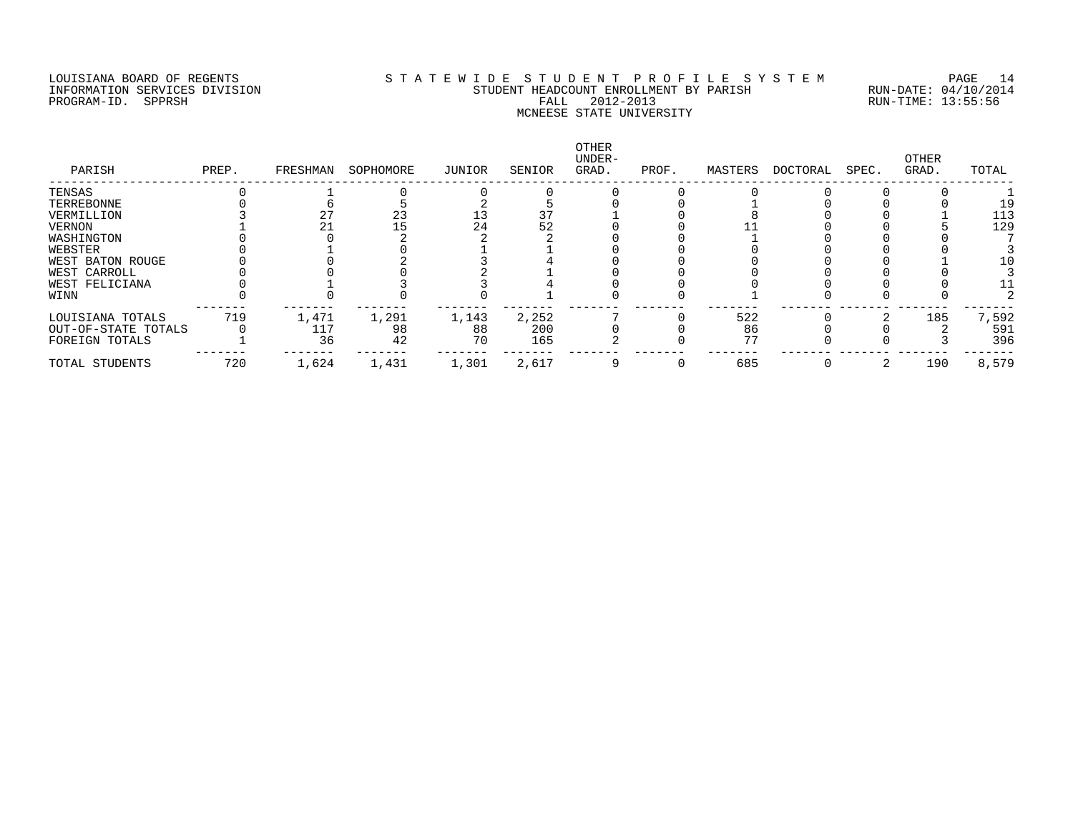## LOUISIANA BOARD OF REGENTS S T A T E W I D E S T U D E N T P R O F I L E S Y S T E M PAGE 14 INFORMATION SERVICES DIVISION STUDENT HEADCOUNT ENROLLMENT BY PARISH RUN-DATE: 04/10/2014 PROGRAM-ID. SPPRSH FALL 2012-2013 RUN-TIME: 13:55:56 MCNEESE STATE UNIVERSITY

| PARISH              | PREP. | FRESHMAN | SOPHOMORE | JUNIOR | SENIOR | OTHER<br>UNDER-<br>GRAD. | PROF. | MASTERS | DOCTORAL | SPEC. | OTHER<br>GRAD. | TOTAL |
|---------------------|-------|----------|-----------|--------|--------|--------------------------|-------|---------|----------|-------|----------------|-------|
| TENSAS              |       |          |           |        |        |                          |       |         |          |       |                |       |
| TERREBONNE          |       |          |           |        |        |                          |       |         |          |       |                |       |
| VERMILLION          |       |          | 23        |        | 37     |                          |       |         |          |       |                | 113   |
| VERNON              |       |          |           | 24     | 52     |                          |       |         |          |       |                | 129   |
| WASHINGTON          |       |          |           |        |        |                          |       |         |          |       |                |       |
| WEBSTER             |       |          |           |        |        |                          |       |         |          |       |                |       |
| WEST BATON ROUGE    |       |          |           |        |        |                          |       |         |          |       |                |       |
| WEST CARROLL        |       |          |           |        |        |                          |       |         |          |       |                |       |
| WEST FELICIANA      |       |          |           |        |        |                          |       |         |          |       |                |       |
| WINN                |       |          |           |        |        |                          |       |         |          |       |                |       |
| LOUISIANA TOTALS    | 719   | 1,471    | 1,291     | 1,143  | 2,252  |                          |       | 522     |          |       | 185            | 7,592 |
| OUT-OF-STATE TOTALS |       | 117      | 98        | 88     | 200    |                          |       | 86      |          |       |                | 591   |
| FOREIGN TOTALS      |       | 36       | 42        | 70     | 165    |                          |       | 77      |          |       |                | 396   |
| TOTAL STUDENTS      | 720   | 1,624    | 1,431     | 1,301  | 2,617  |                          |       | 685     |          |       | 190            | 8,579 |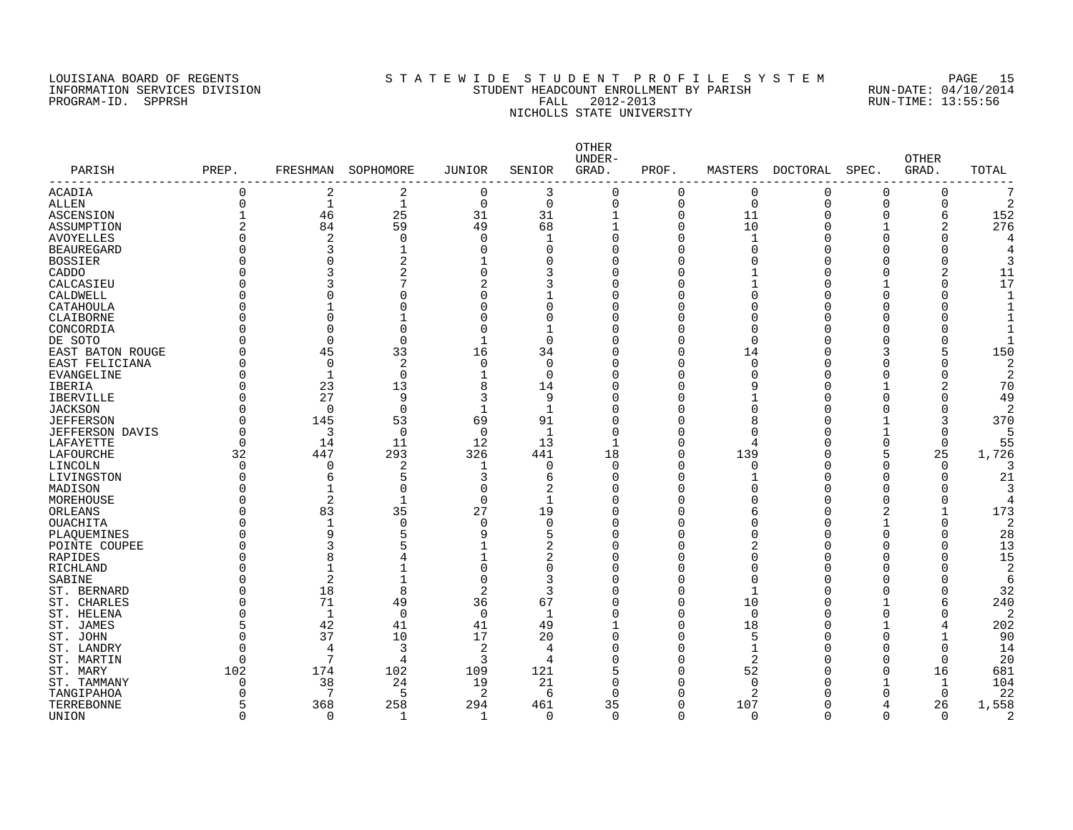#### LOUISIANA BOARD OF REGENTS S T A T E W I D E S T U D E N T P R O F I L E S Y S T E M PAGE 15 INFORMATION SERVICES DIVISION STUDENT HEADCOUNT ENROLLMENT BY PARISH RUN-DATE: 04/10/2014 PROGRAM-ID. SPPRSH FALL 2012-2013 RUN-TIME: 13:55:56 NICHOLLS STATE UNIVERSITY

| PARISH            | PREP.          | FRESHMAN          | SOPHOMORE    | <b>JUNIOR</b>  | SENIOR           | OTHER<br>UNDER-<br>GRAD. | PROF.         | MASTERS              | DOCTORAL | SPEC.                | <b>OTHER</b><br>GRAD. | TOTAL          |
|-------------------|----------------|-------------------|--------------|----------------|------------------|--------------------------|---------------|----------------------|----------|----------------------|-----------------------|----------------|
| <b>ACADIA</b>     | 0              | 2                 | 2            | 0              | 3                | 0                        | 0             | 0                    | 0        | 0                    | 0                     | 7              |
| <b>ALLEN</b>      | 0              | $\mathbf 1$       | 1            | $\overline{0}$ | $\mathbf 0$      | $\Omega$                 | 0             | $\mathbf 0$          | $\Omega$ | $\Omega$             | 0                     | $\overline{2}$ |
| ASCENSION         | 1              | 46                | 25           | 31             | 31               | $\mathbf{1}$             | $\mathbf 0$   | 11                   | 0        | $\Omega$             | 6                     | 152            |
| ASSUMPTION        | $\overline{a}$ | 84                | 59           | 49             | 68               |                          | $\Omega$      | 10                   | O        | 1                    | 2                     | 276            |
| <b>AVOYELLES</b>  | $\Omega$       | $\overline{2}$    | $\mathbf 0$  | $\Omega$       | -1               | $\Omega$                 | $\Omega$      | $\mathbf{1}$         | $\cap$   | $\Omega$             | $\Omega$              |                |
| <b>BEAUREGARD</b> | O              |                   |              | $\mathbf 0$    | $\Omega$         | $\Omega$                 | 0             | $\Omega$             |          | C                    |                       |                |
| <b>BOSSIER</b>    | O              | <sup>n</sup>      | 2            | 1              | $\Omega$         | $\Omega$                 | $\Omega$      | $\Omega$             | U        | C                    | $\Omega$              |                |
| CADDO             |                |                   | 2            | $\Omega$       | 3                | $\Omega$                 | $\Omega$      |                      | C        | C                    |                       | 11             |
| CALCASIEU         |                | 3                 | 7            | 2              | 3                | $\Omega$                 | O             |                      | U        |                      | 0                     | 17             |
| CALDWELL          |                | O                 | O            | $\Omega$       |                  | $\Omega$                 | O             | $\Omega$             | U        | C                    |                       |                |
| CATAHOULA         | U              | 1                 | 0            | $\Omega$       | $\Omega$         | O                        | 0             | $\Omega$             | O        | n                    | Ω                     |                |
| CLAIBORNE         |                | $\Omega$          |              | O              | $\Omega$         | $\Omega$                 | O             | $\Omega$             | C        | $\Omega$             |                       |                |
| CONCORDIA         | U              | $\Omega$          | $\Omega$     | $\overline{0}$ | -1               | $\Omega$                 | $\Omega$      | $\Omega$             | C        | $\Omega$             |                       |                |
| DE SOTO           |                | $\Omega$          | $\Omega$     | $\mathbf{1}$   | $\Omega$         | $\Omega$                 | $\Omega$      | $\Omega$             | U        | $\Omega$             | U                     |                |
| EAST BATON ROUGE  |                | 45                | 33           | 16             | 34               | $\Omega$                 | $\Omega$      | 14                   | C        | 3                    | 5                     | 150            |
| EAST FELICIANA    | U              | $\Omega$          | 2            | $\Omega$       | $\Omega$         | $\Omega$                 | $\Omega$      | $\Omega$             | U        | n                    | U                     |                |
| EVANGELINE        | O              | 1                 | $\mathbf 0$  | $\mathbf{1}$   | $\Omega$         | $\Omega$                 | 0             | $\Omega$             | C        | $\Omega$             | 0                     | 2              |
| <b>IBERIA</b>     | $\Omega$       | 23                | 13           | 8              | 14               | $\Omega$                 | $\Omega$      | 9                    | C        | -1                   |                       | 70             |
| IBERVILLE         | U              | 27                | 9            | 3              | 9                | $\Omega$                 | O             |                      | C        | $\Omega$             | U                     | 49             |
| <b>JACKSON</b>    | U              | $\Omega$          | $\Omega$     | $\mathbf{1}$   | $\mathbf{1}$     | $\Omega$                 | U             | $\Omega$             | U        | $\Omega$             | U                     | っ              |
| <b>JEFFERSON</b>  | O              | 145               | 53           | 69             | 91               |                          | O             | 8                    | O        | -1                   | 3                     | 370            |
| JEFFERSON DAVIS   | <sup>0</sup>   | 3                 | 0            | $\overline{0}$ | 1                | $\Omega$                 | O             | $\Omega$             | C        | -1                   | O                     |                |
| LAFAYETTE         | 0              | 14                | 11           | 12             | 13               |                          | $\Omega$      | 4                    | C        | $\Omega$             | $\mathbf 0$           | 55             |
| LAFOURCHE         | 32             | 447               | 293          | 326            | 441              | 18                       | $\Omega$      | 139                  | U        | 5                    | 25                    | 1,726          |
| LINCOLN           | $\Omega$       | $\mathbf 0$       | 2            | $\mathbf 1$    | 0                | $\Omega$                 | 0             | 0                    | U        | $\Omega$             | $\Omega$              |                |
| LIVINGSTON        | <sup>0</sup>   | 6                 | 5            | 3              | 6                | $\Omega$                 | 0             |                      | C        | $\Omega$             | O                     | 21             |
| MADISON           | O              | 1                 | 0            | 0              | 2                | $\Omega$                 | 0             | $\Omega$             | C        | $\Omega$             |                       |                |
| MOREHOUSE         | $\Omega$       | 2                 | $\mathbf 1$  | $\mathbf 0$    | $\mathbf{1}$     | $\Omega$                 | $\Omega$      | $\Omega$             | C        | $\Omega$             | 0                     |                |
| ORLEANS           |                | 83                | 35           | 27             | 19               | $\Omega$                 | O             | 6                    | U        | 2                    |                       | 173            |
|                   |                | $\mathbf{1}$      |              | $\mathbf 0$    | $\Omega$         | $\Omega$                 | O             | $\Omega$             | C        |                      | U                     | $\overline{2}$ |
| OUACHITA          |                | 9                 | 0<br>5       |                |                  | $\Omega$                 | O             | $\Omega$             | U        | $\Omega$             | Ω                     |                |
| PLAQUEMINES       |                |                   |              | 9              | 5                |                          |               |                      |          |                      |                       | 28             |
| POINTE COUPEE     |                | 3                 | 5            |                | 2                | $\Omega$                 | 0             | 2                    | C<br>U   | $\Omega$             | 0                     | 13             |
| RAPIDES           | U              | 8<br>$\mathbf{1}$ | 4            | $\Omega$       | 2                | $\Omega$<br>$\Omega$     | 0<br>$\Omega$ | $\Omega$<br>$\Omega$ | U        | $\Omega$<br>$\Omega$ | $\Omega$<br>$\Omega$  | 15             |
| RICHLAND          |                |                   |              |                | $\mathbf 0$<br>3 | $\Omega$                 | $\Omega$      |                      | U        |                      | U                     | 2              |
| SABINE            |                | 2                 |              | $\Omega$       |                  |                          |               | $\Omega$             |          | $\Omega$             |                       | 6              |
| ST. BERNARD       | U              | 18                | 8            | $\overline{2}$ | 3                | $\Omega$                 | $\Omega$      | 1                    | U        | $\Omega$             | $\Omega$              | 32             |
| ST. CHARLES       | U              | 71                | 49           | 36             | 67               | $\Omega$                 | $\Omega$      | 10                   | U        | -1                   | 6                     | 240            |
| ST. HELENA        | $\Omega$       | $\mathbf{1}$      | $\mathbf 0$  | $\overline{0}$ | 1                | $\Omega$                 | $\Omega$      | $\mathbf 0$          | C        | $\Omega$             | $\Omega$              | $\overline{2}$ |
| ST. JAMES         | 5              | 42                | 41           | 41             | 49               |                          | $\Omega$      | 18                   | U        | -1                   | 4                     | 202            |
| ST. JOHN          | $\Omega$       | 37                | 10           | 17             | 20               | $\Omega$                 | O             | 5                    | ſ        | $\Omega$             | $\mathbf 1$           | 90             |
| ST. LANDRY        | <sup>0</sup>   | 4                 | 3            | $\overline{2}$ | 4                | <sup>0</sup>             | $\Omega$      | 1                    | U        | n                    | $\Omega$              | 14             |
| ST. MARTIN        | $\Omega$       | 7                 | 4            | 3              | 4                |                          | O             | 2                    | ſ        | $\Omega$             | $\Omega$              | 20             |
| ST. MARY          | 102            | 174               | 102          | 109            | 121              |                          | $\Omega$      | 52                   | U        | $\Omega$             | 16                    | 681            |
| ST. TAMMANY       | 0              | 38                | 24           | 19             | 21               | <sup>0</sup>             | O             | $\mathbf 0$          |          | -1                   | -1                    | 104            |
| TANGIPAHOA        | O              | 7                 | 5            | $\overline{2}$ | 6                | ∩                        | O             | $\overline{2}$       |          | $\Omega$             | $\Omega$              | 22             |
| TERREBONNE        | 5              | 368               | 258          | 294            | 461              | 35                       | $\Omega$      | 107                  |          | 4                    | 26                    | 1,558          |
| UNION             | $\Omega$       | $\Omega$          | $\mathbf{1}$ | -1             | $\Omega$         | $\Omega$                 | $\Omega$      | $\Omega$             | ∩        | $\Omega$             | $\Omega$              | 2              |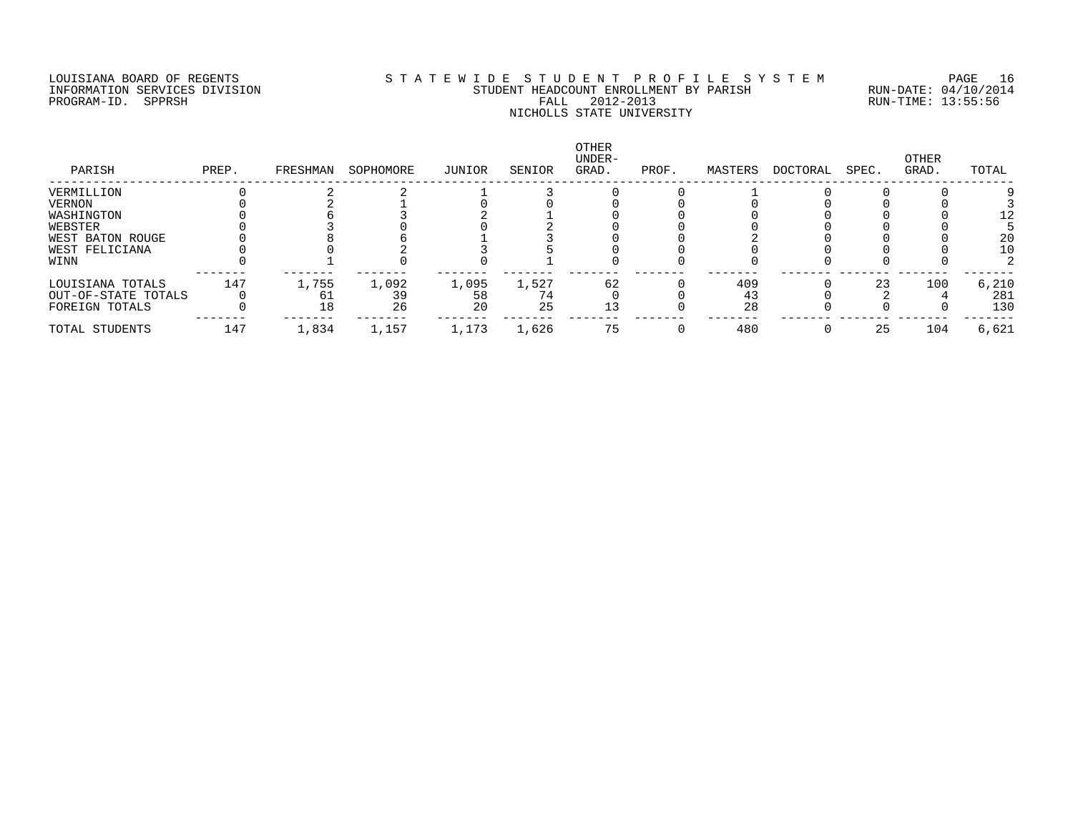## LOUISIANA BOARD OF REGENTS S T A T E W I D E S T U D E N T P R O F I L E S Y S T E M PAGE 16 INFORMATION SERVICES DIVISION STUDENT HEADCOUNT ENROLLMENT BY PARISH RUN-DATE: 04/10/2014 PROGRAM-ID. SPPRSH FALL 2012-2013 RUN-TIME: 13:55:56 NICHOLLS STATE UNIVERSITY

| PARISH              | PREP. | FRESHMAN | SOPHOMORE | JUNIOR | SENIOR | OTHER<br>UNDER-<br>GRAD. | PROF. | MASTERS | DOCTORAL | SPEC. | OTHER<br>GRAD. | TOTAL |
|---------------------|-------|----------|-----------|--------|--------|--------------------------|-------|---------|----------|-------|----------------|-------|
| VERMILLION          |       |          |           |        |        |                          |       |         |          |       |                |       |
| VERNON              |       |          |           |        |        |                          |       |         |          |       |                |       |
| WASHINGTON          |       |          |           |        |        |                          |       |         |          |       |                |       |
| WEBSTER             |       |          |           |        |        |                          |       |         |          |       |                |       |
| WEST BATON ROUGE    |       |          |           |        |        |                          |       |         |          |       |                | 20    |
| WEST FELICIANA      |       |          |           |        |        |                          |       |         |          |       |                | 10    |
| WINN                |       |          |           |        |        |                          |       |         |          |       |                |       |
| LOUISIANA TOTALS    | 147   | 1,755    | 1,092     | 1,095  | 1,527  | 62                       |       | 409     |          | 23    | 100            | 6,210 |
| OUT-OF-STATE TOTALS |       |          | 39        | 58     | 74     |                          |       | 43      |          |       |                | 281   |
| FOREIGN TOTALS      |       | 18       | 26        | 20     | 25     | 13                       |       | 28      |          |       |                | 130   |
| TOTAL STUDENTS      | 147   | 1,834    | 1,157     | 1,173  | 1,626  | 75                       |       | 480     |          | 25    | 104            | 6,621 |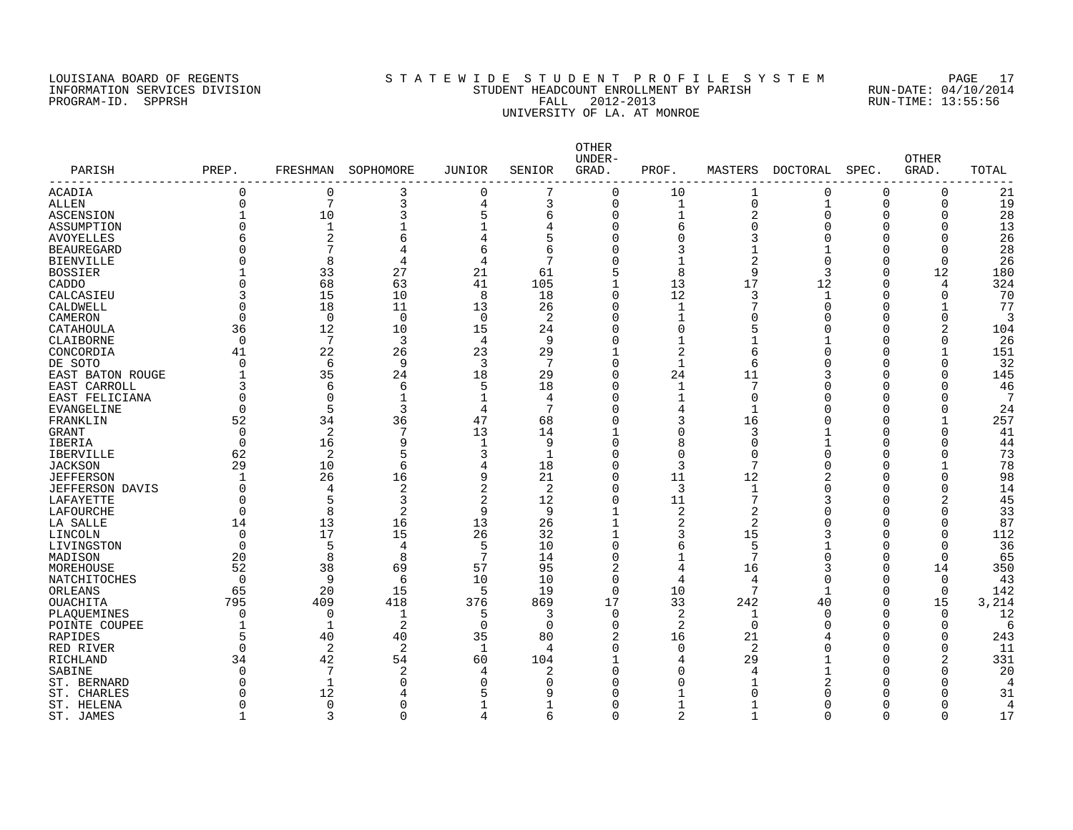#### LOUISIANA BOARD OF REGENTS S T A T E W I D E S T U D E N T P R O F I L E S Y S T E M PAGE 17 INFORMATION SERVICES DIVISION STUDENT HEADCOUNT ENROLLMENT BY PARISH RUN-DATE: 04/10/2014 PROGRAM-ID. SPPRSH FALL 2012-2013 RUN-TIME: 13:55:56 UNIVERSITY OF LA. AT MONROE

| PARISH<br>-------------- | PREP.        | FRESHMAN            | SOPHOMORE      | <b>JUNIOR</b>  | SENIOR       | OTHER<br>UNDER-<br>GRAD. | PROF.        | MASTERS        | DOCTORAL     | SPEC.    | <b>OTHER</b><br>GRAD. | TOTAL          |
|--------------------------|--------------|---------------------|----------------|----------------|--------------|--------------------------|--------------|----------------|--------------|----------|-----------------------|----------------|
| ACADIA                   | $\Omega$     | $\Omega$            | 3              | $\Omega$       | 7            | $\Omega$                 | 10           | 1              | 0            | $\Omega$ | 0                     | 21             |
| ALLEN                    | $\Omega$     | 7                   | 3              | $\overline{4}$ | 3            | $\Omega$                 | $\mathbf{1}$ | $\mathbf 0$    | $\mathbf{1}$ | $\Omega$ | $\Omega$              | 19             |
| ASCENSION                | 1            | 10                  | 3              | 5              | 6            | $\Omega$                 | $\mathbf 1$  | $\overline{2}$ | $\Omega$     | O        | O                     | 28             |
| ASSUMPTION               | $\Omega$     | $\mathbf{1}$        | 1              | -1             |              | $\Omega$                 | б            | $\Omega$       | C            | O        | $\Omega$              | 13             |
| <b>AVOYELLES</b>         |              | $\overline{2}$      | 6              | 4              | 5            | $\Omega$                 | 0            | 3              | C            | O        | $\Omega$              | 26             |
| <b>BEAUREGARD</b>        | ∩            | 7                   | 4              | 6              | 6            |                          | 3            | 1              |              | 0        | 0                     | 28             |
| <b>BIENVILLE</b>         | $\Omega$     | 8                   | 4              | 4              | 7            |                          | $\mathbf{1}$ | $\overline{2}$ | O            | O        | $\Omega$              | 26             |
| <b>BOSSIER</b>           |              | 33                  | 27             | 21             | 61           |                          | 8            | 9              | 3            | O        | 12                    | 180            |
| CADDO                    | $\Omega$     | 68                  | 63             | 41             | 105          |                          | 13           | 17             | 12           | $\Omega$ | 4                     | 324            |
| CALCASIEU                | 3            | 15                  | 10             | 8              | 18           | $\Omega$                 | 12           | 3              | -1           | O        | 0                     | 70             |
| CALDWELL                 | $\Omega$     | 18                  | 11             | 13             | 26           | $\Omega$                 | 1            | 7              | O            | O        | 1                     | 77             |
| CAMERON                  | $\Omega$     | $\Omega$            | $\mathbf 0$    | $\overline{0}$ | 2            | $\Omega$                 | 1            | $\Omega$       | C            | C        | $\Omega$              | 3              |
| CATAHOULA                | 36           | 12                  | 10             | 15             | 24           | $\Omega$                 | $\Omega$     | 5              | O            | 0        | 2                     | 104            |
| CLAIBORNE                | $\Omega$     | 7                   | 3              | $\overline{4}$ | 9            | $\Omega$                 | $\mathbf{1}$ | 1              |              | U        | U                     | 26             |
| CONCORDIA                | 41           | 22                  | 26             | 23             | 29           |                          | 2            | 6              | C            | C        | $\mathbf{1}$          | 151            |
| DE SOTO                  | ∩            | 6                   | 9              | 3              | $\mathbf{z}$ | $\Omega$                 | 1            | 6              | U            | O        | $\Omega$              | 32             |
| EAST BATON ROUGE         | 1            | 35                  | 24             | 18             | 29           | $\Omega$                 | 24           | 11             | 3            | C        | O                     | 145            |
| EAST CARROLL             | 3            | 6                   | 6              | 5              | 18           | $\Omega$                 |              | 7              | U            | O        | U                     | 46             |
| EAST FELICIANA           | $\Omega$     | $\Omega$            | 1              | $\mathbf{1}$   | 4            | $\Omega$                 | 1            | $\mathbf 0$    | C            | C        | U                     | 7              |
| <b>EVANGELINE</b>        | $\Omega$     | 5                   | 3              | $\overline{4}$ | 7            | $\Omega$                 | 4            | $\mathbf{1}$   | U            | C        | O                     | 24             |
| FRANKLIN                 | 52           | 34                  | 36             | 47             | 68           | $\Omega$                 | 3            | 16             | Ω            | C        | -1                    | 257            |
| <b>GRANT</b>             | $\Omega$     | 2                   | 7              | 13             | 14           |                          | O            | 3              |              | U        | U                     | 41             |
| IBERIA                   | $\Omega$     | 16                  | 9              | $\mathbf{1}$   | 9            | $\Omega$                 | 8            | $\Omega$       |              | O        | $\Omega$              | 44             |
| <b>IBERVILLE</b>         | 62           | 2                   | 5              | 3              | $\mathbf{1}$ | U                        | $\Omega$     | $\Omega$       | U            | C        | $\Omega$              | 73             |
| <b>JACKSON</b>           | 29           | 10                  |                |                | 18           | $\Omega$                 | 3            | 7              | C            | C        | 1                     | 78             |
|                          | $\mathbf{1}$ | 26                  | 6<br>16        | 4<br>9         |              | $\Omega$                 |              |                | 2            | O        | 0                     | 98             |
| <b>JEFFERSON</b>         | $\Omega$     |                     |                |                | 21           | $\Omega$                 | 11           | 12             | O            |          | 0                     |                |
| <b>JEFFERSON DAVIS</b>   | $\Omega$     | $\overline{4}$<br>5 | 2              | $\overline{2}$ | 2            |                          | 3            | 1<br>7         |              | C        |                       | 14             |
| LAFAYETTE                |              | $\mathsf{R}$        | 3              | $\overline{2}$ | 12           | $\Omega$                 | 11           |                | 3            | C        | 2                     | 45             |
| LAFOURCHE                | ∩            |                     | $\overline{2}$ | 9              | 9            |                          | 2            | $\overline{2}$ | Ω            | U        | U                     | 33             |
| LA SALLE                 | 14           | 13                  | 16             | 13             | 26           |                          | 2            | 2              | O            | O        | $\Omega$              | 87             |
| LINCOLN                  | $\Omega$     | 17                  | 15             | 26             | 32           |                          | 3            | 15             | 3            | O        | O                     | 112            |
| LIVINGSTON               | $\Omega$     | 5                   | 4              | 5              | 10           | $\Omega$                 | 6            | 5              |              | 0        | 0                     | 36             |
| MADISON                  | 20           | 8                   | 8              | 7              | 14           | $\Omega$                 | 1            | 7              | C            | $\Omega$ | 0                     | 65             |
| MOREHOUSE                | 52           | 38                  | 69             | 57             | 95           | 2                        | 4            | 16             | 3            | $\Omega$ | 14                    | 350            |
| NATCHITOCHES             | $\Omega$     | 9                   | 6              | 10             | 10           | $\Omega$                 | 4            | 4              | $\Omega$     | $\Omega$ | $\Omega$              | 43             |
| ORLEANS                  | 65           | 20                  | 15             | 5              | 19           | $\Omega$                 | 10           | 7              | -1           | $\Omega$ | $\Omega$              | 142            |
| <b>OUACHITA</b>          | 795          | 409                 | 418            | 376            | 869          | 17                       | 33           | 242            | 40           | $\Omega$ | 15                    | 3,214          |
| PLAQUEMINES              | $\Omega$     | $\Omega$            | 1              | .5             | 3            | $\Omega$                 | 2            | 1              | $\Omega$     | O        | $\Omega$              | 12             |
| POINTE COUPEE            | 1            | -1                  | 2              | $\overline{0}$ | $\Omega$     | $\Omega$                 | 2            | 0              | U            | O        | $\Omega$              | 6              |
| RAPIDES                  | 5            | 40                  | 40             | 35             | 80           | 2                        | 16           | 21             |              | C        | $\Omega$              | 243            |
| RED RIVER                | $\Omega$     | 2                   | 2              | 1              | 4            | $\Omega$                 | 0            | $\overline{2}$ | Ω            | 0        | 0                     | 11             |
| <b>RICHLAND</b>          | 34           | 42                  | 54             | 60             | 104          |                          | 4            | 29             |              | 0        | $\overline{a}$        | 331            |
| SABINE                   | ∩            | 7                   | 2              | $\overline{4}$ | 2            | $\Omega$                 | 0            | 4              |              | U        | U                     | 20             |
| ST. BERNARD              | ∩            |                     | 0              | $\Omega$       | 0            |                          | O            |                |              | U        |                       | $\overline{4}$ |
| ST. CHARLES              | ∩            | 12                  | 4              | Е              | 9            |                          |              | O              |              | U        |                       | 31             |
| ST. HELENA               | O            | $\Omega$            | O              |                | 1            |                          | 1            |                | Π            | O        |                       | 4              |
| ST. JAMES                | 1            | 3                   | 0              | 4              | 6            | $\Omega$                 | 2            | 1              | $\Omega$     | $\Omega$ | $\Omega$              | 17             |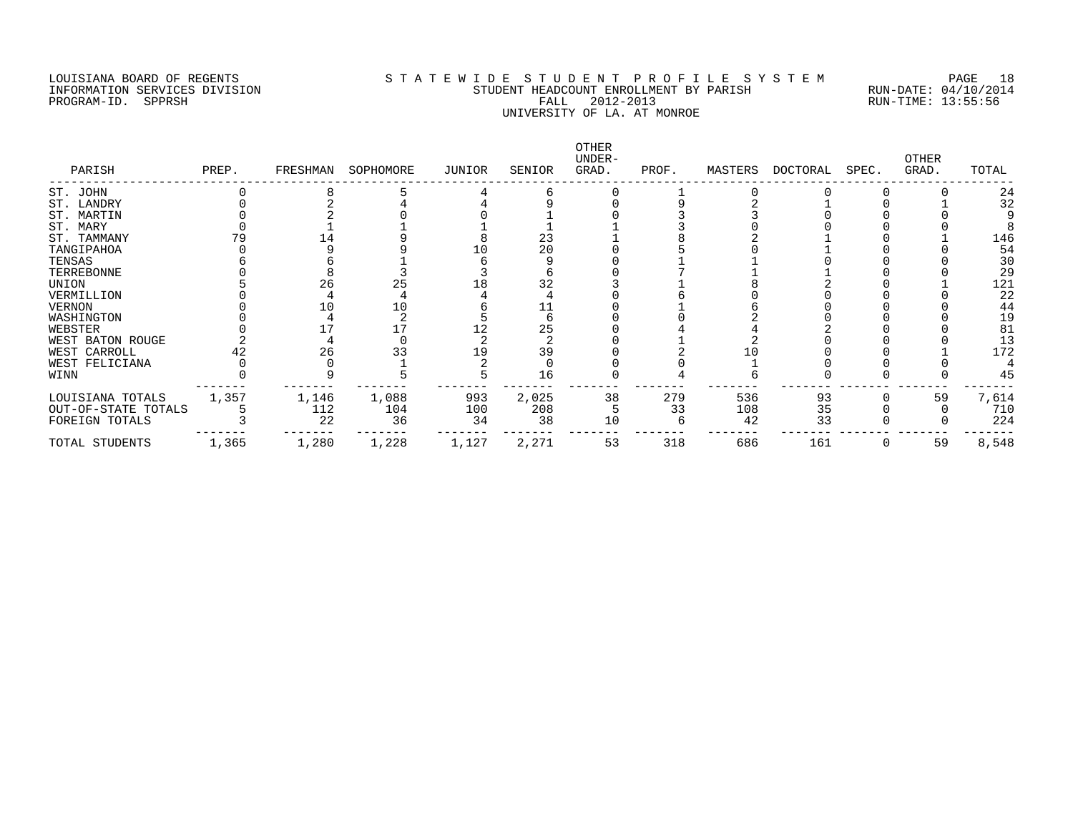#### LOUISIANA BOARD OF REGENTS S T A T E W I D E S T U D E N T P R O F I L E S Y S T E M PAGE 18 INFORMATION SERVICES DIVISION STUDENT HEADCOUNT ENROLLMENT BY PARISH RUN-DATE: 04/10/2014 PROGRAM-ID. SPPRSH FALL 2012-2013 RUN-TIME: 13:55:56 UNIVERSITY OF LA. AT MONROE

| PARISH              | PREP. | FRESHMAN | SOPHOMORE | JUNIOR | SENIOR | OTHER<br>UNDER-<br>GRAD. | PROF. | MASTERS | DOCTORAL | SPEC. | <b>OTHER</b><br>GRAD. | TOTAL |
|---------------------|-------|----------|-----------|--------|--------|--------------------------|-------|---------|----------|-------|-----------------------|-------|
| ST. JOHN            |       |          |           |        |        |                          |       |         |          |       |                       | 24    |
| ST. LANDRY          |       |          |           |        |        |                          |       |         |          |       |                       | 32    |
| ST. MARTIN          |       |          |           |        |        |                          |       |         |          |       |                       |       |
| ST. MARY            |       |          |           |        |        |                          |       |         |          |       |                       |       |
| ST. TAMMANY         |       |          |           |        | 23     |                          |       |         |          |       |                       | 146   |
| TANGIPAHOA          |       |          |           |        | 20     |                          |       |         |          |       |                       | 54    |
| TENSAS              |       |          |           |        |        |                          |       |         |          |       |                       | 30    |
| TERREBONNE          |       |          |           |        |        |                          |       |         |          |       |                       | 29    |
| UNION               |       | 26       | 25        | 18     | 32     |                          |       |         |          |       |                       | 121   |
| VERMILLION          |       |          |           |        |        |                          |       |         |          |       |                       | 22    |
| VERNON              |       |          |           |        |        |                          |       |         |          |       |                       | 44    |
| WASHINGTON          |       |          |           |        |        |                          |       |         |          |       |                       | 19    |
| WEBSTER             |       |          |           |        | 25     |                          |       |         |          |       |                       | 81    |
| WEST BATON ROUGE    |       |          |           |        |        |                          |       |         |          |       |                       | 13    |
| WEST CARROLL        |       | 26       |           | 19     | 39     |                          |       |         |          |       |                       | 172   |
| WEST FELICIANA      |       |          |           |        |        |                          |       |         |          |       |                       |       |
| WINN                |       |          |           |        | 16     |                          |       |         |          |       |                       | 45    |
| LOUISIANA TOTALS    | 1,357 | 1,146    | 1,088     | 993    | 2,025  | 38                       | 279   | 536     | 93       |       | 59                    | 7,614 |
| OUT-OF-STATE TOTALS |       | 112      | 104       | 100    | 208    |                          | 33    | 108     | 35       |       |                       | 710   |
| FOREIGN TOTALS      |       | 22       | 36        | 34     | 38     | 10                       |       | 42      | 33       |       |                       | 224   |
| TOTAL STUDENTS      | 1,365 | 1,280    | 1,228     | 1,127  | 2,271  | 53                       | 318   | 686     | 161      |       | 59                    | 8,548 |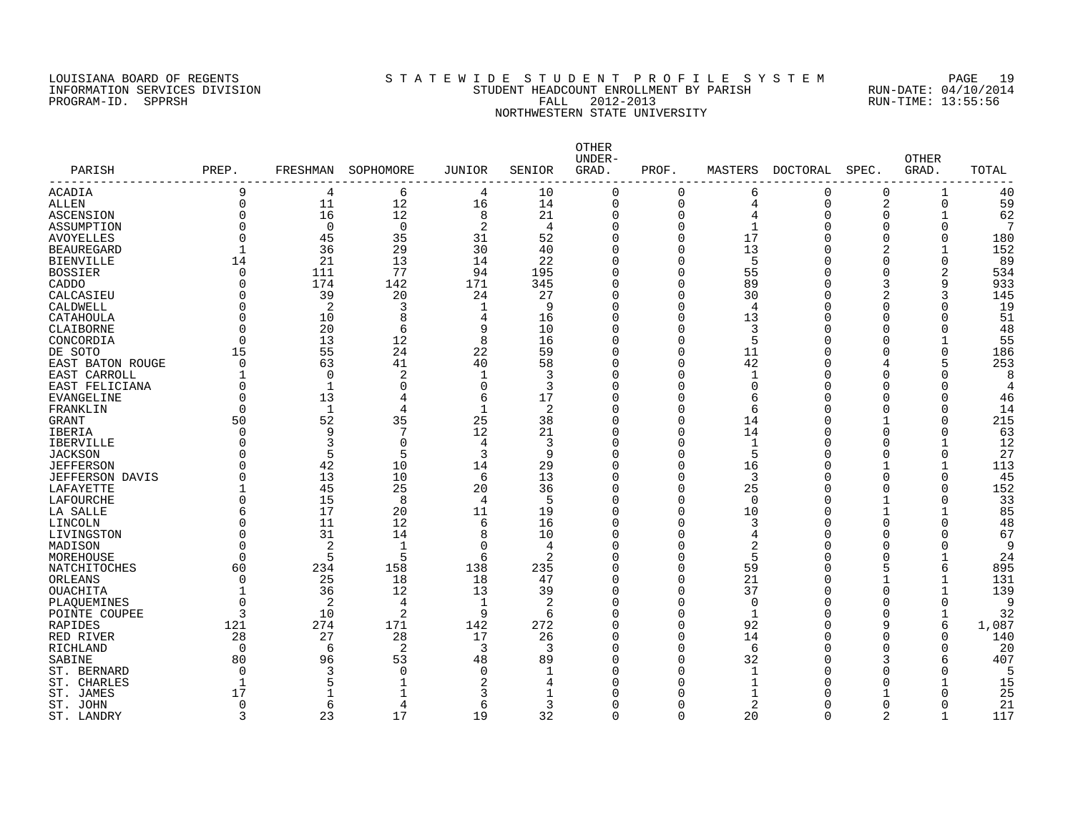## LOUISIANA BOARD OF REGENTS S T A T E W I D E S T U D E N T P R O F I L E S Y S T E M PAGE 19 INFORMATION SERVICES DIVISION STUDENT HEADCOUNT ENROLLMENT BY PARISH RUN-DATE: 04/10/2014 PROGRAM-ID. SPPRSH FALL 2012-2013 RUN-TIME: 13:55:56 NORTHWESTERN STATE UNIVERSITY

| PARISH<br>-------------- | PREP.       | FRESHMAN       | SOPHOMORE       | <b>JUNIOR</b>  | SENIOR | OTHER<br>UNDER-<br>GRAD. | PROF.        | MASTERS      | DOCTORAL | SPEC.    | <b>OTHER</b><br>GRAD. | TOTAL |
|--------------------------|-------------|----------------|-----------------|----------------|--------|--------------------------|--------------|--------------|----------|----------|-----------------------|-------|
| ACADIA                   | 9           | 4              | 6               | 4              | 10     | $\Omega$                 | O            | 6            | $\Omega$ | $\Omega$ | 1                     | 40    |
| ALLEN                    | $\Omega$    | 11             | 12              | 16             | 14     | $\mathbf 0$              | $\Omega$     | 4            | $\Omega$ | 2        | $\Omega$              | 59    |
| ASCENSION                | $\Omega$    | 16             | 12              | 8              | 21     | $\Omega$                 | $\Omega$     | 4            | O        | O        |                       | 62    |
| ASSUMPTION               | $\Omega$    | 0              | $\mathbf 0$     | 2              | 4      | $\mathbf 0$              | 0            | $\mathbf 1$  |          | $\Omega$ | O                     | 7     |
| <b>AVOYELLES</b>         | $\Omega$    | 45             | 35              | 31             | 52     | $\Omega$                 | 0            | 17           |          | $\Omega$ | $\Omega$              | 180   |
| <b>BEAUREGARD</b>        |             | 36             | 29              | 30             | 40     | $\Omega$                 | $\Omega$     | 13           |          |          |                       | 152   |
| <b>BIENVILLE</b>         | 14          | 21             | 13              | 14             | 22     | $\Omega$                 | $\Omega$     | 5            |          | ∩        | $\Omega$              | 89    |
| <b>BOSSIER</b>           | $\Omega$    | 111            | 77              | 94             | 195    | $\Omega$                 | $\Omega$     | 55           |          | ∩        |                       | 534   |
| CADDO                    | $\Omega$    | 174            | 142             | 171            | 345    | 0                        | <sup>0</sup> | 89           |          | 3        | 9                     | 933   |
| CALCASIEU                | O           | 39             | 20              | 24             | 27     | 0                        | O            | 30           |          |          | 3                     | 145   |
| CALDWELL                 | O           | 2              | 3               | -1             | 9      | $\Omega$                 | O            | 4            |          | O        | 0                     | 19    |
| CATAHOULA                | O           | 10             | 8               | 4              | 16     | $\Omega$                 | $\Omega$     | 13           |          | $\Omega$ |                       | 51    |
| CLAIBORNE                | $\Omega$    | 20             | 6               | 9              | 10     | $\mathbf 0$              | $\Omega$     | 3            |          | O        | $\Omega$              | 48    |
| CONCORDIA                | $\Omega$    | 13             | 12              | 8              | 16     | $\Omega$                 | $\Omega$     | 5            |          | ∩        |                       | 55    |
| DE SOTO                  | 15          | 55             | 24              | 22             | 59     | $\Omega$                 | $\Omega$     | 11           |          |          | $\Omega$              | 186   |
| EAST BATON ROUGE         | $\cap$      | 63             | 41              | 40             | 58     | $\Omega$                 | $\Omega$     | 42           |          | 4        | 5                     | 253   |
| EAST CARROLL             |             | $\Omega$       | 2               | -1             | 3      | $\Omega$                 | $\Omega$     | $\mathbf 1$  |          | ∩        |                       | 8     |
| EAST FELICIANA           | $\cap$      | $\mathbf{1}$   | $\Omega$        | $\Omega$       | 3      | $\Omega$                 | U            | $\Omega$     |          | ∩        |                       |       |
| EVANGELINE               | $\Omega$    | 13             | 4               | 6              | 17     | $\Omega$                 | $\Omega$     | 6            |          | n        |                       | 46    |
| FRANKLIN                 | $\Omega$    | $\mathbf{1}$   | 4               | $\mathbf{1}$   | 2      | $\Omega$                 | $\Omega$     | 6            |          | ∩        | $\Omega$              | 14    |
| <b>GRANT</b>             | 50          | 52             | 35              | 25             | 38     | $\Omega$                 | $\Omega$     | 14           |          |          | O                     | 215   |
|                          | $\Omega$    | 9              | $7\phantom{.0}$ | 12             | 21     | $\Omega$                 | <sup>0</sup> | 14           |          | ∩        | $\Omega$              | 63    |
| IBERIA                   | $\cap$      | 3              | $\mathbf 0$     | 4              |        | $\Omega$                 | $\Omega$     |              |          |          |                       | 12    |
| IBERVILLE                | $\cap$      | 5              |                 |                | 3<br>9 | $\Omega$                 | $\Omega$     | 1            |          | ∩        |                       | 27    |
| <b>JACKSON</b>           |             |                | 5               | 3              |        |                          |              | 5            |          |          | $\Omega$              |       |
| <b>JEFFERSON</b>         |             | 42             | 10              | 14             | 29     | $\Omega$                 | 0            | 16           |          |          |                       | 113   |
| <b>JEFFERSON DAVIS</b>   | $\Omega$    | 13             | 10              | 6              | 13     | $\Omega$                 | $\Omega$     | 3            |          | ∩        | $\mathbf 0$           | 45    |
| LAFAYETTE                |             | 45             | 25              | 20             | 36     | $\Omega$                 | $\Omega$     | 25           |          | ∩        |                       | 152   |
| LAFOURCHE                | $\Omega$    | 15             | 8               | $\overline{4}$ | 5      | $\Omega$                 | $\Omega$     | $\Omega$     |          |          | O                     | 33    |
| LA SALLE                 |             | 17             | 20              | 11             | 19     | $\Omega$                 | O            | 10           |          |          |                       | 85    |
| LINCOLN                  | O           | 11             | 12              | 6              | 16     | $\Omega$                 | O            | 3            |          | ∩        | O                     | 48    |
| LIVINGSTON               | U           | 31             | 14              | 8              | 10     | $\Omega$                 | O            | 4            |          | ∩        | U                     | 67    |
| MADISON                  | $\Omega$    | $\overline{2}$ | 1               | $\Omega$       | 4      | $\Omega$                 | O            | 2            |          |          | O                     | 9     |
| MOREHOUSE                | $\cap$      | 5              | 5               | 6              | 2      | $\Omega$                 | O            | 5            |          | ∩        |                       | 24    |
| NATCHITOCHES             | 60          | 234            | 158             | 138            | 235    | $\Omega$                 | $\Omega$     | 59           |          | 5        | 6                     | 895   |
| ORLEANS                  | $\Omega$    | 25             | 18              | 18             | 47     | $\Omega$                 | $\Omega$     | 21           |          |          |                       | 131   |
| OUACHITA                 | -1          | 36             | 12              | 13             | 39     | $\Omega$                 | U            | 37           |          | ∩        |                       | 139   |
| PLAQUEMINES              | $\Omega$    | 2              | 4               | -1             | 2      | U                        | U            | $\Omega$     |          | ∩        | $\Omega$              | Q     |
| POINTE COUPEE            | 3           | 10             | 2               | 9              | 6      | $\Omega$                 | O            | -1           |          | ∩        |                       | 32    |
| RAPIDES                  | 121         | 274            | 171             | 142            | 272    | $\Omega$                 | $\Omega$     | 92           |          | 9        | 6                     | 1,087 |
| RED RIVER                | 28          | 27             | 28              | 17             | 26     | $\Omega$                 | 0            | 14           |          | $\Omega$ | O                     | 140   |
| RICHLAND                 | $\mathbf 0$ | 6              | $\overline{c}$  | 3              | 3      | $\Omega$                 | 0            | 6            |          | ∩        | $\Omega$              | 20    |
| SABINE                   | 80          | 96             | 53              | 48             | 89     | $\Omega$                 | $\Omega$     | 32           |          |          | 6                     | 407   |
| ST. BERNARD              | $\Omega$    | 3              | $\Omega$        | $\Omega$       | 1      | $\Omega$                 | $\Omega$     | $\mathbf{1}$ |          |          | U                     | 5     |
| ST. CHARLES              |             | 5              | 1               | 2              | 4      | O                        | U            |              |          | ∩        |                       | 15    |
| ST. JAMES                | 17          |                | 1               | 3              |        | U                        | U            | -1           |          |          |                       | 25    |
| ST. JOHN                 | $\Omega$    | 6              | 4               | 6              | 3      | O                        | O            | 2            |          | O        |                       | 21    |
| ST. LANDRY               | 3           | 23             | 17              | 19             | 32     | $\Omega$                 | $\Omega$     | 20           | $\Omega$ | 2        |                       | 117   |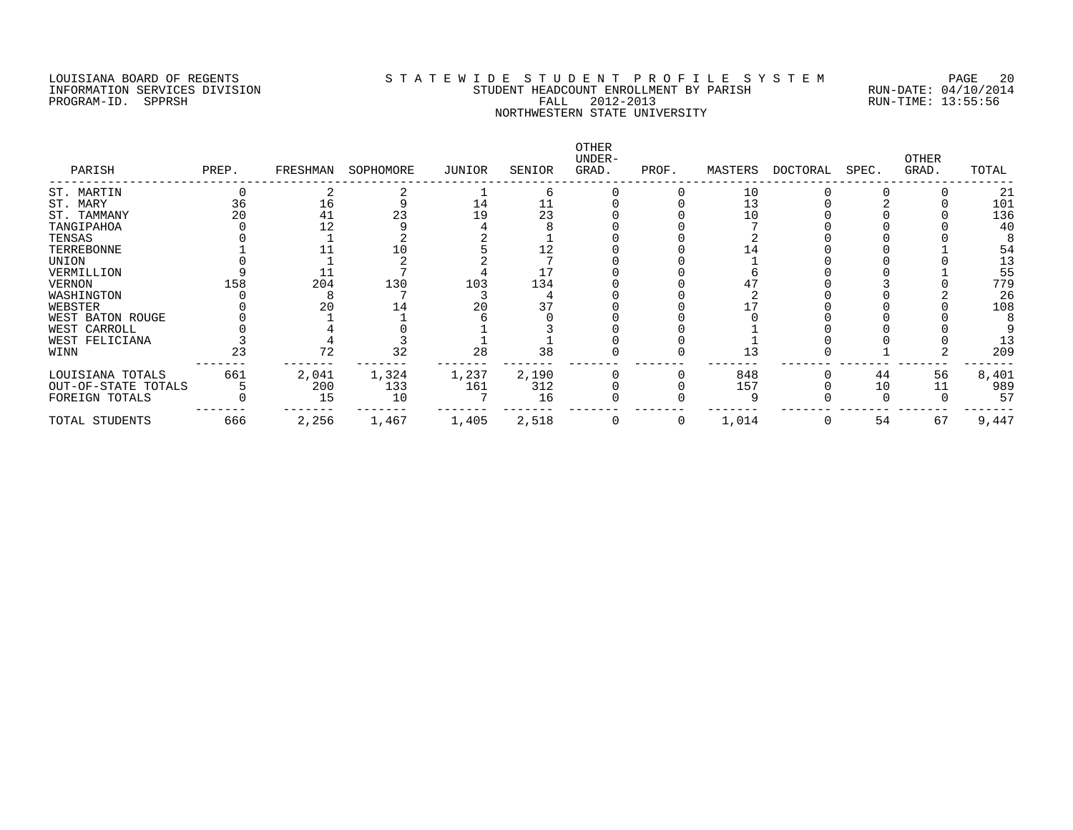## LOUISIANA BOARD OF REGENTS S T A T E W I D E S T U D E N T P R O F I L E S Y S T E M PAGE 20 INFORMATION SERVICES DIVISION STUDENT HEADCOUNT ENROLLMENT BY PARISH RUN-DATE: 04/10/2014 PROGRAM-ID. SPPRSH FALL 2012-2013 RUN-TIME: 13:55:56 NORTHWESTERN STATE UNIVERSITY

| PARISH              | PREP. | FRESHMAN | SOPHOMORE | JUNIOR | SENIOR | OTHER<br>UNDER-<br>GRAD. | PROF. | MASTERS | DOCTORAL | SPEC. | OTHER<br>GRAD. | TOTAL |
|---------------------|-------|----------|-----------|--------|--------|--------------------------|-------|---------|----------|-------|----------------|-------|
| ST. MARTIN          |       |          |           |        | b      |                          |       | 10      |          |       |                | 21    |
| ST. MARY            | 36    | 16       |           | 14     |        |                          |       | 13      |          |       |                | 101   |
| ST. TAMMANY         |       | 41       | 23        | 19     | 23     |                          |       | 10      |          |       |                | 136   |
| TANGIPAHOA          |       |          |           |        |        |                          |       |         |          |       |                | 40    |
| TENSAS              |       |          |           |        |        |                          |       |         |          |       |                |       |
| TERREBONNE          |       |          |           |        | 12     |                          |       | 14      |          |       |                | 54    |
| UNION               |       |          |           |        |        |                          |       |         |          |       |                | 13    |
| VERMILLION          |       |          |           |        |        |                          |       |         |          |       |                | 55    |
| VERNON              | 158   | 204      | 130       | 103    | 134    |                          |       |         |          |       |                | 779   |
| WASHINGTON          |       |          |           |        |        |                          |       |         |          |       |                | 26    |
| WEBSTER             |       |          |           |        |        |                          |       |         |          |       |                | 108   |
| WEST BATON ROUGE    |       |          |           |        |        |                          |       |         |          |       |                |       |
| WEST CARROLL        |       |          |           |        |        |                          |       |         |          |       |                |       |
| WEST FELICIANA      |       |          |           |        |        |                          |       |         |          |       |                | 13    |
| WINN                | 23    |          | 32        | 28     | 38     |                          |       | 13      |          |       |                | 209   |
| LOUISIANA TOTALS    | 661   | 2,041    | 1,324     | 1,237  | 2,190  |                          |       | 848     |          | 44    | 56             | 8,401 |
| OUT-OF-STATE TOTALS |       | 200      | 133       | 161    | 312    |                          |       | 157     |          | 10    |                | 989   |
| FOREIGN TOTALS      |       | 15       | 10        |        | 16     |                          |       |         |          |       |                | 57    |
| TOTAL STUDENTS      | 666   | 2,256    | 1,467     | 1,405  | 2,518  |                          |       | 1,014   |          | 54    | 67             | 9,447 |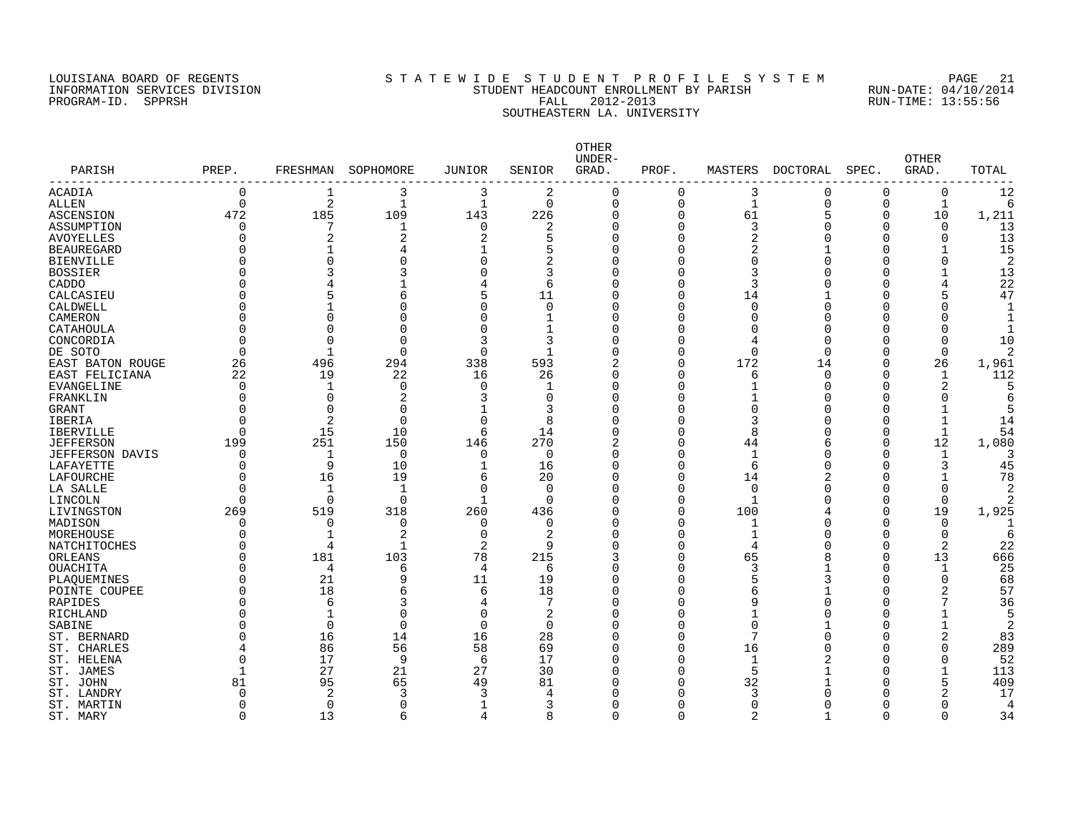#### LOUISIANA BOARD OF REGENTS S T A T E W I D E S T U D E N T P R O F I L E S Y S T E M PAGE 21 INFORMATION SERVICES DIVISION STUDENT HEADCOUNT ENROLLMENT BY PARISH RUN-DATE: 04/10/2014 PROGRAM-ID. SPPRSH FALL 2012-2013 RUN-TIME: 13:55:56 SOUTHEASTERN LA. UNIVERSITY

| PARISH                 | PREP.       | FRESHMAN     | SOPHOMORE      | JUNIOR         | SENIOR         | OTHER<br>UNDER-<br>GRAD. | PROF.    | MASTERS      | <b>DOCTORAL</b> | SPEC.        | <b>OTHER</b><br>GRAD. | TOTAL          |
|------------------------|-------------|--------------|----------------|----------------|----------------|--------------------------|----------|--------------|-----------------|--------------|-----------------------|----------------|
| ACADIA                 | 0           | 1            | 3              | 3              | 2              | $\Omega$                 | $\Omega$ | 3            | $\Omega$        | 0            | 0                     | 12             |
| <b>ALLEN</b>           | $\mathbf 0$ | 2            | $\mathbf{1}$   | $\mathbf{1}$   | 0              | $\Omega$                 | 0        | $\mathbf 1$  | 0               | 0            | 1                     | 6              |
| ASCENSION              | 472         | 185          | 109            | 143            | 226            | $\Omega$                 | 0        | 61           | 5               | 0            | 10                    | 1,211          |
| ASSUMPTION             | $\Omega$    | 7            | 1              | $\Omega$       | 2              | $\Omega$                 | 0        | 3            | $\Omega$        | $\Omega$     | $\Omega$              | 13             |
| <b>AVOYELLES</b>       | $\Omega$    | 2            | $\overline{2}$ | 2              | 5              | $\Omega$                 | 0        | 2            | Ω               | O            | $\Omega$              | 13             |
| <b>BEAUREGARD</b>      |             |              | 4              |                | 5              | $\Omega$                 | 0        | 2            |                 | C            |                       | 15             |
| <b>BIENVILLE</b>       | U           | $\Omega$     | 0              | $\Omega$       | 2              | $\Omega$                 | 0        | $\Omega$     |                 | C            | $\Omega$              | $\overline{2}$ |
| <b>BOSSIER</b>         | ∩           | 3            | 3              |                | 3              | $\Omega$                 | 0        | 3            |                 | C            |                       | 13             |
| CADDO                  | ∩           |              |                |                | 6              | $\Omega$                 | 0        | 3            |                 | U            | 4                     | 22             |
| CALCASIEU              |             |              | 6              | 5              | 11             | $\Omega$                 | 0        | 14           |                 | U            | 5                     | 47             |
| CALDWELL               | $\Omega$    |              | 0              | $\Omega$       | 0              | $\Omega$                 | O        | 0            | O               | O            | 0                     |                |
| CAMERON                |             | $\Omega$     | N              | $\Omega$       | -1             | $\Omega$                 | O        | $\Omega$     | O               | C            |                       |                |
| CATAHOULA              | ∩           | $\Omega$     | O              | $\Omega$       | $\mathbf{1}$   | $\Omega$                 | 0        | $\Omega$     | C               | O            | $\Omega$              |                |
| CONCORDIA              | $\Omega$    | $\Omega$     | $\Omega$       | p              | 3              | $\Omega$                 | O        | 4            | $\cap$          | O            | $\Omega$              | 10             |
|                        | $\Omega$    | $\mathbf{1}$ | $\Omega$       | $\Omega$       | $\overline{1}$ | $\Omega$                 | 0        | $\Omega$     | $\Omega$        | O            | 0                     | $\mathfrak{D}$ |
| DE SOTO                |             |              |                |                |                |                          | $\Omega$ |              |                 | $\Omega$     |                       |                |
| EAST BATON ROUGE       | 26          | 496          | 294            | 338            | 593            | 2                        |          | 172          | 14              |              | 26                    | 1,961          |
| EAST FELICIANA         | 22          | 19           | 22             | 16             | 26             | $\Omega$                 | O        | 6            | $\Omega$        | $\Omega$     | $\mathbf{1}$          | 112            |
| <b>EVANGELINE</b>      | $\Omega$    | $\mathbf 1$  | 0              | $\Omega$       | $\mathbf{1}$   | $\Omega$                 | 0        | 1            | O               | $\Omega$     | $\overline{2}$        | 5              |
| FRANKLIN               | $\Omega$    | $\Omega$     | 2              | ٦              | $\Omega$       | $\Omega$                 | O        |              | U               | U            | $\Omega$              |                |
| GRANT                  | $\Omega$    | $\Omega$     | $\Omega$       |                | 3              | $\Omega$                 | Ω        | $\Omega$     | U               | U            | $\mathbf{1}$          |                |
| IBERIA                 | $\Omega$    | 2            | $\Omega$       | $\Omega$       | 8              |                          | O        | 3            | O               | U            | 1                     | 14             |
| <b>IBERVILLE</b>       | $\Omega$    | 15           | 10             | 6              | 14             | U                        | O        | 8            | C               | O            | 1                     | 54             |
| <b>JEFFERSON</b>       | 199         | 251          | 150            | 146            | 270            | $\overline{c}$           | 0        | 44           | 6               | 0            | 12                    | 1,080          |
| <b>JEFFERSON DAVIS</b> | O           | 1            | $\mathbf 0$    | $\Omega$       | $\Omega$       | $\Omega$                 | O        | 1            | U               | $\Omega$     | 1                     |                |
| LAFAYETTE              | $\Omega$    | 9            | 10             |                | 16             | $\Omega$                 | 0        | 6            | $\cap$          | C            | 3                     | 45             |
| LAFOURCHE              | $\Omega$    | 16           | 19             | 6              | 20             | $\Omega$                 | 0        | 14           |                 | O            | $\mathbf{1}$          | 78             |
| LA SALLE               | $\Omega$    | -1           | 1              | $\Omega$       | 0              | $\Omega$                 | 0        | 0            | Ω               | C            | $\Omega$              |                |
| LINCOLN                | $\Omega$    | $\Omega$     | $\Omega$       |                | $\Omega$       | $\Omega$                 | 0        | $\mathbf{1}$ |                 | O            | $\Omega$              |                |
| LIVINGSTON             | 269         | 519          | 318            | 260            | 436            | $\Omega$                 | 0        | 100          |                 | O            | 19                    | 1,925          |
| MADISON                | $\Omega$    | $\Omega$     | 0              | $\Omega$       | $\Omega$       | $\Omega$                 | 0        | 1            | Ω               | O            | 0                     |                |
| MOREHOUSE              | O           |              | 2              | $\Omega$       | 2              | $\Omega$                 | O        |              | O               | <sup>0</sup> | 0                     | 6              |
| NATCHITOCHES           | $\Omega$    | 4            | 1              | 2              | 9              | $\Omega$                 | O        | 4            | C               | $\Omega$     | 2                     | 22             |
| ORLEANS                | ∩           | 181          | 103            | 78             | 215            | 3                        | O        | 65           | 8               | $\Omega$     | 13                    | 666            |
| <b>OUACHITA</b>        | ∩           | 4            | 6              | $\overline{4}$ | 6              | $\Omega$                 | 0        | 3            |                 | $\Omega$     | $\mathbf{1}$          | 25             |
| PLAQUEMINES            | ∩           | 21           | 9              | 11             | 19             | $\Omega$                 | 0        | 5            | 3               | $\Omega$     | $\Omega$              | 68             |
| POINTE COUPEE          | ∩           | 18           | 6              | 6              | 18             | $\Omega$                 | O        | 6            |                 | C            | 2                     | 57             |
| RAPIDES                | ∩           | 6            | 3              | 4              |                | $\Omega$                 | Ω        | 9            | U               | C            | 7                     | 36             |
| RICHLAND               | ∩           | $\mathbf{1}$ | $\Omega$       | $\Omega$       | 2              | $\Omega$                 | 0        | $\mathbf{1}$ | C               | C            | $\mathbf{1}$          | 5              |
| SABINE                 | ∩           | $\Omega$     | $\Omega$       | $\Omega$       | $\Omega$       | $\Omega$                 | Ω        | $\Omega$     |                 | U            | $\mathbf{1}$          | $\overline{2}$ |
| ST. BERNARD            | ∩           | 16           | 14             | 16             | 28             |                          | 0        | 7            |                 | U            | $\overline{c}$        | 83             |
|                        |             |              |                | 58             |                |                          | O        |              |                 |              | $\Omega$              |                |
| ST. CHARLES            | 4           | 86           | 56             |                | 69             | $\Omega$                 |          | 16           | Π               | O            |                       | 289            |
| ST. HELENA             | $\Omega$    | 17           | 9              | 6              | 17             |                          | O        | $\mathbf{1}$ |                 | C            | O                     | 52             |
| ST. JAMES              | 1           | 27           | 21             | 27             | 30             | U                        | 0        | 5            |                 | O            |                       | 113            |
| ST. JOHN               | 81          | 95           | 65             | 49             | 81             |                          | O        | 32           |                 | U            | 5                     | 409            |
| ST. LANDRY             | $\Omega$    | 2            | 3              |                | 4              |                          | O        | 3            |                 | U            | 2                     | 17             |
| ST. MARTIN             | $\Omega$    | $\Omega$     | $\Omega$       |                | 3              |                          | $\Omega$ | $\Omega$     |                 | O            |                       | 4              |
| ST. MARY               | $\Omega$    | 13           | 6              | $\Delta$       | 8              | $\cap$                   | $\Omega$ | 2            |                 | $\Omega$     | 0                     | 34             |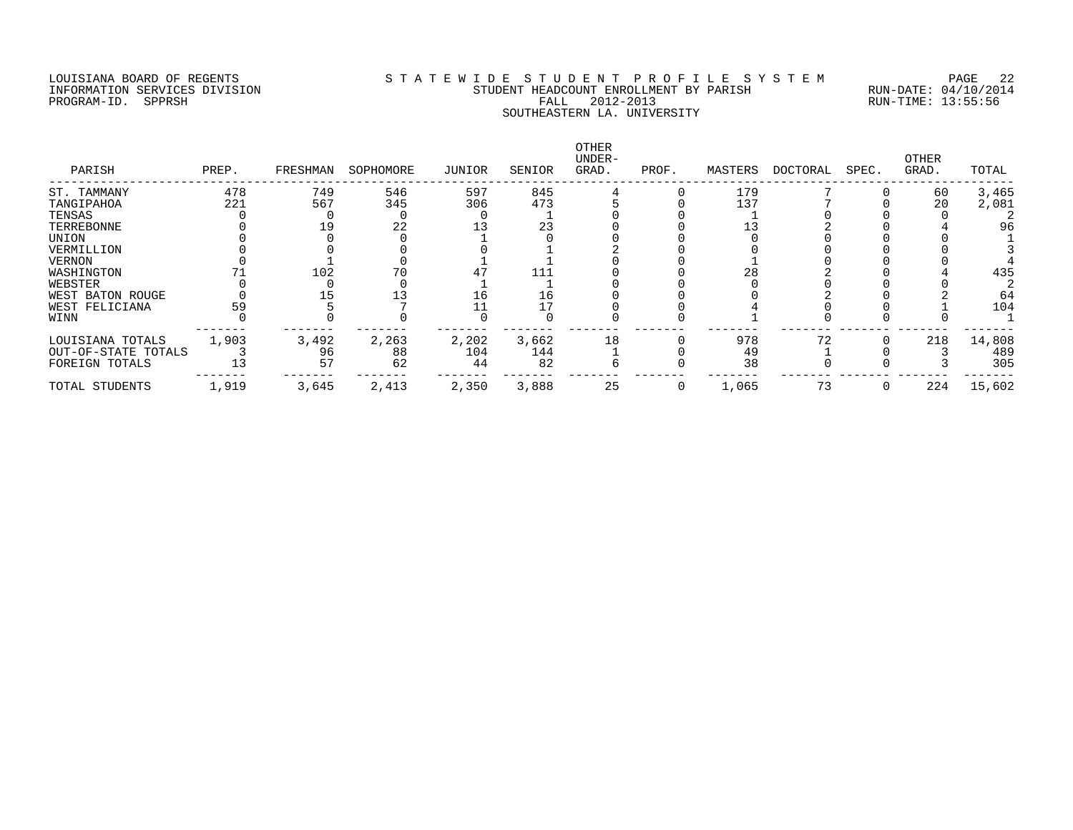#### LOUISIANA BOARD OF REGENTS S T A T E W I D E S T U D E N T P R O F I L E S Y S T E M PAGE 22 INFORMATION SERVICES DIVISION STUDENT HEADCOUNT ENROLLMENT BY PARISH RUN-DATE: 04/10/2014 PROGRAM-ID. SPPRSH FALL 2012-2013 RUN-TIME: 13:55:56 SOUTHEASTERN LA. UNIVERSITY

| PARISH              | PREP. | FRESHMAN | SOPHOMORE | JUNIOR | SENIOR | OTHER<br>UNDER-<br>GRAD. | PROF. | MASTERS | DOCTORAL | SPEC. | OTHER<br>GRAD. | TOTAL  |
|---------------------|-------|----------|-----------|--------|--------|--------------------------|-------|---------|----------|-------|----------------|--------|
| ST. TAMMANY         | 478   | 749      | 546       | 597    | 845    |                          |       | 179     |          |       | 60             | 3,465  |
| TANGIPAHOA          | 221   | 567      | 345       | 306    | 473    |                          |       | 137     |          |       | 20             | 2,081  |
| TENSAS              |       |          |           |        |        |                          |       |         |          |       |                |        |
| TERREBONNE          |       |          | 22        |        | 23     |                          |       |         |          |       |                | 96     |
| UNION               |       |          |           |        |        |                          |       |         |          |       |                |        |
| VERMILLION          |       |          |           |        |        |                          |       |         |          |       |                |        |
| VERNON              |       |          |           |        |        |                          |       |         |          |       |                |        |
| WASHINGTON          |       | 102      |           |        | 111    |                          |       | 28      |          |       |                | 435    |
| WEBSTER             |       |          |           |        |        |                          |       |         |          |       |                |        |
| WEST BATON ROUGE    |       |          |           | Lб     | 16     |                          |       |         |          |       |                | 64     |
| WEST FELICIANA      | 59    |          |           |        |        |                          |       |         |          |       |                | 104    |
| WINN                |       |          |           |        |        |                          |       |         |          |       |                |        |
| LOUISIANA TOTALS    | 1,903 | 3,492    | 2,263     | 2,202  | 3,662  | 18                       |       | 978     | 72       |       | 218            | 14,808 |
| OUT-OF-STATE TOTALS |       | 96       | 88        | 104    | 144    |                          |       | 49      |          |       |                | 489    |
| FOREIGN TOTALS      |       | 57       | 62        | 44     | 82     |                          |       | 38      |          |       |                | 305    |
| TOTAL STUDENTS      | 1,919 | 3,645    | 2,413     | 2,350  | 3,888  | 25                       | 0     | 1,065   | 73       |       | 224            | 15,602 |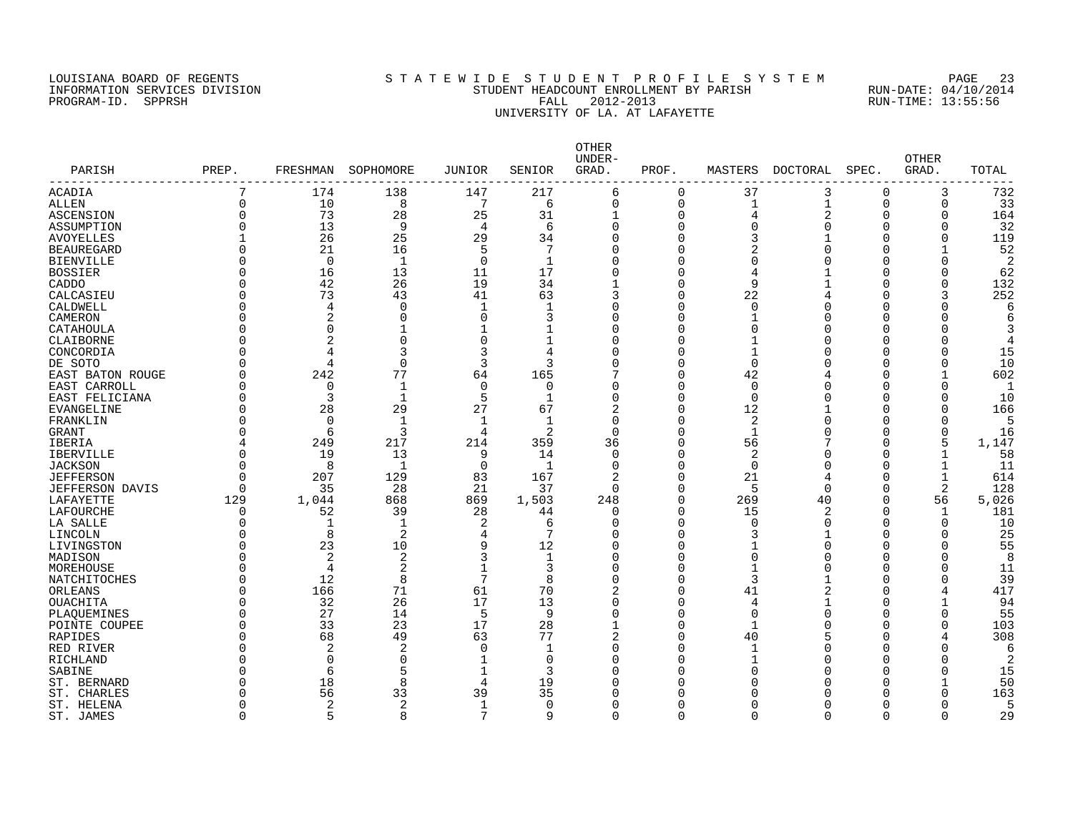#### LOUISIANA BOARD OF REGENTS S T A T E W I D E S T U D E N T P R O F I L E S Y S T E M PAGE 23 INFORMATION SERVICES DIVISION STUDENT HEADCOUNT ENROLLMENT BY PARISH RUN-DATE: 04/10/2014 PROGRAM-ID. SPPRSH FALL 2012-2013 RUN-TIME: 13:55:56 UNIVERSITY OF LA. AT LAFAYETTE

| PARISH                  | PREP.    | FRESHMAN       | SOPHOMORE      | <b>JUNIOR</b>  | SENIOR         | OTHER<br>UNDER-<br>GRAD. | PROF.          | MASTERS        | DOCTORAL       | SPEC.    | OTHER<br>GRAD. | TOTAL          |
|-------------------------|----------|----------------|----------------|----------------|----------------|--------------------------|----------------|----------------|----------------|----------|----------------|----------------|
| ACADIA                  | 7        | 174            | 138            | 147            | 217            | 6                        | $\mathbf 0$    | 37             | 3              | $\Omega$ | 3              | 732            |
| <b>ALLEN</b>            | $\Omega$ | 10             | 8              | 7              | 6              | 0                        | $\overline{0}$ | 1              | $\mathbf{1}$   | $\Omega$ | $\Omega$       | 33             |
| ASCENSION               | $\Omega$ | 73             | 28             | 25             | 31             | $\mathbf{1}$             | $\mathbf 0$    | $\overline{4}$ | $\overline{2}$ | $\Omega$ | $\Omega$       | 164            |
| ASSUMPTION              | ∩        | 13             | 9              | $\overline{4}$ | 6              | $\Omega$                 | 0              | $\Omega$       | $\Omega$       | $\Omega$ | 0              | 32             |
| <b>AVOYELLES</b>        |          | 26             | 25             | 29             | 34             | $\Omega$                 | $\Omega$       | 3              | $\mathbf{1}$   | ∩        | $\Omega$       | 119            |
| <b>BEAUREGARD</b>       |          | 21             | 16             | 5              | 7              | $\Omega$                 | $\Omega$       | 2              | U              | O        | 1              | 52             |
| <b>BIENVILLE</b>        |          | $\Omega$       | 1              | $\Omega$       | $\mathbf 1$    | $\Omega$                 | $\Omega$       | 0              |                | U        | O              | 2              |
| <b>BOSSIER</b>          |          | 16             | 13             | 11             | 17             | $\Omega$                 | $\Omega$       | 4              |                | O        | O              | 62             |
| CADDO                   |          | 42             | 26             | 19             | 34             | 1                        | $\mathbf 0$    | 9              | -1             | $\Omega$ | 0              | 132            |
| CALCASIEU               |          | 73             | 43             | 41             | 63             | 3                        | $\mathbf 0$    | 22             |                | O        | 3              | 252            |
| CALDWELL                |          | 4              | $\mathbf 0$    | $\mathbf 1$    | 1              | $\Omega$                 | $\mathbf 0$    | $\mathbf 0$    |                | $\Omega$ | 0              | 6              |
| CAMERON                 |          | $\overline{2}$ | $\Omega$       | $\Omega$       | 3              | $\Omega$                 | $\Omega$       | $\mathbf{1}$   | U              | O        | O              | 6              |
| CATAHOULA               |          | $\Omega$       |                |                | 1              | $\Omega$                 | $\Omega$       | $\mathbf 0$    | U              | $\Omega$ | O              |                |
| CLAIBORNE               |          | $\overline{2}$ | $\Omega$       | $\Omega$       | 1              | 0                        | $\mathbf 0$    | $\mathbf 1$    |                | O        | O              | 4              |
| CONCORDIA               |          | 4              | 3              | 3              | $\overline{4}$ | $\Omega$                 | $\Omega$       | $\mathbf{1}$   |                | C        | O              | 15             |
| DE SOTO                 | ∩        | 4              | $\Omega$       | 3              | 3              | $\Omega$                 | $\Omega$       | $\Omega$       |                | ∩        | $\Omega$       | 10             |
| <b>EAST BATON ROUGE</b> |          | 242            | 77             | 64             | 165            | 7                        | $\Omega$       | 42             |                | U        | -1             | 602            |
| EAST CARROLL            | $\Omega$ | $\mathbf 0$    | 1              | $\Omega$       | 0              | $\Omega$                 | $\mathbf 0$    | $\mathbf 0$    |                | O        | $\Omega$       | -1             |
| EAST FELICIANA          |          | 3              | $\mathbf 1$    | 5              | 1              | $\Omega$                 | $\mathbf 0$    | $\mathbf 0$    | U              | U        | O              | 10             |
| <b>EVANGELINE</b>       | U        | 28             | 29             | 27             | 67             | 2                        | $\mathbf 0$    | 12             | $\mathbf{1}$   | $\Omega$ | O              | 166            |
| FRANKLIN                |          | $\Omega$       | 1              |                | 1              | 0                        | 0              | 2              | U              | O        | O              | 5              |
| GRANT                   |          | 6              | 3              | 4              | 2              | $\Omega$                 | 0              | $\mathbf{1}$   |                | O        | 0              | 16             |
| IBERIA                  |          | 249            | 217            | 214            | 359            | 36                       | 0              | 56             |                | O        | 5              | 1,147          |
| IBERVILLE               |          | 19             | 13             | 9              | 14             | $\Omega$                 | $\mathbf 0$    | 2              |                | $\Omega$ | $\mathbf{1}$   | 58             |
| <b>JACKSON</b>          |          | 8              | 1              | $\Omega$       | $\mathbf 1$    | $\Omega$                 | $\overline{0}$ | $\mathbf 0$    | O              | $\Omega$ | $\mathbf{1}$   | 11             |
| <b>JEFFERSON</b>        | $\Omega$ | 207            | 129            | 83             | 167            | $\overline{2}$           | $\overline{0}$ | 21             | 4              | $\Omega$ | $\mathbf{1}$   | 614            |
| <b>JEFFERSON DAVIS</b>  | ∩        | 35             | 28             | 21             | 37             | $\Omega$                 | $\overline{0}$ | 5              | $\Omega$       | $\Omega$ | $\overline{2}$ | 128            |
| LAFAYETTE               | 129      | 1,044          | 868            | 869            | 1,503          | 248                      | $\Omega$       | 269            | 40             | $\Omega$ | 56             | 5,026          |
| LAFOURCHE               | $\Omega$ | 52             | 39             | 28             | 44             | $\Omega$                 | $\Omega$       | 15             | 2              | ∩        | $\mathbf{1}$   | 181            |
| LA SALLE                |          | 1              | 1              | 2              | 6              | $\Omega$                 | $\Omega$       | $\Omega$       | O              | O        | $\Omega$       | 10             |
| LINCOLN                 |          | 8              | $\overline{2}$ | $\overline{4}$ | 7              | $\Omega$                 | $\Omega$       | 3              | 1              | ∩        | $\Omega$       | 25             |
| LIVINGSTON              |          | 23             | 10             | 9              | 12             | $\Omega$                 | $\mathbf 0$    | $\mathbf 1$    | U              | C        | O              | 55             |
| MADISON                 |          | $\overline{2}$ | $\overline{2}$ | 3              | 1              | $\Omega$                 | 0              | 0              |                | O        | O              | 8              |
| MOREHOUSE               |          | 4              | 2              |                | 3              | $\Omega$                 | 0              | $\mathbf 1$    |                | O        | O              | 11             |
| NATCHITOCHES            | O        | 12             | 8              | 7              | 8              | $\Omega$                 | $\mathbf 0$    | 3              |                | $\Omega$ | O              | 39             |
| ORLEANS                 |          | 166            | 71             | 61             | 70             | 2                        | 0              | 41             |                | O        | 4              | 417            |
| <b>OUACHITA</b>         |          | 32             | 26             | 17             | 13             | $\Omega$                 | 0              | $\overline{4}$ |                | $\Omega$ |                | 94             |
| PLAQUEMINES             |          | 27             | 14             | 5              | 9              | $\Omega$                 | 0              | $\mathbf 0$    | O              | O        | O              | 55             |
| POINTE COUPEE           |          | 33             | 23             | 17             | 28             | $\mathbf{1}$             | $\overline{0}$ | $\mathbf{1}$   | O              | $\Omega$ | 0              | 103            |
| RAPIDES                 |          | 68             | 49             | 63             | 77             | $\overline{2}$           | $\overline{0}$ | 40             |                | O        |                | 308            |
| RED RIVER               |          | $\overline{2}$ | $\overline{2}$ | $\Omega$       | 1              | $\Omega$                 | $\mathbf 0$    | $\mathbf 1$    | 0              | 0        | 0              | 6              |
| RICHLAND                |          | $\Omega$       | $\Omega$       | $\mathbf{1}$   | $\Omega$       | $\Omega$                 | $\Omega$       |                | U              | U        | O              | $\overline{2}$ |
| SABINE                  |          | 6              | 5              | $\mathbf{1}$   | 3              | $\Omega$                 | $\Omega$       | $\Omega$       | U              | U        | O              | 15             |
| ST. BERNARD             |          | 18             | $\mathsf{R}$   | 4              | 19             | $\Omega$                 | U              | n              |                | U        | 1              | 50             |
| ST. CHARLES             |          | 56             | 33             | 39             | 35             | $\Omega$                 | O              | n              |                | U        | O              | 163            |
| ST. HELENA              |          | 2              | $\overline{c}$ | 1              | 0              | $\Omega$                 | O              | $\Omega$       |                | O        | O              | 5              |
| ST. JAMES               | $\Omega$ | 5              | 8              | 7              | 9              | 0                        | $\Omega$       | $\Omega$       | O              | 0        | $\Omega$       | 29             |
|                         |          |                |                |                |                |                          |                |                |                |          |                |                |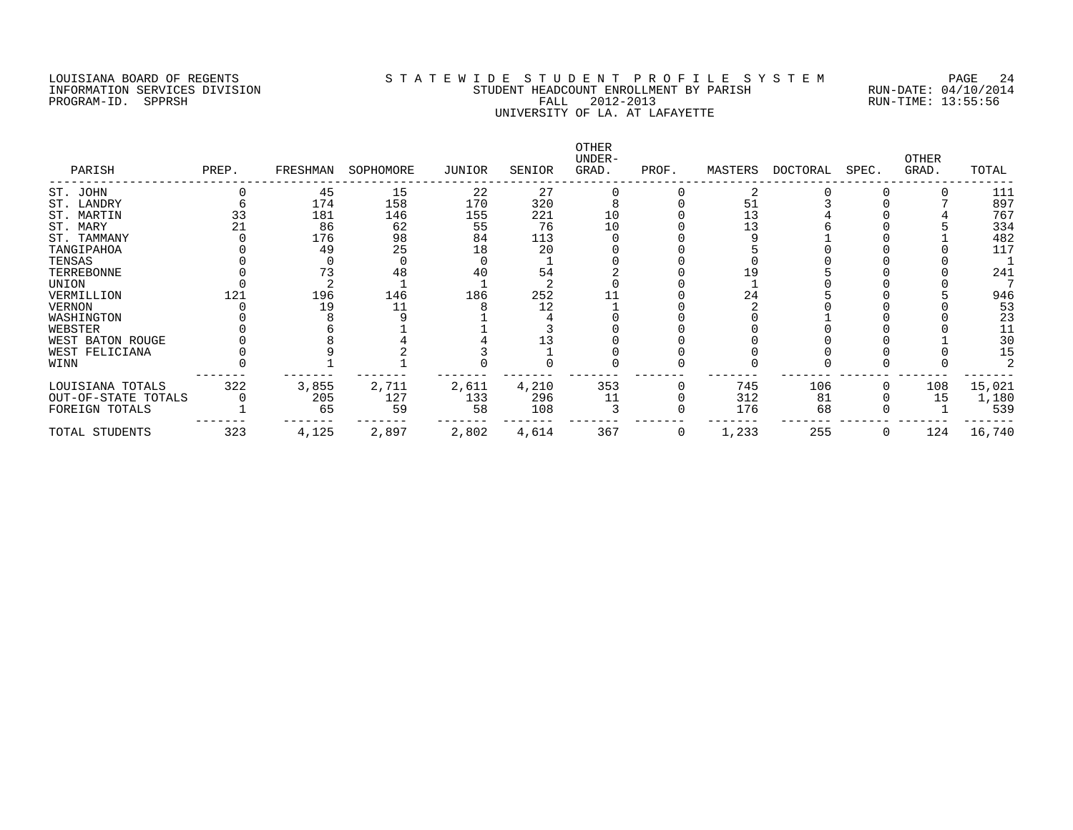#### LOUISIANA BOARD OF REGENTS S T A T E W I D E S T U D E N T P R O F I L E S Y S T E M PAGE 24 INFORMATION SERVICES DIVISION STUDENT HEADCOUNT ENROLLMENT BY PARISH RUN-DATE: 04/10/2014 PROGRAM-ID. SPPRSH FALL 2012-2013 RUN-TIME: 13:55:56 UNIVERSITY OF LA. AT LAFAYETTE

| PARISH              | PREP. | FRESHMAN | SOPHOMORE | JUNIOR | SENIOR | OTHER<br>UNDER-<br>GRAD. | PROF. | MASTERS | DOCTORAL | SPEC. | OTHER<br>GRAD. | TOTAL  |
|---------------------|-------|----------|-----------|--------|--------|--------------------------|-------|---------|----------|-------|----------------|--------|
| ST. JOHN            |       | 45       | 15        | 22     | 27     |                          |       | 2       |          |       |                | 111    |
| ST. LANDRY          |       | 174      | 158       | 170    | 320    |                          |       | 51      |          |       |                | 897    |
| ST. MARTIN          |       | 181      | 146       | 155    | 221    | 10                       |       | 13      |          |       |                | 767    |
| ST. MARY            |       | 86       | 62        | 55     | 76     | 10                       |       | 13      |          |       |                | 334    |
| ST. TAMMANY         |       | 176      | 98        | 84     | 113    |                          |       |         |          |       |                | 482    |
| TANGIPAHOA          |       | 49       | 25        | 18     | 20     |                          |       |         |          |       |                | 117    |
| TENSAS              |       |          |           |        |        |                          |       |         |          |       |                |        |
| TERREBONNE          |       |          | 48        | 40     | 54     |                          |       | 19      |          |       |                | 241    |
| UNION               |       |          |           |        |        |                          |       |         |          |       |                |        |
| VERMILLION          | 121   | 196      | 146       | 186    | 252    |                          |       | 24      |          |       |                | 946    |
| VERNON              |       | 19       | 11        |        | 12     |                          |       |         |          |       |                | 53     |
| WASHINGTON          |       |          |           |        |        |                          |       |         |          |       |                | 23     |
| WEBSTER             |       |          |           |        |        |                          |       |         |          |       |                | 11     |
| WEST BATON ROUGE    |       |          |           |        |        |                          |       |         |          |       |                | 30     |
| WEST FELICIANA      |       |          |           |        |        |                          |       |         |          |       |                | 15     |
| WINN                |       |          |           |        |        |                          |       |         |          |       |                |        |
| LOUISIANA TOTALS    | 322   | 3,855    | 2,711     | 2,611  | 4,210  | 353                      |       | 745     | 106      |       | 108            | 15,021 |
| OUT-OF-STATE TOTALS |       | 205      | 127       | 133    | 296    | 11                       |       | 312     | 81       |       | 15             | 1,180  |
| FOREIGN TOTALS      |       | 65       | 59        | 58     | 108    |                          |       | 176     | 68       |       |                | 539    |
| TOTAL STUDENTS      | 323   | 4,125    | 2,897     | 2,802  | 4,614  | 367                      | 0     | 1,233   | 255      |       | 124            | 16,740 |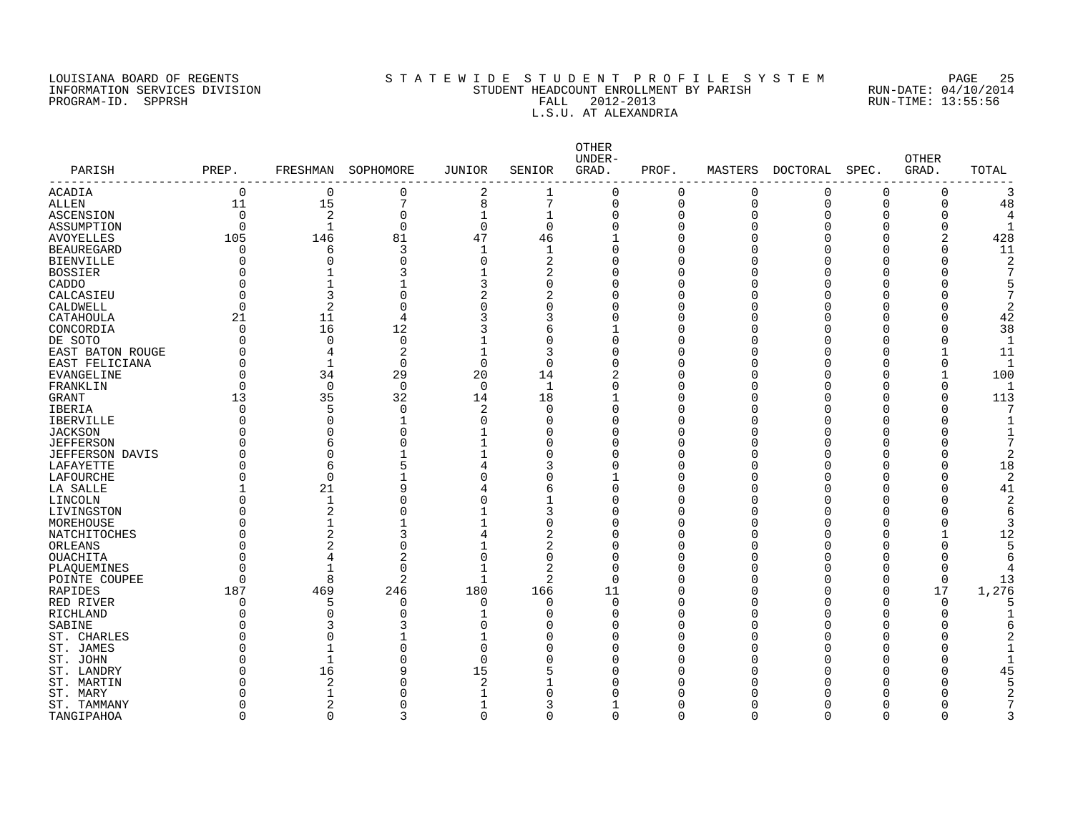#### LOUISIANA BOARD OF REGENTS SOURCLES TO STATEWIDE STUDENT PROFILE SYSTEM PAGE 25<br>INFORMATION SERVICES DIVISION STUDENT HEADCOUNT ENROLLMENT BY PARISH RUN-DATE: 04/10/2014 INFORMATION SERVICES DIVISION STATE STILL STUDENT HEADCOUNT ENROLLMENT BY PARISH RUN-DATE: 04/10/201<br>PROGRAM-ID. SPPRSH RUN-TIME: 13:55:56 PROGRAM-ID. SPPRSH FALL 2012-2013 RUN-TIME: 13:55:56 L.S.U. AT ALEXANDRIA

| PARISH<br>--------     | PREP.       | FRESHMAN       | SOPHOMORE      | <b>JUNIOR</b>  | SENIOR      | OTHER<br>UNDER-<br>GRAD. | PROF.    | MASTERS      | DOCTORAL | SPEC.    | <b>OTHER</b><br>GRAD. | TOTAL          |
|------------------------|-------------|----------------|----------------|----------------|-------------|--------------------------|----------|--------------|----------|----------|-----------------------|----------------|
| ACADIA                 | $\mathbf 0$ | $\mathbf 0$    | 0              | 2              | 1           | $\Omega$                 | 0        | $\Omega$     | 0        | 0        | $\Omega$              | 3              |
| ALLEN                  | 11          | 15             | 7              | 8              | 7           | $\Omega$                 | $\Omega$ | $\Omega$     | 0        | $\Omega$ | $\Omega$              | 48             |
| ASCENSION              | $\Omega$    | 2              | $\Omega$       | 1              | 1           | $\Omega$                 | $\Omega$ |              | O        | $\Omega$ | $\Omega$              | 4              |
| ASSUMPTION             | $\Omega$    | $\mathbf 1$    | $\Omega$       | 0              | $\mathbf 0$ | $\Omega$                 | U        |              | 0        | O        | 0                     | 1              |
| <b>AVOYELLES</b>       | 105         | 146            | 81             | 47             | 46          |                          | U        |              | $\Omega$ | $\Omega$ | $\overline{a}$        | 428            |
| <b>BEAUREGARD</b>      | ∩           | 6              | 3              | 1              | $\mathbf 1$ | $\Omega$                 | U        |              | $\Omega$ | U        | $\Omega$              | 11             |
| <b>BIENVILLE</b>       | U           | $\Omega$       |                | 0              | 2           | U                        | ſ        |              | O        | U        | 0                     | $\overline{2}$ |
| <b>BOSSIER</b>         |             |                |                |                | 2           |                          | U        |              | O        | U        | 0                     | 7              |
| CADDO                  |             |                |                | 3              | $\Omega$    | O                        | O        |              | O        | O        | 0                     | 5              |
| CALCASIEU              |             | 3              |                | 2              | 2           | O                        | O        |              | O        | Λ        | U                     | 7              |
| CALDWELL               | ∩           | 2              | 0              | 0              | 0           | O                        | O        |              | 0        | U        | 0                     | 2              |
| CATAHOULA              | 21          | 11             | 4              | 3              | 3           | $\Omega$                 | O        |              | 0        | U        | 0                     | 42             |
| CONCORDIA              | ∩           | 16             | 12             | 3              | 6           |                          | O        |              | 0        | U        | 0                     | 38             |
| DE SOTO                |             | $\Omega$       | $\Omega$       |                | $\Omega$    | $\Omega$                 | O        |              | O        | U        | U                     | 1              |
| EAST BATON ROUGE       |             | 4              | 2              | 1              | 3           | $\Omega$                 | C        |              | $\Omega$ | O        |                       | 11             |
| EAST FELICIANA         |             | $\mathbf{1}$   | $\Omega$       | $\mathbf 0$    | $\mathbf 0$ | $\Omega$                 | $\Omega$ |              | O        | O        | $\Omega$              | $\mathbf{1}$   |
| EVANGELINE             |             | 34             | 29             | 20             | 14          | 2                        | C        |              | 0        | O        | 1                     | 100            |
| FRANKLIN               | $\Omega$    | $\mathbf 0$    | $\mathbf 0$    | $\overline{0}$ | 1           | $\Omega$                 | O        |              | 0        | O        | 0                     | 1              |
| GRANT                  | 13          | 35             | 32             | 14             | 18          |                          | O        |              | 0        | 0        | $\Omega$              | 113            |
| IBERIA                 |             | 5              | 0              | 2              | $\Omega$    | $\Omega$                 | O        |              | 0        | 0        | 0                     | 7              |
| <b>IBERVILLE</b>       |             | $\Omega$       |                | 0              | $\Omega$    |                          | O        |              | O        | U        | 0                     |                |
| <b>JACKSON</b>         |             | O              |                |                | O           | U                        | ſ        |              | $\Omega$ | U        | U                     |                |
| <b>JEFFERSON</b>       |             | 6              |                |                | $\Omega$    | U                        | U        |              | U        | U        | O                     | 7              |
| <b>JEFFERSON DAVIS</b> |             | $\Omega$       |                |                | $\Omega$    | U                        | O        |              | O        | U        | 0                     | $\overline{2}$ |
| LAFAYETTE              |             | 6              |                | 4              | 3           | O                        | U        |              | O        | Λ        | O                     | 18             |
| LAFOURCHE              |             | $\Omega$       |                | $\Omega$       | $\Omega$    |                          | O        |              | 0        | U        | 0                     | $\overline{2}$ |
| LA SALLE               |             | 21             | 9              | 4              | 6           | $\Omega$                 | U        |              | O        | U        | 0                     | 41             |
| LINCOLN                |             | 1              |                | 0              | 1           | U                        | ſ        |              | U        | Ω        | 0                     | $\overline{2}$ |
| LIVINGSTON             |             | $\overline{2}$ | U              |                | 3           | O                        | ſ        |              | U        | U        | 0                     | 6              |
| MOREHOUSE              |             | 1              |                |                | $\Omega$    | U                        | ſ        |              | U        | Λ        | 0                     | 3              |
| NATCHITOCHES           |             | 2              | 3              | 4              | 2           | ∩                        | O        |              | O        | U        | 1                     | 12             |
| ORLEANS                |             | $\overline{2}$ | O              | 1              | 2           |                          | C        |              | O        | U        | 0                     | 5              |
| OUACHITA               |             | $\overline{4}$ | 2              | 0              | $\mathbf 0$ | U                        | O        |              | 0        | O        | 0                     | 6              |
| PLAQUEMINES            |             |                | $\Omega$       | 1              | 2           | O                        | C        |              | 0        | 0        | 0                     |                |
| POINTE COUPEE          | $\Omega$    | 8              | $\overline{2}$ | $\mathbf{1}$   | 2           | $\Omega$                 | O        |              | 0        | 0        | 0                     | 13             |
| RAPIDES                | 187         | 469            | 246            | 180            | 166         | 11                       | C        |              | 0        | 0        | $17$                  | 1,276          |
| RED RIVER              | $\Omega$    | 5              | O              | 0              | $\mathbf 0$ | $\Omega$                 | C        |              | 0        | O        | 0                     | 5              |
| RICHLAND               |             | $\Omega$       | C              |                | $\Omega$    | O                        | O        |              | 0        | O        | 0                     |                |
| SABINE                 |             | 3              |                | 0              | 0           | O                        | 0        |              | 0        | 0        | 0                     | 6              |
| ST. CHARLES            |             |                |                |                | O           |                          | U        |              | O        | U        | Ω                     | 2              |
| ST. JAMES              |             |                |                | $\Omega$       | O           | O                        | U        |              | 0        | U        | 0                     | 1              |
| ST. JOHN               |             |                | O              | $\Omega$       | $\Omega$    | $\cap$                   | ſ        |              | U        | Λ        | 0                     | $\mathbf{1}$   |
| ST. LANDRY             |             | 16             | q              | 15             | 5           | ∩                        | C        |              | O        | Λ        | 0                     | 45             |
| ST. MARTIN             |             | 2              |                | 2              |             |                          | C        |              | U        | Λ        | U                     | 5              |
| ST. MARY               |             |                |                | 1              | $\Omega$    |                          | ſ        |              | Ω        | Λ        | U                     | $\overline{2}$ |
| ST. TAMMANY            |             | 2              | U              | 1              | 3           |                          | O        |              | O        | U        | O                     |                |
| TANGIPAHOA             | $\Omega$    | $\Omega$       | 3              | 0              | $\mathbf 0$ | $\Omega$                 | $\Omega$ | <sup>0</sup> | 0        | 0        | $\Omega$              | 3              |
|                        |             |                |                |                |             |                          |          |              |          |          |                       |                |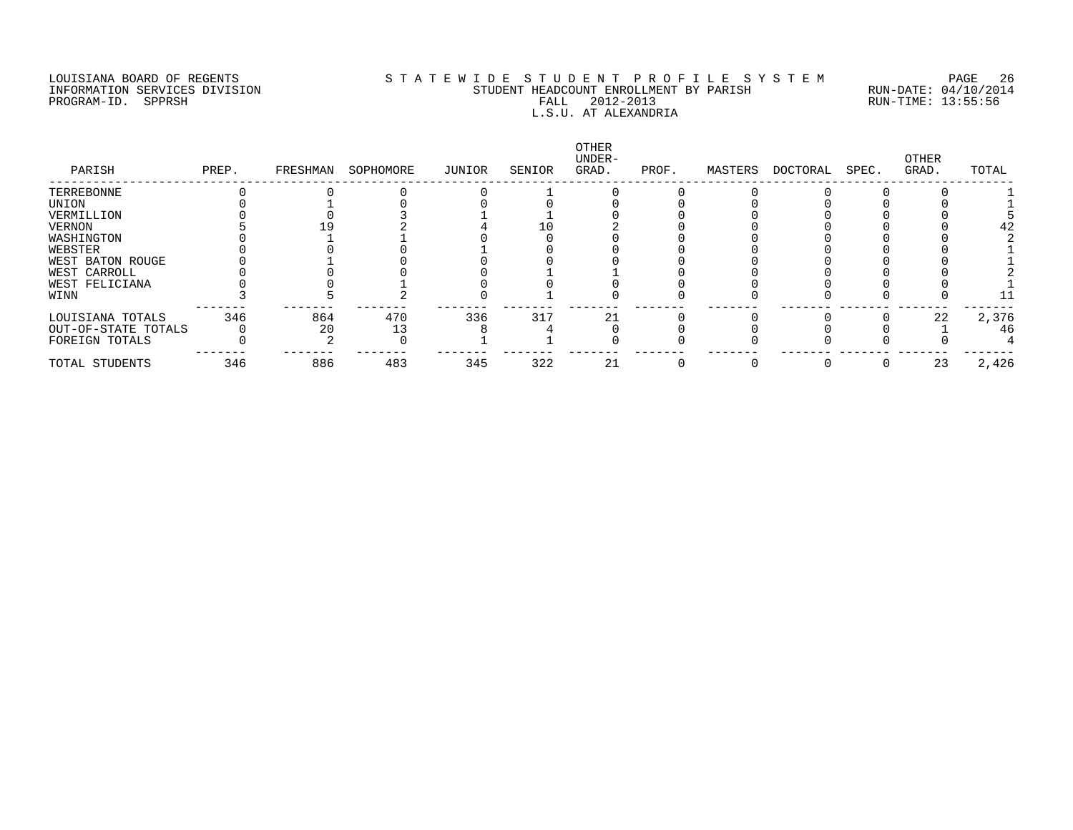## LOUISIANA BOARD OF REGENTS S T A T E W I D E S T U D E N T P R O F I L E S Y S T E M PAGE 26 INFORMATION SERVICES DIVISION STUDENT HEADCOUNT ENROLLMENT BY PARISH RUN-DATE: 04/10/2014 PROGRAM-ID. SPPRSH FALL 2012-2013 RUN-TIME: 13:55:56 HERECONT ENNOEHERNT ET FALL 2012-2013<br>L.S.U. AT ALEXANDRIA

| PARISH              | PREP. | FRESHMAN | SOPHOMORE | JUNIOR | SENIOR | OTHER<br>UNDER-<br>GRAD. | PROF. | MASTERS | DOCTORAL | SPEC. | OTHER<br>GRAD. | TOTAL |
|---------------------|-------|----------|-----------|--------|--------|--------------------------|-------|---------|----------|-------|----------------|-------|
| TERREBONNE          |       |          |           |        |        |                          |       |         |          |       |                |       |
| UNION               |       |          |           |        |        |                          |       |         |          |       |                |       |
| VERMILLION          |       |          |           |        |        |                          |       |         |          |       |                |       |
| VERNON              |       |          |           |        |        |                          |       |         |          |       |                |       |
| WASHINGTON          |       |          |           |        |        |                          |       |         |          |       |                |       |
| WEBSTER             |       |          |           |        |        |                          |       |         |          |       |                |       |
| WEST BATON ROUGE    |       |          |           |        |        |                          |       |         |          |       |                |       |
| WEST CARROLL        |       |          |           |        |        |                          |       |         |          |       |                |       |
| WEST FELICIANA      |       |          |           |        |        |                          |       |         |          |       |                |       |
| WINN                |       |          |           |        |        |                          |       |         |          |       |                |       |
| LOUISIANA TOTALS    | 346   | 864      | 470       | 336    | 317    | 21                       |       |         |          |       | 22             | 2,376 |
| OUT-OF-STATE TOTALS |       | 20       |           |        |        |                          |       |         |          |       |                | 46    |
| FOREIGN TOTALS      |       |          |           |        |        |                          |       |         |          |       |                |       |
| TOTAL STUDENTS      | 346   | 886      | 483       | 345    | 322    | 21                       |       |         |          |       | 23             | 2,426 |
|                     |       |          |           |        |        |                          |       |         |          |       |                |       |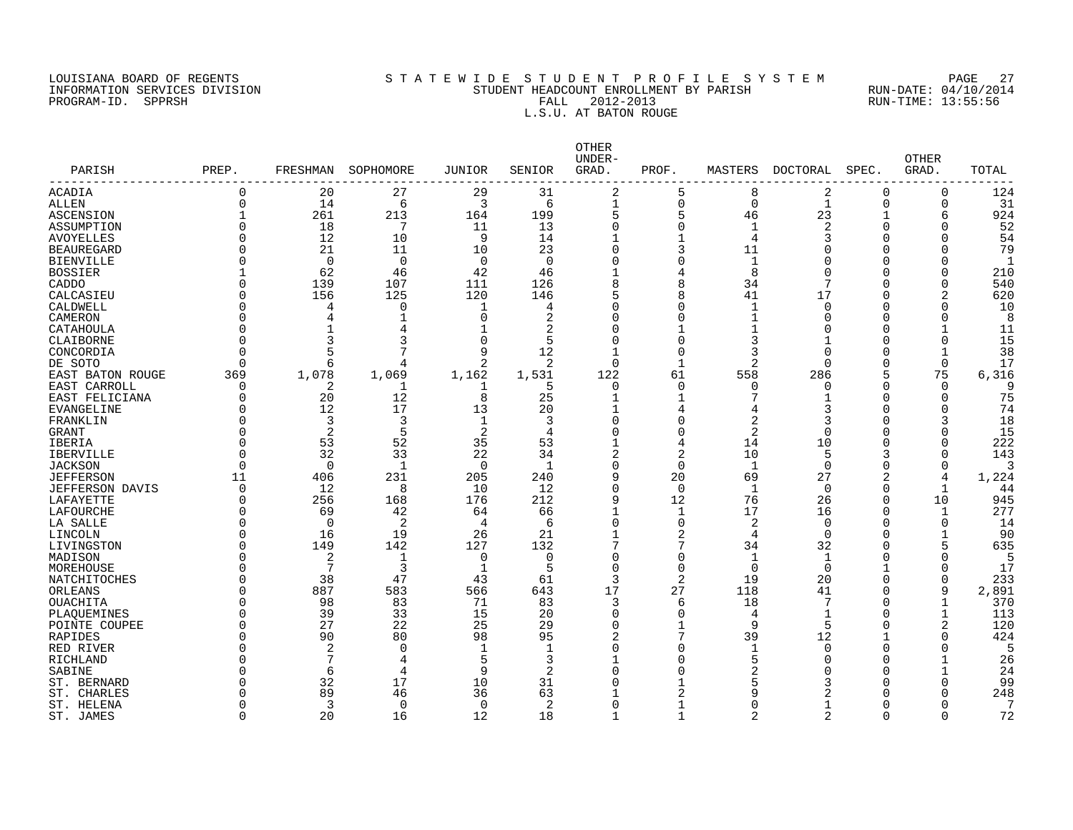#### LOUISIANA BOARD OF REGENTS S T A T E W I D E S T U D E N T P R O F I L E S Y S T E M PAGE 27 INFORMATION SERVICES DIVISION STUDENT HEADCOUNT ENROLLMENT BY PARISH RUN-DATE: 04/10/2014 PROGRAM-ID. SPPRSH FALL 2012-2013 RUN-TIME: 13:55:56 L.S.U. AT BATON ROUGE

| ----------<br>29<br>31<br>2<br>5<br>2<br>124<br>ACADIA<br>$\Omega$<br>20<br>27<br>8<br>0<br>0<br>3<br>0<br>$\mathbf{1}$<br><b>ALLEN</b><br>$\Omega$<br>14<br>6<br>6<br>$\mathbf{1}$<br>$\Omega$<br>$\mathbf 0$<br>0<br>31<br>5<br>261<br>213<br>199<br>5<br>23<br>924<br>ASCENSION<br>164<br>46<br>-1<br>6<br>18<br>13<br>2<br>52<br>$\Omega$<br>7<br>11<br>$\Omega$<br>0<br>1<br>O<br>ASSUMPTION<br>U<br>12<br>9<br>54<br><b>AVOYELLES</b><br>$\Omega$<br>10<br>14<br>$\mathbf{1}$<br>$\overline{4}$<br>3<br>$\Omega$<br>O<br>21<br>23<br>3<br>79<br>$\Omega$<br>11<br>10<br><b>BEAUREGARD</b><br>11<br>C<br>O<br>O<br>$\Omega$<br>$\Omega$<br>$\Omega$<br>$\Omega$<br>0<br><b>BIENVILLE</b><br>$\Omega$<br>$\mathbf 1$<br>O<br>0<br>-1<br>O<br>62<br>46<br>42<br>8<br>210<br><b>BOSSIER</b><br>46<br>4<br>O<br>U<br>U<br>8<br>540<br>139<br>107<br>111<br>126<br>34<br>7<br><b>CADDO</b><br>∩<br>$\Omega$<br>0<br>620<br>156<br>125<br>120<br>8<br>41<br>17<br>CALCASIEU<br>∩<br>146<br>C<br>CALDWELL<br>$\Omega$<br>4<br>0<br>U<br>0<br>1<br>$\Omega$<br>10<br>-1<br>4<br>O<br>O<br>8<br>CAMERON<br>$\Omega$<br>2<br>U<br>0<br>O<br>0<br>4<br>U<br>2<br>11<br>CATAHOULA<br>∩<br>4<br>1<br>C<br>C<br>1<br>15<br>3<br>$\Omega$<br>5<br>0<br>$\Omega$<br>CLAIBORNE<br>∩<br>3<br>$\Omega$<br>3<br>O<br>7<br>12<br>$\Omega$<br>9<br>$\Omega$<br>38<br>CONCORDIA<br>3<br>$\Omega$<br>0<br>$\mathbf{1}$<br>17<br>2<br>2<br>$\overline{2}$<br>$\Omega$<br>DE SOTO<br>∩<br>$\Omega$<br>1<br>$\Omega$<br>$\Omega$<br>6<br>4<br>1,078<br>122<br>5<br>75<br>6,316<br>369<br>1,069<br>1,162<br>1,531<br>61<br>558<br>286<br>EAST BATON ROUGE<br>EAST CARROLL<br>2<br>5<br>$\Omega$<br>O<br>q<br>∩<br>O<br>O<br><sup>0</sup><br>n<br>-1<br>20<br>12<br>8<br>25<br>7<br>75<br>EAST FELICIANA<br>$\Omega$<br>$\mathbf{1}$<br>1<br>$\Omega$<br>$\Omega$<br>74<br>12<br>17<br>13<br>20<br>EVANGELINE<br>4<br>3<br>$\cap$<br>U<br>∩<br>4<br>18<br>3<br>3<br>1<br>3<br>0<br>2<br>FRANKLIN<br>∩<br>3<br>O<br>5<br>2<br>2<br>$\overline{2}$<br>15<br><b>GRANT</b><br>$\Omega$<br>O<br>$\Omega$<br>4<br>C<br>O<br>52<br>35<br>222<br>53<br>$\Omega$<br>53<br>14<br>10<br>IBERIA<br>4<br>0<br>$\Omega$<br>32<br>33<br>22<br>2<br>2<br>10<br>5<br>143<br>$\Omega$<br>34<br>3<br>$\Omega$<br><b>IBERVILLE</b><br>$\Omega$<br><b>JACKSON</b><br>$\Omega$<br>1<br>$\Omega$<br>$\mathbf{1}$<br>$\mathbf{1}$<br>$\Omega$<br>$\Omega$<br>$\Omega$<br>∩<br>3<br>20<br>27<br>11<br>406<br>231<br>205<br>240<br>q<br>69<br>2<br>4<br>1,224<br><b>JEFFERSON</b><br>12<br>8<br>10<br>12<br>$\mathbf 1$<br>$\mathbf 0$<br>44<br><b>JEFFERSON DAVIS</b><br>$\Omega$<br>0<br>0<br>$\mathbf{1}$<br>256<br>176<br>212<br>12<br>76<br>26<br>945<br>LAFAYETTE<br>∩<br>168<br>9<br>0<br>10<br>277<br>LAFOURCHE<br>69<br>42<br>64<br>66<br>17<br>16<br>O<br>1<br><sup>0</sup><br>1<br>LA SALLE<br>$\Omega$<br>2<br>$\overline{4}$<br>6<br>$\Omega$<br>$\Omega$<br>2<br>0<br>14<br>$\Omega$<br>$\Omega$<br>$\Omega$<br>19<br>26<br>21<br>2<br>LINCOLN<br>16<br>$\mathbf 0$<br>90<br>∩<br>4<br>$\Omega$<br>$\mathbf 1$<br>142<br>132<br>7<br>32<br>635<br>149<br>127<br>34<br>5<br>LIVINGSTON<br>$\Omega$<br>0<br>2<br>$\mathbf 0$<br>$\Omega$<br>$\Omega$<br>MADISON<br>∩<br>1<br>$\mathbf 0$<br>$\mathbf 1$<br>$\mathbf 1$<br>$\Omega$<br>$\Omega$<br>5<br>17<br>7<br>3<br>$\mathbf{1}$<br>5<br>$\Omega$<br>$\Omega$<br>$\Omega$<br>$\Omega$<br>$\Omega$<br>∩<br>$\mathbf 1$<br>233<br>NATCHITOCHES<br>38<br>47<br>43<br>61<br>3<br>2<br>19<br>20<br>$\Omega$<br>∩<br>$\Omega$<br>583<br>17<br>27<br>118<br>41<br>9<br>2,891<br>ORLEANS<br>∩<br>887<br>566<br>643<br>$\Omega$<br>98<br>83<br>71<br>83<br>18<br>7<br>370<br>OUACHITA<br>∩<br>3<br>$\Omega$<br>$\mathbf 1$<br>6<br>33<br>15<br>39<br>20<br>$\Omega$<br>$\Omega$<br>$\mathbf 1$<br>1<br>113<br>PLAQUEMINES<br>O<br>4<br>O<br>25<br>120<br>27<br>22<br>9<br>5<br>2<br>$\Omega$<br>29<br>$\Omega$<br>POINTE COUPEE<br>1<br>$\Omega$<br>7<br>424<br>90<br>80<br>98<br>95<br>$\overline{c}$<br>39<br>12<br>RAPIDES<br>$\Omega$<br>$\Omega$<br>2<br>$\mathbf 0$<br>$\Omega$<br>0<br>$\Omega$<br>5<br>RED RIVER<br>$\Omega$<br>1<br>-1<br>$\mathbf 1$<br>O<br>0<br>7<br>5<br>3<br>0<br>5<br>26<br>RICHLAND<br>4<br>O<br>U<br>9<br>6<br>4<br>2<br>0<br>2<br>24<br>U<br>U<br>SABINE<br>32<br>17<br>10<br>31<br>99<br>ST. BERNARD<br>5<br>3<br>0<br>U<br>89<br>46<br>36<br>63<br>2<br>248<br>ST. CHARLES<br>9<br>2<br>0<br>U<br>ST. HELENA<br>3<br>0<br>0<br>2<br>$\Omega$<br>∩<br>1<br>O<br>U<br>16<br>2<br>2<br>72<br>ST. JAMES<br>$\Omega$<br>20<br>12<br>18<br>1<br>$\Omega$<br>0<br>$\mathbf{1}$ | PARISH    | PREP. | FRESHMAN | SOPHOMORE | JUNIOR | SENIOR | OTHER<br>UNDER-<br>GRAD. | PROF. | MASTERS | <b>DOCTORAL</b> | SPEC. | <b>OTHER</b><br>GRAD. | TOTAL |
|-----------------------------------------------------------------------------------------------------------------------------------------------------------------------------------------------------------------------------------------------------------------------------------------------------------------------------------------------------------------------------------------------------------------------------------------------------------------------------------------------------------------------------------------------------------------------------------------------------------------------------------------------------------------------------------------------------------------------------------------------------------------------------------------------------------------------------------------------------------------------------------------------------------------------------------------------------------------------------------------------------------------------------------------------------------------------------------------------------------------------------------------------------------------------------------------------------------------------------------------------------------------------------------------------------------------------------------------------------------------------------------------------------------------------------------------------------------------------------------------------------------------------------------------------------------------------------------------------------------------------------------------------------------------------------------------------------------------------------------------------------------------------------------------------------------------------------------------------------------------------------------------------------------------------------------------------------------------------------------------------------------------------------------------------------------------------------------------------------------------------------------------------------------------------------------------------------------------------------------------------------------------------------------------------------------------------------------------------------------------------------------------------------------------------------------------------------------------------------------------------------------------------------------------------------------------------------------------------------------------------------------------------------------------------------------------------------------------------------------------------------------------------------------------------------------------------------------------------------------------------------------------------------------------------------------------------------------------------------------------------------------------------------------------------------------------------------------------------------------------------------------------------------------------------------------------------------------------------------------------------------------------------------------------------------------------------------------------------------------------------------------------------------------------------------------------------------------------------------------------------------------------------------------------------------------------------------------------------------------------------------------------------------------------------------------------------------------------------------------------------------------------------------------------------------------------------------------------------------------------------------------------------------------------------------------------------------------------------------------------------------------------------------------------------------------------------------------------------------------------------------------------------------------------------------------------------------------------------------------------------------------------------------------------------------------------------------------------------------------------------------------------------------------------------------------------------------------------------------------------------------------------------------------------------------------------------------------------------------------------|-----------|-------|----------|-----------|--------|--------|--------------------------|-------|---------|-----------------|-------|-----------------------|-------|
|                                                                                                                                                                                                                                                                                                                                                                                                                                                                                                                                                                                                                                                                                                                                                                                                                                                                                                                                                                                                                                                                                                                                                                                                                                                                                                                                                                                                                                                                                                                                                                                                                                                                                                                                                                                                                                                                                                                                                                                                                                                                                                                                                                                                                                                                                                                                                                                                                                                                                                                                                                                                                                                                                                                                                                                                                                                                                                                                                                                                                                                                                                                                                                                                                                                                                                                                                                                                                                                                                                                                                                                                                                                                                                                                                                                                                                                                                                                                                                                                                                                                                                                                                                                                                                                                                                                                                                                                                                                                                                                                                                                                                 |           |       |          |           |        |        |                          |       |         |                 |       |                       |       |
|                                                                                                                                                                                                                                                                                                                                                                                                                                                                                                                                                                                                                                                                                                                                                                                                                                                                                                                                                                                                                                                                                                                                                                                                                                                                                                                                                                                                                                                                                                                                                                                                                                                                                                                                                                                                                                                                                                                                                                                                                                                                                                                                                                                                                                                                                                                                                                                                                                                                                                                                                                                                                                                                                                                                                                                                                                                                                                                                                                                                                                                                                                                                                                                                                                                                                                                                                                                                                                                                                                                                                                                                                                                                                                                                                                                                                                                                                                                                                                                                                                                                                                                                                                                                                                                                                                                                                                                                                                                                                                                                                                                                                 |           |       |          |           |        |        |                          |       |         |                 |       |                       |       |
|                                                                                                                                                                                                                                                                                                                                                                                                                                                                                                                                                                                                                                                                                                                                                                                                                                                                                                                                                                                                                                                                                                                                                                                                                                                                                                                                                                                                                                                                                                                                                                                                                                                                                                                                                                                                                                                                                                                                                                                                                                                                                                                                                                                                                                                                                                                                                                                                                                                                                                                                                                                                                                                                                                                                                                                                                                                                                                                                                                                                                                                                                                                                                                                                                                                                                                                                                                                                                                                                                                                                                                                                                                                                                                                                                                                                                                                                                                                                                                                                                                                                                                                                                                                                                                                                                                                                                                                                                                                                                                                                                                                                                 |           |       |          |           |        |        |                          |       |         |                 |       |                       |       |
|                                                                                                                                                                                                                                                                                                                                                                                                                                                                                                                                                                                                                                                                                                                                                                                                                                                                                                                                                                                                                                                                                                                                                                                                                                                                                                                                                                                                                                                                                                                                                                                                                                                                                                                                                                                                                                                                                                                                                                                                                                                                                                                                                                                                                                                                                                                                                                                                                                                                                                                                                                                                                                                                                                                                                                                                                                                                                                                                                                                                                                                                                                                                                                                                                                                                                                                                                                                                                                                                                                                                                                                                                                                                                                                                                                                                                                                                                                                                                                                                                                                                                                                                                                                                                                                                                                                                                                                                                                                                                                                                                                                                                 |           |       |          |           |        |        |                          |       |         |                 |       |                       |       |
|                                                                                                                                                                                                                                                                                                                                                                                                                                                                                                                                                                                                                                                                                                                                                                                                                                                                                                                                                                                                                                                                                                                                                                                                                                                                                                                                                                                                                                                                                                                                                                                                                                                                                                                                                                                                                                                                                                                                                                                                                                                                                                                                                                                                                                                                                                                                                                                                                                                                                                                                                                                                                                                                                                                                                                                                                                                                                                                                                                                                                                                                                                                                                                                                                                                                                                                                                                                                                                                                                                                                                                                                                                                                                                                                                                                                                                                                                                                                                                                                                                                                                                                                                                                                                                                                                                                                                                                                                                                                                                                                                                                                                 |           |       |          |           |        |        |                          |       |         |                 |       |                       |       |
|                                                                                                                                                                                                                                                                                                                                                                                                                                                                                                                                                                                                                                                                                                                                                                                                                                                                                                                                                                                                                                                                                                                                                                                                                                                                                                                                                                                                                                                                                                                                                                                                                                                                                                                                                                                                                                                                                                                                                                                                                                                                                                                                                                                                                                                                                                                                                                                                                                                                                                                                                                                                                                                                                                                                                                                                                                                                                                                                                                                                                                                                                                                                                                                                                                                                                                                                                                                                                                                                                                                                                                                                                                                                                                                                                                                                                                                                                                                                                                                                                                                                                                                                                                                                                                                                                                                                                                                                                                                                                                                                                                                                                 |           |       |          |           |        |        |                          |       |         |                 |       |                       |       |
|                                                                                                                                                                                                                                                                                                                                                                                                                                                                                                                                                                                                                                                                                                                                                                                                                                                                                                                                                                                                                                                                                                                                                                                                                                                                                                                                                                                                                                                                                                                                                                                                                                                                                                                                                                                                                                                                                                                                                                                                                                                                                                                                                                                                                                                                                                                                                                                                                                                                                                                                                                                                                                                                                                                                                                                                                                                                                                                                                                                                                                                                                                                                                                                                                                                                                                                                                                                                                                                                                                                                                                                                                                                                                                                                                                                                                                                                                                                                                                                                                                                                                                                                                                                                                                                                                                                                                                                                                                                                                                                                                                                                                 |           |       |          |           |        |        |                          |       |         |                 |       |                       |       |
|                                                                                                                                                                                                                                                                                                                                                                                                                                                                                                                                                                                                                                                                                                                                                                                                                                                                                                                                                                                                                                                                                                                                                                                                                                                                                                                                                                                                                                                                                                                                                                                                                                                                                                                                                                                                                                                                                                                                                                                                                                                                                                                                                                                                                                                                                                                                                                                                                                                                                                                                                                                                                                                                                                                                                                                                                                                                                                                                                                                                                                                                                                                                                                                                                                                                                                                                                                                                                                                                                                                                                                                                                                                                                                                                                                                                                                                                                                                                                                                                                                                                                                                                                                                                                                                                                                                                                                                                                                                                                                                                                                                                                 |           |       |          |           |        |        |                          |       |         |                 |       |                       |       |
|                                                                                                                                                                                                                                                                                                                                                                                                                                                                                                                                                                                                                                                                                                                                                                                                                                                                                                                                                                                                                                                                                                                                                                                                                                                                                                                                                                                                                                                                                                                                                                                                                                                                                                                                                                                                                                                                                                                                                                                                                                                                                                                                                                                                                                                                                                                                                                                                                                                                                                                                                                                                                                                                                                                                                                                                                                                                                                                                                                                                                                                                                                                                                                                                                                                                                                                                                                                                                                                                                                                                                                                                                                                                                                                                                                                                                                                                                                                                                                                                                                                                                                                                                                                                                                                                                                                                                                                                                                                                                                                                                                                                                 |           |       |          |           |        |        |                          |       |         |                 |       |                       |       |
|                                                                                                                                                                                                                                                                                                                                                                                                                                                                                                                                                                                                                                                                                                                                                                                                                                                                                                                                                                                                                                                                                                                                                                                                                                                                                                                                                                                                                                                                                                                                                                                                                                                                                                                                                                                                                                                                                                                                                                                                                                                                                                                                                                                                                                                                                                                                                                                                                                                                                                                                                                                                                                                                                                                                                                                                                                                                                                                                                                                                                                                                                                                                                                                                                                                                                                                                                                                                                                                                                                                                                                                                                                                                                                                                                                                                                                                                                                                                                                                                                                                                                                                                                                                                                                                                                                                                                                                                                                                                                                                                                                                                                 |           |       |          |           |        |        |                          |       |         |                 |       |                       |       |
|                                                                                                                                                                                                                                                                                                                                                                                                                                                                                                                                                                                                                                                                                                                                                                                                                                                                                                                                                                                                                                                                                                                                                                                                                                                                                                                                                                                                                                                                                                                                                                                                                                                                                                                                                                                                                                                                                                                                                                                                                                                                                                                                                                                                                                                                                                                                                                                                                                                                                                                                                                                                                                                                                                                                                                                                                                                                                                                                                                                                                                                                                                                                                                                                                                                                                                                                                                                                                                                                                                                                                                                                                                                                                                                                                                                                                                                                                                                                                                                                                                                                                                                                                                                                                                                                                                                                                                                                                                                                                                                                                                                                                 |           |       |          |           |        |        |                          |       |         |                 |       |                       |       |
|                                                                                                                                                                                                                                                                                                                                                                                                                                                                                                                                                                                                                                                                                                                                                                                                                                                                                                                                                                                                                                                                                                                                                                                                                                                                                                                                                                                                                                                                                                                                                                                                                                                                                                                                                                                                                                                                                                                                                                                                                                                                                                                                                                                                                                                                                                                                                                                                                                                                                                                                                                                                                                                                                                                                                                                                                                                                                                                                                                                                                                                                                                                                                                                                                                                                                                                                                                                                                                                                                                                                                                                                                                                                                                                                                                                                                                                                                                                                                                                                                                                                                                                                                                                                                                                                                                                                                                                                                                                                                                                                                                                                                 |           |       |          |           |        |        |                          |       |         |                 |       |                       |       |
|                                                                                                                                                                                                                                                                                                                                                                                                                                                                                                                                                                                                                                                                                                                                                                                                                                                                                                                                                                                                                                                                                                                                                                                                                                                                                                                                                                                                                                                                                                                                                                                                                                                                                                                                                                                                                                                                                                                                                                                                                                                                                                                                                                                                                                                                                                                                                                                                                                                                                                                                                                                                                                                                                                                                                                                                                                                                                                                                                                                                                                                                                                                                                                                                                                                                                                                                                                                                                                                                                                                                                                                                                                                                                                                                                                                                                                                                                                                                                                                                                                                                                                                                                                                                                                                                                                                                                                                                                                                                                                                                                                                                                 |           |       |          |           |        |        |                          |       |         |                 |       |                       |       |
|                                                                                                                                                                                                                                                                                                                                                                                                                                                                                                                                                                                                                                                                                                                                                                                                                                                                                                                                                                                                                                                                                                                                                                                                                                                                                                                                                                                                                                                                                                                                                                                                                                                                                                                                                                                                                                                                                                                                                                                                                                                                                                                                                                                                                                                                                                                                                                                                                                                                                                                                                                                                                                                                                                                                                                                                                                                                                                                                                                                                                                                                                                                                                                                                                                                                                                                                                                                                                                                                                                                                                                                                                                                                                                                                                                                                                                                                                                                                                                                                                                                                                                                                                                                                                                                                                                                                                                                                                                                                                                                                                                                                                 |           |       |          |           |        |        |                          |       |         |                 |       |                       |       |
|                                                                                                                                                                                                                                                                                                                                                                                                                                                                                                                                                                                                                                                                                                                                                                                                                                                                                                                                                                                                                                                                                                                                                                                                                                                                                                                                                                                                                                                                                                                                                                                                                                                                                                                                                                                                                                                                                                                                                                                                                                                                                                                                                                                                                                                                                                                                                                                                                                                                                                                                                                                                                                                                                                                                                                                                                                                                                                                                                                                                                                                                                                                                                                                                                                                                                                                                                                                                                                                                                                                                                                                                                                                                                                                                                                                                                                                                                                                                                                                                                                                                                                                                                                                                                                                                                                                                                                                                                                                                                                                                                                                                                 |           |       |          |           |        |        |                          |       |         |                 |       |                       |       |
|                                                                                                                                                                                                                                                                                                                                                                                                                                                                                                                                                                                                                                                                                                                                                                                                                                                                                                                                                                                                                                                                                                                                                                                                                                                                                                                                                                                                                                                                                                                                                                                                                                                                                                                                                                                                                                                                                                                                                                                                                                                                                                                                                                                                                                                                                                                                                                                                                                                                                                                                                                                                                                                                                                                                                                                                                                                                                                                                                                                                                                                                                                                                                                                                                                                                                                                                                                                                                                                                                                                                                                                                                                                                                                                                                                                                                                                                                                                                                                                                                                                                                                                                                                                                                                                                                                                                                                                                                                                                                                                                                                                                                 |           |       |          |           |        |        |                          |       |         |                 |       |                       |       |
|                                                                                                                                                                                                                                                                                                                                                                                                                                                                                                                                                                                                                                                                                                                                                                                                                                                                                                                                                                                                                                                                                                                                                                                                                                                                                                                                                                                                                                                                                                                                                                                                                                                                                                                                                                                                                                                                                                                                                                                                                                                                                                                                                                                                                                                                                                                                                                                                                                                                                                                                                                                                                                                                                                                                                                                                                                                                                                                                                                                                                                                                                                                                                                                                                                                                                                                                                                                                                                                                                                                                                                                                                                                                                                                                                                                                                                                                                                                                                                                                                                                                                                                                                                                                                                                                                                                                                                                                                                                                                                                                                                                                                 |           |       |          |           |        |        |                          |       |         |                 |       |                       |       |
|                                                                                                                                                                                                                                                                                                                                                                                                                                                                                                                                                                                                                                                                                                                                                                                                                                                                                                                                                                                                                                                                                                                                                                                                                                                                                                                                                                                                                                                                                                                                                                                                                                                                                                                                                                                                                                                                                                                                                                                                                                                                                                                                                                                                                                                                                                                                                                                                                                                                                                                                                                                                                                                                                                                                                                                                                                                                                                                                                                                                                                                                                                                                                                                                                                                                                                                                                                                                                                                                                                                                                                                                                                                                                                                                                                                                                                                                                                                                                                                                                                                                                                                                                                                                                                                                                                                                                                                                                                                                                                                                                                                                                 |           |       |          |           |        |        |                          |       |         |                 |       |                       |       |
|                                                                                                                                                                                                                                                                                                                                                                                                                                                                                                                                                                                                                                                                                                                                                                                                                                                                                                                                                                                                                                                                                                                                                                                                                                                                                                                                                                                                                                                                                                                                                                                                                                                                                                                                                                                                                                                                                                                                                                                                                                                                                                                                                                                                                                                                                                                                                                                                                                                                                                                                                                                                                                                                                                                                                                                                                                                                                                                                                                                                                                                                                                                                                                                                                                                                                                                                                                                                                                                                                                                                                                                                                                                                                                                                                                                                                                                                                                                                                                                                                                                                                                                                                                                                                                                                                                                                                                                                                                                                                                                                                                                                                 |           |       |          |           |        |        |                          |       |         |                 |       |                       |       |
|                                                                                                                                                                                                                                                                                                                                                                                                                                                                                                                                                                                                                                                                                                                                                                                                                                                                                                                                                                                                                                                                                                                                                                                                                                                                                                                                                                                                                                                                                                                                                                                                                                                                                                                                                                                                                                                                                                                                                                                                                                                                                                                                                                                                                                                                                                                                                                                                                                                                                                                                                                                                                                                                                                                                                                                                                                                                                                                                                                                                                                                                                                                                                                                                                                                                                                                                                                                                                                                                                                                                                                                                                                                                                                                                                                                                                                                                                                                                                                                                                                                                                                                                                                                                                                                                                                                                                                                                                                                                                                                                                                                                                 |           |       |          |           |        |        |                          |       |         |                 |       |                       |       |
|                                                                                                                                                                                                                                                                                                                                                                                                                                                                                                                                                                                                                                                                                                                                                                                                                                                                                                                                                                                                                                                                                                                                                                                                                                                                                                                                                                                                                                                                                                                                                                                                                                                                                                                                                                                                                                                                                                                                                                                                                                                                                                                                                                                                                                                                                                                                                                                                                                                                                                                                                                                                                                                                                                                                                                                                                                                                                                                                                                                                                                                                                                                                                                                                                                                                                                                                                                                                                                                                                                                                                                                                                                                                                                                                                                                                                                                                                                                                                                                                                                                                                                                                                                                                                                                                                                                                                                                                                                                                                                                                                                                                                 |           |       |          |           |        |        |                          |       |         |                 |       |                       |       |
|                                                                                                                                                                                                                                                                                                                                                                                                                                                                                                                                                                                                                                                                                                                                                                                                                                                                                                                                                                                                                                                                                                                                                                                                                                                                                                                                                                                                                                                                                                                                                                                                                                                                                                                                                                                                                                                                                                                                                                                                                                                                                                                                                                                                                                                                                                                                                                                                                                                                                                                                                                                                                                                                                                                                                                                                                                                                                                                                                                                                                                                                                                                                                                                                                                                                                                                                                                                                                                                                                                                                                                                                                                                                                                                                                                                                                                                                                                                                                                                                                                                                                                                                                                                                                                                                                                                                                                                                                                                                                                                                                                                                                 |           |       |          |           |        |        |                          |       |         |                 |       |                       |       |
|                                                                                                                                                                                                                                                                                                                                                                                                                                                                                                                                                                                                                                                                                                                                                                                                                                                                                                                                                                                                                                                                                                                                                                                                                                                                                                                                                                                                                                                                                                                                                                                                                                                                                                                                                                                                                                                                                                                                                                                                                                                                                                                                                                                                                                                                                                                                                                                                                                                                                                                                                                                                                                                                                                                                                                                                                                                                                                                                                                                                                                                                                                                                                                                                                                                                                                                                                                                                                                                                                                                                                                                                                                                                                                                                                                                                                                                                                                                                                                                                                                                                                                                                                                                                                                                                                                                                                                                                                                                                                                                                                                                                                 |           |       |          |           |        |        |                          |       |         |                 |       |                       |       |
|                                                                                                                                                                                                                                                                                                                                                                                                                                                                                                                                                                                                                                                                                                                                                                                                                                                                                                                                                                                                                                                                                                                                                                                                                                                                                                                                                                                                                                                                                                                                                                                                                                                                                                                                                                                                                                                                                                                                                                                                                                                                                                                                                                                                                                                                                                                                                                                                                                                                                                                                                                                                                                                                                                                                                                                                                                                                                                                                                                                                                                                                                                                                                                                                                                                                                                                                                                                                                                                                                                                                                                                                                                                                                                                                                                                                                                                                                                                                                                                                                                                                                                                                                                                                                                                                                                                                                                                                                                                                                                                                                                                                                 |           |       |          |           |        |        |                          |       |         |                 |       |                       |       |
|                                                                                                                                                                                                                                                                                                                                                                                                                                                                                                                                                                                                                                                                                                                                                                                                                                                                                                                                                                                                                                                                                                                                                                                                                                                                                                                                                                                                                                                                                                                                                                                                                                                                                                                                                                                                                                                                                                                                                                                                                                                                                                                                                                                                                                                                                                                                                                                                                                                                                                                                                                                                                                                                                                                                                                                                                                                                                                                                                                                                                                                                                                                                                                                                                                                                                                                                                                                                                                                                                                                                                                                                                                                                                                                                                                                                                                                                                                                                                                                                                                                                                                                                                                                                                                                                                                                                                                                                                                                                                                                                                                                                                 |           |       |          |           |        |        |                          |       |         |                 |       |                       |       |
|                                                                                                                                                                                                                                                                                                                                                                                                                                                                                                                                                                                                                                                                                                                                                                                                                                                                                                                                                                                                                                                                                                                                                                                                                                                                                                                                                                                                                                                                                                                                                                                                                                                                                                                                                                                                                                                                                                                                                                                                                                                                                                                                                                                                                                                                                                                                                                                                                                                                                                                                                                                                                                                                                                                                                                                                                                                                                                                                                                                                                                                                                                                                                                                                                                                                                                                                                                                                                                                                                                                                                                                                                                                                                                                                                                                                                                                                                                                                                                                                                                                                                                                                                                                                                                                                                                                                                                                                                                                                                                                                                                                                                 |           |       |          |           |        |        |                          |       |         |                 |       |                       |       |
|                                                                                                                                                                                                                                                                                                                                                                                                                                                                                                                                                                                                                                                                                                                                                                                                                                                                                                                                                                                                                                                                                                                                                                                                                                                                                                                                                                                                                                                                                                                                                                                                                                                                                                                                                                                                                                                                                                                                                                                                                                                                                                                                                                                                                                                                                                                                                                                                                                                                                                                                                                                                                                                                                                                                                                                                                                                                                                                                                                                                                                                                                                                                                                                                                                                                                                                                                                                                                                                                                                                                                                                                                                                                                                                                                                                                                                                                                                                                                                                                                                                                                                                                                                                                                                                                                                                                                                                                                                                                                                                                                                                                                 |           |       |          |           |        |        |                          |       |         |                 |       |                       |       |
|                                                                                                                                                                                                                                                                                                                                                                                                                                                                                                                                                                                                                                                                                                                                                                                                                                                                                                                                                                                                                                                                                                                                                                                                                                                                                                                                                                                                                                                                                                                                                                                                                                                                                                                                                                                                                                                                                                                                                                                                                                                                                                                                                                                                                                                                                                                                                                                                                                                                                                                                                                                                                                                                                                                                                                                                                                                                                                                                                                                                                                                                                                                                                                                                                                                                                                                                                                                                                                                                                                                                                                                                                                                                                                                                                                                                                                                                                                                                                                                                                                                                                                                                                                                                                                                                                                                                                                                                                                                                                                                                                                                                                 |           |       |          |           |        |        |                          |       |         |                 |       |                       |       |
|                                                                                                                                                                                                                                                                                                                                                                                                                                                                                                                                                                                                                                                                                                                                                                                                                                                                                                                                                                                                                                                                                                                                                                                                                                                                                                                                                                                                                                                                                                                                                                                                                                                                                                                                                                                                                                                                                                                                                                                                                                                                                                                                                                                                                                                                                                                                                                                                                                                                                                                                                                                                                                                                                                                                                                                                                                                                                                                                                                                                                                                                                                                                                                                                                                                                                                                                                                                                                                                                                                                                                                                                                                                                                                                                                                                                                                                                                                                                                                                                                                                                                                                                                                                                                                                                                                                                                                                                                                                                                                                                                                                                                 |           |       |          |           |        |        |                          |       |         |                 |       |                       |       |
|                                                                                                                                                                                                                                                                                                                                                                                                                                                                                                                                                                                                                                                                                                                                                                                                                                                                                                                                                                                                                                                                                                                                                                                                                                                                                                                                                                                                                                                                                                                                                                                                                                                                                                                                                                                                                                                                                                                                                                                                                                                                                                                                                                                                                                                                                                                                                                                                                                                                                                                                                                                                                                                                                                                                                                                                                                                                                                                                                                                                                                                                                                                                                                                                                                                                                                                                                                                                                                                                                                                                                                                                                                                                                                                                                                                                                                                                                                                                                                                                                                                                                                                                                                                                                                                                                                                                                                                                                                                                                                                                                                                                                 |           |       |          |           |        |        |                          |       |         |                 |       |                       |       |
|                                                                                                                                                                                                                                                                                                                                                                                                                                                                                                                                                                                                                                                                                                                                                                                                                                                                                                                                                                                                                                                                                                                                                                                                                                                                                                                                                                                                                                                                                                                                                                                                                                                                                                                                                                                                                                                                                                                                                                                                                                                                                                                                                                                                                                                                                                                                                                                                                                                                                                                                                                                                                                                                                                                                                                                                                                                                                                                                                                                                                                                                                                                                                                                                                                                                                                                                                                                                                                                                                                                                                                                                                                                                                                                                                                                                                                                                                                                                                                                                                                                                                                                                                                                                                                                                                                                                                                                                                                                                                                                                                                                                                 |           |       |          |           |        |        |                          |       |         |                 |       |                       |       |
|                                                                                                                                                                                                                                                                                                                                                                                                                                                                                                                                                                                                                                                                                                                                                                                                                                                                                                                                                                                                                                                                                                                                                                                                                                                                                                                                                                                                                                                                                                                                                                                                                                                                                                                                                                                                                                                                                                                                                                                                                                                                                                                                                                                                                                                                                                                                                                                                                                                                                                                                                                                                                                                                                                                                                                                                                                                                                                                                                                                                                                                                                                                                                                                                                                                                                                                                                                                                                                                                                                                                                                                                                                                                                                                                                                                                                                                                                                                                                                                                                                                                                                                                                                                                                                                                                                                                                                                                                                                                                                                                                                                                                 |           |       |          |           |        |        |                          |       |         |                 |       |                       |       |
|                                                                                                                                                                                                                                                                                                                                                                                                                                                                                                                                                                                                                                                                                                                                                                                                                                                                                                                                                                                                                                                                                                                                                                                                                                                                                                                                                                                                                                                                                                                                                                                                                                                                                                                                                                                                                                                                                                                                                                                                                                                                                                                                                                                                                                                                                                                                                                                                                                                                                                                                                                                                                                                                                                                                                                                                                                                                                                                                                                                                                                                                                                                                                                                                                                                                                                                                                                                                                                                                                                                                                                                                                                                                                                                                                                                                                                                                                                                                                                                                                                                                                                                                                                                                                                                                                                                                                                                                                                                                                                                                                                                                                 |           |       |          |           |        |        |                          |       |         |                 |       |                       |       |
|                                                                                                                                                                                                                                                                                                                                                                                                                                                                                                                                                                                                                                                                                                                                                                                                                                                                                                                                                                                                                                                                                                                                                                                                                                                                                                                                                                                                                                                                                                                                                                                                                                                                                                                                                                                                                                                                                                                                                                                                                                                                                                                                                                                                                                                                                                                                                                                                                                                                                                                                                                                                                                                                                                                                                                                                                                                                                                                                                                                                                                                                                                                                                                                                                                                                                                                                                                                                                                                                                                                                                                                                                                                                                                                                                                                                                                                                                                                                                                                                                                                                                                                                                                                                                                                                                                                                                                                                                                                                                                                                                                                                                 |           |       |          |           |        |        |                          |       |         |                 |       |                       |       |
|                                                                                                                                                                                                                                                                                                                                                                                                                                                                                                                                                                                                                                                                                                                                                                                                                                                                                                                                                                                                                                                                                                                                                                                                                                                                                                                                                                                                                                                                                                                                                                                                                                                                                                                                                                                                                                                                                                                                                                                                                                                                                                                                                                                                                                                                                                                                                                                                                                                                                                                                                                                                                                                                                                                                                                                                                                                                                                                                                                                                                                                                                                                                                                                                                                                                                                                                                                                                                                                                                                                                                                                                                                                                                                                                                                                                                                                                                                                                                                                                                                                                                                                                                                                                                                                                                                                                                                                                                                                                                                                                                                                                                 | MOREHOUSE |       |          |           |        |        |                          |       |         |                 |       |                       |       |
|                                                                                                                                                                                                                                                                                                                                                                                                                                                                                                                                                                                                                                                                                                                                                                                                                                                                                                                                                                                                                                                                                                                                                                                                                                                                                                                                                                                                                                                                                                                                                                                                                                                                                                                                                                                                                                                                                                                                                                                                                                                                                                                                                                                                                                                                                                                                                                                                                                                                                                                                                                                                                                                                                                                                                                                                                                                                                                                                                                                                                                                                                                                                                                                                                                                                                                                                                                                                                                                                                                                                                                                                                                                                                                                                                                                                                                                                                                                                                                                                                                                                                                                                                                                                                                                                                                                                                                                                                                                                                                                                                                                                                 |           |       |          |           |        |        |                          |       |         |                 |       |                       |       |
|                                                                                                                                                                                                                                                                                                                                                                                                                                                                                                                                                                                                                                                                                                                                                                                                                                                                                                                                                                                                                                                                                                                                                                                                                                                                                                                                                                                                                                                                                                                                                                                                                                                                                                                                                                                                                                                                                                                                                                                                                                                                                                                                                                                                                                                                                                                                                                                                                                                                                                                                                                                                                                                                                                                                                                                                                                                                                                                                                                                                                                                                                                                                                                                                                                                                                                                                                                                                                                                                                                                                                                                                                                                                                                                                                                                                                                                                                                                                                                                                                                                                                                                                                                                                                                                                                                                                                                                                                                                                                                                                                                                                                 |           |       |          |           |        |        |                          |       |         |                 |       |                       |       |
|                                                                                                                                                                                                                                                                                                                                                                                                                                                                                                                                                                                                                                                                                                                                                                                                                                                                                                                                                                                                                                                                                                                                                                                                                                                                                                                                                                                                                                                                                                                                                                                                                                                                                                                                                                                                                                                                                                                                                                                                                                                                                                                                                                                                                                                                                                                                                                                                                                                                                                                                                                                                                                                                                                                                                                                                                                                                                                                                                                                                                                                                                                                                                                                                                                                                                                                                                                                                                                                                                                                                                                                                                                                                                                                                                                                                                                                                                                                                                                                                                                                                                                                                                                                                                                                                                                                                                                                                                                                                                                                                                                                                                 |           |       |          |           |        |        |                          |       |         |                 |       |                       |       |
|                                                                                                                                                                                                                                                                                                                                                                                                                                                                                                                                                                                                                                                                                                                                                                                                                                                                                                                                                                                                                                                                                                                                                                                                                                                                                                                                                                                                                                                                                                                                                                                                                                                                                                                                                                                                                                                                                                                                                                                                                                                                                                                                                                                                                                                                                                                                                                                                                                                                                                                                                                                                                                                                                                                                                                                                                                                                                                                                                                                                                                                                                                                                                                                                                                                                                                                                                                                                                                                                                                                                                                                                                                                                                                                                                                                                                                                                                                                                                                                                                                                                                                                                                                                                                                                                                                                                                                                                                                                                                                                                                                                                                 |           |       |          |           |        |        |                          |       |         |                 |       |                       |       |
|                                                                                                                                                                                                                                                                                                                                                                                                                                                                                                                                                                                                                                                                                                                                                                                                                                                                                                                                                                                                                                                                                                                                                                                                                                                                                                                                                                                                                                                                                                                                                                                                                                                                                                                                                                                                                                                                                                                                                                                                                                                                                                                                                                                                                                                                                                                                                                                                                                                                                                                                                                                                                                                                                                                                                                                                                                                                                                                                                                                                                                                                                                                                                                                                                                                                                                                                                                                                                                                                                                                                                                                                                                                                                                                                                                                                                                                                                                                                                                                                                                                                                                                                                                                                                                                                                                                                                                                                                                                                                                                                                                                                                 |           |       |          |           |        |        |                          |       |         |                 |       |                       |       |
|                                                                                                                                                                                                                                                                                                                                                                                                                                                                                                                                                                                                                                                                                                                                                                                                                                                                                                                                                                                                                                                                                                                                                                                                                                                                                                                                                                                                                                                                                                                                                                                                                                                                                                                                                                                                                                                                                                                                                                                                                                                                                                                                                                                                                                                                                                                                                                                                                                                                                                                                                                                                                                                                                                                                                                                                                                                                                                                                                                                                                                                                                                                                                                                                                                                                                                                                                                                                                                                                                                                                                                                                                                                                                                                                                                                                                                                                                                                                                                                                                                                                                                                                                                                                                                                                                                                                                                                                                                                                                                                                                                                                                 |           |       |          |           |        |        |                          |       |         |                 |       |                       |       |
|                                                                                                                                                                                                                                                                                                                                                                                                                                                                                                                                                                                                                                                                                                                                                                                                                                                                                                                                                                                                                                                                                                                                                                                                                                                                                                                                                                                                                                                                                                                                                                                                                                                                                                                                                                                                                                                                                                                                                                                                                                                                                                                                                                                                                                                                                                                                                                                                                                                                                                                                                                                                                                                                                                                                                                                                                                                                                                                                                                                                                                                                                                                                                                                                                                                                                                                                                                                                                                                                                                                                                                                                                                                                                                                                                                                                                                                                                                                                                                                                                                                                                                                                                                                                                                                                                                                                                                                                                                                                                                                                                                                                                 |           |       |          |           |        |        |                          |       |         |                 |       |                       |       |
|                                                                                                                                                                                                                                                                                                                                                                                                                                                                                                                                                                                                                                                                                                                                                                                                                                                                                                                                                                                                                                                                                                                                                                                                                                                                                                                                                                                                                                                                                                                                                                                                                                                                                                                                                                                                                                                                                                                                                                                                                                                                                                                                                                                                                                                                                                                                                                                                                                                                                                                                                                                                                                                                                                                                                                                                                                                                                                                                                                                                                                                                                                                                                                                                                                                                                                                                                                                                                                                                                                                                                                                                                                                                                                                                                                                                                                                                                                                                                                                                                                                                                                                                                                                                                                                                                                                                                                                                                                                                                                                                                                                                                 |           |       |          |           |        |        |                          |       |         |                 |       |                       |       |
|                                                                                                                                                                                                                                                                                                                                                                                                                                                                                                                                                                                                                                                                                                                                                                                                                                                                                                                                                                                                                                                                                                                                                                                                                                                                                                                                                                                                                                                                                                                                                                                                                                                                                                                                                                                                                                                                                                                                                                                                                                                                                                                                                                                                                                                                                                                                                                                                                                                                                                                                                                                                                                                                                                                                                                                                                                                                                                                                                                                                                                                                                                                                                                                                                                                                                                                                                                                                                                                                                                                                                                                                                                                                                                                                                                                                                                                                                                                                                                                                                                                                                                                                                                                                                                                                                                                                                                                                                                                                                                                                                                                                                 |           |       |          |           |        |        |                          |       |         |                 |       |                       |       |
|                                                                                                                                                                                                                                                                                                                                                                                                                                                                                                                                                                                                                                                                                                                                                                                                                                                                                                                                                                                                                                                                                                                                                                                                                                                                                                                                                                                                                                                                                                                                                                                                                                                                                                                                                                                                                                                                                                                                                                                                                                                                                                                                                                                                                                                                                                                                                                                                                                                                                                                                                                                                                                                                                                                                                                                                                                                                                                                                                                                                                                                                                                                                                                                                                                                                                                                                                                                                                                                                                                                                                                                                                                                                                                                                                                                                                                                                                                                                                                                                                                                                                                                                                                                                                                                                                                                                                                                                                                                                                                                                                                                                                 |           |       |          |           |        |        |                          |       |         |                 |       |                       |       |
|                                                                                                                                                                                                                                                                                                                                                                                                                                                                                                                                                                                                                                                                                                                                                                                                                                                                                                                                                                                                                                                                                                                                                                                                                                                                                                                                                                                                                                                                                                                                                                                                                                                                                                                                                                                                                                                                                                                                                                                                                                                                                                                                                                                                                                                                                                                                                                                                                                                                                                                                                                                                                                                                                                                                                                                                                                                                                                                                                                                                                                                                                                                                                                                                                                                                                                                                                                                                                                                                                                                                                                                                                                                                                                                                                                                                                                                                                                                                                                                                                                                                                                                                                                                                                                                                                                                                                                                                                                                                                                                                                                                                                 |           |       |          |           |        |        |                          |       |         |                 |       |                       |       |
|                                                                                                                                                                                                                                                                                                                                                                                                                                                                                                                                                                                                                                                                                                                                                                                                                                                                                                                                                                                                                                                                                                                                                                                                                                                                                                                                                                                                                                                                                                                                                                                                                                                                                                                                                                                                                                                                                                                                                                                                                                                                                                                                                                                                                                                                                                                                                                                                                                                                                                                                                                                                                                                                                                                                                                                                                                                                                                                                                                                                                                                                                                                                                                                                                                                                                                                                                                                                                                                                                                                                                                                                                                                                                                                                                                                                                                                                                                                                                                                                                                                                                                                                                                                                                                                                                                                                                                                                                                                                                                                                                                                                                 |           |       |          |           |        |        |                          |       |         |                 |       |                       |       |
|                                                                                                                                                                                                                                                                                                                                                                                                                                                                                                                                                                                                                                                                                                                                                                                                                                                                                                                                                                                                                                                                                                                                                                                                                                                                                                                                                                                                                                                                                                                                                                                                                                                                                                                                                                                                                                                                                                                                                                                                                                                                                                                                                                                                                                                                                                                                                                                                                                                                                                                                                                                                                                                                                                                                                                                                                                                                                                                                                                                                                                                                                                                                                                                                                                                                                                                                                                                                                                                                                                                                                                                                                                                                                                                                                                                                                                                                                                                                                                                                                                                                                                                                                                                                                                                                                                                                                                                                                                                                                                                                                                                                                 |           |       |          |           |        |        |                          |       |         |                 |       |                       |       |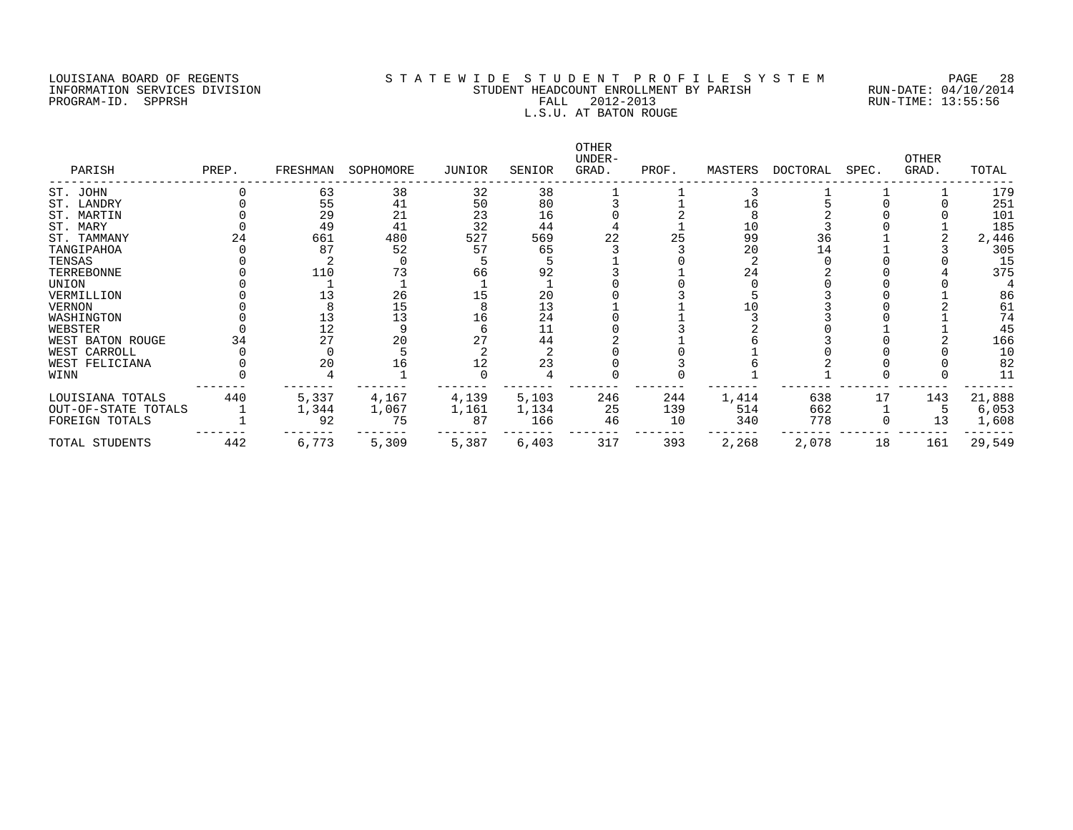#### LOUISIANA BOARD OF REGENTS S T A T E W I D E S T U D E N T P R O F I L E S Y S T E M PAGE 28 INFORMATION SERVICES DIVISION STUDENT HEADCOUNT ENROLLMENT BY PARISH RUN-DATE: 04/10/2014 PROGRAM-ID. SPPRSH FALL 2012-2013 RUN-TIME: 13:55:56 L.S.U. AT BATON ROUGE

| PARISH              | PREP. | FRESHMAN | SOPHOMORE | JUNIOR | SENIOR | OTHER<br>UNDER-<br>GRAD. | PROF. | MASTERS | DOCTORAL | SPEC. | <b>OTHER</b><br>GRAD. | TOTAL  |
|---------------------|-------|----------|-----------|--------|--------|--------------------------|-------|---------|----------|-------|-----------------------|--------|
| ST. JOHN            |       | 63       | 38        | 32     | 38     |                          |       |         |          |       |                       | 179    |
| ST. LANDRY          |       | 55       | 41        | 50     | 80     |                          |       | 16      |          |       |                       | 251    |
| ST. MARTIN          |       | 29       | 21        | 23     | 16     |                          |       |         |          |       |                       | 101    |
| ST. MARY            |       | 49       | 41        | 32     | 44     |                          |       | 10      |          |       |                       | 185    |
| ST. TAMMANY         | 24    | 661      | 480       | 527    | 569    | 22                       | 25    | 99      | 36       |       |                       | 2,446  |
| TANGIPAHOA          |       | 87       | 52        | 57     | 65     |                          |       | 20      | 14       |       |                       | 305    |
| TENSAS              |       |          |           |        |        |                          |       |         |          |       |                       | 15     |
| TERREBONNE          |       | 110      |           | 66     | 92     |                          |       | 24      |          |       |                       | 375    |
| UNION               |       |          |           |        |        |                          |       |         |          |       |                       |        |
| VERMILLION          |       |          | 26        |        | 20     |                          |       |         |          |       |                       | 86     |
| VERNON              |       |          | 15        |        | 13     |                          |       |         |          |       |                       | 61     |
| WASHINGTON          |       | 13       | 13        | 16     | 24     |                          |       |         |          |       |                       | 74     |
| WEBSTER             |       | 12       |           |        | 11     |                          |       |         |          |       |                       | 45     |
| WEST BATON ROUGE    |       | 27       | 20        |        | 44     |                          |       |         |          |       |                       | 166    |
| WEST CARROLL        |       |          |           |        |        |                          |       |         |          |       |                       | 10     |
| WEST FELICIANA      |       | 20       | 16        |        | 23     |                          |       |         |          |       |                       | 82     |
| WINN                |       |          |           |        |        |                          |       |         |          |       |                       | 11     |
| LOUISIANA TOTALS    | 440   | 5,337    | 4,167     | 4,139  | 5,103  | 246                      | 244   | 1,414   | 638      | 17    | 143                   | 21,888 |
| OUT-OF-STATE TOTALS |       | 1,344    | 1,067     | 1,161  | 1,134  | 25                       | 139   | 514     | 662      |       |                       | 6,053  |
| FOREIGN TOTALS      |       | 92       | 75        | 87     | 166    | 46                       | 10    | 340     | 778      |       |                       | 1,608  |
| TOTAL STUDENTS      | 442   | 6,773    | 5,309     | 5,387  | 6,403  | 317                      | 393   | 2,268   | 2,078    | 18    | 161                   | 29,549 |
|                     |       |          |           |        |        |                          |       |         |          |       |                       |        |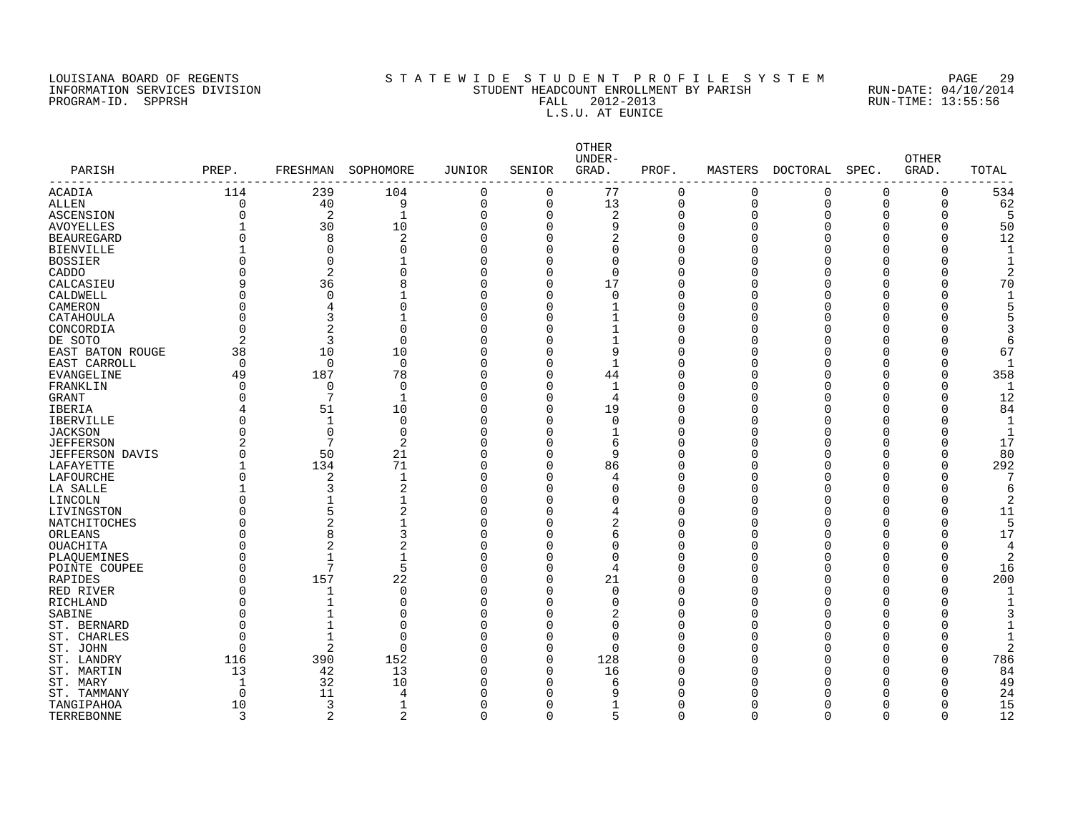PROGRAM-ID. SPPRSH

# LOUISIANA BOARD OF REGENTS SOURCLE S T A T E W I D E S T U D E N T P R O F I L E S Y S T E M PAGE 29<br>STUDENT HEADCOUNT ENROLLMENT BY PARISH RUN-DATE: 04/10/2014 INFORMATION SERVICES DIVISION STATE STILL STUDENT HEADCOUNT ENROLLMENT BY PARISH RUN-DATE: 04/10/201<br>PROGRAM-ID. SPPRSH RUN-TIME: 13:55:56 FALL 2012-2013<br>L.S.U. AT EUNICE

| PARISH                 | PREP.          | FRESHMAN       | SOPHOMORE      | JUNIOR         | SENIOR   | OTHER<br>UNDER-<br>GRAD. | PROF.       | MASTERS      | DOCTORAL    | SPEC.       | <b>OTHER</b><br>GRAD. | TOTAL |
|------------------------|----------------|----------------|----------------|----------------|----------|--------------------------|-------------|--------------|-------------|-------------|-----------------------|-------|
| ACADIA                 | 114            | 239            | 104            | $\mathbf 0$    | $\Omega$ | 77                       | $\mathbf 0$ | $\mathbf 0$  | $\Omega$    | 0           | 0                     | 534   |
| ALLEN                  | $\overline{0}$ | 40             | 9              | $\overline{0}$ | $\circ$  | 13                       | $\Omega$    | $\mathbf 0$  | $\mathbf 0$ | $\Omega$    | 0                     | 62    |
| ASCENSION              | 0              | $\overline{2}$ | 1              | $\Omega$       | $\Omega$ | $\overline{2}$           | 0           | $\Omega$     | 0           | 0           | 0                     |       |
| <b>AVOYELLES</b>       |                | 30             | 10             | $\Omega$       | $\Omega$ | 9                        | $\Omega$    | $\Omega$     | $\Omega$    | 0           | 0                     | 50    |
| <b>BEAUREGARD</b>      | 0              | 8              | $\overline{2}$ | $\Omega$       | $\Omega$ | $\overline{2}$           | 0           | $\Omega$     | U           | O           | 0                     | 12    |
| <b>BIENVILLE</b>       |                | $\Omega$       | O              | $\Omega$       | O        | $\Omega$                 | $\Omega$    | $\Omega$     |             | C           |                       |       |
| BOSSIER                | 0              | $\mathbf 0$    |                | $\Omega$       | C        | $\Omega$                 | $\Omega$    | $\Omega$     |             | Ω           | 0                     |       |
| CADDO                  | O              | 2              |                | $\Omega$       | O        | $\Omega$                 |             | $\Omega$     | Ω           | Ω           |                       |       |
| CALCASIEU              | 9              | 36             | 8              | $\mathbf 0$    | 0        | 17                       | O           | $\Omega$     | Ω           | 0           | 0                     | 70    |
| CALDWELL               | 0              | $\mathbf 0$    |                | $\Omega$       | 0        | $\mathbf 0$              | C           | $\Omega$     | Ω           | O           | O                     |       |
| CAMERON                | 0              | 4              | 0              | $\Omega$       | O        | $\mathbf{1}$             | C           | <sup>0</sup> | O           | 0           | 0                     |       |
| CATAHOULA              | $\Omega$       | 3              |                | $\Omega$       | O        | $\mathbf{1}$             | U           | $\Omega$     | O           | Ω           |                       |       |
| CONCORDIA              | $\Omega$       | 2              | $\Omega$       | $\Omega$       | C        | $\mathbf{1}$             | Λ           | <sup>n</sup> |             | O           |                       |       |
| DE SOTO                | $\overline{a}$ | 3              | $\Omega$       | $\Omega$       | U        | $\mathbf{1}$             | U           | $\Omega$     | O           | O           |                       | 6     |
| EAST BATON ROUGE       | 38             | 10             | 10             | $\Omega$       | C        | 9                        |             | $\Omega$     | C           | Ω           |                       | 67    |
| EAST CARROLL           | $\mathbf 0$    | $\mathbf 0$    | $\mathbf 0$    | $\Omega$       | O        | $\mathbf 1$              | U           | $\Omega$     | ∩           | O           | 0                     |       |
| EVANGELINE             | 49             | 187            | 78             | $\Omega$       | 0        | 44                       | Λ           | $\Omega$     |             | Ω           | 0                     | 358   |
| FRANKLIN               | $\Omega$       | $\mathbf 0$    | 0              | $\Omega$       | 0        | $\mathbf{1}$             | Ω           | $\Omega$     | Ω           | O           | 0                     |       |
| <b>GRANT</b>           | 0              | 7              | 1              | $\Omega$       | 0        | $\overline{4}$           | Λ           | $\Omega$     |             | Ω           | O                     | 12    |
| IBERIA                 | 4              | 51             | 10             | $\Omega$       | $\Omega$ | 19                       | C           | $\Omega$     |             | C           | O                     | 84    |
| <b>IBERVILLE</b>       | O              | $\mathbf{1}$   | $\Omega$       | $\Omega$       | O        | $\Omega$                 |             | $\Omega$     |             | Ω           |                       |       |
| <b>JACKSON</b>         | O              | $\Omega$       | $\Omega$       | $\Omega$       | O        |                          |             | $\Omega$     | C           | Ω           |                       |       |
| <b>JEFFERSON</b>       | 2              | 7              | $\overline{2}$ | $\Omega$       | O        | 6                        | U           | $\Omega$     | O           | O           |                       | 17    |
| <b>JEFFERSON DAVIS</b> | O              | 50             | 21             | $\Omega$       | O        | 9                        | Λ           | <sup>0</sup> | O           | O           | O                     | 80    |
| LAFAYETTE              |                | 134            | 71             | $\Omega$       | O        | 86                       | Λ           | U            | U           | O           | O                     | 292   |
| LAFOURCHE              | O              | 2              | 1              | $\Omega$       | O        | 4                        | Λ           | U            | U           | U           | O                     |       |
| LA SALLE               |                | 3              | $\overline{2}$ | $\Omega$       | O        | $\Omega$                 | U           | U            | U           | U           | U                     |       |
| LINCOLN                | O              | $\overline{1}$ | 1              | $\Omega$       | O        | U                        |             | <sup>n</sup> |             | U           | O                     |       |
| LIVINGSTON             | O              | 5              | $\overline{c}$ | $\Omega$       | U        |                          | U           | <sup>n</sup> | Π           | U           | U                     | 11    |
| NATCHITOCHES           | 0              | $\overline{2}$ |                | $\Omega$       | C        | 2                        |             | n            | ſ           | Ω           |                       |       |
| ORLEANS                | 0              | 8              | 3              | $\Omega$       | C        | 6                        | ∩           | $\Omega$     | ∩           | U           | O                     | 17    |
| OUACHITA               | 0              | 2              | 2              | $\Omega$       | C        | O                        | Λ           | <sup>n</sup> |             | Ω           |                       |       |
| PLAOUEMINES            | 0              | $\mathbf{1}$   | 1              | $\Omega$       | U        | $\Omega$                 |             | <sup>n</sup> |             | Ω           | U                     | 2     |
| POINTE COUPEE          | O              | 7              | 5              | $\Omega$       | O        | $\overline{4}$           |             | <sup>n</sup> | ∩           | Ω           |                       | 16    |
| RAPIDES                | O              | 157            | 22             | $\Omega$       | 0        | 21                       |             | <sup>n</sup> | ∩           | O           | O                     | 200   |
| RED RIVER              | O              | 1              | $\Omega$       | $\Omega$       | O        | $\Omega$                 | U           | U            | Π           | U           | Ω                     |       |
| RICHLAND               | O              |                | O              | $\Omega$       | U        | $\Omega$                 | Λ           | O            | Ω           | Ω           | O                     |       |
| SABINE                 | $\Omega$       |                | U              | $\Omega$       | O        | 2                        | U           | U            | U           | O           |                       |       |
| ST. BERNARD            | 0              |                |                | $\Omega$       | U        | $\Omega$                 | ∩           | U            | Π           | U           |                       |       |
| ST. CHARLES            | $\Omega$       | $\mathbf{1}$   | O              | $\Omega$       | O        | $\Omega$                 | U           | ∩            | U           | U           |                       |       |
| ST. JOHN               | Ω              | 2              | ∩              | $\Omega$       | 0        | $\Omega$                 |             | n            |             | U           |                       |       |
| ST. LANDRY             | 116            | 390            | 152            | $\Omega$       | $\Omega$ | 128                      |             | <sup>n</sup> |             | U           | U                     | 786   |
| ST. MARTIN             | 13             | 42             | 13             | $\Omega$       | 0        | 16                       |             | ∩            |             | O           | U                     | 84    |
| ST. MARY               | 1              | 32             | 10             | $\Omega$       | O        | 6                        |             | ∩            |             | O           | O                     | 49    |
| ST. TAMMANY            | 0              | 11             | 4              | $\Omega$       | O        | 9                        |             |              |             | O           | O                     | 24    |
| TANGIPAHOA             | 10             | 3              | 1              | $\Omega$       | 0        |                          | O           | <sup>0</sup> |             | O           | O                     | 15    |
| TERREBONNE             | 3              | 2              | 2              | $\mathbf 0$    | $\Omega$ | 5                        | $\mathbf 0$ | $\Omega$     | $\Omega$    | $\mathbf 0$ | $\Omega$              | 12    |
|                        |                |                |                |                |          |                          |             |              |             |             |                       |       |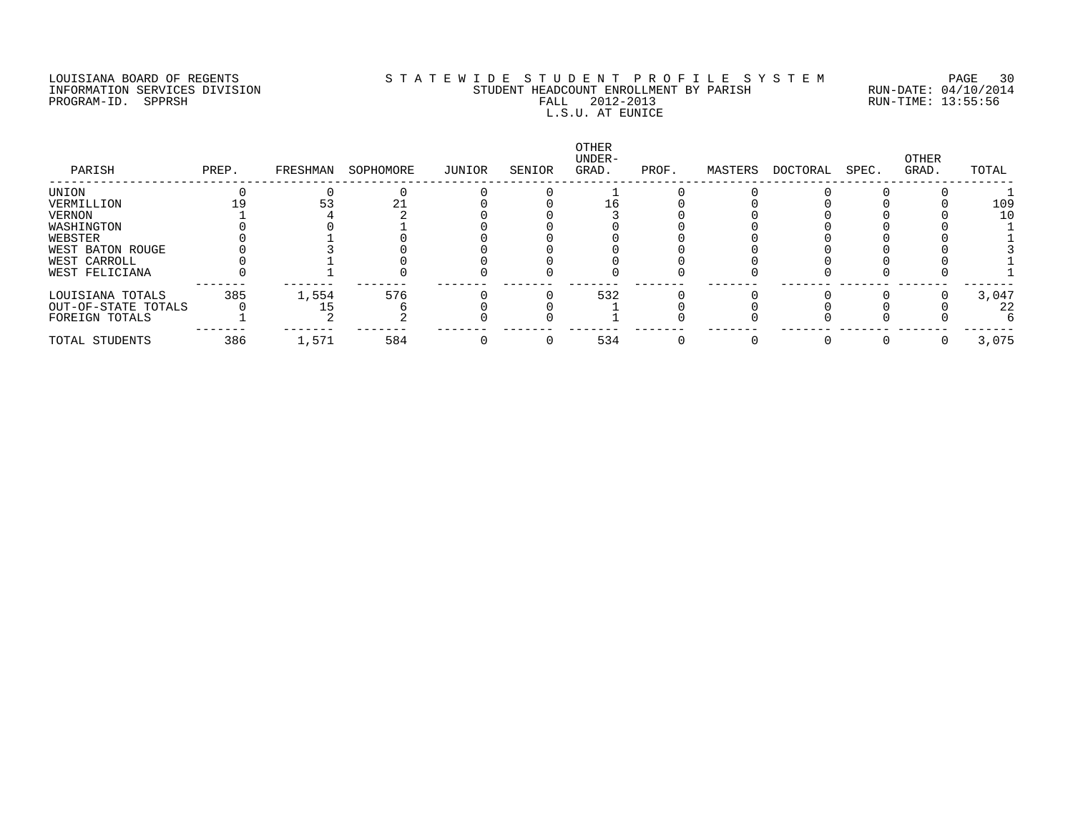## LOUISIANA BOARD OF REGENTS S T A T E W I D E S T U D E N T P R O F I L E S Y S T E M PAGE 30 INFORMATION SERVICES DIVISION STUDENT HEADCOUNT ENROLLMENT BY PARISH RUN-DATE: 04/10/2014 PROGRAM-ID. SPPRSH FALL 2012-2013 RUN-TIME: 13:55:56 FALL 2012-2013<br>L.S.U. AT EUNICE

| PARISH              | PREP. | FRESHMAN | SOPHOMORE | JUNIOR | SENIOR | OTHER<br>UNDER-<br>GRAD. | PROF. | MASTERS | DOCTORAL | SPEC. | OTHER<br>GRAD. | TOTAL |
|---------------------|-------|----------|-----------|--------|--------|--------------------------|-------|---------|----------|-------|----------------|-------|
| UNION               |       |          |           |        |        |                          |       |         |          |       |                |       |
| VERMILLION          |       |          |           |        |        |                          |       |         |          |       |                | 109   |
| VERNON              |       |          |           |        |        |                          |       |         |          |       |                | 1 C   |
| WASHINGTON          |       |          |           |        |        |                          |       |         |          |       |                |       |
| WEBSTER             |       |          |           |        |        |                          |       |         |          |       |                |       |
| WEST BATON ROUGE    |       |          |           |        |        |                          |       |         |          |       |                |       |
| WEST CARROLL        |       |          |           |        |        |                          |       |         |          |       |                |       |
| WEST FELICIANA      |       |          |           |        |        |                          |       |         |          |       |                |       |
| LOUISIANA TOTALS    | 385   | 1,554    | 576       |        |        | 532                      |       |         |          |       |                | 3,047 |
| OUT-OF-STATE TOTALS |       |          |           |        |        |                          |       |         |          |       |                | 22    |
| FOREIGN TOTALS      |       |          |           |        |        |                          |       |         |          |       |                |       |
| TOTAL STUDENTS      | 386   | 1,571    | 584       |        |        | 534                      |       |         |          |       |                | 3,075 |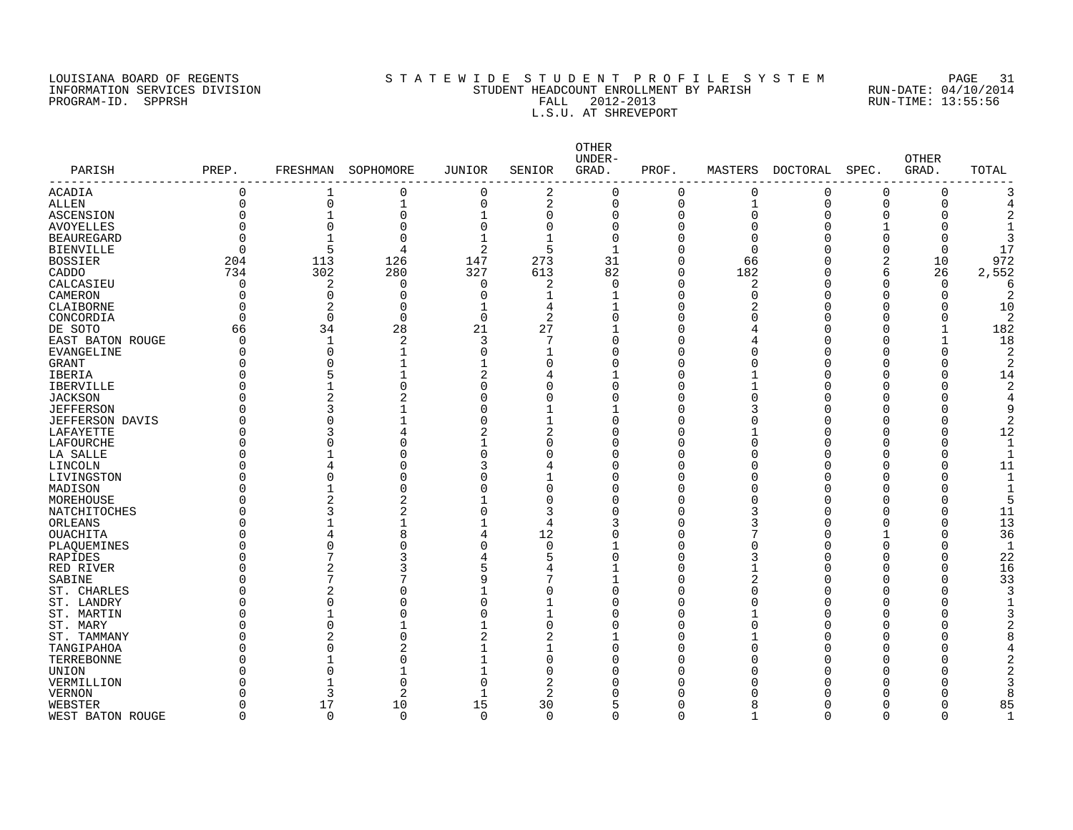#### LOUISIANA BOARD OF REGENTS SOURCLAST A T E WID E S T U D E N T P R O F I L E S Y S T E M PAGE 31<br>STUDENT HEADCOUNT ENROLLMENT BY PARISH RUN-DATE: 04/10/2014 INFORMATION SERVICES DIVISION STATE STILL STUDENT HEADCOUNT ENROLLMENT BY PARISH RUN-DATE: 04/10/201<br>INFORMATION SERVICES DIVISION STATE: 13:55:56<br>FALL 2012-2013 RUN-TIME: 13:55:56 PROGRAM-ID. SPPRSH FALL 2012-2013 RUN-TIME: 13:55:56 L.S.U. AT SHREVEPORT

| PARISH                 | PREP.          | FRESHMAN       | SOPHOMORE      | <b>JUNIOR</b>  | SENIOR         | OTHER<br>UNDER-<br>GRAD. | PROF.          | MASTERS      | DOCTORAL | SPEC.        | <b>OTHER</b><br>GRAD. | TOTAL        |
|------------------------|----------------|----------------|----------------|----------------|----------------|--------------------------|----------------|--------------|----------|--------------|-----------------------|--------------|
| ------------           |                |                |                |                |                |                          |                |              |          |              |                       |              |
| <b>ACADIA</b>          | 0              |                | 0              | $\mathbf 0$    | 2              | 0                        | $\mathbf 0$    | 0            | $\Omega$ | $\Omega$     | 0                     |              |
| <b>ALLEN</b>           | $\overline{0}$ | $\overline{0}$ | $\mathbf{1}$   | $\overline{0}$ | $\overline{2}$ | 0                        | $\overline{0}$ | $\mathbf{1}$ | $\Omega$ | $\Omega$     | $\mathbf 0$           |              |
| <b>ASCENSION</b>       | $\Omega$       | 1              | $\Omega$       | $\mathbf{1}$   | $\Omega$       | 0                        | $\mathbf 0$    | $\Omega$     | $\Omega$ | <sup>0</sup> | O                     |              |
| <b>AVOYELLES</b>       | $\Omega$       | $\Omega$       | $\Omega$       | $\overline{0}$ | 0              | 0                        | $\mathbf 0$    | $\Omega$     |          |              |                       |              |
| <b>BEAUREGARD</b>      | $\Omega$       | $\mathbf{1}$   | $\Omega$       | $\mathbf{1}$   | $\mathbf{1}$   | $\Omega$                 | $\Omega$       | $\Omega$     |          | <sup>0</sup> |                       |              |
| <b>BIENVILLE</b>       | $\Omega$       | 5              | 4              | $\overline{2}$ | 5              | 1                        | $\mathbf 0$    | $\Omega$     |          | $\Omega$     | $\Omega$              | 17           |
| <b>BOSSIER</b>         | 204            | 113            | 126            | 147            | 273            | 31                       | $\mathbf 0$    | 66           |          | 2            | 10                    | 972          |
| CADDO                  | 734            | 302            | 280            | 327            | 613            | 82                       | $\Omega$       | 182          |          | 6            | 26                    | 2,552        |
| CALCASIEU              | $\mathbf 0$    | 2              | 0              | $\Omega$       | 2              | $\Omega$                 | $\mathbf 0$    | 2            |          | $\Omega$     | $\Omega$              |              |
| CAMERON                | $\Omega$       | $\Omega$       | $\Omega$       | $\Omega$       | 1              |                          | $\Omega$       | $\Omega$     |          | $\Omega$     | O                     |              |
| CLAIBORNE              | $\Omega$       | 2              | $\Omega$       | $\mathbf{1}$   | 4              | 1                        | $\mathbf 0$    | 2            |          | <sup>0</sup> | O                     | 10           |
| CONCORDIA              | $\Omega$       | $\Omega$       | $\Omega$       | $\Omega$       | $\overline{2}$ | 0                        | O              | ∩            |          | ∩            | O                     | 2            |
| DE SOTO                | 66             | 34             | 28             | 21             | 27             | 1                        | $\Omega$       | 4            |          | ∩            |                       | 182          |
| EAST BATON ROUGE       | $\Omega$       | $\mathbf 1$    | 2              | 3              |                | 0                        | O              | 4            |          |              |                       | 18           |
| <b>EVANGELINE</b>      | $\Omega$       | $\Omega$       | 1              | $\Omega$       |                | 0                        | $\Omega$       | ſ            |          |              | U                     | 2            |
| <b>GRANT</b>           | $\Omega$       | $\Omega$       | $\mathbf{1}$   | 1              | ∩              | O                        | O              | ſ            |          |              | ∩                     | 2            |
| IBERIA                 | O              | 5              |                | 2              | 4              |                          | O              |              |          |              |                       | 14           |
| <b>IBERVILLE</b>       | C              | 1              | $\Omega$       | $\Omega$       | ∩              | O                        | $\Omega$       |              |          | n            |                       |              |
| <b>JACKSON</b>         |                | 2              | $\overline{2}$ | O              | ∩              | 0                        | 0              | O            |          |              |                       |              |
| <b>JEFFERSON</b>       | C              | 3              |                | O              |                | 1                        | 0              |              |          |              |                       |              |
|                        |                | 0              |                | O              |                | 0                        | 0              | C            |          |              |                       |              |
| <b>JEFFERSON DAVIS</b> | C              |                |                |                |                | 0                        |                |              |          |              |                       | 2            |
| LAFAYETTE              |                | 3              |                | 2              | 2              |                          | 0              |              |          |              |                       | 12           |
| LAFOURCHE              | C              | 0              | $\Omega$       |                | O<br>O         | 0                        | 0              | $\Omega$     |          |              |                       |              |
| LA SALLE               |                | $\mathbf{1}$   | $\Omega$       | $\Omega$       |                | 0                        | 0              | C            |          |              |                       |              |
| LINCOLN                |                | 4              | $\Omega$       | 3              |                | 0                        | 0              | $\sqrt{ }$   |          |              |                       | 11           |
| LIVINGSTON             | 0              | $\Omega$       | $\Omega$       | 0              |                | 0                        | $\mathbf 0$    | C            |          |              | O                     |              |
| MADISON                |                | $\mathbf{1}$   | $\Omega$       | $\Omega$       | $\Omega$       | 0                        | 0              | C            |          |              |                       |              |
| MOREHOUSE              |                | $\overline{2}$ | $\overline{2}$ | $\mathbf{1}$   | $\Omega$       | 0                        | $\mathbf 0$    | C            |          |              |                       |              |
| NATCHITOCHES           | U              | 3              | $\overline{2}$ | $\Omega$       | 3              | 0                        | $\Omega$       | 3            |          |              | O                     | 11           |
| ORLEANS                |                |                | $\mathbf{1}$   | $\mathbf{1}$   | 4              | 3                        | $\Omega$       | 3            |          |              |                       | 13           |
| <b>OUACHITA</b>        | C              | 4              | 8              | 4              | 12             | 0                        | $\mathbf 0$    |              |          |              |                       | 36           |
| PLAQUEMINES            |                | $\Omega$       | $\Omega$       | $\Omega$       | $\Omega$       | 1                        | $\Omega$       | C            |          | $\Omega$     |                       | $\mathbf{1}$ |
| <b>RAPIDES</b>         | 0              | 7              | 3              |                |                | 0                        | 0              |              |          | ∩            | O                     | 22           |
| RED RIVER              |                | 2              | 3              |                |                |                          | 0              |              |          |              |                       | 16           |
| SABINE                 |                | 7              |                | 9              | 7              | 1                        | $\Omega$       | 2            |          | ∩            | U                     | 33           |
| ST. CHARLES            |                | 2              | $\Omega$       |                | O              | 0                        | $\Omega$       | $\cap$       |          |              |                       |              |
| ST. LANDRY             |                | $\Omega$       | $\Omega$       | $\Omega$       |                | 0                        | $\Omega$       | $\sqrt{ }$   |          |              |                       |              |
| ST. MARTIN             | U              | 1              | $\Omega$       | U              |                | O                        | O              |              |          | ∩            |                       |              |
| ST. MARY               | U              | $\Omega$       |                | $\mathbf{1}$   | $\Omega$       | O                        | O              | O            |          | ∩            |                       |              |
| ST. TAMMANY            |                | 2              | $\Omega$       | 2              | 2              | 1                        | O              |              |          | ∩            |                       |              |
| TANGIPAHOA             | O              | $\Omega$       | $\overline{2}$ | $\mathbf{1}$   | 1              | 0                        | 0              | O            |          | n            |                       |              |
| TERREBONNE             | C              |                | $\Omega$       | $\mathbf{1}$   | $\Omega$       | 0                        | O              | ſ            |          |              |                       |              |
| <b>UNION</b>           |                | $\Omega$       |                | $\mathbf{1}$   | $\Omega$       | O                        | O              | ſ            |          |              |                       |              |
| VERMILLION             | U              |                | $\Omega$       | $\Omega$       | 2              | O                        | U              | C            |          |              |                       |              |
| VERNON                 | U              | 3              | 2              | $\overline{1}$ | 2              | O                        | O              |              |          |              |                       |              |
| WEBSTER                | $\Omega$       | 17             | 10             | 15             | 30             | 5                        | $\Omega$       | 8            |          | n            |                       | 85           |
| WEST BATON ROUGE       | $\Omega$       | $\Omega$       | $\Omega$       | $\Omega$       | 0              | 0                        | $\mathbf 0$    | 1            | $\Omega$ | $\Omega$     | $\Omega$              | -1           |
|                        |                |                |                |                |                |                          |                |              |          |              |                       |              |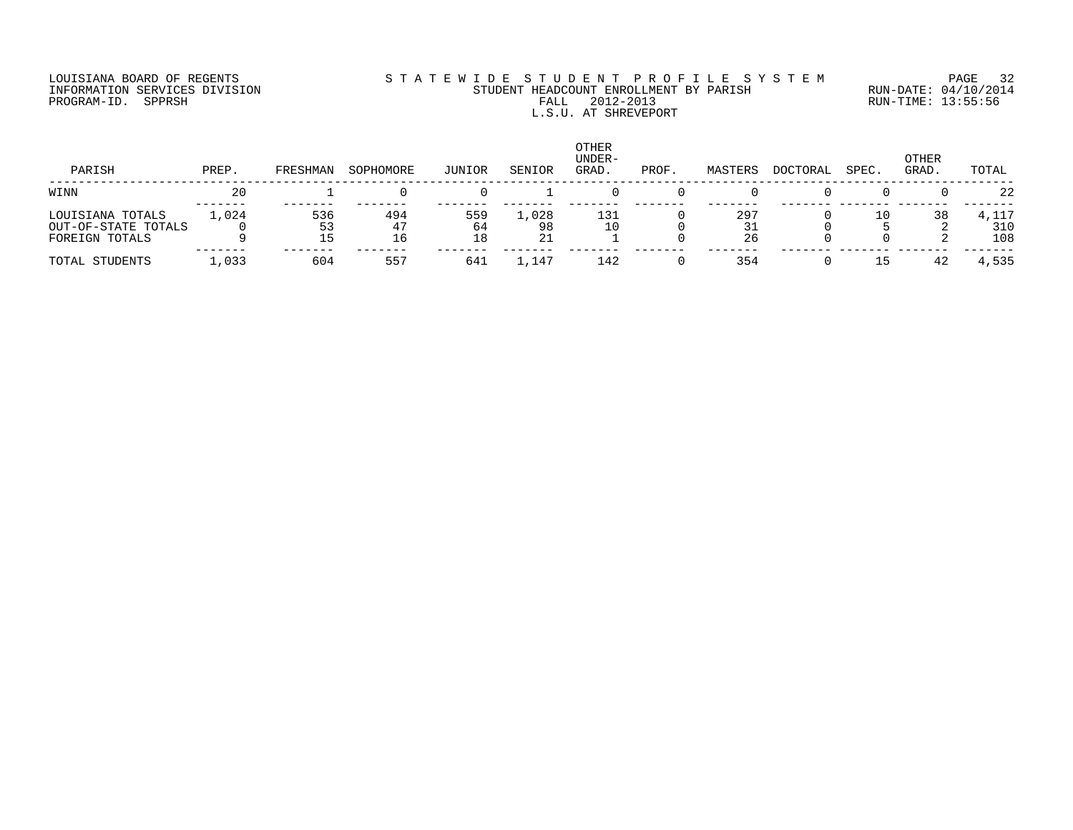## LOUISIANA BOARD OF REGENTS S T A T E W I D E S T U D E N T P R O F I L E S Y S T E M PAGE 32 INFORMATION SERVICES DIVISION STUDENT HEADCOUNT ENROLLMENT BY PARISH RUN-DATE: 04/10/2014 PROGRAM-ID. SPPRSH FALL 2012-2013 RUN-TIME: 13:55:56 FALL 2012-2013<br>L.S.U. AT SHREVEPORT

| PARISH                                                    | PREP.   | FRESHMAN | SOPHOMORE       | JUNIOR          | SENIOR            | OTHER<br>UNDER-<br>GRAD. | PROF. | MASTERS   | <b>DOCTORAL</b> | SPEC. | OTHER<br>GRAD. | TOTAL      |
|-----------------------------------------------------------|---------|----------|-----------------|-----------------|-------------------|--------------------------|-------|-----------|-----------------|-------|----------------|------------|
| WINN                                                      | 20      |          |                 |                 |                   |                          |       |           |                 |       |                | 22         |
| LOUISIANA TOTALS<br>OUT-OF-STATE TOTALS<br>FOREIGN TOTALS | 1,024   | 536      | 494<br>47<br>16 | 559<br>64<br>18 | 1,028<br>98<br>21 | 131                      |       | 297<br>26 |                 | 10    | 38             | 31C<br>108 |
| TOTAL STUDENTS                                            | . . 033 | 604      | 557             | 641             | 1,147             | 142                      |       | 354       |                 |       |                | 4,535      |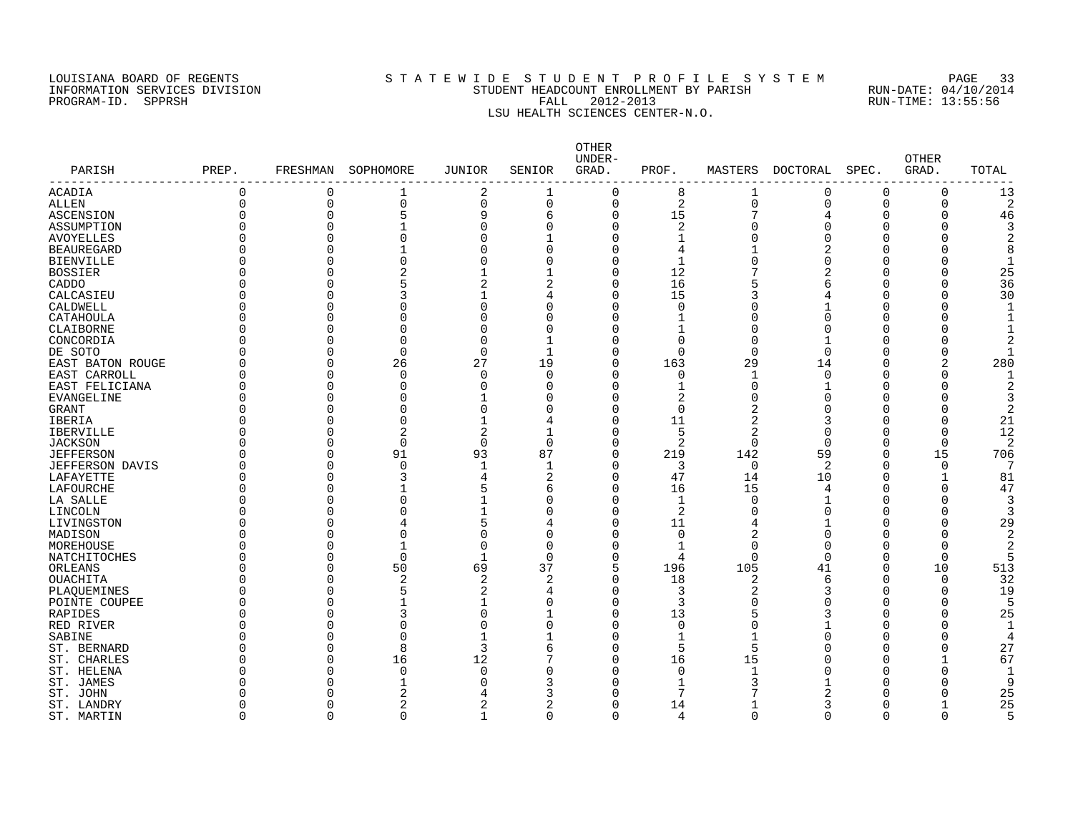#### LOUISIANA BOARD OF REGENTS S T A T E W I D E S T U D E N T P R O F I L E S Y S T E M PAGE 33 INFORMATION SERVICES DIVISION STUDENT HEADCOUNT ENROLLMENT BY PARISH RUN-DATE: 04/10/2014 PROGRAM-ID. SPPRSH FALL 2012-2013 RUN-TIME: 13:55:56 LSU HEALTH SCIENCES CENTER-N.O.

| PARISH                 | PREP.    | FRESHMAN    | SOPHOMORE      | <b>JUNIOR</b>  | SENIOR         | OTHER<br>UNDER-<br>GRAD. | PROF.          | MASTERS        | DOCTORAL     | SPEC.    | <b>OTHER</b><br>GRAD. | TOTAL          |
|------------------------|----------|-------------|----------------|----------------|----------------|--------------------------|----------------|----------------|--------------|----------|-----------------------|----------------|
| ACADIA                 | 0        | $\Omega$    | 1              | 2              | 1              | $\Omega$                 | 8              | 1              | 0            | 0        | 0                     | 13             |
| ALLEN                  | $\Omega$ | $\mathbf 0$ | $\mathbf 0$    | 0              | $\mathbf 0$    | 0                        | $\sqrt{2}$     | $\mathbf 0$    | 0            | $\Omega$ | 0                     | $\overline{2}$ |
| ASCENSION              | $\Omega$ | $\Omega$    | 5              | 9              | 6              | 0                        | 15             | 7              | 4            |          | $\Omega$              | 46             |
| ASSUMPTION             |          | $\Omega$    | $\mathbf{1}$   | $\Omega$       | $\Omega$       | 0                        | 2              | O              | $\Omega$     |          | U                     |                |
| <b>AVOYELLES</b>       |          | $\Omega$    | $\mathbf 0$    | $\Omega$       |                | $\Omega$                 | $\mathbf{1}$   | $\cap$         |              |          |                       |                |
| <b>BEAUREGARD</b>      |          | $\Omega$    |                | U              | $\Omega$       | 0                        | 4              |                |              |          |                       |                |
| <b>BIENVILLE</b>       |          | O           | $\Omega$       | U              | $\Omega$       | 0                        | 1              | $\cap$         |              |          |                       | $\mathbf{1}$   |
| <b>BOSSIER</b>         |          | O           | $\overline{2}$ |                |                | 0                        | 12             |                |              |          |                       | 25             |
| CADDO                  |          | U           | 5              | 2              | 2              | 0                        | 16             | 5              | 6            |          | U                     | 36             |
| CALCASIEU              |          | U           | 3              |                | 4              | 0                        | 15             | 3              |              |          |                       | 30             |
| CALDWELL               |          | U           | $\Omega$       | O              | $\Omega$       | 0                        | 0              | O              |              |          |                       |                |
| CATAHOULA              |          | 0           | $\Omega$       | U              | $\Omega$       | 0                        | $\mathbf{1}$   | n              |              |          |                       |                |
| CLAIBORNE              |          | $\Omega$    | $\Omega$       | $\Omega$       | $\Omega$       | 0                        | $\mathbf{1}$   | $\Omega$       |              |          |                       |                |
| CONCORDIA              |          | $\Omega$    | $\Omega$       | $\Omega$       |                | 0                        | $\Omega$       | $\cap$         |              |          |                       |                |
| DE SOTO                |          | $\Omega$    | $\mathbf 0$    | $\Omega$       | $\mathbf{1}$   | 0                        | $\overline{0}$ | $\Omega$       | $\Omega$     |          | O                     |                |
| EAST BATON ROUGE       |          | $\Omega$    | 26             | 27             | 19             | 0                        | 163            | 29             | 14           |          | 2                     | 280            |
| EAST CARROLL           |          | $\Omega$    | $\mathbf 0$    | $\Omega$       | $\Omega$       | 0                        | 0              | 1              | $\Omega$     |          | O                     | -1             |
| EAST FELICIANA         | U        | $\Omega$    | $\Omega$       | $\Omega$       | $\Omega$       | 0                        | $\mathbf{1}$   | $\Omega$       |              |          | Λ                     |                |
| EVANGELINE             |          | $\Omega$    | $\Omega$       |                | $\Omega$       | 0                        | 2              | $\Omega$       |              |          |                       |                |
| GRANT                  |          | $\Omega$    | $\Omega$       | $\Omega$       | $\Omega$       | 0                        | $\Omega$       | 2              |              |          |                       |                |
| IBERIA                 |          | $\Omega$    | $\Omega$       | 1              | 4              | 0                        | 11             | $\overline{2}$ |              |          | O                     | 21             |
| <b>IBERVILLE</b>       |          | $\Omega$    | $\overline{2}$ | $\overline{2}$ | 1              | 0                        | 5              | 2              |              |          | $\Omega$              | 12             |
| <b>JACKSON</b>         |          | $\Omega$    | $\mathbf 0$    | $\mathbf 0$    | $\Omega$       | 0                        | $\overline{2}$ | $\mathbf 0$    | $\Omega$     |          | $\mathbf 0$           | 2              |
| <b>JEFFERSON</b>       |          | $\Omega$    | 91             | 93             | 87             | 0                        | 219            | 142            | 59           | $\cap$   | 15                    | 706            |
| <b>JEFFERSON DAVIS</b> |          | $\Omega$    | $\mathbf 0$    | $\mathbf{1}$   |                | 0                        | 3              | $\mathbf 0$    | 2            | ∩        | $\mathbf 0$           | 7              |
| LAFAYETTE              |          | $\Omega$    | 3              |                | 2              | 0                        | 47             | 14             | 10           |          |                       | 81             |
| LAFOURCHE              |          | $\Omega$    |                |                | 6              | 0                        | 16             | 15             | 4            |          | O                     | 47             |
| LA SALLE               |          | O           | $\Omega$       |                | $\mathbf 0$    | 0                        | 1              | $\Omega$       |              |          | O                     | 3              |
| LINCOLN                |          | U           | $\Omega$       |                | $\Omega$       | 0                        | 2              | $\Omega$       | U            |          |                       | 3              |
| LIVINGSTON             |          | U           | 4              | 5              | $\overline{4}$ | 0                        | 11             | 4              |              |          |                       | 29             |
| MADISON                |          | $\Omega$    | $\Omega$       | U              | $\Omega$       | 0                        | 0              | 2              | <sup>0</sup> |          |                       | 2              |
| MOREHOUSE              |          | 0           | $\mathbf{1}$   | $\Omega$       | $\Omega$       | 0                        | 1              | $\Omega$       | $\Omega$     |          | O                     | 2              |
| NATCHITOCHES           |          | $\Omega$    | $\mathbf 0$    | -1             | $\Omega$       | 0                        | 4              | $\Omega$       | $\Omega$     | $\Omega$ | $\Omega$              |                |
| ORLEANS                |          | $\Omega$    | 50             | 69             | 37             | 5                        | 196            | 105            | 41           | n        | 10                    | 513            |
| <b>OUACHITA</b>        |          | $\Omega$    | $\overline{a}$ | $\overline{2}$ | 2              | 0                        | 18             | 2              | 6            | ∩        | $\Omega$              | 32             |
| PLAQUEMINES            |          | U           | 5              | 2              | 4              | 0                        | 3              | 2              | 3            | ∩        | ∩                     | 19             |
| POINTE COUPEE          |          | $\Omega$    |                | 1              | $\Omega$       | 0                        | 3              | $\Omega$       |              |          | U                     |                |
| RAPIDES                |          | $\Omega$    | 3              | $\Omega$       |                | 0                        | 13             | 5              | 3            |          | O                     | 25             |
| RED RIVER              |          | $\Omega$    | $\Omega$       | ∩              | $\Omega$       | 0                        | $\Omega$       | $\Omega$       |              |          |                       |                |
| SABINE                 |          | U           | $\Omega$       |                |                | 0                        | 1              |                |              |          |                       |                |
| ST. BERNARD            |          | $\Omega$    | 8              | 3              | 6              | 0                        | 5              | 5              |              |          | $\Omega$              | 27             |
| ST. CHARLES            |          | $\Omega$    | 16             | 12             |                | 0                        | 16             | 15             |              |          |                       | 67             |
| ST. HELENA             |          | $\Omega$    | $\mathbf 0$    | $\Omega$       | $\Omega$       | 0                        | 0              |                |              |          | 0                     |                |
| ST. JAMES              |          |             | 1              |                | 3              | 0                        | $\mathbf{1}$   |                |              |          |                       | 9              |
| ST. JOHN               |          |             | 2              |                | 3              | 0                        | 7              |                |              |          |                       | 25             |
| ST. LANDRY             |          | U           | 2              |                | 2              | 0                        | 14             |                |              |          |                       | 25             |
| ST. MARTIN             | $\Omega$ | $\cap$      | $\Omega$       | -1             | $\Omega$       | $\Omega$                 | 4              | $\Omega$       | $\Omega$     | $\Omega$ | $\Omega$              | 5              |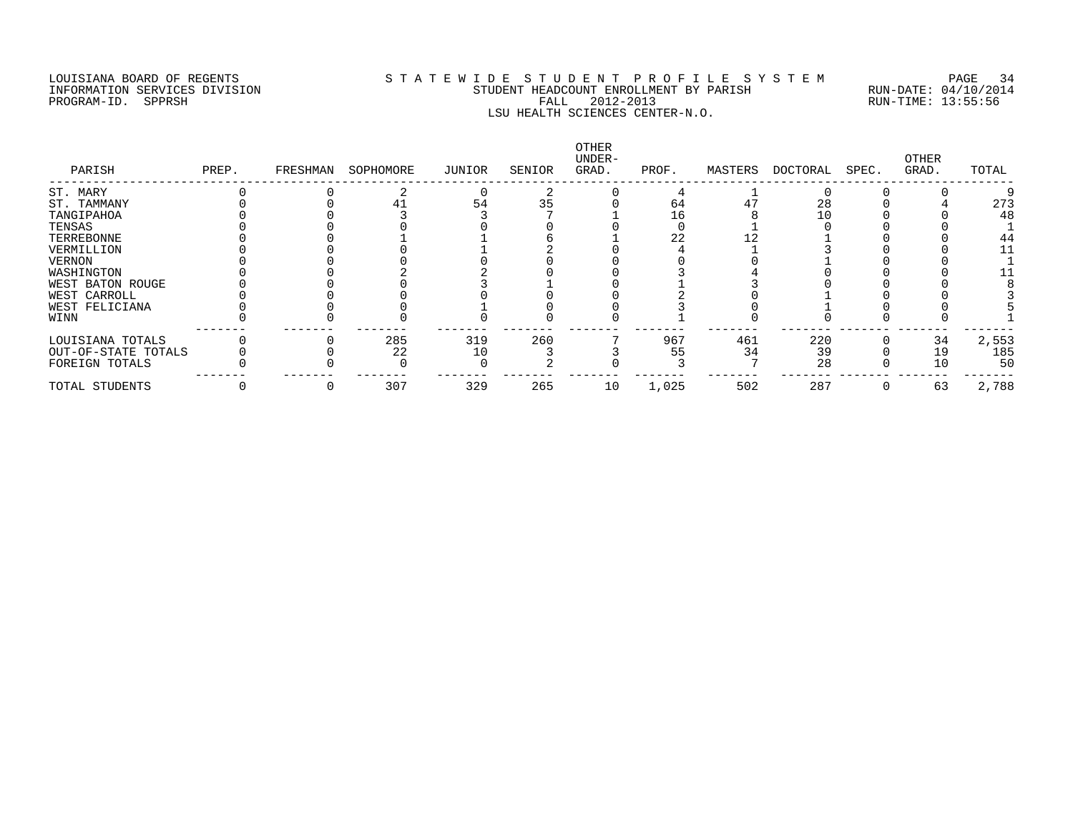## LOUISIANA BOARD OF REGENTS S T A T E W I D E S T U D E N T P R O F I L E S Y S T E M PAGE 34 INFORMATION SERVICES DIVISION STUDENT HEADCOUNT ENROLLMENT BY PARISH RUN-DATE: 04/10/2014 PROGRAM-ID. SPPRSH FALL 2012-2013 RUN-TIME: 13:55:56 LSU HEALTH SCIENCES CENTER-N.O.

| PARISH              | PREP. | FRESHMAN | SOPHOMORE | JUNIOR | SENIOR | OTHER<br>UNDER-<br>GRAD. | PROF. | MASTERS | DOCTORAL | SPEC. | OTHER<br>GRAD. | TOTAL |
|---------------------|-------|----------|-----------|--------|--------|--------------------------|-------|---------|----------|-------|----------------|-------|
| ST. MARY            |       |          |           |        |        |                          |       |         |          |       |                |       |
| ST. TAMMANY         |       |          |           | 54     | 35     |                          | 64    | 47      | 28       |       |                | 273   |
| TANGIPAHOA          |       |          |           |        |        |                          | 16    |         | 10       |       |                | 48    |
| TENSAS              |       |          |           |        |        |                          |       |         |          |       |                |       |
| TERREBONNE          |       |          |           |        |        |                          | 22    |         |          |       |                | 44    |
| VERMILLION          |       |          |           |        |        |                          |       |         |          |       |                | 11    |
| VERNON              |       |          |           |        |        |                          |       |         |          |       |                |       |
| WASHINGTON          |       |          |           |        |        |                          |       |         |          |       |                |       |
| WEST BATON ROUGE    |       |          |           |        |        |                          |       |         |          |       |                |       |
| WEST CARROLL        |       |          |           |        |        |                          |       |         |          |       |                |       |
| WEST FELICIANA      |       |          |           |        |        |                          |       |         |          |       |                |       |
| WINN                |       |          |           |        |        |                          |       |         |          |       |                |       |
| LOUISIANA TOTALS    |       |          | 285       | 319    | 260    |                          | 967   | 461     | 220      |       | 34             | 2,553 |
| OUT-OF-STATE TOTALS |       |          | 22        | 10     |        |                          | 55    | 34      | 39       |       | 19             | 185   |
| FOREIGN TOTALS      |       |          |           |        |        |                          |       |         | 28       |       | 10             | 50    |
| TOTAL STUDENTS      |       |          | 307       | 329    | 265    | 10                       | 1,025 | 502     | 287      |       | 63             | 2,788 |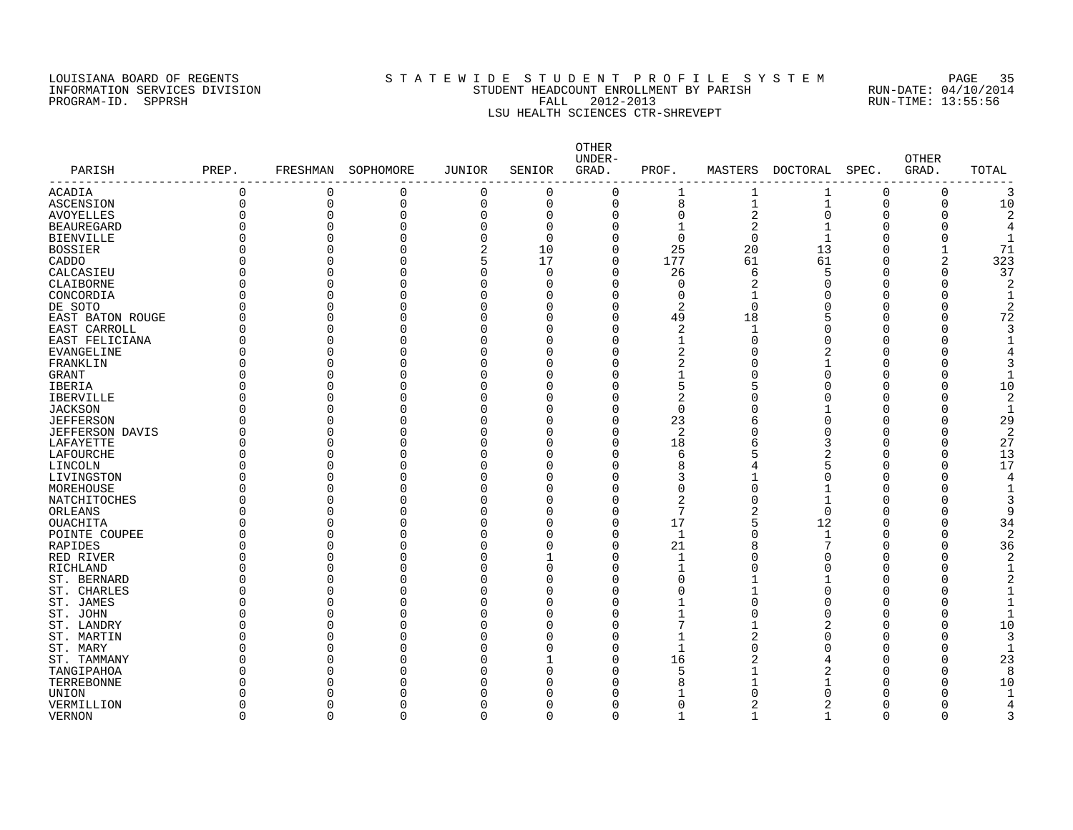#### LOUISIANA BOARD OF REGENTS S T A T E W I D E S T U D E N T P R O F I L E S Y S T E M PAGE 35 INFORMATION SERVICES DIVISION STUDENT HEADCOUNT ENROLLMENT BY PARISH RUN-DATE: 04/10/2014 PROGRAM-ID. SPPRSH FALL 2012-2013 RUN-TIME: 13:55:56 LSU HEALTH SCIENCES CTR-SHREVEPT

| PARISH<br>--------------- | PREP.    | FRESHMAN     | SOPHOMORE | <b>JUNIOR</b>  | SENIOR       | OTHER<br>UNDER-<br>GRAD. | PROF.        |                | MASTERS DOCTORAL | SPEC.    | <b>OTHER</b><br>GRAD. | TOTAL |
|---------------------------|----------|--------------|-----------|----------------|--------------|--------------------------|--------------|----------------|------------------|----------|-----------------------|-------|
| <b>ACADIA</b>             | $\Omega$ | $\mathbf 0$  | 0         | 0              | $\Omega$     | $\mathbf 0$              | 1            | 1              | 1                | $\Omega$ | 0                     | 3     |
| <b>ASCENSION</b>          | $\Omega$ | $\mathbf 0$  | 0         | $\mathbf 0$    | $\mathbf 0$  | $\mathbf 0$              | 8            | $\mathbf 1$    | $\mathbf{1}$     | $\Omega$ | 0                     | 10    |
| <b>AVOYELLES</b>          | U        | $\Omega$     | 0         | $\Omega$       | $\Omega$     | $\Omega$                 | 0            | $\overline{2}$ | $\Omega$         | ∩        | O                     |       |
| <b>BEAUREGARD</b>         | U        | $\Omega$     | 0         | C              | $\Omega$     | U                        | 1            | $\overline{2}$ | 1                | O        |                       |       |
| <b>BIENVILLE</b>          | O        | $\Omega$     | 0         | $\Omega$       | $\Omega$     |                          | $\mathbf 0$  | $\Omega$       | $\mathbf{1}$     | $\Omega$ |                       |       |
| <b>BOSSIER</b>            |          | $\Omega$     | 0         | $\overline{c}$ | 10           | U                        | 25           | 20             | 13               | ∩        |                       | 71    |
| CADDO                     | O        | $\Omega$     | 0         | 5              | 17           | $\Omega$                 | 177          | 61             | 61               | O        | 2                     | 323   |
| CALCASIEU                 | O        | $\Omega$     | 0         | $\Omega$       | $\Omega$     | O                        | 26           | 6              | 5                | O        | $\Omega$              | 37    |
| CLAIBORNE                 | 0        | $\Omega$     | 0         | $\Omega$       | <sup>0</sup> | $\Omega$                 | 0            | 2              |                  | O        | $\Omega$              |       |
| CONCORDIA                 | O        | $\Omega$     | $\Omega$  | $\sqrt{ }$     | O            | $\Omega$                 | $\mathbf 0$  |                |                  | ∩        |                       |       |
| DE SOTO                   | O        | $\Omega$     | 0         | C              | O            |                          | 2            | $\Omega$       |                  |          | $\Omega$              |       |
| EAST BATON ROUGE          | O        | $\Omega$     | 0         | C              | O            | O                        | 49           | 18             |                  | $\cap$   | $\Omega$              | 72    |
| EAST CARROLL              | O        | $\Omega$     | 0         | C              | O            | $\Omega$                 | 2            | $\mathbf{1}$   |                  | ∩        |                       |       |
| EAST FELICIANA            | O        | $\Omega$     | 0         | n              | U            | U                        | 1            | n              |                  | ∩        |                       |       |
| EVANGELINE                | O        | $\Omega$     | 0         | C              | O            | U                        | 2            |                |                  |          |                       |       |
| FRANKLIN                  |          | $\Omega$     | 0         | $\Omega$       | O            | U                        | 2            |                |                  | $\Omega$ |                       |       |
| <b>GRANT</b>              |          | <sup>n</sup> | 0         | $\sqrt{ }$     | O            |                          | $\mathbf{1}$ |                | U                | ∩        |                       |       |
| IBERIA                    |          | $\Omega$     | 0         | $\cap$         | O            | ∩                        | 5            |                |                  | ∩        |                       | 10    |
| <b>IBERVILLE</b>          | U        | $\Omega$     | 0         | C              | O            | U                        | 2            |                |                  |          | O                     |       |
| <b>JACKSON</b>            |          | $\Omega$     | 0         | $\Omega$       | O            | U                        | $\Omega$     |                |                  |          |                       |       |
| <b>JEFFERSON</b>          | U        | $\Omega$     | O         | C              | O            | O                        | 23           | б              | O                | ∩        |                       | 29    |
| <b>JEFFERSON DAVIS</b>    | U        | $\Omega$     | 0         | $\Omega$       | O            | U                        | 2            |                |                  | ∩        | $\Omega$              |       |
| LAFAYETTE                 | U        | $\Omega$     | 0         | $\Omega$       | O            | O                        | 18           | 6              |                  | n        | $\Omega$              | 27    |
| LAFOURCHE                 | O        | $\Omega$     | $\Omega$  | $\Omega$       | O            | $\Omega$                 | 6            | 5              |                  | ∩        | $\Omega$              | 13    |
| LINCOLN                   |          | $\Omega$     | O         | $\sqrt{ }$     | U            | O                        | 8            |                |                  |          | $\Omega$              | 17    |
| LIVINGSTON                | U        | $\Omega$     | 0         | $\sqrt{ }$     | U            | U                        | 3            |                |                  | ∩        | ∩                     |       |
| MOREHOUSE                 |          | $\Omega$     | 0         | C              | U            | U                        | 0            | n              |                  |          |                       |       |
| <b>NATCHITOCHES</b>       | O        | $\Omega$     | 0         | $\Omega$       | O            | O                        | 2            | n              | 1                | ∩        |                       |       |
| ORLEANS                   |          | <sup>n</sup> | 0         | $\sqrt{ }$     | U            | U                        | 7            | 2              | $\Omega$         | ∩        |                       | q     |
| OUACHITA                  | N        | $\Omega$     | 0         | C              | U            | O                        | 17           | 5              | 12               | n        | O                     | 34    |
| POINTE COUPEE             | O        | $\Omega$     | 0         | C              | U            | $\Omega$                 | 1            | n              | $\mathbf{1}$     |          |                       | 2     |
| RAPIDES                   | O        | $\Omega$     | $\Omega$  | $\sqrt{ }$     | O            | $\Omega$                 | 21           | 8              |                  | O        | $\Omega$              | 36    |
| RED RIVER                 | O        | $\Omega$     | 0         | $\sqrt{ }$     |              | $\Omega$                 | -1           | ∩              |                  | ∩        |                       |       |
| RICHLAND                  | O        | $\Omega$     | 0         | C              | O            |                          | 1            |                |                  |          |                       |       |
| ST. BERNARD               | 0        | $\Omega$     | 0         | C              | O            |                          | 0            |                |                  | ∩        |                       |       |
| ST. CHARLES               | O        | $\Omega$     | 0         | C              | O            |                          | 0            |                |                  |          |                       |       |
| ST. JAMES                 |          | <sup>n</sup> | 0         | $\sqrt{ }$     | U            |                          |              |                |                  | ∩        |                       |       |
| ST. JOHN                  |          | $\Omega$     | 0         | C              | O            |                          |              |                |                  | ∩        |                       |       |
|                           |          | $\Omega$     | 0         | $\Omega$       | O            |                          | 7            |                |                  | O        | $\Omega$              |       |
| ST. LANDRY                |          | O            |           | $\sqrt{ }$     | U            |                          |              |                |                  |          |                       | 10    |
| ST. MARTIN                |          |              | 0         |                |              | ∩                        | 1<br>1       | 2              |                  | ∩        |                       |       |
| ST. MARY                  |          | $\Omega$     | 0         | ſ              | O            |                          |              |                |                  | ∩        |                       |       |
| ST. TAMMANY               |          | $\Omega$     | 0         | C              |              | U                        | 16           | 2              |                  |          | 0                     | 23    |
| TANGIPAHOA                |          | $\Omega$     | 0         | $\Omega$       | O            | U                        | 5            |                |                  |          | $\Omega$              |       |
| TERREBONNE                |          | ∩            | O         |                | U            |                          | 8            |                |                  |          |                       | 10    |
| UNION                     |          |              | Λ         |                |              |                          |              |                |                  |          |                       |       |
| VERMILLION                | U        | U            | 0         | C              | O            |                          | 0            |                |                  | n        |                       |       |
| <b>VERNON</b>             | U        | U            | U         | $\cap$         | $\Omega$     |                          | -1           |                |                  | $\cap$   | $\Omega$              |       |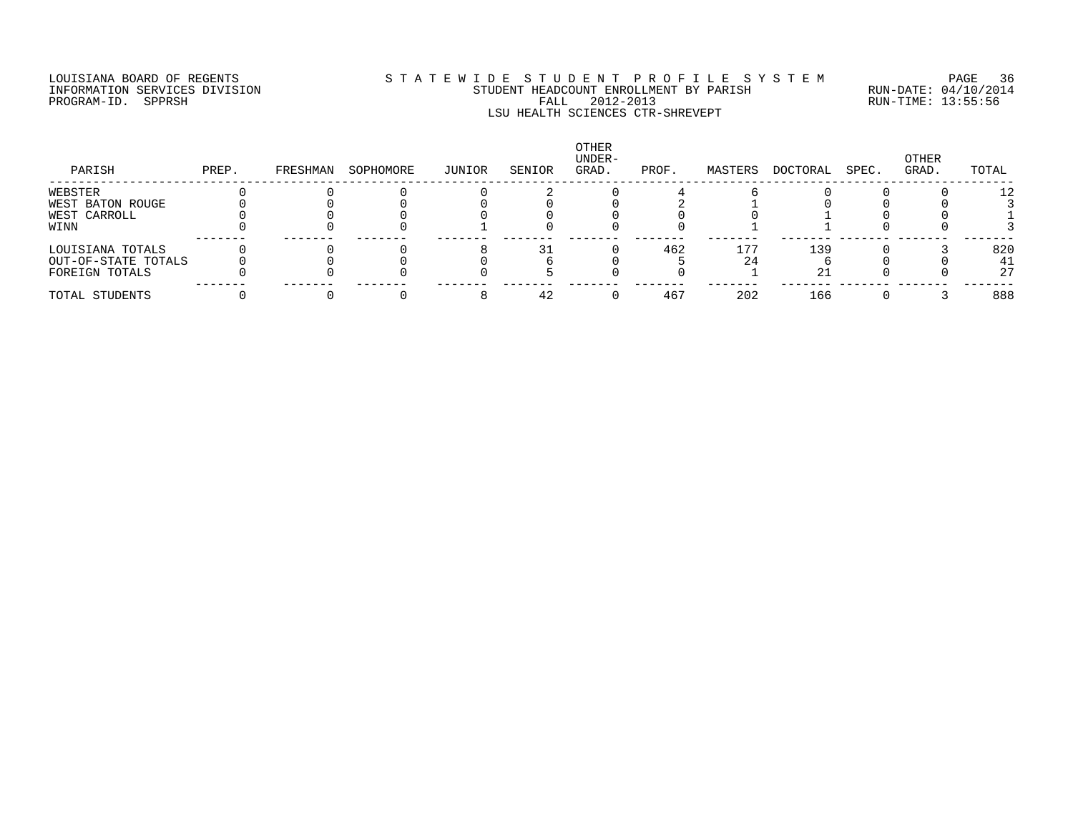## LOUISIANA BOARD OF REGENTS S T A T E W I D E S T U D E N T P R O F I L E S Y S T E M PAGE 36 INFORMATION SERVICES DIVISION STUDENT HEADCOUNT ENROLLMENT BY PARISH RUN-DATE: 04/10/2014 PROGRAM-ID. SPPRSH FALL 2012-2013 RUN-TIME: 13:55:56 LSU HEALTH SCIENCES CTR-SHREVEPT

| PARISH              | PREP. | FRESHMAN | SOPHOMORE | JUNIOR | SENIOR | OTHER<br>UNDER-<br>GRAD. | PROF. | MASTERS | DOCTORAL | SPEC. | OTHER<br>GRAD. | TOTAL |
|---------------------|-------|----------|-----------|--------|--------|--------------------------|-------|---------|----------|-------|----------------|-------|
| WEBSTER             |       |          |           |        |        |                          |       |         |          |       |                | 12    |
| WEST BATON ROUGE    |       |          |           |        |        |                          |       |         |          |       |                |       |
| WEST CARROLL        |       |          |           |        |        |                          |       |         |          |       |                |       |
| WINN                |       |          |           |        |        |                          |       |         |          |       |                |       |
| LOUISIANA TOTALS    |       |          |           |        | つつ     |                          | 462   | 177     | 139      |       |                | 820   |
| OUT-OF-STATE TOTALS |       |          |           |        |        |                          |       | 24      |          |       |                | 41    |
| FOREIGN TOTALS      |       |          |           |        |        |                          |       |         |          |       |                | 27    |
| TOTAL STUDENTS      |       |          |           |        | 42     |                          | 467   | 202     | 166      |       |                | 888   |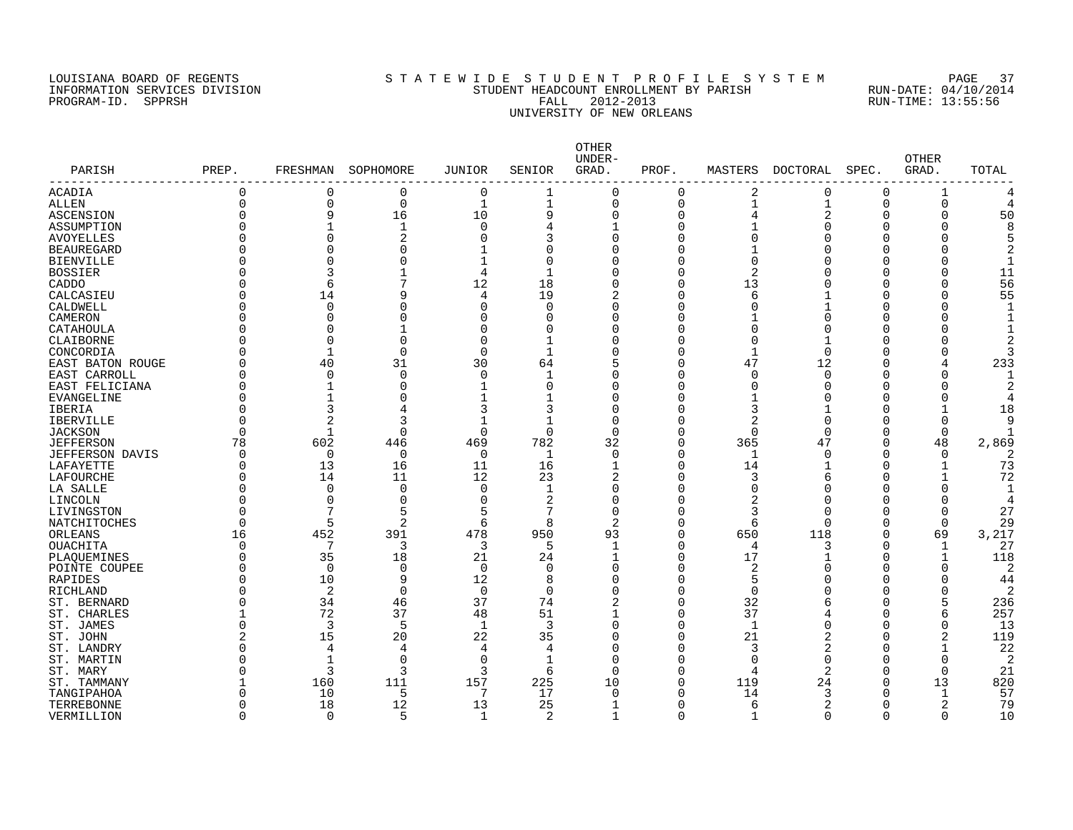#### LOUISIANA BOARD OF REGENTS S T A T E W I D E S T U D E N T P R O F I L E S Y S T E M PAGE 37 INFORMATION SERVICES DIVISION STUDENT HEADCOUNT ENROLLMENT BY PARISH RUN-DATE: 04/10/2014 PROGRAM-ID. SPPRSH FALL 2012-2013 RUN-TIME: 13:55:56 UNIVERSITY OF NEW ORLEANS

| PARISH                 | PREP.    | FRESHMAN     | SOPHOMORE      | JUNIOR       | SENIOR         | OTHER<br>UNDER-<br>GRAD. | PROF.    | MASTERS        | <b>DOCTORAL</b> | SPEC.    | <b>OTHER</b><br>GRAD. | TOTAL          |
|------------------------|----------|--------------|----------------|--------------|----------------|--------------------------|----------|----------------|-----------------|----------|-----------------------|----------------|
| ACADIA                 | 0        | 0            | 0              | 0            | 1              | 0                        | $\Omega$ | 2              | 0               | 0        |                       |                |
| <b>ALLEN</b>           | $\Omega$ | $\Omega$     | $\mathbf 0$    | 1            | $\mathbf{1}$   | $\mathbf 0$              | $\Omega$ | 1              | $\mathbf{1}$    | $\Omega$ | 0                     |                |
| ASCENSION              | $\Omega$ | 9            | 16             | 10           | 9              | $\Omega$                 | O        | 4              | $\overline{2}$  | 0        | 0                     | 50             |
| ASSUMPTION             | $\Omega$ |              | -1             | $\Omega$     | 4              | $\mathbf{1}$             | Ω        |                | $\Omega$        | C        | O                     | 8              |
| AVOYELLES              | O        | $\Omega$     | 2              | $\Omega$     | 3              | $\Omega$                 |          | 0              |                 | U        | C                     |                |
| <b>BEAUREGARD</b>      | ი        |              |                |              | O              | O                        |          |                |                 | O        |                       |                |
| BIENVILLE              | ი        |              |                |              | $\Omega$       | O                        |          | 0              |                 | C        |                       |                |
| <b>BOSSIER</b>         | Λ        |              |                | 4            |                | U                        | Ω        | 2              |                 | C        |                       | 11             |
| CADDO                  | ი        | 6            |                | 12           | 18             | U                        | Ω        | 13             |                 | O        | O                     | 56             |
| CALCASIEU              | O        | 14           | q              | 4            | 19             | 2                        | Λ        | 6              |                 | C        |                       | 55             |
| CALDWELL               | O        | $\Omega$     |                | $\Omega$     | $\Omega$       | $\Omega$                 | Λ        | O              |                 | O        | U                     |                |
| CAMERON                | O        | $\Omega$     |                |              | O              | O                        |          |                | Ω               | C        |                       |                |
| CATAHOULA              | 0        | $\Omega$     |                | $\Omega$     | $\Omega$       | 0                        | Ω        | 0              | $\sqrt{ }$      | 0        | O                     |                |
| CLAIBORNE              | U        | <sup>n</sup> | U              | $\Omega$     | 1              | $\Omega$                 | Λ        | $\Omega$       |                 | n        |                       |                |
| CONCORDIA              | Λ        | $\mathbf{1}$ | $\cap$         | $\Omega$     | $\mathbf{1}$   | $\Omega$                 |          | $\mathbf{1}$   | $\Omega$        | O        | O                     |                |
| EAST BATON ROUGE       | C        | 40           | 31             | 30           | 64             |                          | Ω        | 47             | 12              | O        | 4                     | 233            |
| EAST CARROLL           | Λ        | 0            | $\Omega$       | $\mathbf 0$  | 1              | $\Omega$                 |          | 0              | $\Omega$        | C        | O                     |                |
| EAST FELICIANA         | $\Omega$ | $\mathbf{1}$ | U              | $\mathbf{1}$ | $\Omega$       | $\Omega$                 | Λ        | $\Omega$       | $\Omega$        | C        | O                     |                |
| EVANGELINE             | O        |              |                |              |                | O                        |          | 1              | ſ               | C        | O                     |                |
| IBERIA                 | $\Omega$ | 3            | 4              | 3            | 3              | $\Omega$                 | Λ        | 3              |                 | U        |                       | 18             |
| <b>IBERVILLE</b>       | O        | 2            | 3              | 1            | 1              | $\Omega$                 |          | $\overline{a}$ | $\Omega$        | O        | O                     | 9              |
| <b>JACKSON</b>         | O        | -1           | $\Omega$       | $\Omega$     | $\Omega$       | $\Omega$                 | Ω        | 0              | $\Omega$        | 0        | $\Omega$              |                |
| <b>JEFFERSON</b>       | 78       | 602          | 446            | 469          | 782            | 32                       | $\Omega$ | 365            | 47              | $\Omega$ | 48                    | 2,869          |
| <b>JEFFERSON DAVIS</b> | O        | $\mathbf 0$  | 0              | 0            | -1             | $\Omega$                 | ∩        | $\mathbf{1}$   | $\Omega$        | O        | $\Omega$              |                |
| LAFAYETTE              | 0        | 13           | 16             | 11           | 16             | $\mathbf{1}$             | Ω        | 14             |                 | O        |                       | 73             |
| LAFOURCHE              | 0        | 14           | 11             | 12           | 23             | 2                        |          | 3              | 6               | O        |                       | 72             |
| LA SALLE               | O        | $\Omega$     | 0              | $\Omega$     | 1              | $\Omega$                 |          | 0              | $\Omega$        | C        | O                     | -1             |
| LINCOLN                | O        | $\Omega$     | O              | $\Omega$     | 2              | $\Omega$                 |          | 2              | $\Omega$        | C        | O                     |                |
| LIVINGSTON             | O        | 7            | 5              |              | 7              | $\Omega$                 |          | 3              | n               | O        | O                     | 27             |
| NATCHITOCHES           | $\Omega$ | 5            | $\overline{2}$ | 6            | 8              | 2                        |          | 6              | $\Omega$        | O        | $\Omega$              | 29             |
| ORLEANS                | 16       | 452          | 391            | 478          | 950            | 93                       | n        | 650            | 118             | 0        | 69                    | 3,217          |
| OUACHITA               | 0        | 7            | 3              | 3            | 5              | $\mathbf{1}$             | Ω        | 4              | 3               | 0        | 1                     | 27             |
| PLAQUEMINES            | O        | 35           | 18             | 21           | 24             | $\mathbf{1}$             | Ω        | 17             |                 | O        | $\mathbf 1$           | 118            |
| POINTE COUPEE          | ი        | $\Omega$     | $\Omega$       | $\Omega$     | $\Omega$       | $\Omega$                 | Ω        | 2              | ſ               | C        | O                     | $\overline{2}$ |
| RAPIDES                | N        | 10           | 9              | 12           | 8              | $\Omega$                 | Λ        | 5              | Λ               | O        | U                     | 44             |
| RICHLAND               | ∩        | 2            | $\Omega$       | $\mathbf 0$  | $\overline{0}$ | $\Omega$                 | Λ        | $\mathbf 0$    |                 | O        | O                     | 2              |
| ST. BERNARD            | U        | 34           | 46             | 37           | 74             | 2                        | Ω        | 32             | 6               | O        | 5                     | 236            |
| ST. CHARLES            |          | 72           | 37             | 48           | 51             | $\mathbf{1}$             | O        | 37             | 4               | 0        | 6                     | 257            |
| ST. JAMES              | $\Omega$ | 3            | 5              | $\mathbf{1}$ | 3              | $\Omega$                 | U        | 1              | $\Omega$        | O        | O                     | 13             |
| ST. JOHN               | 2        | 15           | 20             | 22           | 35             | O                        |          | 21             | 2               | C        | 2                     | 119            |
| ST. LANDRY             | O        | 4            | 4              | 4            | 4              | O                        | Λ        | 3              | 2               | O        |                       | 22             |
| ST. MARTIN             | O        | $\mathbf{1}$ | $\Omega$       | $\Omega$     | 1              | $\Omega$                 |          | 0              | $\Omega$        | C        | O                     | 2              |
| ST. MARY               | O        | 3            | 3              | 3            | 6              | $\Omega$                 | $\Omega$ | 4              | 2               | 0        | $\Omega$              | 21             |
| ST. TAMMANY            |          | 160          | 111            | 157          | 225            | 10                       | Λ        | 119            | 24              | O        | 13                    | 820            |
| TANGIPAHOA             | O        | 10           | .5             | 7            | 17             | $\Omega$                 |          | 14             | ٦               | O        | $\mathbf 1$           | 57             |
| TERREBONNE             | 0        | 18           | 12             | 13           | 25             | $\mathbf{1}$             | Λ        | 6              | 2               | 0        | 2                     | 79             |
| VERMILLION             | $\Omega$ | $\Omega$     | 5              | $\mathbf{1}$ | $\overline{c}$ | -1                       | ∩        | $\mathbf{1}$   | $\Omega$        | $\Omega$ | $\Omega$              | 10             |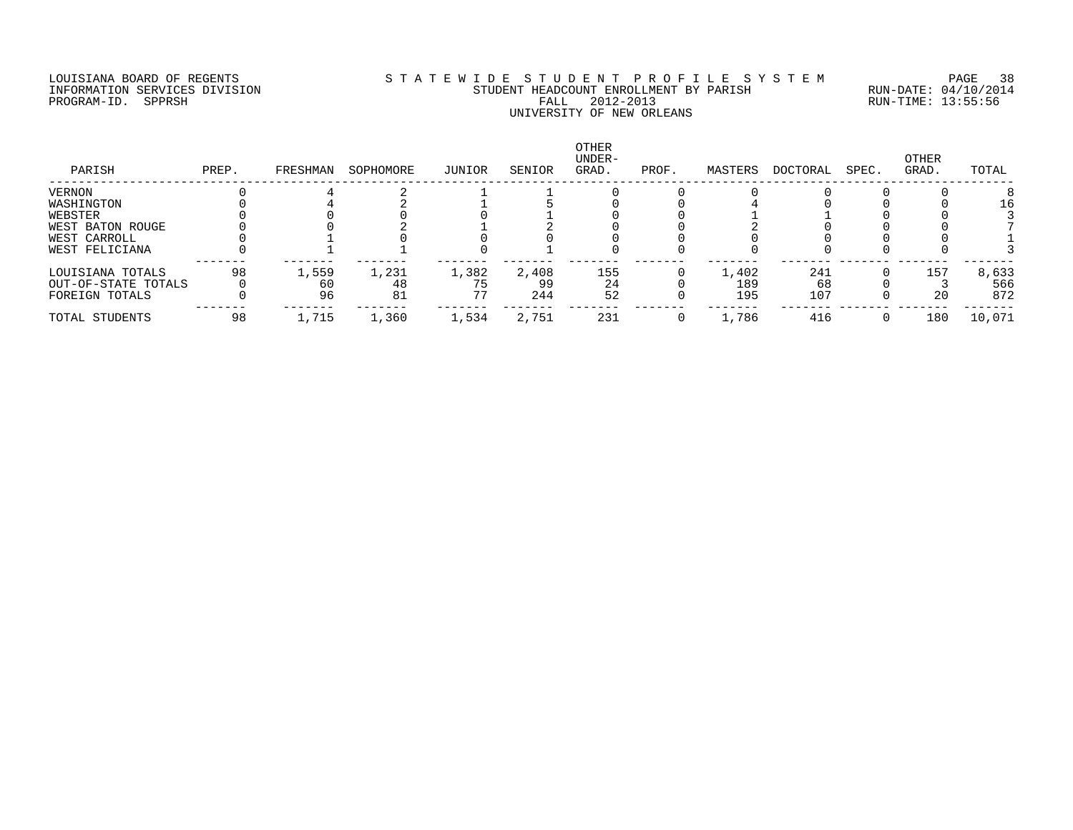#### LOUISIANA BOARD OF REGENTS S T A T E W I D E S T U D E N T P R O F I L E S Y S T E M PAGE 38 INFORMATION SERVICES DIVISION STUDENT HEADCOUNT ENROLLMENT BY PARISH RUN-DATE: 04/10/2014 PROGRAM-ID. SPPRSH FALL 2012-2013 RUN-TIME: 13:55:56 UNIVERSITY OF NEW ORLEANS

| PARISH              | PREP. | FRESHMAN | SOPHOMORE | JUNIOR | SENIOR | <b>OTHER</b><br>UNDER-<br>GRAD. | PROF. | MASTERS | DOCTORAL | SPEC. | OTHER<br>GRAD. | TOTAL  |
|---------------------|-------|----------|-----------|--------|--------|---------------------------------|-------|---------|----------|-------|----------------|--------|
| VERNON              |       |          |           |        |        |                                 |       |         |          |       |                |        |
| WASHINGTON          |       |          |           |        |        |                                 |       |         |          |       |                | 16     |
| WEBSTER             |       |          |           |        |        |                                 |       |         |          |       |                |        |
| WEST BATON ROUGE    |       |          |           |        |        |                                 |       |         |          |       |                |        |
| WEST CARROLL        |       |          |           |        |        |                                 |       |         |          |       |                |        |
| WEST FELICIANA      |       |          |           |        |        |                                 |       |         |          |       |                |        |
| LOUISIANA TOTALS    | 98    | 1,559    | 1,231     | 1,382  | 2,408  | 155                             |       | 1,402   | 241      |       | 157            | 8,633  |
| OUT-OF-STATE TOTALS |       | 60       | 48        |        | 99     | 24                              |       | 189     | 68       |       |                | 566    |
| FOREIGN TOTALS      |       | 96       | 81        | 77     | 244    | 52                              |       | 195     | 107      |       | 20             | 872    |
| TOTAL STUDENTS      | 98    | 1,715    | 1,360     | 1,534  | 2,751  | 231                             |       | 1,786   | 416      |       | 180            | 10,071 |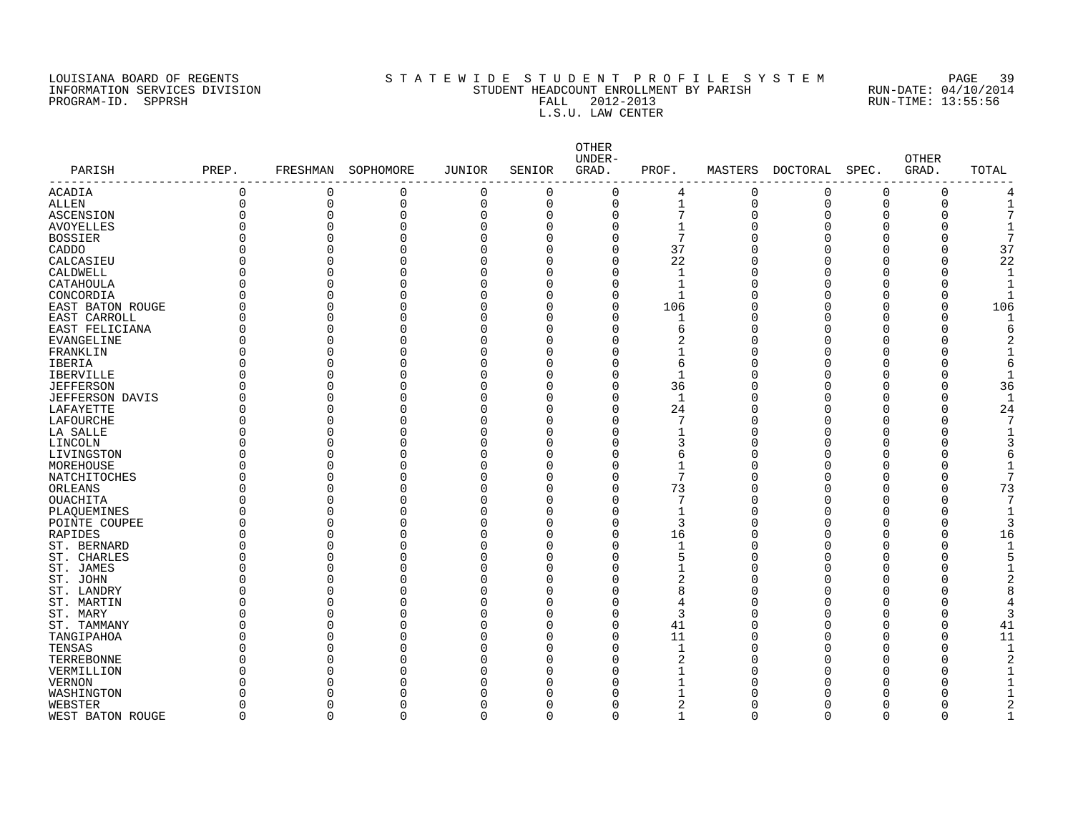## LOUISIANA BOARD OF REGENTS S T A T E W I D E S T U D E N T P R O F I L E S Y S T E M PAGE 39 INFORMATION SERVICES DIVISION STUDENT HEADCOUNT ENROLLMENT BY PARISH RUN-DATE: 04/10/2014 PROGRAM-ID. SPPRSH FALL 2012-2013 RUN-TIME: 13:55:56 FALL 2012-2013<br>L.S.U. LAW CENTER

| PARISH<br>--------------- | PREP.    | FRESHMAN | SOPHOMORE      | <b>JUNIOR</b>        | SENIOR   | OTHER<br>UNDER-<br>GRAD. | PROF.        |             | MASTERS DOCTORAL | SPEC.        | <b>OTHER</b><br>GRAD. | TOTAL |
|---------------------------|----------|----------|----------------|----------------------|----------|--------------------------|--------------|-------------|------------------|--------------|-----------------------|-------|
| <b>ACADIA</b>             | 0        | $\Omega$ | $\mathbf 0$    | $\mathbf 0$          | $\Omega$ | $\Omega$                 | 4            | $\Omega$    | $\mathbf 0$      | $\mathbf 0$  | $\Omega$              |       |
| <b>ALLEN</b>              | 0        | 0        | $\overline{0}$ | $\mathbf 0$          | 0        | $\mathbf 0$              | $\mathbf{1}$ | $\mathbf 0$ | $\mathbf 0$      | $\Omega$     | $\Omega$              |       |
| ASCENSION                 | U        | 0        | $\Omega$       | $\mathbf 0$          | 0        | $\Omega$                 | 7            | $\Omega$    | O                | <sup>0</sup> |                       |       |
| <b>AVOYELLES</b>          | U        | $\Omega$ | 0              | $\mathbf 0$          | O        | $\Omega$                 | 1            |             |                  | O            |                       |       |
| <b>BOSSIER</b>            | U        | $\Omega$ | $\Omega$       | $\mathbf 0$          | O        | O                        | 7            |             |                  | $\Omega$     |                       |       |
| CADDO                     | O        | $\Omega$ | O              | $\Omega$             | U        | $\Omega$                 | 37           |             |                  | ∩            |                       | 37    |
| CALCASIEU                 | U        | $\Omega$ | O              | $\mathbf 0$          | U        | $\Omega$                 | 22           |             |                  | ∩            | O                     | 22    |
| CALDWELL                  | 0        | 0        | 0              | $\Omega$             |          | O                        | 1            |             |                  | O            |                       |       |
| CATAHOULA                 | 0        | 0        | 0              | $\mathbf 0$          | U        | $\Omega$                 | $\mathbf{1}$ |             |                  | O            |                       |       |
| CONCORDIA                 | O        | $\Omega$ | O              | $\Omega$             | U        | $\Omega$                 | -1           |             |                  | ∩            |                       |       |
| EAST BATON ROUGE          | 0        | $\Omega$ | 0              | $\mathbf 0$          | U        | $\Omega$                 | 106          |             |                  | n            | $\Omega$              | 106   |
| EAST CARROLL              | 0        | $\Omega$ | 0              | $\mathbf 0$          | O        | $\Omega$                 | 1            |             |                  | n            | $\Omega$              |       |
| EAST FELICIANA            | 0        | $\Omega$ | 0              | $\Omega$             |          | $\Omega$                 | 6            |             |                  | ∩            |                       |       |
| EVANGELINE                | O        | $\Omega$ | O              | $\Omega$             | U        | U                        | 2            |             |                  | ∩            |                       |       |
| FRANKLIN                  | 0        | 0        | 0              | $\Omega$             |          |                          |              |             |                  | ∩            |                       |       |
| IBERIA                    | 0        | $\Omega$ | O              | $\Omega$             |          | O                        | 6            |             |                  | $\Omega$     |                       |       |
| <b>IBERVILLE</b>          | U        | 0        | O              | $\Omega$             |          | O                        | $\mathbf{1}$ |             |                  | n            |                       |       |
| <b>JEFFERSON</b>          | U        | $\Omega$ | O              | $\Omega$             | U        | $\Omega$                 | 36           |             |                  | ∩            |                       | 36    |
| <b>JEFFERSON DAVIS</b>    | 0        | 0        | 0              | 0                    | U        | $\Omega$                 | 1            |             |                  | O            | $\Omega$              |       |
| LAFAYETTE                 | U        | $\Omega$ | O              | $\mathbf 0$          | O        | $\Omega$                 | 24           |             |                  | O            | $\Omega$              | 24    |
| LAFOURCHE                 | U        | 0        | O              | $\Omega$             | O        | $\Omega$                 | 7            |             | ∩                | ∩            | ∩                     |       |
| LA SALLE                  | O        | $\Omega$ | O              | $\Omega$             | U        | $\Omega$                 | 1            |             |                  |              |                       |       |
| LINCOLN                   | O        | $\Omega$ | 0              | 0                    | U        | $\Omega$                 | 3            |             |                  | n            |                       |       |
| LIVINGSTON                | O        | $\Omega$ | O              | $\mathbf 0$          | U        | $\Omega$                 | 6            |             |                  | ∩            |                       |       |
| MOREHOUSE                 | O        | $\Omega$ | U              | $\Omega$             | U        | $\Omega$                 | $\mathbf{1}$ |             |                  | ∩            |                       |       |
| NATCHITOCHES              | U        | $\Omega$ | O              | 0                    | U        | $\Omega$                 | 7            |             |                  | ∩            |                       |       |
| ORLEANS                   | O        | 0        | O              | $\Omega$             |          | O                        | 73           |             |                  | ∩            |                       | 73    |
| <b>OUACHITA</b>           | O        | $\Omega$ | 0              | $\mathbf 0$          | O        | $\Omega$                 | 7            |             |                  | O            |                       |       |
| PLAQUEMINES               | O        | $\Omega$ | O              | $\Omega$             | U        | O                        | 1            |             |                  |              |                       |       |
| POINTE COUPEE             | U        | $\Omega$ | O              | $\mathbf 0$          | U        | O                        | 3            |             |                  | ∩            |                       |       |
| RAPIDES                   | 0        | $\Omega$ | 0              | $\Omega$             | U        | $\Omega$                 | 16           |             |                  | ∩            | $\Omega$              | 16    |
| ST. BERNARD               | O        | $\Omega$ | O              | $\mathbf 0$          | O        | $\Omega$                 | 1            |             |                  | O            |                       |       |
| ST. CHARLES               | 0        | $\Omega$ | 0              | $\Omega$             | U        | $\Omega$                 | 5            |             |                  | ∩            |                       |       |
| ST. JAMES                 | 0        | 0        | 0              | $\Omega$             |          | O                        |              |             |                  |              |                       |       |
| ST. JOHN                  | 0        | 0        | 0              | $\mathbf 0$          | O        | O                        | 2            |             |                  | ∩            |                       |       |
| ST. LANDRY                | U        | $\Omega$ | 0              | $\Omega$             | O        | $\Omega$                 | 8            |             |                  | ∩            |                       |       |
|                           | U        | $\Omega$ | O              | $\Omega$             | U        | U                        |              |             |                  | ∩            |                       |       |
| ST. MARTIN                |          | 0        |                |                      |          | O                        | 4<br>3       |             |                  | ∩            |                       |       |
| ST. MARY                  | 0        | $\Omega$ | 0<br>O         | $\Omega$<br>$\Omega$ | O        |                          |              |             |                  | $\Omega$     |                       |       |
| ST. TAMMANY               | 0        |          |                |                      |          | $\Omega$                 | 41           |             |                  |              | $\Omega$              | 41    |
| TANGIPAHOA                | U        | O        | O              | $\Omega$             |          | $\Omega$                 | 11           |             |                  | n            | $\Omega$              | 11    |
| TENSAS                    | U        | $\Omega$ | U              | $\Omega$             | U        | $\Omega$                 | 1            |             |                  | ∩            | $\Omega$              |       |
| TERREBONNE                | 0        |          | N              | $\Omega$             |          |                          | 2            |             |                  |              |                       |       |
| VERMILLION                | U        | 0        | O              | $\Omega$             | U        | U                        |              |             |                  |              |                       |       |
| <b>VERNON</b>             | Λ        |          | U              | $\Omega$             |          |                          |              |             |                  |              |                       |       |
| WASHINGTON                |          |          | O              |                      |          |                          |              |             |                  |              |                       |       |
| WEBSTER                   | O        | O        | 0              | $\Omega$             | O        |                          | 2            |             |                  | O            |                       |       |
| WEST BATON ROUGE          | $\Omega$ | $\Omega$ | $\Omega$       | $\cap$               | $\Omega$ |                          | ٦            |             |                  | $\cap$       | ∩                     |       |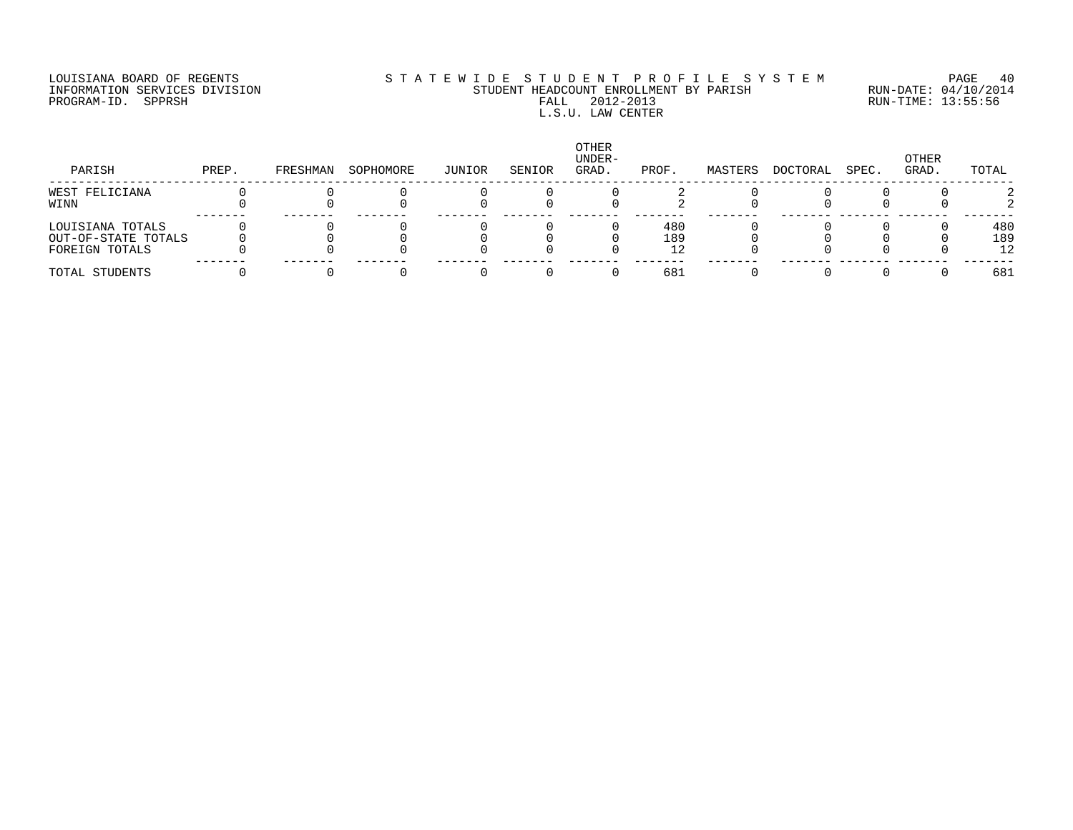PROGRAM-ID. SPPRSH

# LOUISIANA BOARD OF REGENTS SOURCOMER'S STATEWIDE STUDENT PROFILE SYSTEM PAGE 40<br>INFORMATION SERVICES DIVISION STUDENT HEADCOUNT ENROLLMENT BY PARISH RUN-DATE: 04/10/2014 INFORMATION SERVICES DIVISION SUBSEXULATION STUDENT HEADCOUNT ENROLLMENT BY PARISH STUDENT AND RUN-DATE: 04/10/201<br>INFORMATION SERVICES DIVISION STUDENT STUDENT HEADCOUNT ENROLLMENT BY PARISH FALL 2012-2013 L.S.U. LAW CENTER

| PARISH                                  | PREP. | FRESHMAN | SOPHOMORE | JUNIOR | SENIOR | OTHER<br>UNDER-<br>GRAD. | PROF.      | MASTERS | DOCTORAL | SPEC. | OTHER<br>GRAD. | TOTAL      |
|-----------------------------------------|-------|----------|-----------|--------|--------|--------------------------|------------|---------|----------|-------|----------------|------------|
| WEST FELICIANA<br>WINN                  |       |          |           |        |        |                          |            |         |          |       |                |            |
| LOUISIANA TOTALS<br>OUT-OF-STATE TOTALS |       |          |           |        |        |                          | 480<br>189 |         |          |       |                | 480<br>189 |
| FOREIGN TOTALS<br>TOTAL STUDENTS        |       |          |           |        |        |                          | 681        |         |          |       |                | 12<br>681  |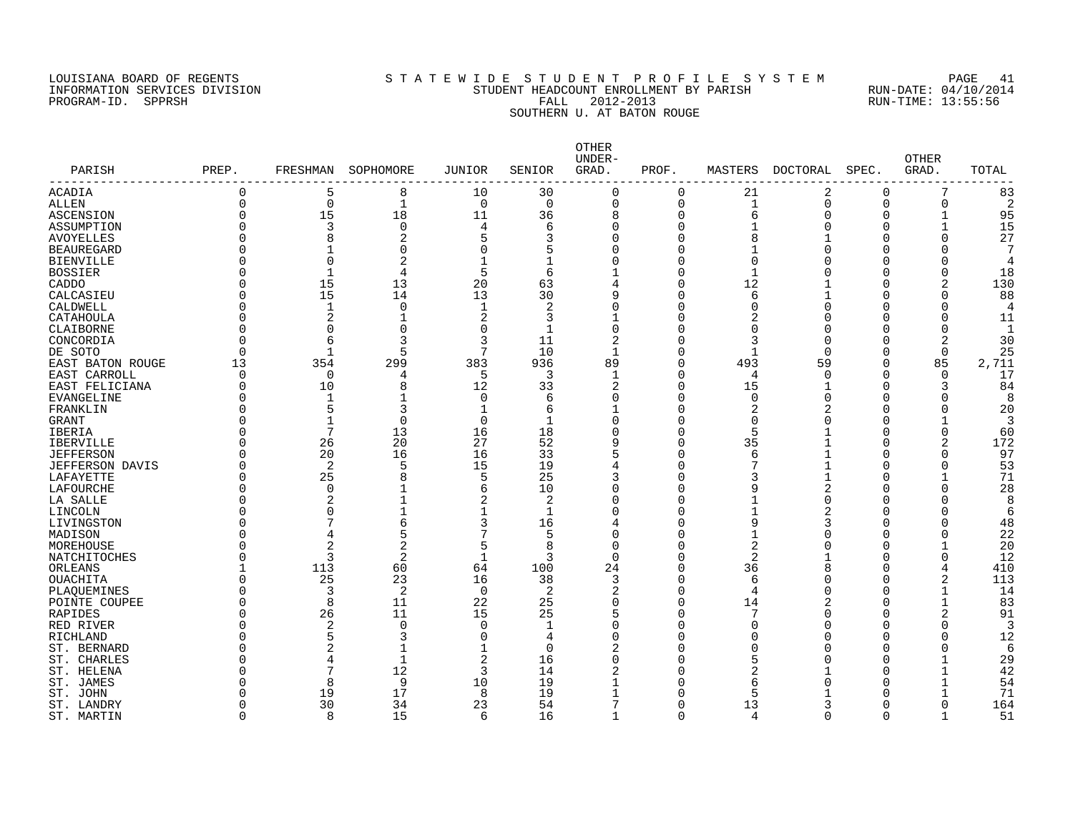#### LOUISIANA BOARD OF REGENTS S T A T E W I D E S T U D E N T P R O F I L E S Y S T E M PAGE 41 INFORMATION SERVICES DIVISION STUDENT HEADCOUNT ENROLLMENT BY PARISH RUN-DATE: 04/10/2014 PROGRAM-ID. SPPRSH FALL 2012-2013 RUN-TIME: 13:55:56 SOUTHERN U. AT BATON ROUGE

| PARISH                 | PREP.                | FRESHMAN       | SOPHOMORE      | <b>JUNIOR</b>       | SENIOR       | OTHER<br>UNDER-<br>GRAD. | PROF.    | MASTERS        | DOCTORAL | SPEC.    | <b>OTHER</b><br>GRAD.        | TOTAL          |
|------------------------|----------------------|----------------|----------------|---------------------|--------------|--------------------------|----------|----------------|----------|----------|------------------------------|----------------|
| ACADIA                 | $\Omega$             | 5              | 8              | 10                  | 30           | $\Omega$                 | 0        | 21             | 2        | $\Omega$ | 7                            | 83             |
| ALLEN                  | $\Omega$             | $\mathbf 0$    | 1              | $\overline{0}$      | $\mathbf 0$  | $\mathbf 0$              | 0        | $\mathbf{1}$   | 0        | $\Omega$ | 0                            | 2              |
| ASCENSION              | $\Omega$             | 15             | 18             | 11                  | 36           | 8                        | 0        | 6              | $\Omega$ | O        | $\mathbf{1}$                 | 95             |
| ASSUMPTION             | $\Omega$             | 3              | 0              | 4                   | 6            | $\Omega$                 | $\Omega$ |                |          | $\Omega$ | $\mathbf{1}$                 | 15             |
| <b>AVOYELLES</b>       | $\Omega$             | $\mathsf{R}$   | 2              | 5                   | 3            | $\Omega$                 | $\Omega$ | 8              |          | U        | 0                            | 27             |
| <b>BEAUREGARD</b>      | ∩                    |                | 0              | $\Omega$            | 5            |                          | 0        |                |          | U        | O                            |                |
| <b>BIENVILLE</b>       | $\Omega$             | $\Omega$       | 2              |                     | 1            |                          | 0        | $\Omega$       |          | U        | 0                            | $\overline{4}$ |
| <b>BOSSIER</b>         | $\Omega$             |                | 4              | 5                   | 6            |                          | 0        |                |          | $\Omega$ | $\Omega$                     | 18             |
| CADDO                  | $\Omega$             | 15             | 13             | 20                  | 63           |                          | 0        | 12             |          | U        | 2                            | 130            |
| CALCASIEU              | $\Omega$             | 15             | 14             | 13                  | 30           | q                        | 0        | 6              |          | U        | O                            | 88             |
| CALDWELL               | $\Omega$             | 1              | 0              | $\mathbf{1}$        | 2            | U                        | 0        | $\Omega$       |          | O        | 0                            |                |
| CATAHOULA              | $\Omega$             | 2              |                | 2                   | 3            |                          | 0        | 2              |          | O        | 0                            | 11             |
| CLAIBORNE              | $\Omega$             | $\mathbf 0$    | 0              | $\overline{0}$      | $\mathbf 1$  | $\Omega$                 | $\Omega$ | $\Omega$       |          | O        | 0                            | -1             |
| CONCORDIA              | $\Omega$             | 6              | 3              | 3                   | 11           | 2                        | $\Omega$ | 3              | Ω        | $\Omega$ | 2                            | 30             |
| DE SOTO                | $\Omega$             | $\mathbf{1}$   | 5              | 7                   | 10           | $\mathbf{1}$             | $\Omega$ | $\mathbf{1}$   | $\Omega$ | O        | 0                            | 25             |
| EAST BATON ROUGE       | 13                   | 354            | 299            | 383                 | 936          | 89                       | 0        | 493            | 59       | $\Omega$ | 85                           | 2,711          |
| EAST CARROLL           | $\Omega$             | $\mathbf 0$    | 4              | 5                   | 3            | $\mathbf{1}$             | 0        | 4              | $\Omega$ | $\Omega$ | 0                            | 17             |
| EAST FELICIANA         | $\Omega$             | 10             | 8              | 12                  | 33           | $\overline{2}$           | $\Omega$ | 15             |          | $\Omega$ | 3                            | 84             |
| EVANGELINE             | $\Omega$             | $\mathbf{1}$   | $\mathbf{1}$   | $\Omega$            | 6            | $\Omega$                 | $\Omega$ | $\Omega$       | Ω        | U        | <sup>0</sup>                 | 8              |
| FRANKLIN               | $\Omega$             | 5              | 3              | $\mathbf{1}$        | 6            |                          | O        | 2              |          | U        | O                            | 20             |
| <b>GRANT</b>           | $\Omega$             | -1             | 0              | $\Omega$            | $\mathbf{1}$ | $\Omega$                 | 0        | $\Omega$       |          | U        | $\mathbf{1}$                 | 3              |
| IBERIA                 | $\Omega$             | 7              | 13             | 16                  | 18           | U                        | 0        | 5              |          | O        | 0                            | 60             |
| <b>IBERVILLE</b>       | $\Omega$             | 26             | 20             | 27                  | 52           | 9                        | 0        | 35             |          | O        | 2                            | 172            |
| <b>JEFFERSON</b>       | $\Omega$             | 20             | 16             | 16                  | 33           |                          | 0        | 6              |          | ∩        | <sup>0</sup>                 | 97             |
| <b>JEFFERSON DAVIS</b> | $\Omega$             | $\overline{2}$ | 5              | 15                  | 19           |                          | $\Omega$ | 7              |          | U        | 0                            | 53             |
| LAFAYETTE              | $\Omega$             | 25             | 8              | 5                   | 25           | 3                        | 0        | 3              |          | ∩        | 1                            | 71             |
| LAFOURCHE              | $\Omega$             | $\Omega$       |                | 6                   | 10           |                          | 0        | 9              |          | O        | 0                            | 28             |
| LA SALLE               | $\Omega$             | 2              |                | $\overline{2}$      | 2            | O                        | 0        |                |          | U        | $\Omega$                     | 8              |
| LINCOLN                | ∩                    | $\Omega$       |                |                     | 1            |                          | O        |                |          | U        | O                            | 6              |
| LIVINGSTON             | $\Omega$             | 7              | 6              | 3                   | 16           |                          | $\Omega$ | 9              |          | U        | 0                            | 48             |
| MADISON                | ∩                    | 4              | 5              | 7                   | 5            | ∩                        | 0        |                |          | O        | 0                            | 22             |
| MOREHOUSE              | $\Omega$             | $\overline{2}$ | 2              | 5                   | 8            | ∩                        | 0        | 2              |          | O        | 1                            | 20             |
| NATCHITOCHES           | ∩                    | 3              | $\overline{2}$ | $\mathbf{1}$        | 3            | $\Omega$                 | 0        | $\overline{2}$ |          | $\Omega$ | 0                            | 12             |
| ORLEANS                |                      | 113            | 60             | 64                  | 100          | 24                       | 0        | 36             | 8        | O        | 4                            | 410            |
| <b>OUACHITA</b>        | ∩                    | 25             | 23             | 16                  | 38           | 3                        | $\Omega$ | 6              |          | $\Omega$ | 2                            | 113            |
| PLAQUEMINES            | ∩                    | 3              | 2              | $\overline{0}$      | 2            | 2                        | $\Omega$ | 4              |          | O        | $\mathbf{1}$                 | 14             |
| POINTE COUPEE          | ∩                    | 8              | 11             | 22                  | 25           | $\Omega$                 | 0        | 14             |          | O        | $\mathbf{1}$                 | 83             |
| RAPIDES                | $\Omega$             | 26             | 11             | 15                  | 25           | 5                        | $\Omega$ | 7              |          | $\Omega$ | 2                            | 91             |
| RED RIVER              | ∩                    | 2              | $\Omega$       | $\cap$              | 1            | $\Omega$                 | O        | $\cap$         |          | U        | $\Omega$                     | 3              |
| RICHLAND               | ∩                    | 5              | 3              | $\Omega$            | 4            | $\Omega$                 | O        |                |          | U        | O                            | 12             |
|                        | $\Omega$             | $\overline{2}$ | 1              | -1                  | $\Omega$     | 2                        | O        |                |          | U        | 0                            | 6              |
| ST. BERNARD            |                      |                |                |                     |              | ∩                        |          |                |          |          |                              |                |
| ST. CHARLES            | $\Omega$<br>$\Omega$ | 4<br>7         | 1<br>12        | $\overline{2}$<br>3 | 16<br>14     | 2                        | 0<br>0   | 5<br>2         |          | U        | $\mathbf{1}$<br>$\mathbf{1}$ | 29<br>42       |
| ST. HELENA             |                      | $\mathsf{R}$   | 9              | 10                  | 19           |                          | O        | 6              |          | U        | $\mathbf{1}$                 | 54             |
| ST. JAMES              | ∩                    |                | 17             |                     |              |                          |          | 5              |          |          | 1                            | 71             |
| ST. JOHN               |                      | 19             |                | 8                   | 19           |                          | O        |                |          |          |                              |                |
| ST. LANDRY             | $\Omega$             | 30             | 34             | 23                  | 54           |                          | 0        | 13             |          | O        | <sup>0</sup>                 | 164            |
| ST. MARTIN             | $\Omega$             | 8              | 15             | 6                   | 16           |                          | $\Omega$ | 4              | U        | $\Omega$ | -1                           | 51             |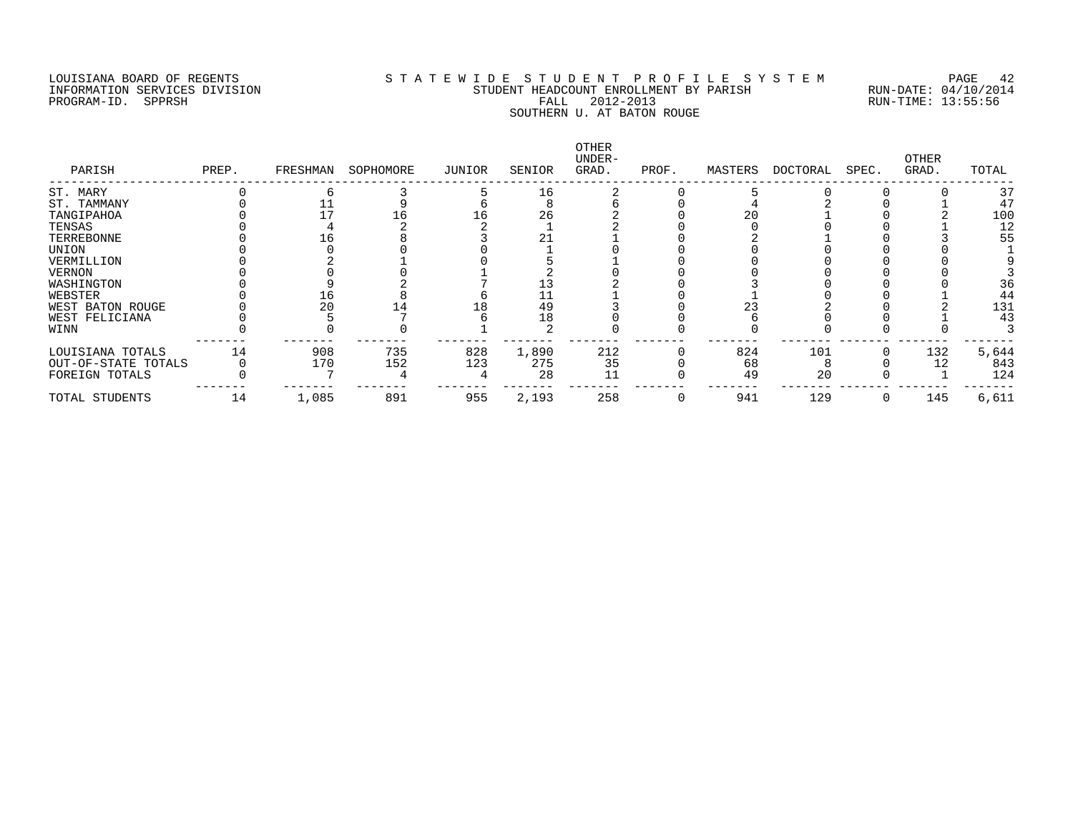#### LOUISIANA BOARD OF REGENTS S T A T E W I D E S T U D E N T P R O F I L E S Y S T E M PAGE 42 INFORMATION SERVICES DIVISION STUDENT HEADCOUNT ENROLLMENT BY PARISH RUN-DATE: 04/10/2014 PROGRAM-ID. SPPRSH FALL 2012-2013 RUN-TIME: 13:55:56 SOUTHERN U. AT BATON ROUGE

| PARISH              | PREP. | FRESHMAN | SOPHOMORE | JUNIOR | SENIOR | OTHER<br>UNDER-<br>GRAD. | PROF. | MASTERS | DOCTORAL | SPEC. | OTHER<br>GRAD. | TOTAL |
|---------------------|-------|----------|-----------|--------|--------|--------------------------|-------|---------|----------|-------|----------------|-------|
| ST. MARY            |       |          |           |        | 16     |                          |       |         |          |       |                | 37    |
| ST. TAMMANY         |       |          |           |        |        |                          |       |         |          |       |                | 47    |
| TANGIPAHOA          |       |          |           |        | 26     |                          |       | 20      |          |       |                | 100   |
| TENSAS              |       |          |           |        |        |                          |       |         |          |       |                | 12    |
| TERREBONNE          |       | . ხ      |           |        | 21     |                          |       |         |          |       |                | 55    |
| UNION               |       |          |           |        |        |                          |       |         |          |       |                |       |
| VERMILLION          |       |          |           |        |        |                          |       |         |          |       |                |       |
| <b>VERNON</b>       |       |          |           |        |        |                          |       |         |          |       |                |       |
| WASHINGTON          |       |          |           |        |        |                          |       |         |          |       |                | 36    |
| WEBSTER             |       | Lб       |           |        | 11     |                          |       |         |          |       |                | 44    |
| WEST BATON ROUGE    |       |          |           |        | 49     |                          |       | 23      |          |       |                | 131   |
| WEST FELICIANA      |       |          |           |        | 18     |                          |       |         |          |       |                | 43    |
| WINN                |       |          |           |        |        |                          |       |         |          |       |                |       |
| LOUISIANA TOTALS    | 14    | 908      | 735       | 828    | 1,890  | 212                      |       | 824     | 101      |       | 132            | 5,644 |
| OUT-OF-STATE TOTALS |       | 170      | 152       | 123    | 275    | 35                       |       | 68      |          |       |                | 843   |
| FOREIGN TOTALS      |       |          |           |        | 28     |                          |       | 49      | 20       |       |                | 124   |
| TOTAL STUDENTS      | 14    | 1,085    | 891       | 955    | 2,193  | 258                      |       | 941     | 129      |       | 145            | 6,611 |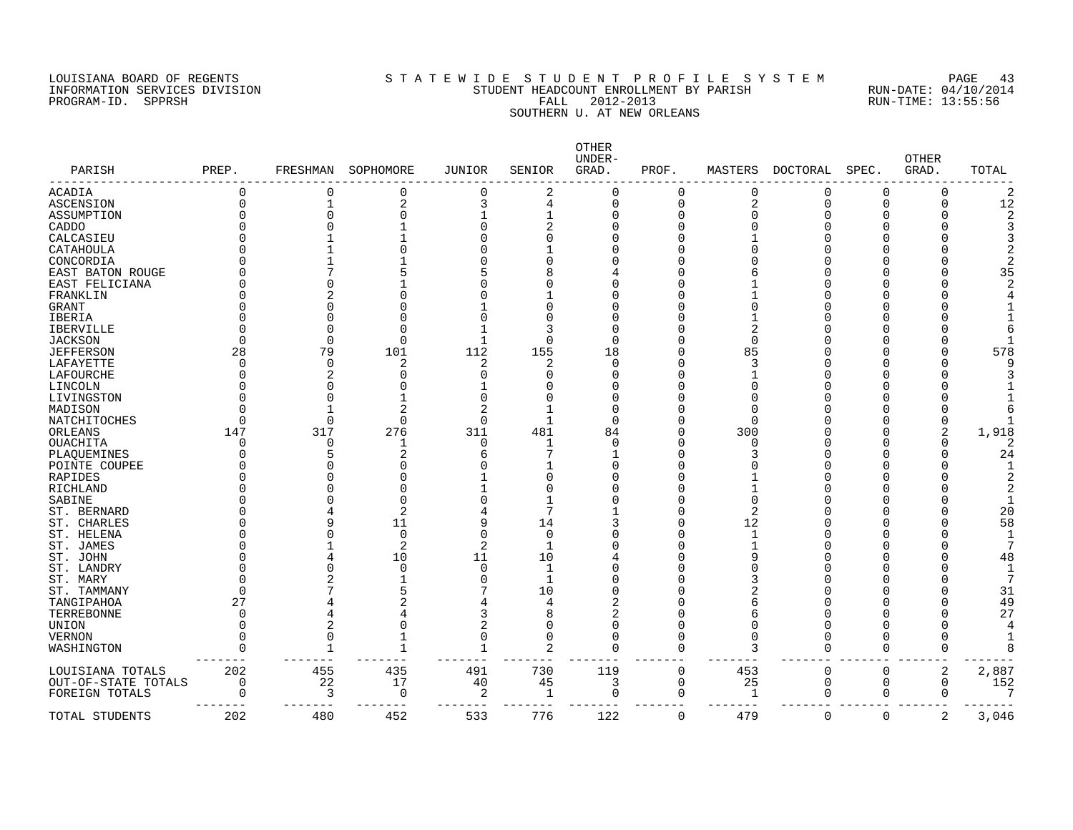# LOUISIANA BOARD OF REGENTS STATEWIDE STUDENT PROFILE SYSTEM PAGE 43 INFORMATION SERVICES DIVISION STUDENT HEADCOUNT ENROLLMENT BY PARISH RUN-DATE: 04/10/2014 PROGRAM-ID. SPPRSH FALL 2012-2013 RUN-TIME: 13:55:56 SOUTHERN U. AT NEW ORLEANS

| PARISH              | PREP.    | FRESHMAN     | SOPHOMORE      | <b>JUNIOR</b> | SENIOR         | OTHER<br>UNDER-<br>GRAD. | PROF.    | MASTERS        | DOCTORAL | SPEC.    | OTHER<br>GRAD. | TOTAL          |
|---------------------|----------|--------------|----------------|---------------|----------------|--------------------------|----------|----------------|----------|----------|----------------|----------------|
| ACADIA              | 0        | 0            | 0              | 0             | 2              | 0                        | 0        | $\Omega$       | 0        | 0        | 0              | 2              |
| ASCENSION           |          |              | $\overline{a}$ | 3             | 4              | $\Omega$                 | $\Omega$ | 2              | 0        | 0        | 0              | 12             |
| ASSUMPTION          |          |              |                |               |                |                          | U        |                | O        | O        | O              | $\overline{2}$ |
| CADDO               |          |              |                | Ω             |                |                          |          |                | Ω        | U        | U              | 3              |
| CALCASIEU           |          |              |                |               | ∩              |                          |          |                |          |          | U              | 3              |
| CATAHOULA           |          |              |                |               |                |                          |          |                |          |          |                | 2              |
| CONCORDIA           |          |              |                |               |                |                          |          |                |          |          |                | 2              |
| EAST BATON ROUGE    |          |              |                |               |                |                          |          |                |          |          |                | 35             |
|                     |          |              |                |               |                |                          |          |                |          |          | U              | $\overline{2}$ |
| EAST FELICIANA      |          |              |                |               |                |                          |          |                |          |          |                |                |
| FRANKLIN            |          |              |                |               |                |                          |          |                |          |          |                |                |
| GRANT               |          |              |                |               | ∩              |                          |          |                |          |          |                |                |
| IBERIA              |          |              |                |               | O              |                          | C        |                |          |          |                |                |
| <b>IBERVILLE</b>    |          |              | O              |               | 3              |                          |          |                |          |          |                | 6              |
| <b>JACKSON</b>      |          | $\cap$       | $\Omega$       |               | $\Omega$       | $\cap$                   |          |                |          |          | U              |                |
| <b>JEFFERSON</b>    | 28       | 79           | 101            | 112           | 155            | 18                       |          | 85             |          |          | O              | 578            |
| LAFAYETTE           |          | $\cap$       | 2              | 2             | 2              | $\cap$                   |          |                | U        | U        | U              |                |
| LAFOURCHE           |          |              |                | Ω             | ∩              |                          |          |                |          |          | O              |                |
| LINCOLN             |          |              |                |               |                |                          |          |                | Λ        | O        | O              |                |
| LIVINGSTON          |          |              |                | O             | O              |                          |          |                |          |          | O              |                |
| MADISON             |          |              |                | 2             | 1              |                          |          |                |          |          | U              | 6              |
| NATCHITOCHES        |          | $\Omega$     | $\Omega$       | 0             | 1              | $\cap$                   |          |                |          |          | 0              |                |
| ORLEANS             | 147      | 317          | 276            | 311           | 481            | 84                       |          | 300            |          |          | 2              | 1,918          |
| OUACHITA            |          | $\Omega$     | 1              | 0             | 1              |                          |          |                |          |          | O              | 2              |
| PLAQUEMINES         |          |              |                | 6             |                |                          | O        |                |          |          | O              | 24             |
| POINTE COUPEE       |          |              |                |               |                |                          | C        |                |          |          |                |                |
| RAPIDES             |          |              |                |               | O              |                          |          |                |          |          |                | $\overline{2}$ |
| <b>RICHLAND</b>     |          |              |                |               | $\Omega$       |                          | C        |                |          |          |                | 2              |
| SABINE              |          |              | O              |               |                |                          |          |                |          |          | U              | $\mathbf{1}$   |
| ST. BERNARD         |          |              | 2              | 4             | 7              |                          |          | $\overline{2}$ |          |          | U              | 20             |
| ST. CHARLES         |          |              | 11             | 9             | 14             |                          |          | 12             |          |          | U              | 58             |
| ST. HELENA          |          |              | $\Omega$       | O             | $\Omega$       |                          | U        | -1             | Λ        | Λ        | U              | 1              |
| ST. JAMES           |          |              | 2              | 2             | $\mathbf{1}$   |                          |          |                |          |          | O              | 7              |
|                     |          |              |                |               | 10             |                          |          |                | U        | O        | U              | 48             |
| ST. JOHN            |          |              | 10             | 11            |                |                          |          |                | O        |          | U              |                |
| ST. LANDRY          |          |              | <sup>0</sup>   | 0             | 1              |                          |          |                |          |          |                | 1              |
| ST. MARY            |          |              |                | 0             | 1              |                          |          |                | Ω        | O        | O              | 7              |
| ST. TAMMANY         |          |              |                |               | 10             |                          |          |                | Λ        |          | O              | 31             |
| TANGIPAHOA          | 27       |              |                |               | 4              |                          |          |                |          |          | O              | 49             |
| TERREBONNE          |          |              |                | 3             | 8              |                          |          |                | Ω        |          | O              | 27             |
| UNION               |          | 2            |                | 2             | 0              |                          | O        |                | O        | O        | O              | 4              |
| <b>VERNON</b>       |          | $\Omega$     | -1             | 0             | $\mathbf 0$    | $\Omega$                 | O        |                | 0        | O        | 0              |                |
| WASHINGTON          | Λ        | $\mathbf{1}$ | $\mathbf{1}$   | $\mathbf{1}$  | $\overline{2}$ | $\Omega$                 | $\Omega$ | 3              | $\Omega$ | $\Omega$ | $\Omega$       | 8              |
| LOUISIANA TOTALS    | 202      | 455          | 435            | 491           | 730            | 119                      | $\Omega$ | 453            | $\Omega$ | $\Omega$ | 2              | 2,887          |
| OUT-OF-STATE TOTALS | $\Omega$ | 22           | 17             | 40            | 45             | 3                        | 0        | 25             | 0        | 0        | $\Omega$       | 152            |
| FOREIGN TOTALS      | $\cap$   | 3            | 0              | 2             | 1              | $\mathbf 0$              | 0        | $\mathbf{1}$   | 0        | 0        | $\Omega$       | 7              |
| TOTAL STUDENTS      | 202      | 480          | 452            | 533           | 776            | 122                      | 0        | 479            | 0        | 0        | 2              | 3,046          |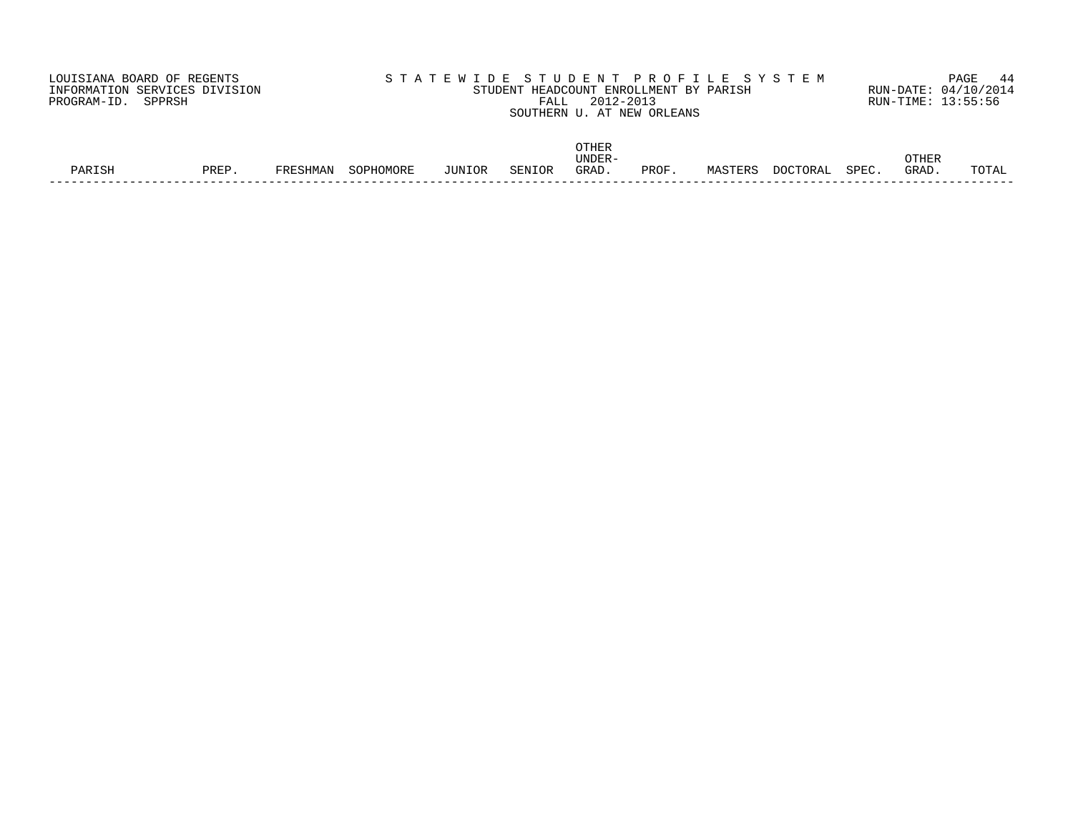| LOUISIANA BOARD OF REGENTS    | STATEWIDE STUDENT PROFILE SYSTEM       | PAGE 44              |
|-------------------------------|----------------------------------------|----------------------|
| INFORMATION SERVICES DIVISION | STUDENT HEADCOUNT ENROLLMENT BY PARISH | RUN-DATE: 04/10/2014 |
| PROGRAM-ID. SPPRSH            | 2012-2013<br>FALL                      | RUN-TIME: 13:55:56   |
|                               | SOUTHERN U. AT NEW ORLEANS             |                      |
|                               |                                        |                      |

|        |                |          |           |               |        | OTHER  |      |         |                  |                    |              |       |
|--------|----------------|----------|-----------|---------------|--------|--------|------|---------|------------------|--------------------|--------------|-------|
|        |                |          |           |               |        | UNDER- |      |         |                  |                    | <b>OTHER</b> |       |
| PARISH | ם תם ס<br>ビヘロビ | FRESHMAN | SOPHOMORE | <b>JUNIOR</b> | SENIOR | GRAD   | PROF | MASTERS | . רי∩רי<br>TORAL | SPEC<br>. بانا کاب | GRAD.        | TOTAL |
|        |                |          |           |               |        |        |      |         |                  |                    |              |       |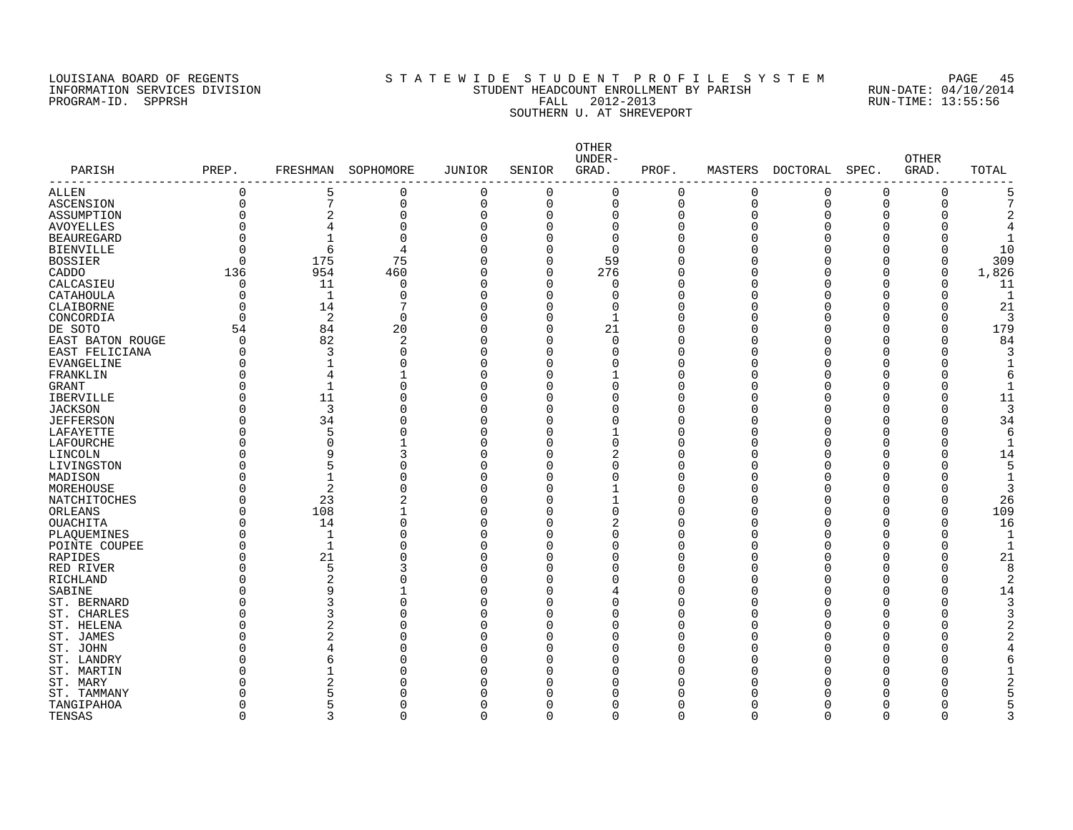## LOUISIANA BOARD OF REGENTS S T A T E W I D E S T U D E N T P R O F I L E S Y S T E M PAGE 45 INFORMATION SERVICES DIVISION STUDENT HEADCOUNT ENROLLMENT BY PARISH RUN-DATE: 04/10/2014 PROGRAM-ID. SPPRSH FALL 2012-2013 RUN-TIME: 13:55:56 ENT HEREONIAL DELIGIONAL DE TALL 2012-2013<br>SOUTHERN U. AT SHREVEPORT

| PARISH              | PREP.    | FRESHMAN       | SOPHOMORE | <b>JUNIOR</b>  | SENIOR      | OTHER<br>UNDER-<br>GRAD. | PROF.    | MASTERS  | DOCTORAL | SPEC.        | <b>OTHER</b><br>GRAD. | TOTAL |
|---------------------|----------|----------------|-----------|----------------|-------------|--------------------------|----------|----------|----------|--------------|-----------------------|-------|
| ALLEN               | 0        | 5              | 0         | $\mathbf 0$    | $\mathbf 0$ | 0                        | 0        | 0        | 0        | 0            | 0                     |       |
| <b>ASCENSION</b>    | $\Omega$ | 7              | 0         | $\overline{0}$ | $\Omega$    | $\mathbf 0$              | 0        | $\Omega$ | $\Omega$ | $\Omega$     | 0                     |       |
| ASSUMPTION          | O        | 2              | 0         | $\Omega$       | $\Omega$    | $\Omega$                 | O        | $\Omega$ |          | O            | O                     |       |
| AVOYELLES           | O        | 4              | 0         | $\Omega$       | $\Omega$    | 0                        | 0        | ſ        |          | 0            | 0                     |       |
| <b>BEAUREGARD</b>   | $\Omega$ | $\mathbf{1}$   | $\Omega$  | $\Omega$       | $\Omega$    | $\mathbf 0$              | $\Omega$ | C        |          | $\Omega$     | 0                     |       |
| <b>BIENVILLE</b>    | $\Omega$ | 6              | 4         | $\Omega$       | $\Omega$    | $\Omega$                 | $\Omega$ |          |          | O            | 0                     | 10    |
| <b>BOSSIER</b>      | O        | 175            | 75        | $\Omega$       | $\Omega$    | 59                       | O        |          |          | <sup>0</sup> | 0                     | 309   |
| CADDO               | 136      | 954            | 460       | $\Omega$       | 0           | 276                      | 0        |          |          | $\Omega$     | 0                     | 1,826 |
| CALCASIEU           | 0        | 11             | 0         | $\Omega$       | 0           | 0                        | 0        |          |          | $\Omega$     | 0                     | 11    |
| CATAHOULA           | 0        | $\mathbf{1}$   | $\Omega$  | $\Omega$       | $\Omega$    | $\Omega$                 | 0        |          |          | 0            | 0                     |       |
| CLAIBORNE           | 0        | 14             | 7         | $\Omega$       | O           | 0                        | 0        |          |          | 0            | 0                     | 21    |
| CONCORDIA           | 0        | 2              | $\Omega$  | $\Omega$       | $\Omega$    | 1                        | 0        |          |          | 0            | 0                     |       |
| DE SOTO             | 54       | 84             | 20        | $\Omega$       | $\Omega$    | 21                       | $\Omega$ |          |          | O            | 0                     | 179   |
| EAST BATON ROUGE    | 0        | 82             | 2         | $\Omega$       | $\Omega$    | $\Omega$                 | O        | r        |          | O            | 0                     | 84    |
| EAST FELICIANA      | 0        | 3              | 0         | $\Omega$       | $\Omega$    | $\Omega$                 | O        |          |          | O            | 0                     |       |
| EVANGELINE          | 0        | 1              | 0         | $\Omega$       | $\Omega$    | $\Omega$                 | O        | ſ        |          | 0            | O                     |       |
| FRANKLIN            | O        | 4              |           | $\Omega$       | $\Omega$    |                          | $\Omega$ |          |          | O            | Ω                     |       |
| <b>GRANT</b>        | O        | -1             | 0         | $\Omega$       | ∩           | 0                        | O        | r        |          | O            | O                     |       |
| <b>IBERVILLE</b>    | O        | 11             | 0         | $\Omega$       | O           | 0                        | 0        |          |          | 0            | 0                     | 11    |
| <b>JACKSON</b>      | ი        | 3              | 0         | $\Omega$       | $\Omega$    | $\Omega$                 | 0        | ſ        |          | 0            | 0                     |       |
| <b>JEFFERSON</b>    | ი        | 34             | 0         | $\Omega$       | O           | $\Omega$                 | O        | ſ        |          | O            | 0                     | 34    |
| LAFAYETTE           | ი        | 5              | $\Omega$  | $\Omega$       | ∩           | 1                        | O        |          |          | O            | 0                     |       |
| LAFOURCHE           | O        | 0              |           | $\Omega$       | ∩           | 0                        | 0        |          |          | O            | 0                     |       |
| LINCOLN             | ი        | 9              | 3         | $\Omega$       | ∩           | $\overline{2}$           | $\Omega$ |          |          | O            | 0                     | 14    |
| LIVINGSTON          | ი        | 5              | 0         | C              | ∩           | $\Omega$                 | $\Omega$ |          |          | U            | Λ                     |       |
| MADISON             | O        | $\mathbf{1}$   | 0         | $\Omega$       | ∩           | $\Omega$                 | O        | ſ        |          | ∩            | O                     |       |
| MOREHOUSE           | ი        | $\overline{2}$ | 0         | C              | ∩           |                          | O        |          |          | O            | Ω                     |       |
| <b>NATCHITOCHES</b> | 0        | 23             | 2         | $\Omega$       | $\Omega$    | $\mathbf 1$              | 0        | ſ        |          | $\Omega$     | 0                     | 26    |
| ORLEANS             | O        | 108            | 1         | $\Omega$       | O           | 0                        | O        |          |          | $\Omega$     | 0                     | 109   |
| OUACHITA            | O        | 14             | 0         | $\Omega$       | O           | $\overline{c}$           | O        |          |          | O            | 0                     | 16    |
| PLAQUEMINES         | 0        | 1              | 0         | $\Omega$       | O           | 0                        | 0        |          |          | 0            | 0                     |       |
| POINTE COUPEE       | $\Omega$ | $\mathbf{1}$   | $\Omega$  | $\Omega$       | $\Omega$    | $\Omega$                 | $\Omega$ |          |          | O            | 0                     |       |
| RAPIDES             | 0        | 21             | 0         | $\Omega$       | ∩           | $\Omega$                 | O        |          |          | O            | 0                     | 21    |
| RED RIVER           | 0        | 5              | 3         | C              | ∩           | $\Omega$                 | 0        |          |          | O            | 0                     |       |
| RICHLAND            | 0        | 2              | 0         | $\Omega$       | $\Omega$    | 0                        | 0        |          |          | 0            | 0                     |       |
| SABINE              | O        | 9              |           | $\Omega$       | $\Omega$    | 4                        | $\Omega$ | ſ        |          | O            | 0                     | 14    |
| ST. BERNARD         | 0        |                | 0         | $\Omega$       | ∩           | $\Omega$                 | $\Omega$ |          |          | C            | 0                     |       |
| ST. CHARLES         | 0        | 3              | 0         | $\Omega$       | O           | 0                        | O        |          |          | O            | 0                     |       |
| ST. HELENA          | 0        | 2              | 0         | $\Omega$       | $\Omega$    | $\Omega$                 | 0        | ſ        |          | O            | O                     |       |
| ST. JAMES           | ი        | 2              | 0         | $\sqrt{ }$     | O           | $\Omega$                 | O        |          |          | O            | O                     |       |
| ST. JOHN            | O        |                | 0         | n              | ∩           | $\Omega$                 | O        |          |          | O            | Λ                     |       |
| ST. LANDRY          | Ω        | 6              | 0         | C              | O           | 0                        | O        |          |          | 0            | ი                     |       |
| ST. MARTIN          | O        | -1             | 0         | $\Omega$       | O           | $\Omega$                 | O        |          |          | O            | Ω                     |       |
| ST. MARY            | N        | 2              | O         |                | ∩           | O                        | ∩        |          |          |              |                       |       |
| ST. TAMMANY         | N        |                | O         |                |             | O                        | O        |          |          |              |                       |       |
| TANGIPAHOA          | 0        | 5              | 0         | O              | O           | O                        | 0        | Ω        |          | $\Omega$     | Ω                     |       |
| <b>TENSAS</b>       | $\Omega$ |                | U         | $\cap$         | $\cap$      | $\cap$                   | $\Omega$ | $\cap$   |          | $\Omega$     | O                     |       |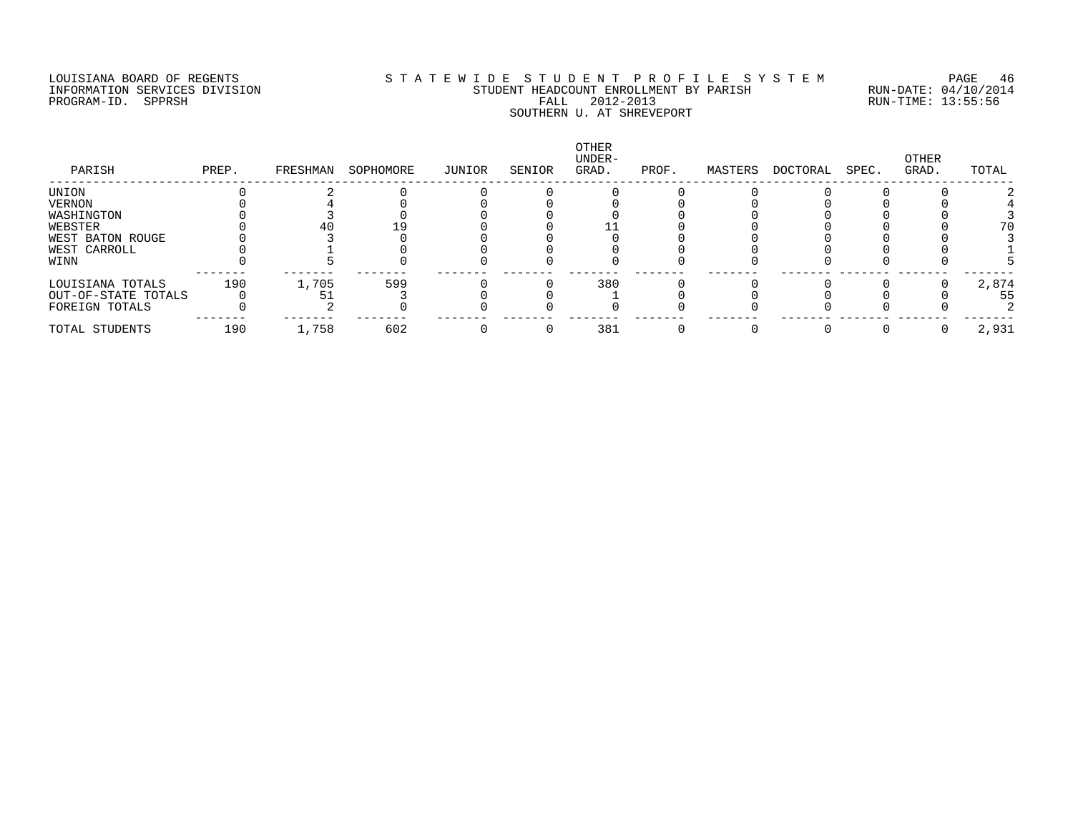## LOUISIANA BOARD OF REGENTS S T A T E W I D E S T U D E N T P R O F I L E S Y S T E M PAGE 46 INFORMATION SERVICES DIVISION STUDENT HEADCOUNT ENROLLMENT BY PARISH RUN-DATE: 04/10/2014 PROGRAM-ID. SPPRSH FALL 2012-2013 RUN-TIME: 13:55:56 ENT HEREONIAL DELIGIONAL DE TALL 2012-2013<br>SOUTHERN U. AT SHREVEPORT

| PARISH              | PREP. | FRESHMAN | SOPHOMORE | JUNIOR | SENIOR | OTHER<br>UNDER-<br>GRAD. | PROF. | MASTERS | DOCTORAL | SPEC. | OTHER<br>GRAD. | TOTAL |
|---------------------|-------|----------|-----------|--------|--------|--------------------------|-------|---------|----------|-------|----------------|-------|
| UNION               |       |          |           |        |        |                          |       |         |          |       |                |       |
| VERNON              |       |          |           |        |        |                          |       |         |          |       |                |       |
| WASHINGTON          |       |          |           |        |        |                          |       |         |          |       |                |       |
| WEBSTER             |       |          |           |        |        |                          |       |         |          |       |                | 70    |
| WEST BATON ROUGE    |       |          |           |        |        |                          |       |         |          |       |                |       |
| WEST CARROLL        |       |          |           |        |        |                          |       |         |          |       |                |       |
| WINN                |       |          |           |        |        |                          |       |         |          |       |                |       |
| LOUISIANA TOTALS    | 190   | 1,705    | 599       |        |        | 380                      |       |         |          |       |                | 2,874 |
| OUT-OF-STATE TOTALS |       |          |           |        |        |                          |       |         |          |       |                | 55    |
| FOREIGN TOTALS      |       |          |           |        |        |                          |       |         |          |       |                |       |
| TOTAL STUDENTS      | 190   | 1,758    | 602       |        |        | 381                      |       |         |          |       |                | 2,931 |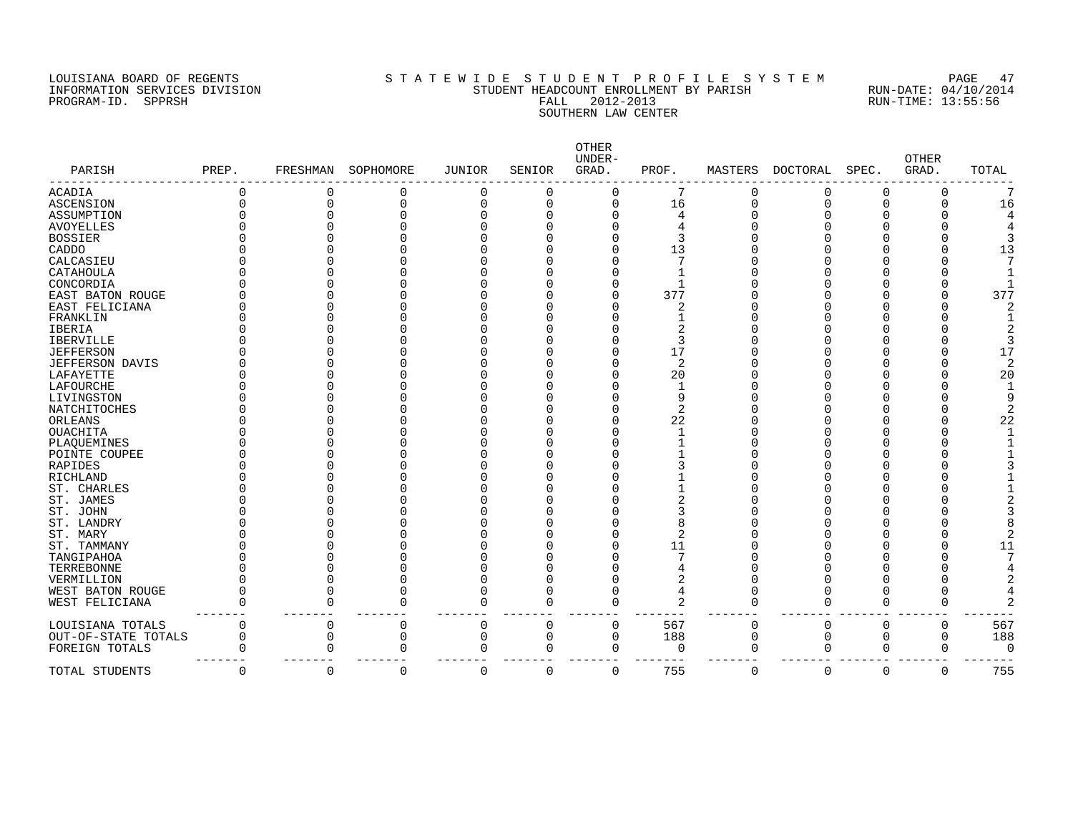PROGRAM-ID. SPPRSH

# LOUISIANA BOARD OF REGENTS SOURCLAINA STATEWIDE STUDE NT PROFILE SYSTEM PAGE 47<br>INFORMATION SERVICES DIVISION STUDENT HEADCOUNT ENROLLMENT BY PARISH RUN-DATE: 04/10/2014 INFORMATION SERVICES DIVISION SANT STUDENT HEADCOUNT ENROLLMENT BY PARISH STAND-DATE: 04/10/2012<br>PROGRAM-ID. SPPRSH RUN-TIME: 13:55:56 SOUTHERN LAW CENTER

| PARISH                   | PREP.    | FRESHMAN | SOPHOMORE | <b>JUNIOR</b> | SENIOR      | OTHER<br>UNDER-<br>GRAD. | PROF.          | MASTERS  | <b>DOCTORAL</b> | SPEC.    | <b>OTHER</b><br>GRAD. | TOTAL    |
|--------------------------|----------|----------|-----------|---------------|-------------|--------------------------|----------------|----------|-----------------|----------|-----------------------|----------|
| <b>ACADIA</b>            | 0        | 0        |           | 0             | $\mathbf 0$ | $\Omega$                 |                | 0        | 0               | 0        | 0                     |          |
| ASCENSION                | 0        | 0        |           | $\Omega$      | $\mathbf 0$ | 0                        | 16             | 0        | $\Omega$        | $\Omega$ | 0                     | 16       |
| ASSUMPTION               |          |          |           |               | C           | O                        | 4              |          |                 |          |                       |          |
| <b>AVOYELLES</b>         |          |          |           |               |             |                          | 4              |          |                 |          |                       |          |
| <b>BOSSIER</b>           |          |          |           |               |             |                          | २              |          |                 |          |                       |          |
| CADDO                    |          |          |           |               |             |                          | 13             |          |                 |          |                       | 13       |
| CALCASIEU                |          |          |           |               |             |                          |                |          |                 |          |                       |          |
| CATAHOULA                |          |          |           |               |             |                          |                |          |                 |          |                       |          |
| CONCORDIA                |          |          |           |               |             |                          |                |          |                 |          |                       |          |
| EAST BATON ROUGE         |          |          |           |               |             |                          | 377            |          |                 |          |                       | 377      |
| EAST FELICIANA           |          |          |           |               |             | U                        | 2              |          |                 |          |                       |          |
| FRANKLIN                 |          |          |           |               |             |                          |                |          |                 |          |                       |          |
| IBERIA                   |          |          |           |               |             |                          | 2              |          |                 |          |                       |          |
| <b>IBERVILLE</b>         |          |          |           |               |             |                          | 3              |          |                 |          |                       |          |
| <b>JEFFERSON</b>         |          |          |           |               |             |                          | 17             |          |                 |          |                       | 17       |
| JEFFERSON DAVIS          |          |          |           |               |             | O                        | 2              |          |                 |          |                       |          |
| LAFAYETTE                |          |          |           |               |             | U                        | 20             |          |                 |          |                       | 20       |
| LAFOURCHE                |          |          |           |               |             |                          | 1              |          |                 |          |                       |          |
| LIVINGSTON               |          |          |           |               |             |                          | 9              |          |                 |          |                       |          |
| NATCHITOCHES             |          |          |           |               |             |                          | 2              |          |                 |          |                       |          |
| ORLEANS                  |          |          |           |               |             | O                        | 22             |          |                 |          |                       | 22       |
| <b>OUACHITA</b>          |          |          |           |               |             |                          |                |          |                 |          |                       |          |
| PLAQUEMINES              |          |          |           |               |             |                          |                |          |                 |          |                       |          |
| POINTE COUPEE            |          |          |           |               |             |                          |                |          |                 |          |                       |          |
| <b>RAPIDES</b>           |          |          |           |               |             |                          |                |          |                 |          |                       |          |
| RICHLAND                 |          |          |           |               |             |                          |                |          |                 |          |                       |          |
| ST. CHARLES              |          |          |           |               |             |                          |                |          |                 |          |                       |          |
| ST. JAMES                |          |          |           |               |             |                          | 2              |          |                 |          |                       |          |
| ST. JOHN                 |          |          |           |               |             |                          |                |          |                 |          |                       |          |
| ST. LANDRY               |          |          |           |               |             |                          |                |          |                 |          |                       |          |
| ST. MARY                 |          |          |           |               |             |                          | 2              |          |                 |          |                       |          |
| ST. TAMMANY              |          |          |           |               |             |                          | 11             |          |                 |          |                       | 11       |
|                          |          |          |           |               |             |                          |                |          |                 |          |                       |          |
| TANGIPAHOA<br>TERREBONNE |          |          |           |               |             |                          |                |          |                 |          |                       |          |
|                          |          |          |           |               |             |                          |                |          |                 |          |                       |          |
| VERMILLION               |          |          |           |               |             |                          | 2              |          |                 |          |                       |          |
| WEST BATON ROUGE         | U        | $\Omega$ |           | $\Omega$      | $\Omega$    | $\Omega$                 |                | U        | ſ               | O        |                       |          |
| WEST FELICIANA           | O        | O        | $\Omega$  | $\Omega$      | $\Omega$    | $\Omega$                 | $\overline{2}$ | $\Omega$ | $\Omega$        | $\Omega$ | C                     |          |
| LOUISIANA TOTALS         | $\Omega$ | 0        | 0         | 0             | 0           | $\Omega$                 | 567            | 0        | $\mathbf 0$     | 0        | 0                     | 567      |
| OUT-OF-STATE TOTALS      | 0        | 0        | 0         | 0             | 0           | 0                        | 188            | 0        | 0               | 0        | 0                     | 188      |
| FOREIGN TOTALS           |          | O        | O         | $\Omega$      | 0           | $\Omega$                 | $\Omega$       | 0        | $\mathbf 0$     | $\Omega$ | 0                     | $\Omega$ |
| TOTAL STUDENTS           | 0        | 0        | 0         | $\Omega$      | $\mathbf 0$ | 0                        | 755            | 0        | 0               | 0        | 0                     | 755      |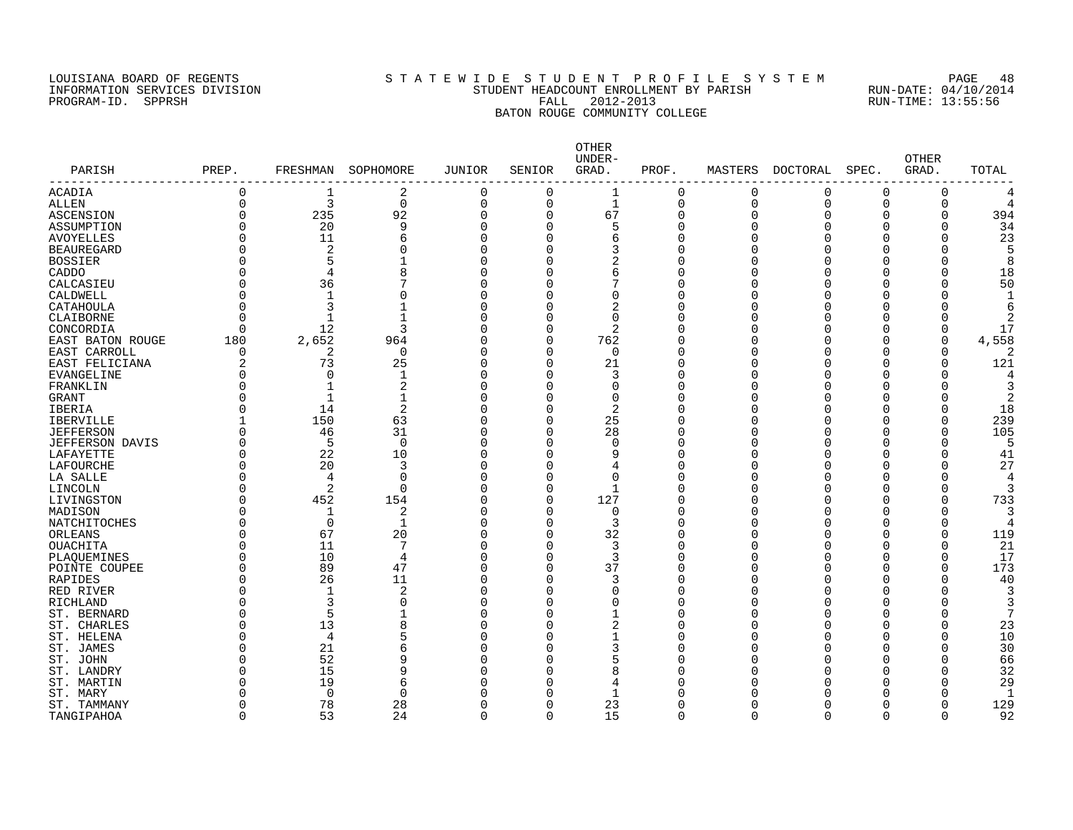#### LOUISIANA BOARD OF REGENTS S T A T E W I D E S T U D E N T P R O F I L E S Y S T E M PAGE 48 INFORMATION SERVICES DIVISION STUDENT HEADCOUNT ENROLLMENT BY PARISH RUN-DATE: 04/10/2014 PROGRAM-ID. SPPRSH FALL 2012-2013 RUN-TIME: 13:55:56 BATON ROUGE COMMUNITY COLLEGE

| 0<br>2<br>0<br>0<br>1<br>0<br>0<br>0<br>0<br>0<br>3<br>$\Omega$<br>$\mathbf{0}$<br>$\overline{0}$<br>$\Omega$<br>$\mathbf{1}$<br>$\Omega$<br>$\mathbf 0$<br>$\Omega$<br>$\Omega$<br>0<br>235<br>67<br>394<br>0<br>92<br>$\Omega$<br>$\Omega$<br>$\Omega$<br>0<br>0<br>0<br>O<br>O<br>20<br>9<br>$\Omega$<br>$\Omega$<br>5<br>$\Omega$<br>34<br>C<br>C<br>C<br>O<br>23<br>11<br>$\Omega$<br>O<br>6<br>O<br>U<br><sup>n</sup><br>Λ<br>U<br>U<br>6<br>2<br>O<br>$\Omega$<br>O<br>U<br><sup>n</sup><br>Ω<br>5<br>O<br>$\Omega$<br>C<br>∩<br>O<br>O<br>4<br>8<br>$\Omega$<br>U<br>6<br>U<br>O<br>18<br>U<br>50<br>O<br>36<br>$\Omega$<br>O<br><sup>0</sup><br>O<br>0<br>O<br>O<br>$\Omega$<br>0<br>1<br>O<br>0<br>O<br>C<br>$\Omega$<br>O<br>O<br>3<br>0<br>$\Omega$<br>2<br>CATAHOULA<br>C<br>0<br>U<br>U<br>O<br>Ω<br>$\Omega$<br>$\mathbf{1}$<br>$\Omega$<br>$\Omega$<br>CLAIBORNE<br>O<br>U<br><sup>n</sup><br>O<br>O<br>Ω<br>12<br>17<br>CONCORDIA<br>$\Omega$<br>3<br>$\Omega$<br>2<br>0<br>0<br><sup>n</sup><br>C<br>O<br>180<br>2,652<br>$\Omega$<br>762<br>4,558<br>EAST BATON ROUGE<br>964<br>$\Omega$<br>Λ<br>$\Omega$<br>0<br>O<br>O<br>2<br>$\Omega$<br>$\Omega$<br>$\Omega$<br>EAST CARROLL<br>O<br>O<br>$\Omega$<br>O<br>C<br>O<br>21<br>121<br>2<br>73<br>25<br>$\Omega$<br>EAST FELICIANA<br>O<br>U<br>$\Omega$<br>O<br>U<br>U<br>$\Omega$<br>3<br><b>EVANGELINE</b><br>O<br>$\Omega$<br>1<br>O<br>$\cap$<br>Ω<br>$\overline{2}$<br>$\Omega$<br>O<br>-1<br>FRANKLIN<br>U<br>$\Omega$<br>U<br>U<br>∩<br>Π<br>$\Omega$<br><b>GRANT</b><br>O<br>C<br>$\Omega$<br><sup>n</sup><br>2<br>1<br>∩<br>$\overline{2}$<br>14<br>2<br>18<br>O<br>$\Omega$<br>O<br>U<br><sup>n</sup><br>O<br>IBERIA<br>∩<br>U<br>150<br>63<br>25<br>239<br><b>IBERVILLE</b><br>$\Omega$<br>0<br><sup>n</sup><br>O<br>∩<br>O<br>46<br>31<br>28<br>105<br><b>JEFFERSON</b><br>0<br>$\Omega$<br>0<br>O<br>∩<br>Ω<br>5<br>O<br>$\Omega$<br>$\Omega$<br>$\Omega$<br><b>JEFFERSON DAVIS</b><br>O<br>$\Omega$<br>O<br>O<br>22<br>10<br>$\Omega$<br>41<br>LAFAYETTE<br>0<br>0<br>9<br>U<br>$\Omega$<br>0<br>O<br>O<br>27<br>0<br>20<br>$\Omega$<br>LAFOURCHE<br>3<br>O<br>C<br>$\Omega$<br>O<br>Ω<br>O<br>0<br>$\mathbf 0$<br>LA SALLE<br>4<br>$\Omega$<br>0<br>0<br>Λ<br>0<br><sup>0</sup><br>0<br>0<br>4<br>$\overline{2}$<br>LINCOLN<br>0<br>$\cap$<br>$\Omega$<br>$\mathbf{1}$<br>0<br>U<br><sup>n</sup><br>0<br>O<br>O<br>127<br>733<br>452<br>154<br>$\Omega$<br>LIVINGSTON<br>O<br>O<br><sup>n</sup><br>C<br>O<br>O<br>2<br>MADISON<br>O<br>1<br>$\Omega$<br>$\Omega$<br>$\Omega$<br>U<br>n<br>U<br>U<br>U<br>$\Omega$<br>$\mathbf 1$<br>$\Omega$<br>3<br>NATCHITOCHES<br>O<br>O<br>n<br>119<br>67<br>20<br>32<br>ORLEANS<br>O<br>$\Omega$<br>O<br><sup>n</sup><br>O<br>∩<br>U<br>U<br>11<br>7<br>$\Omega$<br>3<br>21<br>OUACHITA<br>O<br>O<br>∩<br>Ω<br>10<br>4<br>$\Omega$<br>3<br>17<br>0<br>PLAQUEMINES<br>O<br>U<br><sup>0</sup><br>∩<br>O<br>O<br>89<br>47<br>$\Omega$<br>37<br>173<br>POINTE COUPEE<br>0<br>O<br>U<br>Ω<br>Ω<br>O<br>26<br>11<br>3<br>40<br>0<br>$\Omega$<br>O<br>C<br>O<br>RAPIDES<br><sup>0</sup><br>O<br>0<br>1<br>2<br>$\Omega$<br>O<br>$\Omega$<br>U<br><sup>n</sup><br>RED RIVER<br>Ω<br>3<br>3<br>0<br>$\Omega$<br>$\Omega$<br>$\Omega$<br>RICHLAND<br>C<br>$\Omega$<br>Ω<br>5<br>0<br>$\Omega$<br>ST. BERNARD<br>O<br>$\Omega$<br>O<br>O<br>13<br>$\overline{2}$<br>23<br>0<br>8<br>$\mathbf 0$<br>ST. CHARLES<br>O<br>$\Omega$<br>0<br>U<br>O<br>0<br>$\Omega$<br>10<br>ST. HELENA<br>O<br>4<br>5<br>Λ<br>$\Omega$<br>0<br>U<br>O<br>O<br>30<br>0<br>21<br>$\Omega$<br>3<br>ST. JAMES<br>б<br>Λ<br>0<br>C<br><sup>0</sup><br>0<br>0<br>52<br>66<br>9<br>$\Omega$<br>ST. JOHN<br>Ω<br>U<br>C<br>∩<br>U<br>U<br>O<br>15<br>8<br>32<br>ST. LANDRY<br>Ω<br>q<br>$\cap$<br>U<br>C<br>∩<br>U<br>19<br>29<br>ST. MARTIN<br>Ω<br>$\cap$<br>U<br>6<br>n<br>4<br>U<br>$\mathbf 0$<br>$\mathbf{1}$<br>ST. MARY<br>Ω<br>$\Omega$<br>$\Omega$<br>-1<br>C<br>U<br>78<br>23<br>129<br>ST. TAMMANY<br>28<br>O<br><sup>0</sup><br>$\Omega$<br>∩<br>O<br>O<br>O<br>53<br>24<br>$\mathbf 0$<br>$\Omega$<br>15<br>$\Omega$<br>92<br>$\Omega$<br>$\Omega$<br>O<br>0<br>$\Omega$ | PARISH            | PREP. | FRESHMAN | SOPHOMORE | <b>JUNIOR</b> | SENIOR | OTHER<br>UNDER-<br>GRAD. | PROF. | MASTERS | DOCTORAL | SPEC. | <b>OTHER</b><br>GRAD. | TOTAL |
|--------------------------------------------------------------------------------------------------------------------------------------------------------------------------------------------------------------------------------------------------------------------------------------------------------------------------------------------------------------------------------------------------------------------------------------------------------------------------------------------------------------------------------------------------------------------------------------------------------------------------------------------------------------------------------------------------------------------------------------------------------------------------------------------------------------------------------------------------------------------------------------------------------------------------------------------------------------------------------------------------------------------------------------------------------------------------------------------------------------------------------------------------------------------------------------------------------------------------------------------------------------------------------------------------------------------------------------------------------------------------------------------------------------------------------------------------------------------------------------------------------------------------------------------------------------------------------------------------------------------------------------------------------------------------------------------------------------------------------------------------------------------------------------------------------------------------------------------------------------------------------------------------------------------------------------------------------------------------------------------------------------------------------------------------------------------------------------------------------------------------------------------------------------------------------------------------------------------------------------------------------------------------------------------------------------------------------------------------------------------------------------------------------------------------------------------------------------------------------------------------------------------------------------------------------------------------------------------------------------------------------------------------------------------------------------------------------------------------------------------------------------------------------------------------------------------------------------------------------------------------------------------------------------------------------------------------------------------------------------------------------------------------------------------------------------------------------------------------------------------------------------------------------------------------------------------------------------------------------------------------------------------------------------------------------------------------------------------------------------------------------------------------------------------------------------------------------------------------------------------------------------------------------------------------------------------------------------------------------------------------------------------------------------------------------------------------------------------------------------------------------------------------------------------------------------------------------------------------------------------------------------------------------------------------------------------------------------------------------------------------------------------------------------------------------------------------------------------------------------------------------------------------------------------------|-------------------|-------|----------|-----------|---------------|--------|--------------------------|-------|---------|----------|-------|-----------------------|-------|
|                                                                                                                                                                                                                                                                                                                                                                                                                                                                                                                                                                                                                                                                                                                                                                                                                                                                                                                                                                                                                                                                                                                                                                                                                                                                                                                                                                                                                                                                                                                                                                                                                                                                                                                                                                                                                                                                                                                                                                                                                                                                                                                                                                                                                                                                                                                                                                                                                                                                                                                                                                                                                                                                                                                                                                                                                                                                                                                                                                                                                                                                                                                                                                                                                                                                                                                                                                                                                                                                                                                                                                                                                                                                                                                                                                                                                                                                                                                                                                                                                                                                                                                                                                          | ACADIA            |       |          |           |               |        |                          |       |         |          |       |                       |       |
|                                                                                                                                                                                                                                                                                                                                                                                                                                                                                                                                                                                                                                                                                                                                                                                                                                                                                                                                                                                                                                                                                                                                                                                                                                                                                                                                                                                                                                                                                                                                                                                                                                                                                                                                                                                                                                                                                                                                                                                                                                                                                                                                                                                                                                                                                                                                                                                                                                                                                                                                                                                                                                                                                                                                                                                                                                                                                                                                                                                                                                                                                                                                                                                                                                                                                                                                                                                                                                                                                                                                                                                                                                                                                                                                                                                                                                                                                                                                                                                                                                                                                                                                                                          | ALLEN             |       |          |           |               |        |                          |       |         |          |       |                       |       |
|                                                                                                                                                                                                                                                                                                                                                                                                                                                                                                                                                                                                                                                                                                                                                                                                                                                                                                                                                                                                                                                                                                                                                                                                                                                                                                                                                                                                                                                                                                                                                                                                                                                                                                                                                                                                                                                                                                                                                                                                                                                                                                                                                                                                                                                                                                                                                                                                                                                                                                                                                                                                                                                                                                                                                                                                                                                                                                                                                                                                                                                                                                                                                                                                                                                                                                                                                                                                                                                                                                                                                                                                                                                                                                                                                                                                                                                                                                                                                                                                                                                                                                                                                                          | ASCENSION         |       |          |           |               |        |                          |       |         |          |       |                       |       |
|                                                                                                                                                                                                                                                                                                                                                                                                                                                                                                                                                                                                                                                                                                                                                                                                                                                                                                                                                                                                                                                                                                                                                                                                                                                                                                                                                                                                                                                                                                                                                                                                                                                                                                                                                                                                                                                                                                                                                                                                                                                                                                                                                                                                                                                                                                                                                                                                                                                                                                                                                                                                                                                                                                                                                                                                                                                                                                                                                                                                                                                                                                                                                                                                                                                                                                                                                                                                                                                                                                                                                                                                                                                                                                                                                                                                                                                                                                                                                                                                                                                                                                                                                                          | ASSUMPTION        |       |          |           |               |        |                          |       |         |          |       |                       |       |
|                                                                                                                                                                                                                                                                                                                                                                                                                                                                                                                                                                                                                                                                                                                                                                                                                                                                                                                                                                                                                                                                                                                                                                                                                                                                                                                                                                                                                                                                                                                                                                                                                                                                                                                                                                                                                                                                                                                                                                                                                                                                                                                                                                                                                                                                                                                                                                                                                                                                                                                                                                                                                                                                                                                                                                                                                                                                                                                                                                                                                                                                                                                                                                                                                                                                                                                                                                                                                                                                                                                                                                                                                                                                                                                                                                                                                                                                                                                                                                                                                                                                                                                                                                          | <b>AVOYELLES</b>  |       |          |           |               |        |                          |       |         |          |       |                       |       |
|                                                                                                                                                                                                                                                                                                                                                                                                                                                                                                                                                                                                                                                                                                                                                                                                                                                                                                                                                                                                                                                                                                                                                                                                                                                                                                                                                                                                                                                                                                                                                                                                                                                                                                                                                                                                                                                                                                                                                                                                                                                                                                                                                                                                                                                                                                                                                                                                                                                                                                                                                                                                                                                                                                                                                                                                                                                                                                                                                                                                                                                                                                                                                                                                                                                                                                                                                                                                                                                                                                                                                                                                                                                                                                                                                                                                                                                                                                                                                                                                                                                                                                                                                                          | <b>BEAUREGARD</b> |       |          |           |               |        |                          |       |         |          |       |                       |       |
|                                                                                                                                                                                                                                                                                                                                                                                                                                                                                                                                                                                                                                                                                                                                                                                                                                                                                                                                                                                                                                                                                                                                                                                                                                                                                                                                                                                                                                                                                                                                                                                                                                                                                                                                                                                                                                                                                                                                                                                                                                                                                                                                                                                                                                                                                                                                                                                                                                                                                                                                                                                                                                                                                                                                                                                                                                                                                                                                                                                                                                                                                                                                                                                                                                                                                                                                                                                                                                                                                                                                                                                                                                                                                                                                                                                                                                                                                                                                                                                                                                                                                                                                                                          | <b>BOSSIER</b>    |       |          |           |               |        |                          |       |         |          |       |                       |       |
|                                                                                                                                                                                                                                                                                                                                                                                                                                                                                                                                                                                                                                                                                                                                                                                                                                                                                                                                                                                                                                                                                                                                                                                                                                                                                                                                                                                                                                                                                                                                                                                                                                                                                                                                                                                                                                                                                                                                                                                                                                                                                                                                                                                                                                                                                                                                                                                                                                                                                                                                                                                                                                                                                                                                                                                                                                                                                                                                                                                                                                                                                                                                                                                                                                                                                                                                                                                                                                                                                                                                                                                                                                                                                                                                                                                                                                                                                                                                                                                                                                                                                                                                                                          | CADDO             |       |          |           |               |        |                          |       |         |          |       |                       |       |
|                                                                                                                                                                                                                                                                                                                                                                                                                                                                                                                                                                                                                                                                                                                                                                                                                                                                                                                                                                                                                                                                                                                                                                                                                                                                                                                                                                                                                                                                                                                                                                                                                                                                                                                                                                                                                                                                                                                                                                                                                                                                                                                                                                                                                                                                                                                                                                                                                                                                                                                                                                                                                                                                                                                                                                                                                                                                                                                                                                                                                                                                                                                                                                                                                                                                                                                                                                                                                                                                                                                                                                                                                                                                                                                                                                                                                                                                                                                                                                                                                                                                                                                                                                          | CALCASIEU         |       |          |           |               |        |                          |       |         |          |       |                       |       |
|                                                                                                                                                                                                                                                                                                                                                                                                                                                                                                                                                                                                                                                                                                                                                                                                                                                                                                                                                                                                                                                                                                                                                                                                                                                                                                                                                                                                                                                                                                                                                                                                                                                                                                                                                                                                                                                                                                                                                                                                                                                                                                                                                                                                                                                                                                                                                                                                                                                                                                                                                                                                                                                                                                                                                                                                                                                                                                                                                                                                                                                                                                                                                                                                                                                                                                                                                                                                                                                                                                                                                                                                                                                                                                                                                                                                                                                                                                                                                                                                                                                                                                                                                                          | CALDWELL          |       |          |           |               |        |                          |       |         |          |       |                       |       |
|                                                                                                                                                                                                                                                                                                                                                                                                                                                                                                                                                                                                                                                                                                                                                                                                                                                                                                                                                                                                                                                                                                                                                                                                                                                                                                                                                                                                                                                                                                                                                                                                                                                                                                                                                                                                                                                                                                                                                                                                                                                                                                                                                                                                                                                                                                                                                                                                                                                                                                                                                                                                                                                                                                                                                                                                                                                                                                                                                                                                                                                                                                                                                                                                                                                                                                                                                                                                                                                                                                                                                                                                                                                                                                                                                                                                                                                                                                                                                                                                                                                                                                                                                                          |                   |       |          |           |               |        |                          |       |         |          |       |                       |       |
|                                                                                                                                                                                                                                                                                                                                                                                                                                                                                                                                                                                                                                                                                                                                                                                                                                                                                                                                                                                                                                                                                                                                                                                                                                                                                                                                                                                                                                                                                                                                                                                                                                                                                                                                                                                                                                                                                                                                                                                                                                                                                                                                                                                                                                                                                                                                                                                                                                                                                                                                                                                                                                                                                                                                                                                                                                                                                                                                                                                                                                                                                                                                                                                                                                                                                                                                                                                                                                                                                                                                                                                                                                                                                                                                                                                                                                                                                                                                                                                                                                                                                                                                                                          |                   |       |          |           |               |        |                          |       |         |          |       |                       |       |
|                                                                                                                                                                                                                                                                                                                                                                                                                                                                                                                                                                                                                                                                                                                                                                                                                                                                                                                                                                                                                                                                                                                                                                                                                                                                                                                                                                                                                                                                                                                                                                                                                                                                                                                                                                                                                                                                                                                                                                                                                                                                                                                                                                                                                                                                                                                                                                                                                                                                                                                                                                                                                                                                                                                                                                                                                                                                                                                                                                                                                                                                                                                                                                                                                                                                                                                                                                                                                                                                                                                                                                                                                                                                                                                                                                                                                                                                                                                                                                                                                                                                                                                                                                          |                   |       |          |           |               |        |                          |       |         |          |       |                       |       |
|                                                                                                                                                                                                                                                                                                                                                                                                                                                                                                                                                                                                                                                                                                                                                                                                                                                                                                                                                                                                                                                                                                                                                                                                                                                                                                                                                                                                                                                                                                                                                                                                                                                                                                                                                                                                                                                                                                                                                                                                                                                                                                                                                                                                                                                                                                                                                                                                                                                                                                                                                                                                                                                                                                                                                                                                                                                                                                                                                                                                                                                                                                                                                                                                                                                                                                                                                                                                                                                                                                                                                                                                                                                                                                                                                                                                                                                                                                                                                                                                                                                                                                                                                                          |                   |       |          |           |               |        |                          |       |         |          |       |                       |       |
|                                                                                                                                                                                                                                                                                                                                                                                                                                                                                                                                                                                                                                                                                                                                                                                                                                                                                                                                                                                                                                                                                                                                                                                                                                                                                                                                                                                                                                                                                                                                                                                                                                                                                                                                                                                                                                                                                                                                                                                                                                                                                                                                                                                                                                                                                                                                                                                                                                                                                                                                                                                                                                                                                                                                                                                                                                                                                                                                                                                                                                                                                                                                                                                                                                                                                                                                                                                                                                                                                                                                                                                                                                                                                                                                                                                                                                                                                                                                                                                                                                                                                                                                                                          |                   |       |          |           |               |        |                          |       |         |          |       |                       |       |
|                                                                                                                                                                                                                                                                                                                                                                                                                                                                                                                                                                                                                                                                                                                                                                                                                                                                                                                                                                                                                                                                                                                                                                                                                                                                                                                                                                                                                                                                                                                                                                                                                                                                                                                                                                                                                                                                                                                                                                                                                                                                                                                                                                                                                                                                                                                                                                                                                                                                                                                                                                                                                                                                                                                                                                                                                                                                                                                                                                                                                                                                                                                                                                                                                                                                                                                                                                                                                                                                                                                                                                                                                                                                                                                                                                                                                                                                                                                                                                                                                                                                                                                                                                          |                   |       |          |           |               |        |                          |       |         |          |       |                       |       |
|                                                                                                                                                                                                                                                                                                                                                                                                                                                                                                                                                                                                                                                                                                                                                                                                                                                                                                                                                                                                                                                                                                                                                                                                                                                                                                                                                                                                                                                                                                                                                                                                                                                                                                                                                                                                                                                                                                                                                                                                                                                                                                                                                                                                                                                                                                                                                                                                                                                                                                                                                                                                                                                                                                                                                                                                                                                                                                                                                                                                                                                                                                                                                                                                                                                                                                                                                                                                                                                                                                                                                                                                                                                                                                                                                                                                                                                                                                                                                                                                                                                                                                                                                                          |                   |       |          |           |               |        |                          |       |         |          |       |                       |       |
|                                                                                                                                                                                                                                                                                                                                                                                                                                                                                                                                                                                                                                                                                                                                                                                                                                                                                                                                                                                                                                                                                                                                                                                                                                                                                                                                                                                                                                                                                                                                                                                                                                                                                                                                                                                                                                                                                                                                                                                                                                                                                                                                                                                                                                                                                                                                                                                                                                                                                                                                                                                                                                                                                                                                                                                                                                                                                                                                                                                                                                                                                                                                                                                                                                                                                                                                                                                                                                                                                                                                                                                                                                                                                                                                                                                                                                                                                                                                                                                                                                                                                                                                                                          |                   |       |          |           |               |        |                          |       |         |          |       |                       |       |
|                                                                                                                                                                                                                                                                                                                                                                                                                                                                                                                                                                                                                                                                                                                                                                                                                                                                                                                                                                                                                                                                                                                                                                                                                                                                                                                                                                                                                                                                                                                                                                                                                                                                                                                                                                                                                                                                                                                                                                                                                                                                                                                                                                                                                                                                                                                                                                                                                                                                                                                                                                                                                                                                                                                                                                                                                                                                                                                                                                                                                                                                                                                                                                                                                                                                                                                                                                                                                                                                                                                                                                                                                                                                                                                                                                                                                                                                                                                                                                                                                                                                                                                                                                          |                   |       |          |           |               |        |                          |       |         |          |       |                       |       |
|                                                                                                                                                                                                                                                                                                                                                                                                                                                                                                                                                                                                                                                                                                                                                                                                                                                                                                                                                                                                                                                                                                                                                                                                                                                                                                                                                                                                                                                                                                                                                                                                                                                                                                                                                                                                                                                                                                                                                                                                                                                                                                                                                                                                                                                                                                                                                                                                                                                                                                                                                                                                                                                                                                                                                                                                                                                                                                                                                                                                                                                                                                                                                                                                                                                                                                                                                                                                                                                                                                                                                                                                                                                                                                                                                                                                                                                                                                                                                                                                                                                                                                                                                                          |                   |       |          |           |               |        |                          |       |         |          |       |                       |       |
|                                                                                                                                                                                                                                                                                                                                                                                                                                                                                                                                                                                                                                                                                                                                                                                                                                                                                                                                                                                                                                                                                                                                                                                                                                                                                                                                                                                                                                                                                                                                                                                                                                                                                                                                                                                                                                                                                                                                                                                                                                                                                                                                                                                                                                                                                                                                                                                                                                                                                                                                                                                                                                                                                                                                                                                                                                                                                                                                                                                                                                                                                                                                                                                                                                                                                                                                                                                                                                                                                                                                                                                                                                                                                                                                                                                                                                                                                                                                                                                                                                                                                                                                                                          |                   |       |          |           |               |        |                          |       |         |          |       |                       |       |
|                                                                                                                                                                                                                                                                                                                                                                                                                                                                                                                                                                                                                                                                                                                                                                                                                                                                                                                                                                                                                                                                                                                                                                                                                                                                                                                                                                                                                                                                                                                                                                                                                                                                                                                                                                                                                                                                                                                                                                                                                                                                                                                                                                                                                                                                                                                                                                                                                                                                                                                                                                                                                                                                                                                                                                                                                                                                                                                                                                                                                                                                                                                                                                                                                                                                                                                                                                                                                                                                                                                                                                                                                                                                                                                                                                                                                                                                                                                                                                                                                                                                                                                                                                          |                   |       |          |           |               |        |                          |       |         |          |       |                       |       |
|                                                                                                                                                                                                                                                                                                                                                                                                                                                                                                                                                                                                                                                                                                                                                                                                                                                                                                                                                                                                                                                                                                                                                                                                                                                                                                                                                                                                                                                                                                                                                                                                                                                                                                                                                                                                                                                                                                                                                                                                                                                                                                                                                                                                                                                                                                                                                                                                                                                                                                                                                                                                                                                                                                                                                                                                                                                                                                                                                                                                                                                                                                                                                                                                                                                                                                                                                                                                                                                                                                                                                                                                                                                                                                                                                                                                                                                                                                                                                                                                                                                                                                                                                                          |                   |       |          |           |               |        |                          |       |         |          |       |                       |       |
|                                                                                                                                                                                                                                                                                                                                                                                                                                                                                                                                                                                                                                                                                                                                                                                                                                                                                                                                                                                                                                                                                                                                                                                                                                                                                                                                                                                                                                                                                                                                                                                                                                                                                                                                                                                                                                                                                                                                                                                                                                                                                                                                                                                                                                                                                                                                                                                                                                                                                                                                                                                                                                                                                                                                                                                                                                                                                                                                                                                                                                                                                                                                                                                                                                                                                                                                                                                                                                                                                                                                                                                                                                                                                                                                                                                                                                                                                                                                                                                                                                                                                                                                                                          |                   |       |          |           |               |        |                          |       |         |          |       |                       |       |
|                                                                                                                                                                                                                                                                                                                                                                                                                                                                                                                                                                                                                                                                                                                                                                                                                                                                                                                                                                                                                                                                                                                                                                                                                                                                                                                                                                                                                                                                                                                                                                                                                                                                                                                                                                                                                                                                                                                                                                                                                                                                                                                                                                                                                                                                                                                                                                                                                                                                                                                                                                                                                                                                                                                                                                                                                                                                                                                                                                                                                                                                                                                                                                                                                                                                                                                                                                                                                                                                                                                                                                                                                                                                                                                                                                                                                                                                                                                                                                                                                                                                                                                                                                          |                   |       |          |           |               |        |                          |       |         |          |       |                       |       |
|                                                                                                                                                                                                                                                                                                                                                                                                                                                                                                                                                                                                                                                                                                                                                                                                                                                                                                                                                                                                                                                                                                                                                                                                                                                                                                                                                                                                                                                                                                                                                                                                                                                                                                                                                                                                                                                                                                                                                                                                                                                                                                                                                                                                                                                                                                                                                                                                                                                                                                                                                                                                                                                                                                                                                                                                                                                                                                                                                                                                                                                                                                                                                                                                                                                                                                                                                                                                                                                                                                                                                                                                                                                                                                                                                                                                                                                                                                                                                                                                                                                                                                                                                                          |                   |       |          |           |               |        |                          |       |         |          |       |                       |       |
|                                                                                                                                                                                                                                                                                                                                                                                                                                                                                                                                                                                                                                                                                                                                                                                                                                                                                                                                                                                                                                                                                                                                                                                                                                                                                                                                                                                                                                                                                                                                                                                                                                                                                                                                                                                                                                                                                                                                                                                                                                                                                                                                                                                                                                                                                                                                                                                                                                                                                                                                                                                                                                                                                                                                                                                                                                                                                                                                                                                                                                                                                                                                                                                                                                                                                                                                                                                                                                                                                                                                                                                                                                                                                                                                                                                                                                                                                                                                                                                                                                                                                                                                                                          |                   |       |          |           |               |        |                          |       |         |          |       |                       |       |
|                                                                                                                                                                                                                                                                                                                                                                                                                                                                                                                                                                                                                                                                                                                                                                                                                                                                                                                                                                                                                                                                                                                                                                                                                                                                                                                                                                                                                                                                                                                                                                                                                                                                                                                                                                                                                                                                                                                                                                                                                                                                                                                                                                                                                                                                                                                                                                                                                                                                                                                                                                                                                                                                                                                                                                                                                                                                                                                                                                                                                                                                                                                                                                                                                                                                                                                                                                                                                                                                                                                                                                                                                                                                                                                                                                                                                                                                                                                                                                                                                                                                                                                                                                          |                   |       |          |           |               |        |                          |       |         |          |       |                       |       |
|                                                                                                                                                                                                                                                                                                                                                                                                                                                                                                                                                                                                                                                                                                                                                                                                                                                                                                                                                                                                                                                                                                                                                                                                                                                                                                                                                                                                                                                                                                                                                                                                                                                                                                                                                                                                                                                                                                                                                                                                                                                                                                                                                                                                                                                                                                                                                                                                                                                                                                                                                                                                                                                                                                                                                                                                                                                                                                                                                                                                                                                                                                                                                                                                                                                                                                                                                                                                                                                                                                                                                                                                                                                                                                                                                                                                                                                                                                                                                                                                                                                                                                                                                                          |                   |       |          |           |               |        |                          |       |         |          |       |                       |       |
|                                                                                                                                                                                                                                                                                                                                                                                                                                                                                                                                                                                                                                                                                                                                                                                                                                                                                                                                                                                                                                                                                                                                                                                                                                                                                                                                                                                                                                                                                                                                                                                                                                                                                                                                                                                                                                                                                                                                                                                                                                                                                                                                                                                                                                                                                                                                                                                                                                                                                                                                                                                                                                                                                                                                                                                                                                                                                                                                                                                                                                                                                                                                                                                                                                                                                                                                                                                                                                                                                                                                                                                                                                                                                                                                                                                                                                                                                                                                                                                                                                                                                                                                                                          |                   |       |          |           |               |        |                          |       |         |          |       |                       |       |
|                                                                                                                                                                                                                                                                                                                                                                                                                                                                                                                                                                                                                                                                                                                                                                                                                                                                                                                                                                                                                                                                                                                                                                                                                                                                                                                                                                                                                                                                                                                                                                                                                                                                                                                                                                                                                                                                                                                                                                                                                                                                                                                                                                                                                                                                                                                                                                                                                                                                                                                                                                                                                                                                                                                                                                                                                                                                                                                                                                                                                                                                                                                                                                                                                                                                                                                                                                                                                                                                                                                                                                                                                                                                                                                                                                                                                                                                                                                                                                                                                                                                                                                                                                          |                   |       |          |           |               |        |                          |       |         |          |       |                       |       |
|                                                                                                                                                                                                                                                                                                                                                                                                                                                                                                                                                                                                                                                                                                                                                                                                                                                                                                                                                                                                                                                                                                                                                                                                                                                                                                                                                                                                                                                                                                                                                                                                                                                                                                                                                                                                                                                                                                                                                                                                                                                                                                                                                                                                                                                                                                                                                                                                                                                                                                                                                                                                                                                                                                                                                                                                                                                                                                                                                                                                                                                                                                                                                                                                                                                                                                                                                                                                                                                                                                                                                                                                                                                                                                                                                                                                                                                                                                                                                                                                                                                                                                                                                                          |                   |       |          |           |               |        |                          |       |         |          |       |                       |       |
|                                                                                                                                                                                                                                                                                                                                                                                                                                                                                                                                                                                                                                                                                                                                                                                                                                                                                                                                                                                                                                                                                                                                                                                                                                                                                                                                                                                                                                                                                                                                                                                                                                                                                                                                                                                                                                                                                                                                                                                                                                                                                                                                                                                                                                                                                                                                                                                                                                                                                                                                                                                                                                                                                                                                                                                                                                                                                                                                                                                                                                                                                                                                                                                                                                                                                                                                                                                                                                                                                                                                                                                                                                                                                                                                                                                                                                                                                                                                                                                                                                                                                                                                                                          |                   |       |          |           |               |        |                          |       |         |          |       |                       |       |
|                                                                                                                                                                                                                                                                                                                                                                                                                                                                                                                                                                                                                                                                                                                                                                                                                                                                                                                                                                                                                                                                                                                                                                                                                                                                                                                                                                                                                                                                                                                                                                                                                                                                                                                                                                                                                                                                                                                                                                                                                                                                                                                                                                                                                                                                                                                                                                                                                                                                                                                                                                                                                                                                                                                                                                                                                                                                                                                                                                                                                                                                                                                                                                                                                                                                                                                                                                                                                                                                                                                                                                                                                                                                                                                                                                                                                                                                                                                                                                                                                                                                                                                                                                          |                   |       |          |           |               |        |                          |       |         |          |       |                       |       |
|                                                                                                                                                                                                                                                                                                                                                                                                                                                                                                                                                                                                                                                                                                                                                                                                                                                                                                                                                                                                                                                                                                                                                                                                                                                                                                                                                                                                                                                                                                                                                                                                                                                                                                                                                                                                                                                                                                                                                                                                                                                                                                                                                                                                                                                                                                                                                                                                                                                                                                                                                                                                                                                                                                                                                                                                                                                                                                                                                                                                                                                                                                                                                                                                                                                                                                                                                                                                                                                                                                                                                                                                                                                                                                                                                                                                                                                                                                                                                                                                                                                                                                                                                                          |                   |       |          |           |               |        |                          |       |         |          |       |                       |       |
|                                                                                                                                                                                                                                                                                                                                                                                                                                                                                                                                                                                                                                                                                                                                                                                                                                                                                                                                                                                                                                                                                                                                                                                                                                                                                                                                                                                                                                                                                                                                                                                                                                                                                                                                                                                                                                                                                                                                                                                                                                                                                                                                                                                                                                                                                                                                                                                                                                                                                                                                                                                                                                                                                                                                                                                                                                                                                                                                                                                                                                                                                                                                                                                                                                                                                                                                                                                                                                                                                                                                                                                                                                                                                                                                                                                                                                                                                                                                                                                                                                                                                                                                                                          |                   |       |          |           |               |        |                          |       |         |          |       |                       |       |
|                                                                                                                                                                                                                                                                                                                                                                                                                                                                                                                                                                                                                                                                                                                                                                                                                                                                                                                                                                                                                                                                                                                                                                                                                                                                                                                                                                                                                                                                                                                                                                                                                                                                                                                                                                                                                                                                                                                                                                                                                                                                                                                                                                                                                                                                                                                                                                                                                                                                                                                                                                                                                                                                                                                                                                                                                                                                                                                                                                                                                                                                                                                                                                                                                                                                                                                                                                                                                                                                                                                                                                                                                                                                                                                                                                                                                                                                                                                                                                                                                                                                                                                                                                          |                   |       |          |           |               |        |                          |       |         |          |       |                       |       |
|                                                                                                                                                                                                                                                                                                                                                                                                                                                                                                                                                                                                                                                                                                                                                                                                                                                                                                                                                                                                                                                                                                                                                                                                                                                                                                                                                                                                                                                                                                                                                                                                                                                                                                                                                                                                                                                                                                                                                                                                                                                                                                                                                                                                                                                                                                                                                                                                                                                                                                                                                                                                                                                                                                                                                                                                                                                                                                                                                                                                                                                                                                                                                                                                                                                                                                                                                                                                                                                                                                                                                                                                                                                                                                                                                                                                                                                                                                                                                                                                                                                                                                                                                                          |                   |       |          |           |               |        |                          |       |         |          |       |                       |       |
|                                                                                                                                                                                                                                                                                                                                                                                                                                                                                                                                                                                                                                                                                                                                                                                                                                                                                                                                                                                                                                                                                                                                                                                                                                                                                                                                                                                                                                                                                                                                                                                                                                                                                                                                                                                                                                                                                                                                                                                                                                                                                                                                                                                                                                                                                                                                                                                                                                                                                                                                                                                                                                                                                                                                                                                                                                                                                                                                                                                                                                                                                                                                                                                                                                                                                                                                                                                                                                                                                                                                                                                                                                                                                                                                                                                                                                                                                                                                                                                                                                                                                                                                                                          |                   |       |          |           |               |        |                          |       |         |          |       |                       |       |
|                                                                                                                                                                                                                                                                                                                                                                                                                                                                                                                                                                                                                                                                                                                                                                                                                                                                                                                                                                                                                                                                                                                                                                                                                                                                                                                                                                                                                                                                                                                                                                                                                                                                                                                                                                                                                                                                                                                                                                                                                                                                                                                                                                                                                                                                                                                                                                                                                                                                                                                                                                                                                                                                                                                                                                                                                                                                                                                                                                                                                                                                                                                                                                                                                                                                                                                                                                                                                                                                                                                                                                                                                                                                                                                                                                                                                                                                                                                                                                                                                                                                                                                                                                          |                   |       |          |           |               |        |                          |       |         |          |       |                       |       |
|                                                                                                                                                                                                                                                                                                                                                                                                                                                                                                                                                                                                                                                                                                                                                                                                                                                                                                                                                                                                                                                                                                                                                                                                                                                                                                                                                                                                                                                                                                                                                                                                                                                                                                                                                                                                                                                                                                                                                                                                                                                                                                                                                                                                                                                                                                                                                                                                                                                                                                                                                                                                                                                                                                                                                                                                                                                                                                                                                                                                                                                                                                                                                                                                                                                                                                                                                                                                                                                                                                                                                                                                                                                                                                                                                                                                                                                                                                                                                                                                                                                                                                                                                                          |                   |       |          |           |               |        |                          |       |         |          |       |                       |       |
|                                                                                                                                                                                                                                                                                                                                                                                                                                                                                                                                                                                                                                                                                                                                                                                                                                                                                                                                                                                                                                                                                                                                                                                                                                                                                                                                                                                                                                                                                                                                                                                                                                                                                                                                                                                                                                                                                                                                                                                                                                                                                                                                                                                                                                                                                                                                                                                                                                                                                                                                                                                                                                                                                                                                                                                                                                                                                                                                                                                                                                                                                                                                                                                                                                                                                                                                                                                                                                                                                                                                                                                                                                                                                                                                                                                                                                                                                                                                                                                                                                                                                                                                                                          |                   |       |          |           |               |        |                          |       |         |          |       |                       |       |
|                                                                                                                                                                                                                                                                                                                                                                                                                                                                                                                                                                                                                                                                                                                                                                                                                                                                                                                                                                                                                                                                                                                                                                                                                                                                                                                                                                                                                                                                                                                                                                                                                                                                                                                                                                                                                                                                                                                                                                                                                                                                                                                                                                                                                                                                                                                                                                                                                                                                                                                                                                                                                                                                                                                                                                                                                                                                                                                                                                                                                                                                                                                                                                                                                                                                                                                                                                                                                                                                                                                                                                                                                                                                                                                                                                                                                                                                                                                                                                                                                                                                                                                                                                          |                   |       |          |           |               |        |                          |       |         |          |       |                       |       |
|                                                                                                                                                                                                                                                                                                                                                                                                                                                                                                                                                                                                                                                                                                                                                                                                                                                                                                                                                                                                                                                                                                                                                                                                                                                                                                                                                                                                                                                                                                                                                                                                                                                                                                                                                                                                                                                                                                                                                                                                                                                                                                                                                                                                                                                                                                                                                                                                                                                                                                                                                                                                                                                                                                                                                                                                                                                                                                                                                                                                                                                                                                                                                                                                                                                                                                                                                                                                                                                                                                                                                                                                                                                                                                                                                                                                                                                                                                                                                                                                                                                                                                                                                                          |                   |       |          |           |               |        |                          |       |         |          |       |                       |       |
|                                                                                                                                                                                                                                                                                                                                                                                                                                                                                                                                                                                                                                                                                                                                                                                                                                                                                                                                                                                                                                                                                                                                                                                                                                                                                                                                                                                                                                                                                                                                                                                                                                                                                                                                                                                                                                                                                                                                                                                                                                                                                                                                                                                                                                                                                                                                                                                                                                                                                                                                                                                                                                                                                                                                                                                                                                                                                                                                                                                                                                                                                                                                                                                                                                                                                                                                                                                                                                                                                                                                                                                                                                                                                                                                                                                                                                                                                                                                                                                                                                                                                                                                                                          |                   |       |          |           |               |        |                          |       |         |          |       |                       |       |
|                                                                                                                                                                                                                                                                                                                                                                                                                                                                                                                                                                                                                                                                                                                                                                                                                                                                                                                                                                                                                                                                                                                                                                                                                                                                                                                                                                                                                                                                                                                                                                                                                                                                                                                                                                                                                                                                                                                                                                                                                                                                                                                                                                                                                                                                                                                                                                                                                                                                                                                                                                                                                                                                                                                                                                                                                                                                                                                                                                                                                                                                                                                                                                                                                                                                                                                                                                                                                                                                                                                                                                                                                                                                                                                                                                                                                                                                                                                                                                                                                                                                                                                                                                          |                   |       |          |           |               |        |                          |       |         |          |       |                       |       |
|                                                                                                                                                                                                                                                                                                                                                                                                                                                                                                                                                                                                                                                                                                                                                                                                                                                                                                                                                                                                                                                                                                                                                                                                                                                                                                                                                                                                                                                                                                                                                                                                                                                                                                                                                                                                                                                                                                                                                                                                                                                                                                                                                                                                                                                                                                                                                                                                                                                                                                                                                                                                                                                                                                                                                                                                                                                                                                                                                                                                                                                                                                                                                                                                                                                                                                                                                                                                                                                                                                                                                                                                                                                                                                                                                                                                                                                                                                                                                                                                                                                                                                                                                                          | TANGIPAHOA        |       |          |           |               |        |                          |       |         |          |       |                       |       |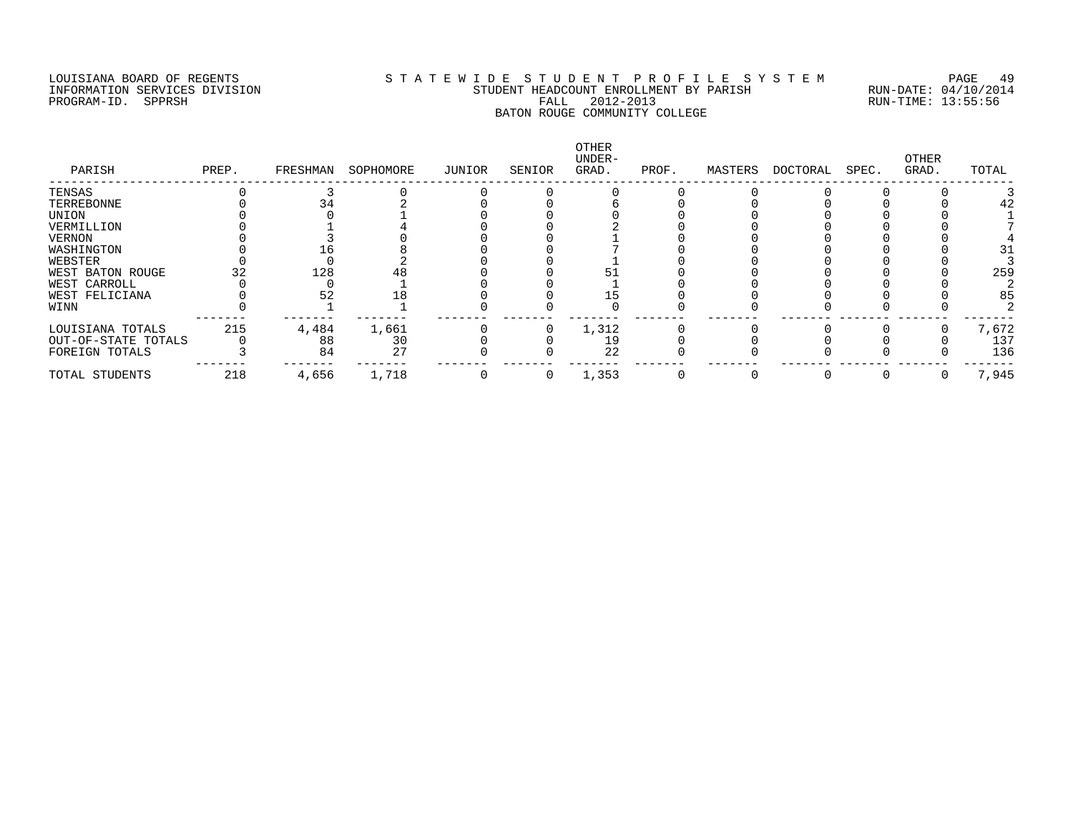#### LOUISIANA BOARD OF REGENTS S T A T E W I D E S T U D E N T P R O F I L E S Y S T E M PAGE 49 INFORMATION SERVICES DIVISION STUDENT HEADCOUNT ENROLLMENT BY PARISH RUN-DATE: 04/10/2014 PROGRAM-ID. SPPRSH FALL 2012-2013 RUN-TIME: 13:55:56 BATON ROUGE COMMUNITY COLLEGE

| PARISH              | PREP. | FRESHMAN | SOPHOMORE | JUNIOR | SENIOR | OTHER<br>UNDER-<br>GRAD. | PROF. | MASTERS | DOCTORAL | SPEC. | OTHER<br>GRAD. | TOTAL |
|---------------------|-------|----------|-----------|--------|--------|--------------------------|-------|---------|----------|-------|----------------|-------|
| TENSAS              |       |          |           |        |        |                          |       |         |          |       |                |       |
| TERREBONNE          |       |          |           |        |        |                          |       |         |          |       |                |       |
| UNION               |       |          |           |        |        |                          |       |         |          |       |                |       |
| VERMILLION          |       |          |           |        |        |                          |       |         |          |       |                |       |
| VERNON              |       |          |           |        |        |                          |       |         |          |       |                |       |
| WASHINGTON          |       |          |           |        |        |                          |       |         |          |       |                |       |
| WEBSTER             |       |          |           |        |        |                          |       |         |          |       |                |       |
| WEST BATON ROUGE    |       | 128      |           |        |        |                          |       |         |          |       |                | 259   |
| WEST CARROLL        |       |          |           |        |        |                          |       |         |          |       |                |       |
| WEST FELICIANA      |       | 52       | 18        |        |        |                          |       |         |          |       |                | 85    |
| WINN                |       |          |           |        |        |                          |       |         |          |       |                |       |
| LOUISIANA TOTALS    | 215   | 4,484    | 1,661     |        |        | 1,312                    |       |         |          |       |                | 7,672 |
| OUT-OF-STATE TOTALS |       | 88       | 30        |        |        | 19                       |       |         |          |       |                | 137   |
| FOREIGN TOTALS      |       | 84       | 27        |        |        | 22                       |       |         |          |       |                | 136   |
| TOTAL STUDENTS      | 218   | 4,656    | 1,718     |        | 0      | 1,353                    |       |         |          |       |                | 7,945 |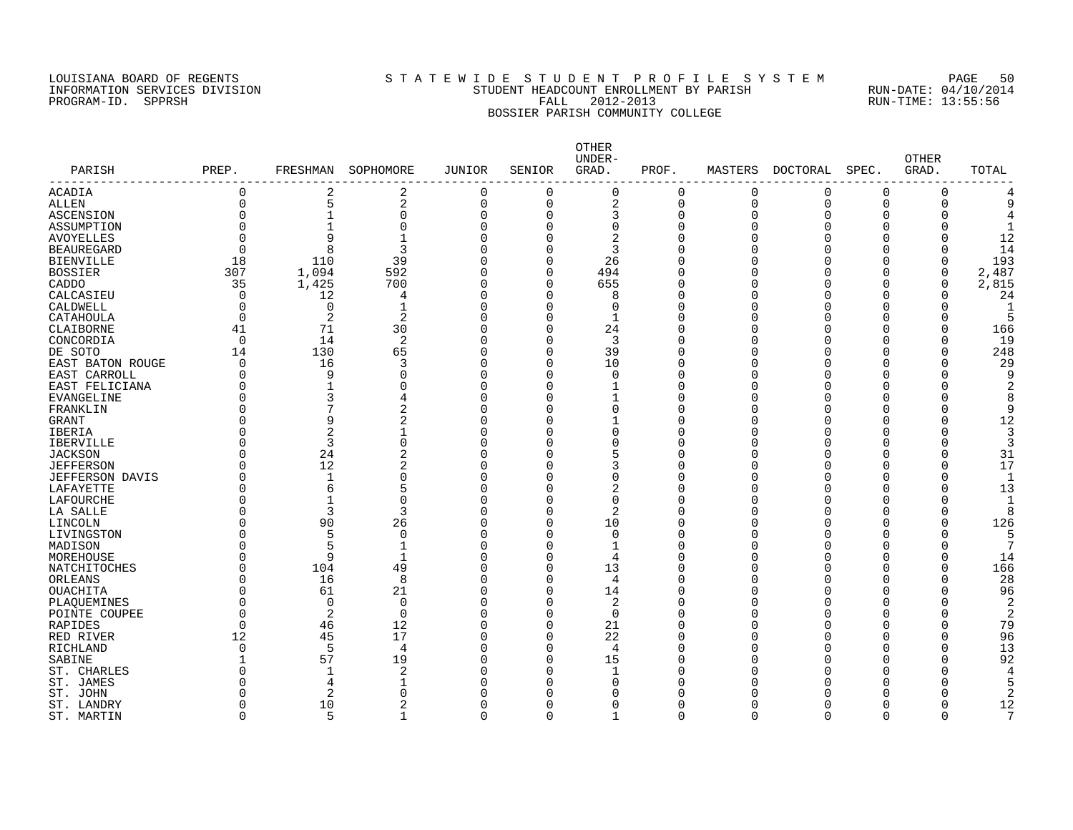## LOUISIANA BOARD OF REGENTS S T A T E W I D E S T U D E N T P R O F I L E S Y S T E M PAGE 50 INFORMATION SERVICES DIVISION STUDENT HEADCOUNT ENROLLMENT BY PARISH RUN-DATE: 04/10/2014 PROGRAM-ID. SPPRSH FALL 2012-2013 RUN-TIME: 13:55:56 BOSSIER PARISH COMMUNITY COLLEGE

|                              |                |                |                              |                |                      | OTHER<br>UNDER- |                      |                |                |          | <b>OTHER</b> |              |
|------------------------------|----------------|----------------|------------------------------|----------------|----------------------|-----------------|----------------------|----------------|----------------|----------|--------------|--------------|
| PARISH<br>-------------      | PREP.          | FRESHMAN       | SOPHOMORE                    | JUNIOR         | SENIOR               | GRAD.           | PROF.                | MASTERS        | DOCTORAL       | SPEC.    | GRAD.        | TOTAL        |
| ACADIA                       | $\mathbf 0$    | 2              | $\overline{2}$               | $\mathbf 0$    | 0                    | $\mathbf 0$     | $\mathbf 0$          | $\mathbf 0$    | $\mathbf 0$    | $\Omega$ | 0            |              |
| <b>ALLEN</b>                 | $\overline{0}$ | 5              | $\overline{2}$               | $\overline{0}$ | $\Omega$             | $\overline{2}$  | $\mathbf 0$          | $\overline{0}$ | $\overline{0}$ | $\Omega$ | $\Omega$     | q            |
| ASCENSION                    | $\Omega$       | 1              | $\Omega$                     | $\overline{0}$ | $\Omega$             | 3               | $\Omega$             | $\mathbf 0$    | $\Omega$       | n        | O            |              |
| ASSUMPTION                   | $\Omega$       |                | $\Omega$                     | $\overline{0}$ | $\Omega$             | $\Omega$        | $\Omega$             | $\Omega$       |                |          |              |              |
| <b>AVOYELLES</b>             | $\Omega$       | 9              |                              | $\Omega$       | $\Omega$             | $\overline{2}$  | $\Omega$             | $\Omega$       |                |          |              | 12           |
| <b>BEAUREGARD</b>            | $\Omega$       | 8              | 3                            | $\Omega$       | $\Omega$             | 3               | $\Omega$             | U              |                |          |              | 14           |
| <b>BIENVILLE</b>             | 18             | 110            | 39                           | $\Omega$       | $\Omega$             | 26              | $\Omega$             | O              |                |          | $\Omega$     | 193          |
| <b>BOSSIER</b>               | 307            | 1,094          | 592                          | $\Omega$       | $\Omega$             | 494             | $\Omega$             | O              |                | ∩        | 0            | 2,487        |
| CADDO                        | 35             | 1,425          | 700                          | $\mathbf 0$    | $\Omega$             | 655             | $\Omega$             | O              |                | n        | 0            | 2,815        |
| CALCASIEU                    | 0              | 12             | 4                            | $\mathbf 0$    | $\Omega$             | 8               | $\Omega$             | O              |                | n        | O            | 24           |
| CALDWELL                     | $\mathbf 0$    | $\mathbf 0$    | $\mathbf{1}$                 | $\mathbf 0$    | $\Omega$             | $\Omega$        | $\Omega$             | O              |                |          | $\Omega$     | -1           |
| CATAHOULA                    | $\overline{0}$ | $\overline{2}$ | 2                            | $\Omega$       | $\Omega$             | $\mathbf{1}$    | $\Omega$             | U              |                |          | $\Omega$     |              |
| CLAIBORNE                    | 41             | 71             | 30                           | $\Omega$       | $\Omega$             | 24              | $\Omega$             | U              |                |          |              | 166          |
| CONCORDIA                    | $\overline{0}$ | 14             | 2                            | $\mathbf 0$    | $\Omega$             | 3               | $\Omega$             | O              |                | ∩        | O            | 19           |
| DE SOTO                      | 14             | 130            | 65                           | $\Omega$       | $\Omega$             | 39              | $\Omega$             | O              |                |          |              | 248          |
| EAST BATON ROUGE             | $\Omega$       | 16             | 3                            | $\Omega$       | $\Omega$             | 10              | $\Omega$             | U              |                |          | U            | 29           |
| EAST CARROLL                 | $\Omega$       | 9              | $\Omega$                     | $\Omega$       | $\Omega$             | $\Omega$        | $\Omega$             | U              |                |          |              | 9            |
| EAST FELICIANA               | $\mathbf 0$    |                | $\Omega$                     | $\overline{0}$ | $\Omega$             | -1              | $\Omega$             | ∩              |                |          |              | 2            |
| <b>EVANGELINE</b>            | 0              | 3              | 4                            | $\mathbf 0$    | $\Omega$             |                 | $\Omega$             | ∩              |                |          |              | 8            |
| FRANKLIN                     | 0              |                | $\overline{2}$               | $\Omega$       | $\Omega$             | $\Omega$        | $\Omega$             | U              |                |          | U            | q            |
| GRANT                        | $\Omega$       | 9              | 2                            | $\Omega$       | $\Omega$             |                 | $\Omega$             | U              |                |          |              | 12           |
| <b>IBERIA</b>                | 0              | 2              |                              | $\Omega$       | $\Omega$             | $\cap$          | $\Omega$             | U              |                |          |              | 3            |
| <b>IBERVILLE</b>             | O              | 3              | $\Omega$                     | $\Omega$       | $\Omega$             | $\cap$          | $\Omega$             | U              |                |          |              | 3            |
| <b>JACKSON</b>               | $\mathbf 0$    | 24             | $\overline{2}$               | $\mathbf 0$    | $\Omega$             | 5               | $\Omega$             | O              |                | ∩        | $\Omega$     | 31           |
| <b>JEFFERSON</b>             | $\Omega$       | 12             | $\overline{2}$               | $\Omega$       | $\Omega$             | 3               | $\Omega$             | O              |                |          | $\Omega$     | 17           |
|                              | 0              | $\mathbf{1}$   | $\Omega$                     | $\overline{0}$ | $\Omega$             | $\Omega$        | $\mathbf 0$          | O              |                |          | $\Omega$     | $\mathbf{1}$ |
| JEFFERSON DAVIS<br>LAFAYETTE | $\overline{0}$ | 6              | 5                            | $\Omega$       | $\Omega$             | 2               | $\Omega$             | U              |                |          | $\Omega$     | 13           |
| LAFOURCHE                    | $\Omega$       | $\mathbf{1}$   | $\Omega$                     | $\Omega$       | $\Omega$             | $\Omega$        | $\Omega$             | O              |                |          |              |              |
| LA SALLE                     | $\Omega$       | 3              | 3                            | $\Omega$       | $\Omega$             | 2               | $\Omega$             | U              |                |          | U            | R            |
| LINCOLN                      | $\Omega$       | 90             | 26                           | $\Omega$       | $\Omega$             | 10              | $\Omega$             | U              |                |          |              | 126          |
|                              | $\Omega$       | 5              |                              | $\Omega$       | $\Omega$             | $\Omega$        | $\Omega$             | ∩              |                |          |              |              |
| LIVINGSTON                   |                |                | $\Omega$                     |                |                      |                 |                      |                |                |          |              |              |
| MADISON                      | $\Omega$       | 5<br>9         | $\mathbf{1}$<br>$\mathbf{1}$ | $\Omega$       | $\Omega$<br>$\Omega$ | $\mathbf{1}$    | $\Omega$<br>$\Omega$ | U              |                |          | U            |              |
| MOREHOUSE                    | $\mathbf 0$    |                |                              | $\overline{0}$ | $\Omega$             | 4               | $\Omega$             | ∩<br>U         |                |          | O            | 14           |
| NATCHITOCHES                 | $\mathbf 0$    | 104            | 49                           | $\mathbf 0$    |                      | 13              |                      |                |                |          |              | 166          |
| ORLEANS                      | $\mathbf 0$    | 16             | 8                            | $\mathbf 0$    | $\Omega$             | 4               | $\Omega$             | U              |                |          | O            | 28           |
| <b>OUACHITA</b>              | 0              | 61             | 21                           | $\Omega$       | $\Omega$             | 14              | $\Omega$             | U              |                |          |              | 96           |
| PLAQUEMINES                  | 0              | $\Omega$       | $\Omega$                     | $\Omega$       | $\Omega$             | 2               | $\Omega$             | $\Omega$       |                |          | $\Omega$     | 2            |
| POINTE COUPEE                | $\Omega$       | 2              | $\Omega$                     | $\Omega$       | $\Omega$             | $\Omega$        | $\Omega$             | O              |                |          | O            | 2            |
| RAPIDES                      | $\overline{0}$ | 46             | 12                           | $\overline{0}$ | $\Omega$             | 21              | $\Omega$             | O              |                | $\cap$   | $\Omega$     | 79           |
| RED RIVER                    | 12             | 45             | 17                           | $\overline{0}$ | $\Omega$             | 22              | $\Omega$             | O              |                |          | $\Omega$     | 96           |
| RICHLAND                     | $\mathbf 0$    | 5              | $\overline{4}$               | $\Omega$       | $\Omega$             | $\overline{4}$  | $\Omega$             | 0              |                | Ω        | $\Omega$     | 13           |
| SABINE                       | $\mathbf{1}$   | 57             | 19                           | $\Omega$       | $\Omega$             | 15              | $\Omega$             | U              |                |          | $\Omega$     | 92           |
| ST. CHARLES                  | $\Omega$       | $\mathbf{1}$   | $\overline{c}$               | $\Omega$       | $\Omega$             | $\mathbf 1$     | $\Omega$             | U              |                |          |              | 4            |
| ST. JAMES                    | $\Omega$       | 4              |                              | $\Omega$       | $\Omega$             | ∩               | $\cap$               |                |                |          |              |              |
| ST. JOHN                     | O              | 2              | $\Omega$                     | $\Omega$       | $\Omega$             | ∩               | $\Omega$             |                |                |          |              | 2            |
| ST. LANDRY                   | O              | 10             | 2                            | $\Omega$       | $\Omega$             | ∩               | $\Omega$             | ∩              |                |          |              | 12           |
| ST. MARTIN                   | $\mathbf 0$    | 5              | 1                            | $\mathbf 0$    | $\Omega$             | 1               | $\mathbf 0$          | $\Omega$       | $\Omega$       | $\Omega$ | $\Omega$     | 7            |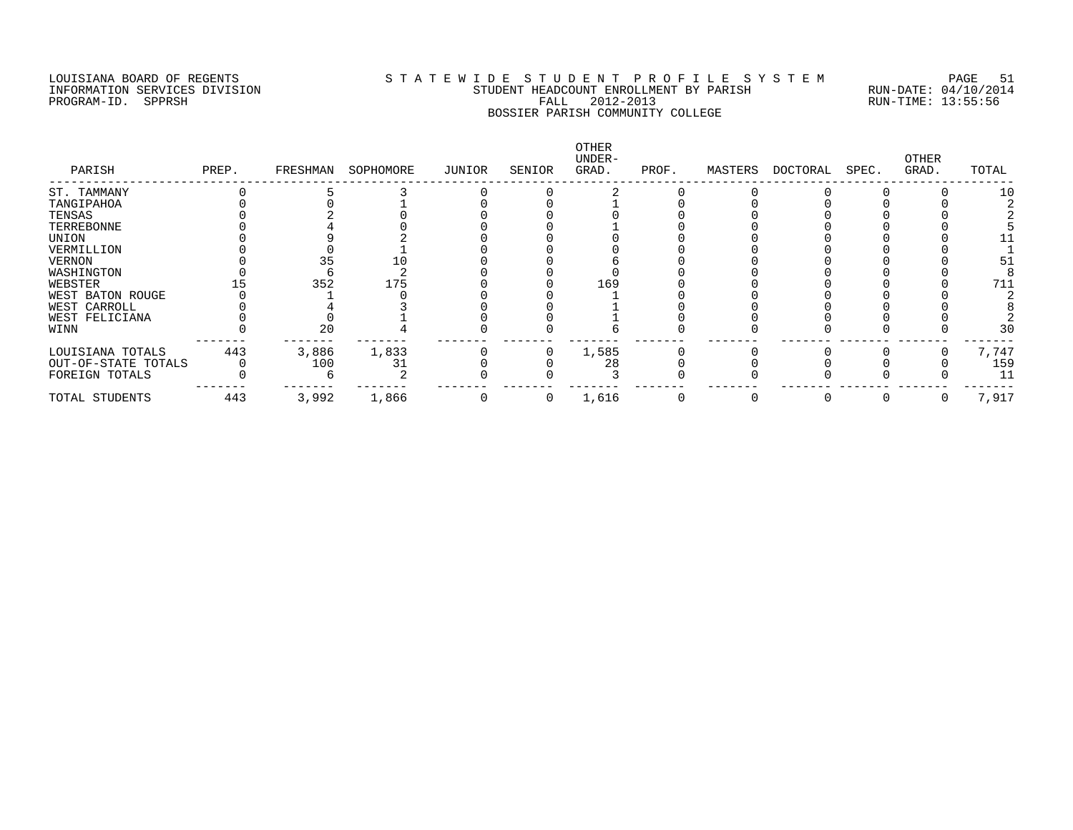#### LOUISIANA BOARD OF REGENTS S T A T E W I D E S T U D E N T P R O F I L E S Y S T E M PAGE 51 INFORMATION SERVICES DIVISION STUDENT HEADCOUNT ENROLLMENT BY PARISH RUN-DATE: 04/10/2014 PROGRAM-ID. SPPRSH FALL 2012-2013 RUN-TIME: 13:55:56 BOSSIER PARISH COMMUNITY COLLEGE

| PARISH              | PREP. | FRESHMAN | SOPHOMORE | JUNIOR | SENIOR   | OTHER<br>UNDER-<br>GRAD. | PROF. | MASTERS | DOCTORAL | SPEC. | OTHER<br>GRAD. | TOTAL |
|---------------------|-------|----------|-----------|--------|----------|--------------------------|-------|---------|----------|-------|----------------|-------|
| ST. TAMMANY         |       |          |           |        |          |                          |       |         |          |       |                | 10    |
| TANGIPAHOA          |       |          |           |        |          |                          |       |         |          |       |                |       |
| TENSAS              |       |          |           |        |          |                          |       |         |          |       |                |       |
| TERREBONNE          |       |          |           |        |          |                          |       |         |          |       |                |       |
| UNION               |       |          |           |        |          |                          |       |         |          |       |                |       |
| VERMILLION          |       |          |           |        |          |                          |       |         |          |       |                |       |
| VERNON              |       |          |           |        |          |                          |       |         |          |       |                |       |
| WASHINGTON          |       |          |           |        |          |                          |       |         |          |       |                |       |
| WEBSTER             |       | 352      | 175       |        |          | 169                      |       |         |          |       |                | 711   |
| WEST BATON ROUGE    |       |          |           |        |          |                          |       |         |          |       |                |       |
| WEST CARROLL        |       |          |           |        |          |                          |       |         |          |       |                |       |
| WEST FELICIANA      |       |          |           |        |          |                          |       |         |          |       |                |       |
| WINN                |       | 20       |           |        |          |                          |       |         |          |       |                | 30    |
| LOUISIANA TOTALS    | 443   | 3,886    | 1,833     |        |          | 1,585                    |       |         |          |       |                | 7,747 |
| OUT-OF-STATE TOTALS |       | 100      | 31        |        |          | 28                       |       |         |          |       |                | 159   |
| FOREIGN TOTALS      |       |          |           |        |          |                          |       |         |          |       |                | 11    |
| TOTAL STUDENTS      | 443   | 3,992    | 1,866     |        | $\Omega$ | 1,616                    |       |         |          |       |                | 7,917 |
|                     |       |          |           |        |          |                          |       |         |          |       |                |       |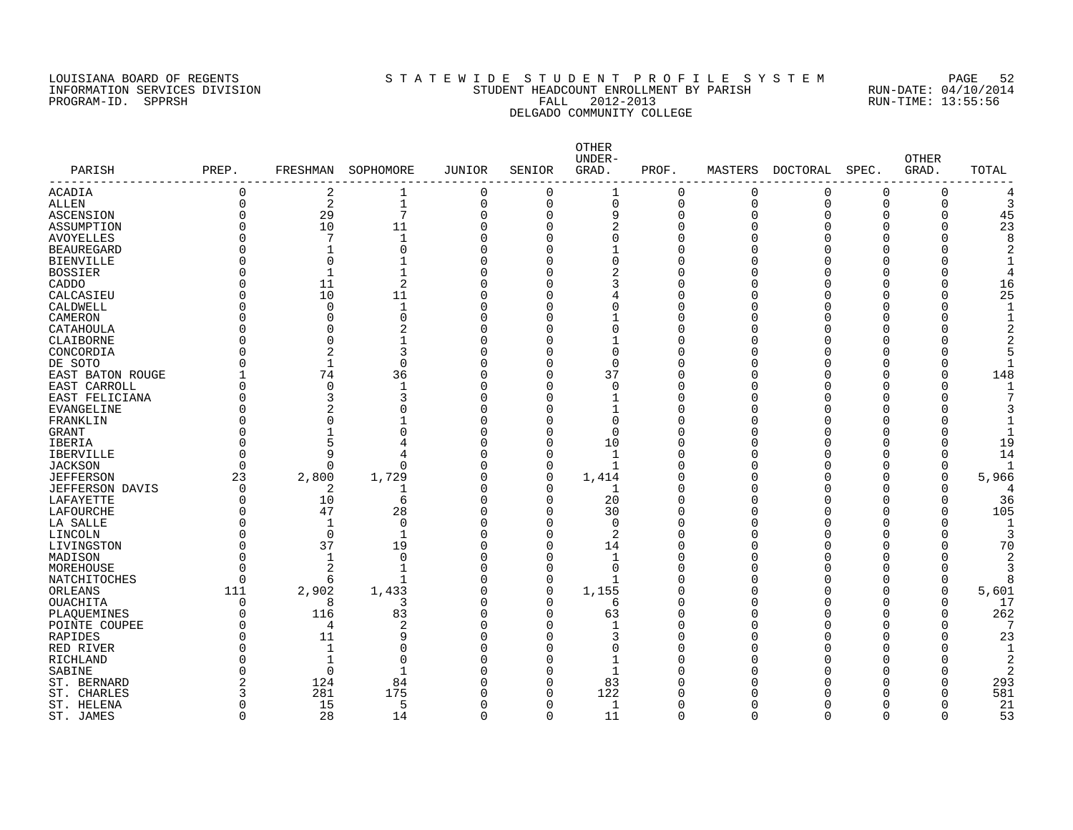#### LOUISIANA BOARD OF REGENTS S T A T E W I D E S T U D E N T P R O F I L E S Y S T E M PAGE 52 INFORMATION SERVICES DIVISION STUDENT HEADCOUNT ENROLLMENT BY PARISH RUN-DATE: 04/10/2014 PROGRAM-ID. SPPRSH FALL 2012-2013 RUN-TIME: 13:55:56 DELGADO COMMUNITY COLLEGE

|                        |              |                |                 |          |             | OTHER<br>UNDER- |          |          |          |             | <b>OTHER</b> |                |
|------------------------|--------------|----------------|-----------------|----------|-------------|-----------------|----------|----------|----------|-------------|--------------|----------------|
| PARISH                 | PREP.        | FRESHMAN       | SOPHOMORE       | JUNIOR   | SENIOR      | GRAD.           | PROF.    | MASTERS  | DOCTORAL | SPEC.       | GRAD.        | TOTAL          |
| ACADIA                 | 0            | 2              | 1               | $\Omega$ | $\mathbf 0$ |                 | $\Omega$ | 0        | $\Omega$ | $\mathbf 0$ | $\mathbf 0$  | 4              |
| <b>ALLEN</b>           | $\Omega$     | 2              | $\mathbf{1}$    | $\Omega$ | $\Omega$    | $\Omega$        | $\Omega$ | $\Omega$ | $\Omega$ | $\Omega$    | $\Omega$     | 3              |
| ASCENSION              | $\Omega$     | 29             | $7\phantom{.0}$ | $\Omega$ | $\Omega$    | 9               | $\Omega$ | $\Omega$ | $\Omega$ | $\Omega$    | $\Omega$     | 45             |
| ASSUMPTION             | U            | 10             | 11              | $\Omega$ | $\Omega$    | $\overline{2}$  | U        | O        | $\Omega$ | $\Omega$    | $\mathbf 0$  | 23             |
| <b>AVOYELLES</b>       |              | 7              | $\mathbf{1}$    | $\Omega$ | $\Omega$    | $\Omega$        | U        | U        | $\Omega$ | $\Omega$    | $\Omega$     | 8              |
| <b>BEAUREGARD</b>      |              | 1              | $\Omega$        | $\Omega$ | ∩           |                 | U        |          | $\Omega$ | $\Omega$    | $\Omega$     | $\overline{2}$ |
| <b>BIENVILLE</b>       |              | 0              |                 | U        | ∩           | $\Omega$        | U        |          | $\Omega$ | $\Omega$    | $\Omega$     | $\mathbf{1}$   |
| <b>BOSSIER</b>         |              | 1              |                 | U        | ∩           | 2               | Λ        |          | $\Omega$ | ∩           | $\Omega$     | 4              |
| CADDO                  |              | 11             | $\overline{2}$  | U        | $\Omega$    | 3               | U        |          | $\Omega$ | $\Omega$    | $\Omega$     | 16             |
| CALCASIEU              |              | 10             | 11              | ∩        | $\Omega$    |                 | U        |          | $\Omega$ | $\Omega$    | $\Omega$     | 25             |
| CALDWELL               | O            | 0              | 1               | O        | O           | $\Omega$        | O        |          | $\Omega$ | $\Omega$    | $\mathbf 0$  | 1              |
| CAMERON                |              | $\Omega$       | $\Omega$        | $\Omega$ | O           |                 | U        |          | $\Omega$ | $\Omega$    | $\Omega$     | $\mathbf{1}$   |
| CATAHOULA              | O            | 0              | 2               | U        | O           | $\Omega$        | U        |          | $\Omega$ | $\Omega$    | $\Omega$     | $\overline{2}$ |
| CLAIBORNE              |              | 0              | 1               | U        | ∩           |                 | ∩        |          | $\Omega$ | $\Omega$    | $\Omega$     | 2              |
| CONCORDIA              |              | 2              | 3               | $\Omega$ | $\Omega$    | $\Omega$        | N        |          | $\Omega$ | $\Omega$    | $\Omega$     | 5              |
| DE SOTO                | O            | $\mathbf{1}$   | $\Omega$        | U        | $\Omega$    | $\Omega$        | U        |          | $\Omega$ | $\Omega$    | $\Omega$     | $\mathbf{1}$   |
| EAST BATON ROUGE       | $\mathbf{1}$ | 74             | 36              | $\Omega$ | $\Omega$    | 37              | N        |          | $\Omega$ | $\Omega$    | $\mathbf 0$  | 148            |
| EAST CARROLL           | 0            | $\mathbf 0$    | $\mathbf 1$     | O        | $\Omega$    | $\Omega$        | U        | U        | $\Omega$ | $\Omega$    | $\Omega$     | 1              |
| EAST FELICIANA         |              | 3              | 3               | $\Omega$ | $\Omega$    |                 | U        |          | $\Omega$ | $\Omega$    | $\Omega$     | 7              |
| <b>EVANGELINE</b>      | 0            | $\overline{a}$ | $\Omega$        | $\Omega$ | $\Omega$    |                 | U        | U        | $\Omega$ | $\Omega$    | $\Omega$     | 3              |
| FRANKLIN               |              | 0              |                 | $\Omega$ | $\Omega$    | $\Omega$        | U        |          | $\Omega$ | $\Omega$    | $\Omega$     | $\mathbf{1}$   |
| <b>GRANT</b>           |              | 1              | $\Omega$        | U        | ∩           | $\Omega$        | U        |          | $\Omega$ | $\Omega$    | $\Omega$     |                |
| <b>IBERIA</b>          |              | 5              | $\overline{4}$  | U        | ∩           | 10              | Λ        |          | $\Omega$ | ∩           | $\Omega$     | 19             |
| IBERVILLE              | O            | 9              |                 | U        | $\Omega$    | $\mathbf 1$     | U        |          | $\Omega$ | $\Omega$    | $\mathbf 0$  | 14             |
| <b>JACKSON</b>         | $\Omega$     | U              | $\Omega$        | ∩        | $\Omega$    |                 | ∩        |          | $\Omega$ | $\Omega$    | $\mathbf 0$  |                |
| <b>JEFFERSON</b>       | 23           | 2,800          | 1,729           | $\Omega$ | $\mathbf 0$ | 1,414           | U        |          | $\Omega$ | $\Omega$    | $\mathbf 0$  | 5,966          |
| <b>JEFFERSON DAVIS</b> | $\Omega$     | $\overline{2}$ |                 | $\Omega$ | $\Omega$    | 1               | ∩        |          | $\Omega$ | $\Omega$    | $\Omega$     | 4              |
| LAFAYETTE              | $\Omega$     | 10             | 6               | U        | $\Omega$    | 20              | U        |          | $\Omega$ | $\Omega$    | $\Omega$     | 36             |
| LAFOURCHE              | U            | 47             | 28              | U        | $\Omega$    | 30              | ∩        |          | $\Omega$ | $\Omega$    | $\Omega$     | 105            |
| LA SALLE               |              | $\mathbf{1}$   | $\Omega$        | U        | $\Omega$    | $\Omega$        | Λ        |          | $\Omega$ | $\Omega$    | $\Omega$     | 1              |
| LINCOLN                |              | $\Omega$       | $\mathbf{1}$    | O        | $\Omega$    | 2               | ∩        |          | $\Omega$ | $\Omega$    | $\Omega$     | 3              |
| LIVINGSTON             | O            | 37             | 19              | O        | $\Omega$    | 14              | U        |          | $\Omega$ | $\Omega$    | 0            | 70             |
| MADISON                | $\Omega$     | $\mathbf{1}$   | $\mathbf 0$     | $\Omega$ | $\Omega$    | -1              | U        | U        | $\Omega$ | $\Omega$    | $\Omega$     | 2              |
| MOREHOUSE              | $\Omega$     | 2              | $\mathbf{1}$    | $\Omega$ | $\Omega$    | $\Omega$        | U        |          | $\Omega$ | $\Omega$    | $\mathbf 0$  | 3              |
| NATCHITOCHES           | $\Omega$     | 6              |                 | $\Omega$ | $\mathbf 0$ |                 | U        |          | $\Omega$ | $\Omega$    | $\mathbf 0$  | 8              |
| ORLEANS                | 111          | 2,902          | 1,433           | $\Omega$ | $\mathbf 0$ | 1,155           | U        |          | $\Omega$ | $\Omega$    | 0            | 5,601          |
| <b>OUACHITA</b>        | $\mathbf 0$  | 8              | 3               | $\Omega$ | $\Omega$    | 6               | U        |          | $\Omega$ | $\Omega$    | $\mathbf 0$  | 17             |
| PLAOUEMINES            | O            | 116            | 83              | O        | $\Omega$    | 63              | U        |          | $\Omega$ | $\Omega$    | $\Omega$     | 262            |
| POINTE COUPEE          |              | 4              | $\overline{2}$  | O        | $\Omega$    |                 | O        |          | $\Omega$ | $\Omega$    | $\Omega$     | 7              |
| RAPIDES                |              | 11             | 9               | ∩        | ∩           | 3               | U        |          | $\Omega$ | $\Omega$    | U            | 23             |
| RED RIVER              | O            | $\mathbf{1}$   | $\Omega$        | O        | $\Omega$    | ∩               | U        |          | $\Omega$ | $\Omega$    | $\Omega$     | $\mathbf{1}$   |
| RICHLAND               |              | $\mathbf{1}$   | $\Omega$        | ∩        | ∩           |                 | ∩        |          | $\Omega$ | ∩           | $\Omega$     | $\overline{2}$ |
| SABINE                 | U            | $\Omega$       | $\mathbf{1}$    | U        | ∩           | $\mathbf{1}$    | U        |          | $\Omega$ | $\Omega$    | $\Omega$     | $\overline{2}$ |
| ST. BERNARD            |              | 124            | 84              | U        | $\Omega$    | 83              |          |          | $\Omega$ | $\Omega$    | $\Omega$     | 293            |
| <b>CHARLES</b><br>ST.  | 3            | 281            | 175             | U        | $\Omega$    | 122             |          |          | $\Omega$ | $\Omega$    | $\Omega$     | 581            |
| ST. HELENA             | O            | 15             | 5               | U        | $\Omega$    | 1               | ∩        | U        | $\Omega$ | $\Omega$    | $\Omega$     | 21             |
| ST. JAMES              | $\Omega$     | 28             | 14              | $\Omega$ | $\Omega$    | 11              | $\Omega$ | $\Omega$ | $\Omega$ | $\mathbf 0$ | $\Omega$     | 53             |
|                        |              |                |                 |          |             |                 |          |          |          |             |              |                |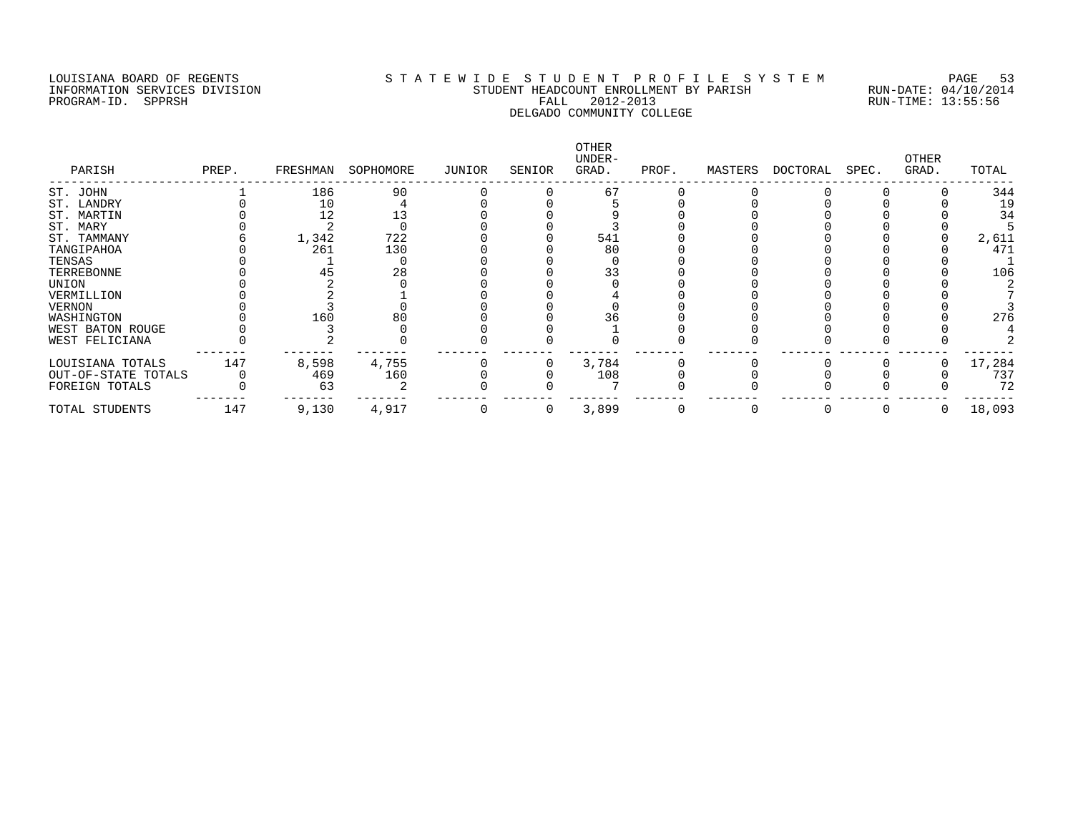## LOUISIANA BOARD OF REGENTS S T A T E W I D E S T U D E N T P R O F I L E S Y S T E M PAGE 53 INFORMATION SERVICES DIVISION STUDENT HEADCOUNT ENROLLMENT BY PARISH RUN-DATE: 04/10/2014 PROGRAM-ID. SPPRSH FALL 2012-2013 RUN-TIME: 13:55:56 DELGADO COMMUNITY COLLEGE

| PARISH              | PREP. | FRESHMAN | SOPHOMORE | JUNIOR | SENIOR   | OTHER<br>UNDER-<br>GRAD. | PROF. | MASTERS | DOCTORAL | SPEC. | OTHER<br>GRAD. | TOTAL  |
|---------------------|-------|----------|-----------|--------|----------|--------------------------|-------|---------|----------|-------|----------------|--------|
| ST. JOHN            |       | 186      | 90        |        |          | 67                       |       |         |          |       |                | 344    |
| ST. LANDRY          |       | 10       |           |        |          |                          |       |         |          |       |                | 19     |
| ST. MARTIN          |       | 12       |           |        |          |                          |       |         |          |       |                | 34     |
| ST. MARY            |       |          |           |        |          |                          |       |         |          |       |                |        |
| ST. TAMMANY         |       | 1,342    | 722       |        |          | 541                      |       |         |          |       |                | 2,611  |
| TANGIPAHOA          |       | 261      | 130       |        |          | 80                       |       |         |          |       |                | 471    |
| TENSAS              |       |          |           |        |          |                          |       |         |          |       |                |        |
| TERREBONNE          |       |          | 28        |        |          | 33                       |       |         |          |       |                | 106    |
| UNION               |       |          |           |        |          |                          |       |         |          |       |                |        |
| VERMILLION          |       |          |           |        |          |                          |       |         |          |       |                |        |
| VERNON              |       |          |           |        |          |                          |       |         |          |       |                |        |
| WASHINGTON          |       | 160      | 80        |        |          | 36                       |       |         |          |       |                | 276    |
| WEST BATON ROUGE    |       |          |           |        |          |                          |       |         |          |       |                |        |
| WEST FELICIANA      |       |          |           |        |          |                          |       |         |          |       |                |        |
| LOUISIANA TOTALS    | 147   | 8,598    | 4,755     |        |          | 3,784                    |       |         |          |       |                | 17,284 |
| OUT-OF-STATE TOTALS |       | 469      | 160       |        |          | 108                      |       |         |          |       |                | 737    |
| FOREIGN TOTALS      |       | 63       |           |        |          |                          |       |         |          |       |                | 72     |
| TOTAL STUDENTS      | 147   | 9,130    | 4,917     |        | $\Omega$ | 3,899                    |       |         |          |       | 0              | 18,093 |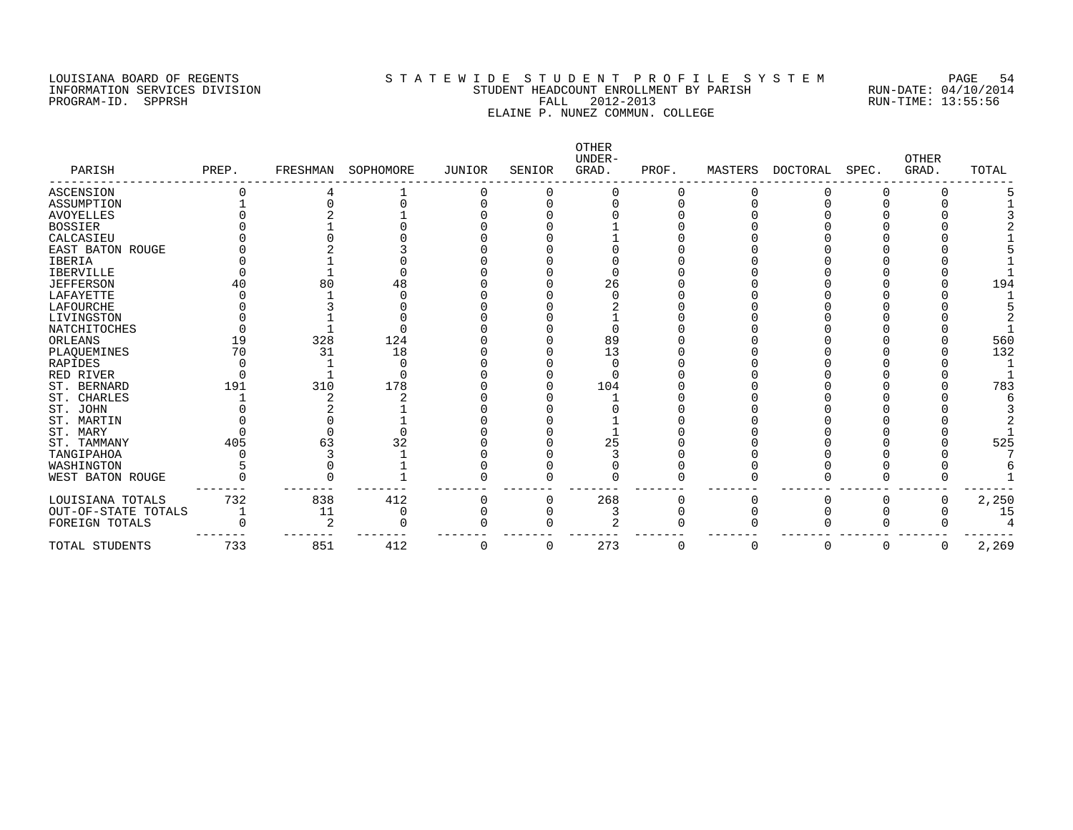## LOUISIANA BOARD OF REGENTS S T A T E W I D E S T U D E N T P R O F I L E S Y S T E M PAGE 54 INFORMATION SERVICES DIVISION STUDENT HEADCOUNT ENROLLMENT BY PARISH RUN-DATE: 04/10/2014 PROGRAM-ID. SPPRSH FALL 2012-2013 RUN-TIME: 13:55:56 ELAINE P. NUNEZ COMMUN. COLLEGE

| PARISH              | PREP. | FRESHMAN | SOPHOMORE | <b>JUNIOR</b> | SENIOR | OTHER<br>UNDER-<br>GRAD. | PROF. | MASTERS | <b>DOCTORAL</b> | SPEC. | <b>OTHER</b><br>GRAD. | TOTAL |
|---------------------|-------|----------|-----------|---------------|--------|--------------------------|-------|---------|-----------------|-------|-----------------------|-------|
| ASCENSION           |       |          |           |               |        |                          |       |         |                 |       |                       |       |
| ASSUMPTION          |       |          |           |               |        |                          |       |         |                 |       |                       |       |
| <b>AVOYELLES</b>    |       |          |           |               |        |                          |       |         |                 |       |                       |       |
| <b>BOSSIER</b>      |       |          |           |               |        |                          |       |         |                 |       |                       |       |
| CALCASIEU           |       |          |           |               |        |                          |       |         |                 |       |                       |       |
| EAST BATON ROUGE    |       |          |           |               |        |                          |       |         |                 |       |                       |       |
| <b>IBERIA</b>       |       |          |           |               |        |                          |       |         |                 |       |                       |       |
| <b>IBERVILLE</b>    |       |          |           |               |        |                          |       |         |                 |       |                       |       |
| <b>JEFFERSON</b>    |       | 80       | 48        |               |        | 26                       |       |         |                 |       |                       | 194   |
| LAFAYETTE           |       |          |           |               |        |                          |       |         |                 |       |                       |       |
| LAFOURCHE           |       |          |           |               |        |                          |       |         |                 |       |                       |       |
| LIVINGSTON          |       |          |           |               |        |                          |       |         |                 |       |                       |       |
| NATCHITOCHES        |       |          |           |               |        |                          |       |         |                 |       |                       |       |
| ORLEANS             | 19    | 328      | 124       |               |        | 89                       |       |         |                 |       |                       | 560   |
| PLAQUEMINES         | 70    | 31       | 18        |               |        | 13                       |       |         |                 |       |                       | 132   |
| RAPIDES             |       |          |           |               |        |                          |       |         |                 |       |                       |       |
| RED RIVER           |       |          |           |               |        |                          |       |         |                 |       |                       |       |
| ST. BERNARD         | 191   | 310      | 178       |               |        | 104                      |       |         |                 |       |                       | 783   |
| ST. CHARLES         |       |          |           |               |        |                          |       |         |                 |       |                       |       |
| ST. JOHN            |       |          |           |               |        |                          |       |         |                 |       |                       |       |
| ST. MARTIN          |       |          |           |               |        |                          |       |         |                 |       |                       |       |
| ST. MARY            |       |          |           |               |        |                          |       |         |                 |       |                       |       |
| ST. TAMMANY         | 405   | 63       |           |               |        | 25                       |       |         |                 |       |                       | 525   |
| TANGIPAHOA          |       |          |           |               |        |                          |       |         |                 |       |                       |       |
| WASHINGTON          |       |          |           |               |        |                          |       |         |                 |       |                       |       |
| WEST BATON ROUGE    |       |          |           |               |        |                          |       |         |                 |       |                       |       |
| LOUISIANA TOTALS    | 732   | 838      | 412       |               |        | 268                      |       |         |                 |       |                       | 2,250 |
| OUT-OF-STATE TOTALS |       | 11       |           |               |        |                          |       |         |                 |       |                       | 15    |
| FOREIGN TOTALS      |       |          |           |               |        |                          |       |         |                 |       |                       |       |
| TOTAL STUDENTS      | 733   | 851      | 412       | 0             | O      | 273                      | 0     | 0       | O               |       | O                     | 2,269 |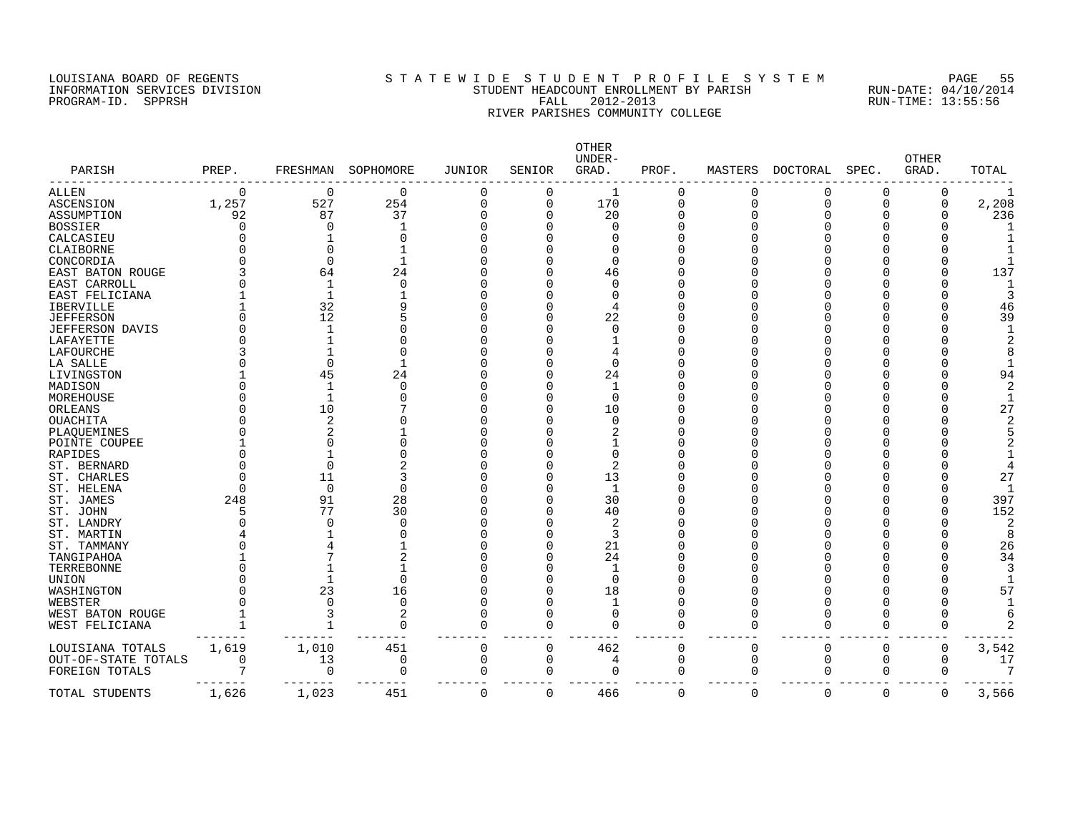#### LOUISIANA BOARD OF REGENTS S T A T E W I D E S T U D E N T P R O F I L E S Y S T E M PAGE 55 INFORMATION SERVICES DIVISION STUDENT HEADCOUNT ENROLLMENT BY PARISH RUN-DATE: 04/10/2014 PROGRAM-ID. SPPRSH FALL 2012-2013 RUN-TIME: 13:55:56 RIVER PARISHES COMMUNITY COLLEGE

| PARISH              | PREP.    | FRESHMAN       | SOPHOMORE   | <b>JUNIOR</b> | SENIOR   | OTHER<br>UNDER-<br>GRAD. | PROF.    | MASTERS     | <b>DOCTORAL</b> | SPEC.    | <b>OTHER</b><br>GRAD. | TOTAL |
|---------------------|----------|----------------|-------------|---------------|----------|--------------------------|----------|-------------|-----------------|----------|-----------------------|-------|
| <b>ALLEN</b>        | $\Omega$ | 0              | 0           | 0             | 0        |                          | 0        |             | 0               | $\Omega$ | 0                     |       |
| <b>ASCENSION</b>    | 1,257    | 527            | 254         | $\Omega$      | 0        | 170                      | 0        | $\Omega$    | O               | $\Omega$ | 0                     | 2,208 |
| ASSUMPTION          | 92       | 87             | 37          | n             | $\Omega$ | 20                       | O        |             |                 | ∩        |                       | 236   |
| <b>BOSSIER</b>      | O        | $\Omega$       |             |               |          | ∩                        | O        |             |                 |          |                       |       |
| CALCASIEU           | N        |                | O           |               |          |                          | Λ        |             |                 |          |                       |       |
| CLAIBORNE           |          | $\Omega$       |             |               |          |                          | N        |             |                 |          |                       |       |
| CONCORDIA           |          | $\Omega$       |             |               |          | C                        | N        |             |                 |          |                       |       |
| EAST BATON ROUGE    |          | 64             | 24          |               |          | 46                       | N        |             |                 |          |                       | 137   |
| EAST CARROLL        |          | 1              | $\Omega$    |               |          | C                        | N        |             |                 |          |                       |       |
| EAST FELICIANA      |          | $\mathbf{1}$   |             |               |          |                          | Λ        |             |                 |          |                       |       |
| <b>IBERVILLE</b>    |          | 32             |             |               |          | 4                        |          |             |                 |          |                       | 46    |
| <b>JEFFERSON</b>    |          | 12             |             |               |          | 22                       |          |             |                 |          |                       | 39    |
| JEFFERSON DAVIS     |          | -1             |             |               |          | ∩                        |          |             |                 |          |                       |       |
| LAFAYETTE           |          |                |             |               |          |                          |          |             |                 |          |                       |       |
| LAFOURCHE           |          |                |             |               |          |                          |          |             |                 |          |                       |       |
| LA SALLE            |          | $\Omega$       |             |               |          | $\Omega$                 | ი        |             |                 |          |                       |       |
| LIVINGSTON          |          | 45             | 24          |               |          | 24                       | N        |             |                 |          |                       | 94    |
| MADISON             |          |                | $\Omega$    |               |          |                          | Ω        |             |                 |          |                       |       |
| MOREHOUSE           |          | -1             |             |               |          | $\Omega$                 | Λ        |             |                 |          |                       |       |
| ORLEANS             |          | 10             |             |               |          | 10                       | Λ        |             |                 |          |                       | 27    |
| OUACHITA            |          | $\overline{2}$ |             |               |          | $\Omega$                 | N        |             |                 |          |                       |       |
| PLAQUEMINES         |          | 2              |             |               |          |                          | ი        |             |                 |          |                       |       |
| POINTE COUPEE       |          |                |             |               |          |                          | N        |             |                 |          |                       |       |
| RAPIDES             |          |                |             |               |          | ∩                        | Λ        |             |                 |          |                       |       |
| ST. BERNARD         |          | $\Omega$       | 2           |               |          |                          | ۲        |             |                 |          |                       |       |
| ST. CHARLES         | Λ        | 11             | 3           |               |          | 13                       |          |             |                 |          |                       | 27    |
| ST. HELENA          | Λ        | $\mathbf 0$    | $\Omega$    |               |          | -1                       |          |             |                 |          |                       |       |
| ST. JAMES           | 248      | 91             | 28          |               |          | 30                       |          |             |                 |          |                       | 397   |
| ST. JOHN            | 5        | 77             | 30          |               |          | 40                       |          |             |                 |          |                       | 152   |
| ST. LANDRY          |          |                | $\Omega$    |               |          | 2                        |          |             |                 |          |                       | 2     |
| ST. MARTIN          |          |                |             |               |          | 3                        | N        |             |                 |          |                       | 8     |
| ST. TAMMANY         |          |                |             |               |          | 21                       | Λ        |             |                 |          |                       | 26    |
| TANGIPAHOA          |          |                |             |               |          | 24                       | O        |             |                 |          |                       | 34    |
| TERREBONNE          |          |                |             |               |          |                          | ი        |             |                 |          |                       |       |
| UNION               |          |                | 0           |               |          | $\Omega$                 | Λ        |             |                 |          |                       |       |
| WASHINGTON          |          | 23             | 16          |               |          | 18                       | ი        |             |                 |          |                       | 57    |
| WEBSTER             |          | O              | $\mathbf 0$ |               |          |                          | Ω        |             |                 |          |                       |       |
| WEST BATON ROUGE    |          | 3              | 2           |               |          | ∩                        | O        |             |                 | ∩        |                       |       |
| WEST FELICIANA      |          | $\mathbf 1$    | $\mathbf 0$ | $\Omega$      | C        | ∩                        | O        |             |                 | $\Omega$ |                       |       |
| LOUISIANA TOTALS    | 1,619    | 1,010          | 451         | $\mathbf 0$   | 0        | 462                      | 0        | $\mathbf 0$ | 0               | $\Omega$ | 0                     | 3,542 |
| OUT-OF-STATE TOTALS | 0        | 13             | 0           | 0             | 0        | 4                        | $\Omega$ | $\mathbf 0$ | 0               | 0        | $\Omega$              | 17    |
| FOREIGN TOTALS      | 7        | 0              | 0           | 0             | 0        | O                        | O        | $\Omega$    | 0               | 0        | O                     | 7     |
| TOTAL STUDENTS      | 1,626    | 1,023          | 451         | $\Omega$      | 0        | 466                      | 0        | $\Omega$    | $\Omega$        | $\Omega$ | $\mathbf 0$           | 3,566 |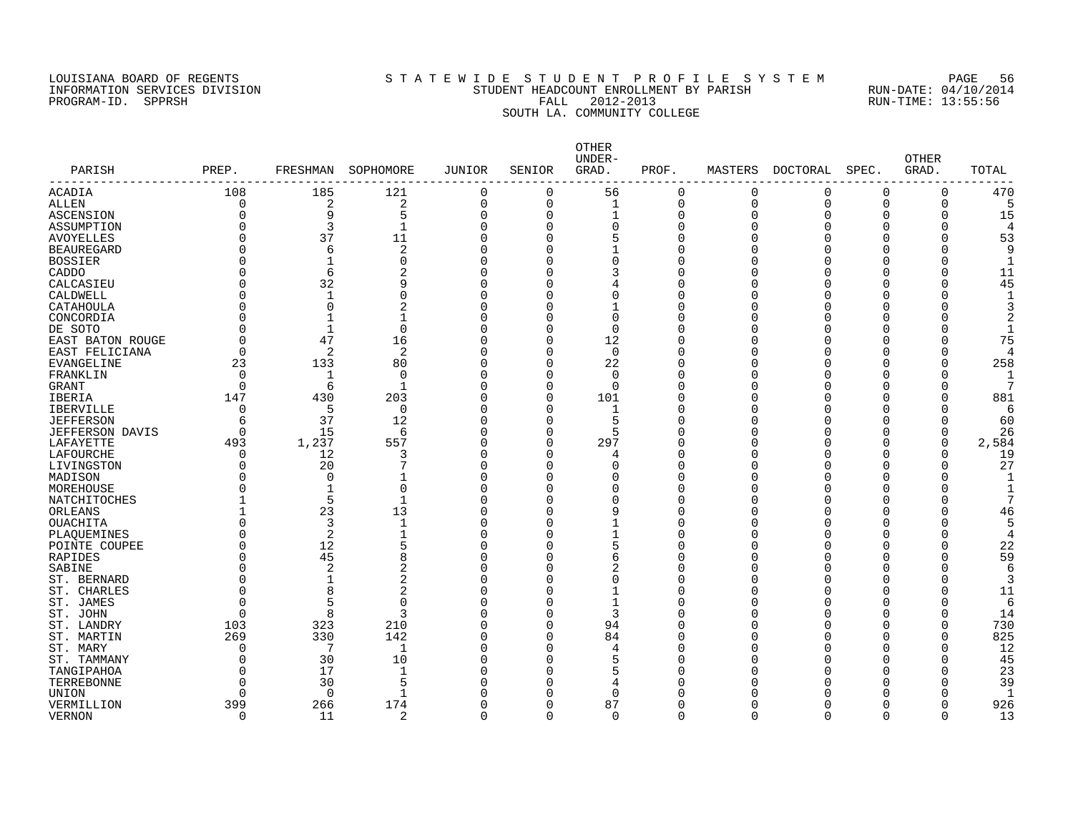#### LOUISIANA BOARD OF REGENTS S T A T E W I D E S T U D E N T P R O F I L E S Y S T E M PAGE 56 INFORMATION SERVICES DIVISION STUDENT HEADCOUNT ENROLLMENT BY PARISH RUN-DATE: 04/10/2014 PROGRAM-ID. SPPRSH FALL 2012-2013 RUN-TIME: 13:55:56 SOUTH LA. COMMUNITY COLLEGE

| PARISH                 | PREP.    |              | FRESHMAN SOPHOMORE | JUNIOR         | SENIOR   | <b>OTHER</b><br>UNDER-<br>GRAD. | PROF.    |             | MASTERS DOCTORAL | SPEC.        | <b>OTHER</b><br>GRAD. | TOTAL |
|------------------------|----------|--------------|--------------------|----------------|----------|---------------------------------|----------|-------------|------------------|--------------|-----------------------|-------|
| ACADIA                 | 108      | 185          | 121                | 0              | 0        | 56                              | 0        | $\mathbf 0$ | $\mathbf 0$      | $\mathbf 0$  | 0                     | 470   |
| ALLEN                  | 0        | 2            | $\sqrt{2}$         | $\mathbf 0$    | 0        | $\mathbf{1}$                    | 0        | $\mathbf 0$ | $\mathbf 0$      | 0            | 0                     |       |
| <b>ASCENSION</b>       | O        | 9            | 5                  | $\mathbf 0$    | $\Omega$ | $\mathbf{1}$                    | 0        | $\Omega$    | O                | $\Omega$     | $\Omega$              | 15    |
| ASSUMPTION             |          | 3            | $\mathbf{1}$       | $\mathbf 0$    | 0        | $\Omega$                        | 0        | n           | O                | $\Omega$     | $\Omega$              |       |
| <b>AVOYELLES</b>       | O        | 37           | 11                 | $\overline{0}$ |          | 5                               | $\Omega$ |             |                  | $\Omega$     | $\Omega$              | 53    |
| <b>BEAUREGARD</b>      | U        | 6            | 2                  | $\mathbf 0$    | 0        |                                 | 0        |             |                  | O            | $\Omega$              | 9     |
| <b>BOSSIER</b>         |          | $\mathbf{1}$ | $\mathbf 0$        | $\overline{0}$ |          | $\Omega$                        | 0        |             |                  |              |                       |       |
| CADDO                  |          | 6            | $\overline{2}$     | $\overline{0}$ |          | 3                               | 0        |             |                  |              | $\Omega$              | 11    |
| CALCASIEU              |          | 32           | 9                  | $\overline{0}$ |          |                                 | $\Omega$ |             |                  | n            |                       | 45    |
| CALDWELL               |          | $\mathbf{1}$ | 0                  | $\mathbf 0$    |          | $\Omega$                        | $\Omega$ |             |                  | n            |                       |       |
| CATAHOULA              |          | 0            | 2                  | $\Omega$       | O        |                                 | 0        |             |                  | $\Omega$     |                       |       |
| CONCORDIA              | O        | $\mathbf{1}$ | 1                  | $\mathbf 0$    |          | $\Omega$                        | $\Omega$ |             |                  | $\Omega$     |                       |       |
| DE SOTO                |          | $\mathbf{1}$ | $\mathbf 0$        | $\mathbf 0$    | $\Omega$ | $\Omega$                        | O        |             |                  | <sup>0</sup> |                       |       |
| EAST BATON ROUGE       | O        | 47           | 16                 | $\mathbf 0$    | 0        | 12                              | C        |             |                  | ∩            |                       | 75    |
| EAST FELICIANA         | O        | 2            | 2                  | $\mathbf 0$    | $\Omega$ | $\Omega$                        | C        |             |                  | U            |                       |       |
| <b>EVANGELINE</b>      | 23       | 133          | 80                 | $\mathbf 0$    | $\Omega$ | 22                              | O        |             |                  | ∩            |                       | 258   |
| FRANKLIN               | $\Omega$ | 1            | $\Omega$           | $\mathbf 0$    | ∩        | $\Omega$                        | C        |             |                  | ∩            |                       |       |
| GRANT                  | $\Omega$ | 6            | 1                  | $\Omega$       | $\Omega$ | $\Omega$                        | O        |             |                  | ∩            | O                     |       |
| IBERIA                 | 147      | 430          | 203                | $\mathbf 0$    | $\Omega$ | 101                             | O        |             |                  |              | $\Omega$              | 881   |
| IBERVILLE              | 0        | -5           | $\mathbf 0$        | $\Omega$       | 0        | 1                               | 0        |             |                  |              |                       | 6     |
| <b>JEFFERSON</b>       | 6        | 37           | 12                 | $\mathbf 0$    | U        |                                 | O        |             |                  |              |                       | 60    |
| <b>JEFFERSON DAVIS</b> | $\Omega$ | 15           | 6                  | $\mathbf 0$    | 0        |                                 | 0        |             |                  | ∩            | $\Omega$              | 26    |
| LAFAYETTE              | 493      | 1,237        | 557                | $\mathbf 0$    | $\Omega$ | 297                             | 0        |             |                  | ∩            | 0                     | 2,584 |
| LAFOURCHE              | 0        | 12           | 3                  | $\Omega$       | 0        |                                 | O        |             |                  | O            | O                     | 19    |
| LIVINGSTON             | U        | 20           |                    | $\Omega$       | U        | $\Omega$                        | O        |             |                  | ∩            | $\Omega$              | 27    |
| MADISON                |          | $\Omega$     |                    | $\mathbf 0$    | U        | O                               | O        |             |                  | n            | ∩                     |       |
| MOREHOUSE              |          | $\mathbf{1}$ | $\Omega$           | $\mathbf 0$    |          | $\Omega$                        | C        |             |                  |              |                       |       |
| NATCHITOCHES           |          | 5            | $\mathbf{1}$       | $\mathbf 0$    | U        | $\Omega$                        | C        |             |                  | n            |                       |       |
| ORLEANS                |          | 23           | 13                 | $\mathbf 0$    |          | 9                               | O        |             |                  | ∩            |                       | 46    |
| <b>OUACHITA</b>        | U        | 3            | $\mathbf 1$        | $\Omega$       |          |                                 | O        |             |                  | ∩            |                       |       |
| PLAQUEMINES            | O        | 2            | $\mathbf{1}$       | $\Omega$       |          |                                 | O        |             |                  | ∩            |                       | 4     |
| POINTE COUPEE          | O        | 12           | 5                  | $\overline{0}$ |          |                                 | C        |             |                  | ∩            | $\Omega$              | 22    |
| RAPIDES                | O        | 45           | 8                  | $\Omega$       |          | 6                               | O        |             |                  | ∩            |                       | 59    |
| SABINE                 | O        | 2            | 2                  | $\Omega$       |          | 2                               | O        |             |                  |              | $\Omega$              | h     |
| ST. BERNARD            | O        | $\mathbf{1}$ | $\overline{2}$     | $\Omega$       |          |                                 | O        |             |                  | ∩            |                       | 3     |
| ST. CHARLES            | O        | 8            | 2                  | $\mathbf 0$    | O        |                                 | O        |             |                  | O            | $\Omega$              | 11    |
| ST. JAMES              | O        | 5            | $\Omega$           | $\Omega$       |          |                                 | O        |             |                  | $\Omega$     |                       | 6     |
| ST. JOHN               | O        | 8            | 3                  | $\Omega$       | 0        | 3                               | 0        |             |                  | O            | $\Omega$              | 14    |
| ST. LANDRY             | 103      | 323          | 210                | $\mathbf 0$    | 0        | 94                              | O        |             |                  | <sup>0</sup> | $\Omega$              | 730   |
| ST. MARTIN             | 269      | 330          | 142                | $\mathbf 0$    | $\Omega$ | 84                              | 0        |             |                  | O            | $\Omega$              | 825   |
| ST. MARY               | O        | 7            | 1                  | $\mathbf 0$    | $\Omega$ | 4                               | C        |             |                  | U            | $\Omega$              | 12    |
| ST. TAMMANY            | O        | 30           | 10                 | $\overline{0}$ | O        | 5                               | C        |             |                  | n            |                       | 45    |
| TANGIPAHOA             | O        | 17           | $\mathbf 1$        | $\mathbf 0$    | O        |                                 | C        |             |                  | O            | $\Omega$              | 23    |
| TERREBONNE             | O        | 30           | 5                  | $\Omega$       |          |                                 | C        |             |                  |              |                       | 39    |
| UNION                  | O        | $\Omega$     | $\mathbf{1}$       | $\Omega$       |          | $\Omega$                        | Ω        |             |                  |              |                       |       |
| VERMILLION             | 399      | 266          | 174                | $\Omega$       | 0        | 87                              | 0        |             |                  | <sup>0</sup> | $\Omega$              | 926   |
| VERNON                 | $\Omega$ | 11           | 2                  | $\Omega$       | $\Omega$ | $\Omega$                        | $\Omega$ | $\Omega$    | $\cap$           | $\Omega$     | $\Omega$              | 13    |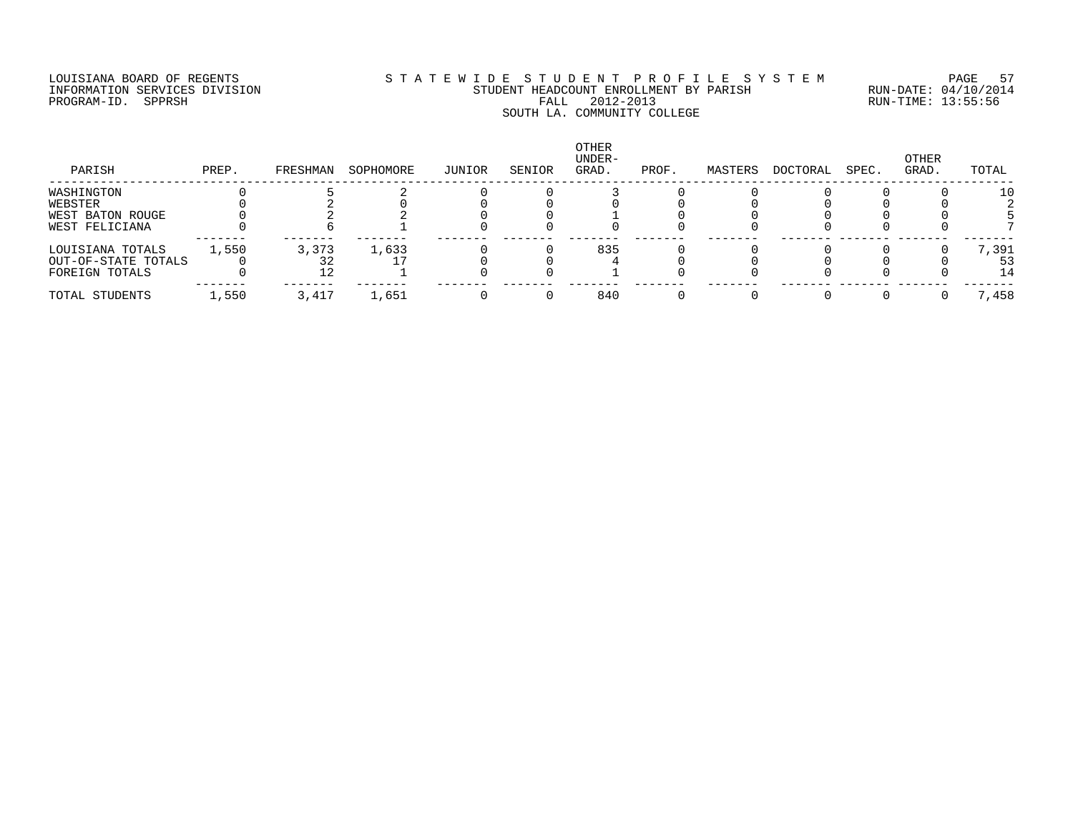# LOUISIANA BOARD OF REGENTS S T A T E W I D E S T U D E N T P R O F I L E S Y S T E M PAGE 57 INFORMATION SERVICES DIVISION STUDENT HEADCOUNT ENROLLMENT BY PARISH RUN-DATE: 04/10/2014 PROGRAM-ID. SPPRSH FALL 2012-2013 RUN-TIME: 13:55:56 SOUTH LA. 2012-2013<br>SOUTH LA. COMMUNITY COLLEGE

| PARISH              | PREP. | FRESHMAN | SOPHOMORE | JUNIOR | SENIOR | OTHER<br>UNDER-<br>GRAD. | PROF. | MASTERS | DOCTORAL | SPEC. | OTHER<br>GRAD. | TOTAL |
|---------------------|-------|----------|-----------|--------|--------|--------------------------|-------|---------|----------|-------|----------------|-------|
| WASHINGTON          |       |          |           |        |        |                          |       |         |          |       |                | 10    |
| WEBSTER             |       |          |           |        |        |                          |       |         |          |       |                |       |
| WEST BATON ROUGE    |       |          |           |        |        |                          |       |         |          |       |                |       |
| WEST FELICIANA      |       |          |           |        |        |                          |       |         |          |       |                |       |
| LOUISIANA TOTALS    | 1,550 | 3,373    | 1,633     |        |        | 835                      |       |         |          |       |                | 7,391 |
| OUT-OF-STATE TOTALS |       |          |           |        |        |                          |       |         |          |       |                | 53    |
| FOREIGN TOTALS      |       | ŦΖ       |           |        |        |                          |       |         |          |       |                | 14    |
| TOTAL STUDENTS      | 1,550 | 3,417    | 1,651     |        |        | 840                      |       |         |          |       |                | 7,458 |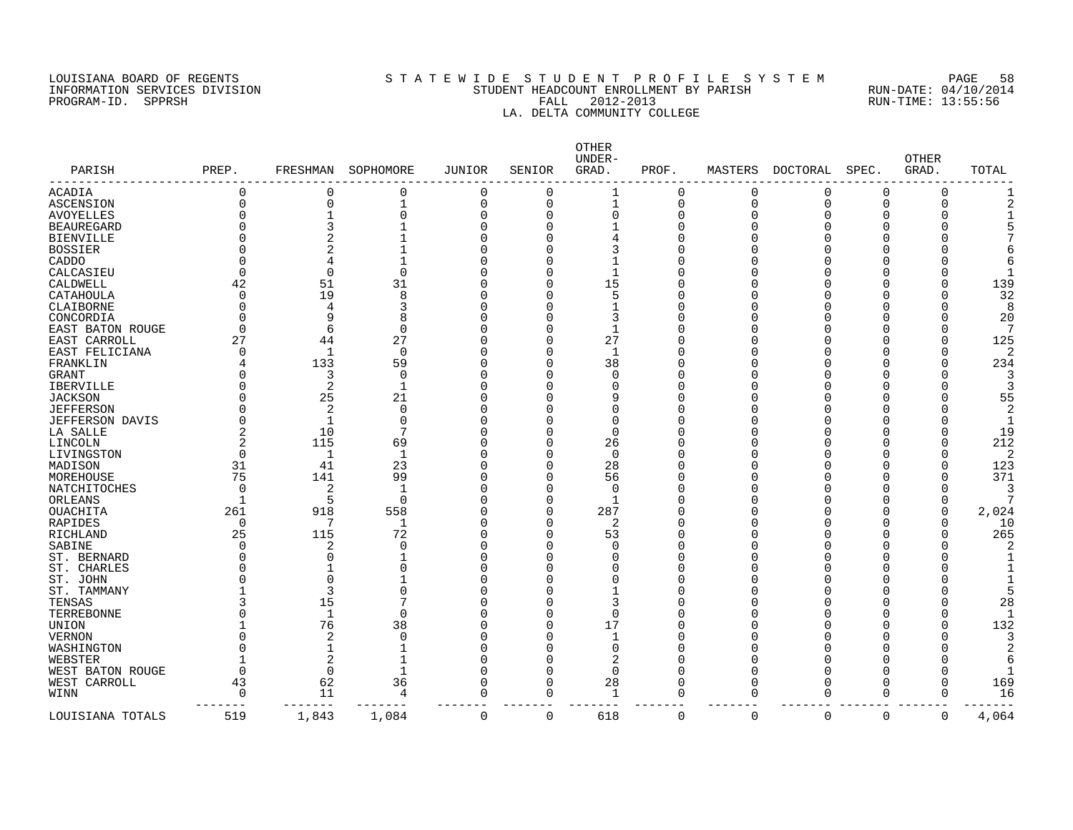#### LOUISIANA BOARD OF REGENTS S T A T E W I D E S T U D E N T P R O F I L E S Y S T E M PAGE 58 INFORMATION SERVICES DIVISION STUDENT HEADCOUNT ENROLLMENT BY PARISH RUN-DATE: 04/10/2014 PROGRAM-ID. SPPRSH FALL 2012-2013 RUN-TIME: 13:55:56 LA. DELTA COMMUNITY COLLEGE

| PARISH                 | PREP.             | FRESHMAN       | SOPHOMORE   | <b>JUNIOR</b>  | SENIOR   | OTHER<br>UNDER-<br>GRAD. | PROF. | MASTERS     | DOCTORAL    | SPEC.    | <b>OTHER</b><br>GRAD. | TOTAL          |
|------------------------|-------------------|----------------|-------------|----------------|----------|--------------------------|-------|-------------|-------------|----------|-----------------------|----------------|
| ACADIA                 | 0                 | 0              | 0           | 0              | 0        |                          | 0     | 0           | 0           | $\Omega$ | 0                     |                |
| ASCENSION              | $\Omega$          | $\Omega$       | 1           | $\overline{0}$ | $\Omega$ | $\mathbf{1}$             | 0     | $\Omega$    | $\Omega$    | $\Omega$ | $\Omega$              |                |
| AVOYELLES              | O                 |                | 0           | $\Omega$       | O        | $\Omega$                 | 0     | ∩           | O           | ∩        |                       |                |
| <b>BEAUREGARD</b>      |                   |                |             | $\Omega$       |          |                          | C     |             |             |          |                       |                |
| <b>BIENVILLE</b>       | Λ                 |                |             | $\Omega$       |          |                          | C     |             |             |          |                       |                |
| <b>BOSSIER</b>         |                   |                |             | $\Omega$       |          |                          | O     |             |             | n        |                       |                |
| CADDO                  | U                 | 4              |             | $\Omega$       |          |                          | 0     |             |             |          |                       |                |
| CALCASIEU              | O                 | $\Omega$       | $\mathbf 0$ | $\Omega$       |          |                          | O     |             |             | n        |                       |                |
| CALDWELL               | 42                | 51             | 31          | 0              | U        | 15                       | O     |             |             |          |                       | 139            |
| CATAHOULA              | 0                 | 19             | 8           | 0              | O        |                          | C     |             |             |          |                       | 32             |
| CLAIBORNE              | O                 | 4              | 3           | $\Omega$       |          |                          | 0     |             |             |          |                       | 8              |
| CONCORDIA              | Ω                 | 9              | 8           | $\Omega$       |          | 3                        | C     |             |             |          |                       | 20             |
| EAST BATON ROUGE       | $\Omega$          | 6              | $\Omega$    | $\Omega$       |          | $\mathbf{1}$             | C     |             |             |          |                       |                |
| EAST CARROLL           | 27                | 44             | 27          | 0              | O        | 27                       | 0     |             |             |          |                       | 125            |
| EAST FELICIANA         | O                 | $\mathbf{1}$   | $\Omega$    | $\Omega$       |          | $\mathbf{1}$             | C     |             |             |          |                       | $\overline{2}$ |
| FRANKLIN               |                   | 133            | 59          | $\Omega$       | U        | 38                       | C     |             |             | ∩        |                       | 234            |
| GRANT                  | U                 | 3              | $\mathbf 0$ | $\Omega$       | U        | $\Omega$                 | C     |             |             |          |                       | 3              |
| <b>IBERVILLE</b>       | U                 | 2              | $\mathbf 1$ | $\Omega$       |          |                          | O     |             |             |          |                       |                |
| <b>JACKSON</b>         | O                 | 25             | 21          | $\Omega$       |          | q                        | 0     |             |             |          |                       | 55             |
| <b>JEFFERSON</b>       | O                 | 2              | $\mathbf 0$ | $\Omega$       |          | U                        | C     |             |             |          |                       | 2              |
| <b>JEFFERSON DAVIS</b> | O                 | -1             | 0           | $\Omega$       |          | U                        | 0     |             |             |          |                       |                |
| LA SALLE               | 2                 | 10             | 7           | $\Omega$       |          | $\Omega$                 | C     |             |             |          |                       | 19             |
| LINCOLN                | 2                 | 115            | 69          | $\Omega$       | U        | 26                       | C     |             |             | O        |                       | 212            |
| LIVINGSTON             | 0                 | 1              | 1           | $\Omega$       | O        | $\Omega$                 | Λ     |             |             |          |                       | 2              |
|                        | 31                | 41             | 23          | $\Omega$       | O        | 28                       | C     |             |             |          |                       | 123            |
| MADISON<br>MOREHOUSE   | 75                | 141            | 99          | $\Omega$       | O        | 56                       | 0     |             |             |          | $\Omega$              | 371            |
|                        |                   |                |             |                |          | $\Omega$                 |       |             |             |          |                       |                |
| <b>NATCHITOCHES</b>    | 0<br>$\mathbf{1}$ | $\overline{2}$ |             | $\Omega$       | U        | $\mathbf{1}$             | Λ     |             |             |          |                       |                |
| ORLEANS                |                   | 5              | $\Omega$    | $\Omega$       | 0<br>∩   |                          | Λ     |             |             |          | $\Omega$<br>∩         |                |
| <b>OUACHITA</b>        | 261               | 918<br>7       | 558         | $\Omega$       |          | 287                      | C     |             |             | ∩        |                       | 2,024          |
| <b>RAPIDES</b>         | 0                 |                | 1           | $\Omega$       | C        | 2                        | C     |             |             |          |                       | 10             |
| RICHLAND               | 25                | 115            | 72          | $\Omega$       | U        | 53                       | C     |             |             | n        |                       | 265            |
| SABINE                 | O                 | 2              | $\Omega$    | $\Omega$       |          | ∩                        | O     |             |             |          |                       |                |
| ST. BERNARD            | O                 | $\Omega$       |             | $\Omega$       |          |                          | O     |             |             |          |                       |                |
| ST. CHARLES            | O                 |                | 0           | $\Omega$       |          |                          | 0     |             |             |          |                       |                |
| ST. JOHN               | Λ                 | $\Omega$       |             | $\Omega$       |          |                          | 0     |             |             |          |                       |                |
| ST. TAMMANY            |                   | 3              | 0           | $\Omega$       |          |                          | 0     |             |             | ∩        |                       |                |
| TENSAS                 | 3                 | 15             | 7           | $\Omega$       |          | 3                        | 0     |             |             |          |                       | 28             |
| TERREBONNE             |                   | $\mathbf{1}$   | $\Omega$    | $\Omega$       |          | $\Omega$                 | 0     |             |             | O        |                       |                |
| UNION                  |                   | 76             | 38          | $\Omega$       | 0        | 17                       | 0     |             |             |          |                       | 132            |
| <b>VERNON</b>          | O                 | $\overline{2}$ | $\Omega$    | $\Omega$       | O        |                          | C     |             |             |          |                       |                |
| WASHINGTON             | O                 | $\mathbf{1}$   |             | $\Omega$       |          | $\Omega$                 | 0     |             |             |          |                       |                |
| WEBSTER                |                   | $\overline{2}$ |             | $\Omega$       | U        | 2                        | U     |             |             |          |                       |                |
| WEST BATON ROUGE       | 0                 | $\Omega$       | $\mathbf 1$ | $\mathbf 0$    | U        | $\Omega$                 | C     |             |             | ∩        |                       |                |
| WEST CARROLL           | 43                | 62             | 36          | $\Omega$       | ∩        | 28                       | O     | ∩           | ∩           | U        | $\Omega$              | 169            |
| WINN                   | $\Omega$          | 11             | 4           | 0              | 0        | $\mathbf 1$              | 0     | $\cap$      | O           | 0        | $\Omega$              | 16             |
| LOUISIANA TOTALS       | 519               | 1,843          | 1,084       | $\mathbf 0$    | 0        | 618                      | 0     | $\mathbf 0$ | $\mathbf 0$ | 0        | 0                     | 4,064          |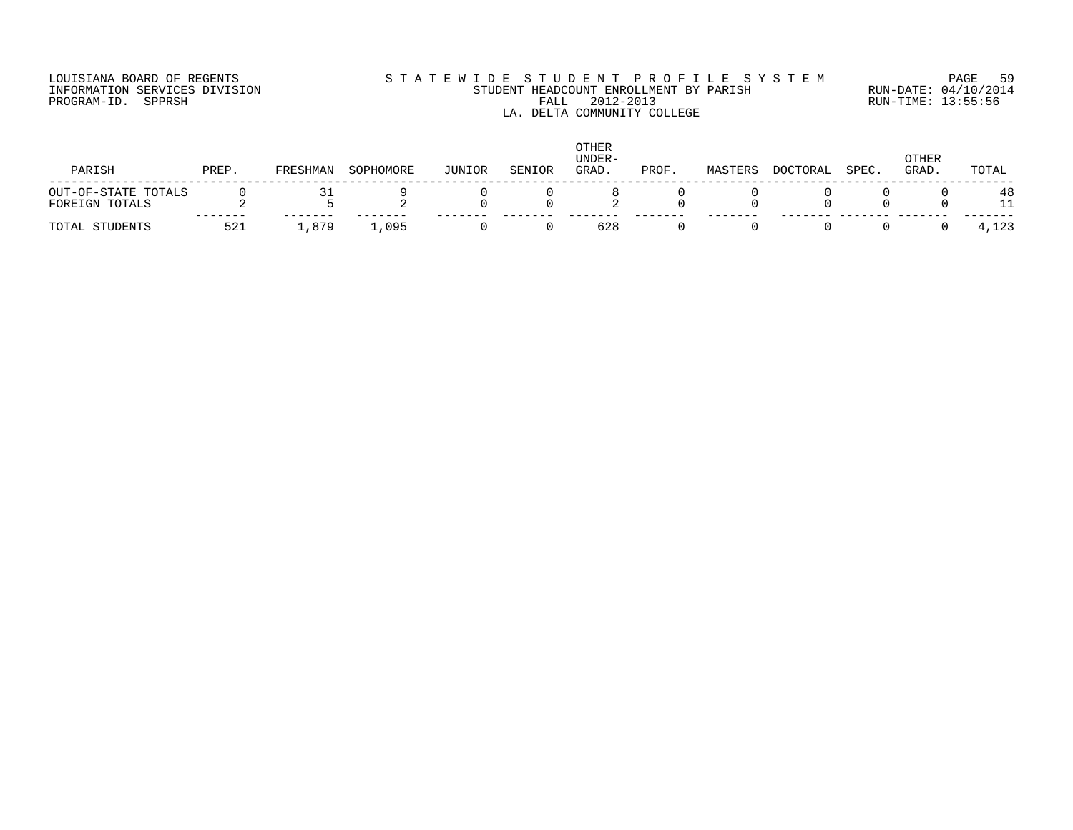## LOUISIANA BOARD OF REGENTS S T A T E W I D E S T U D E N T P R O F I L E S Y S T E M PAGE 59 INFORMATION SERVICES DIVISION STUDENT HEADCOUNT ENROLLMENT BY PARISH RUN-DATE: 04/10/2014 PROGRAM-ID. SPPRSH FALL 2012-2013 RUN-TIME: 13:55:56 LA. DELTA COMMUNITY COLLEGE

| PARISH              | PREP | FRESHMAN | SOPHOMORE | JUNIOR | SENIOR | OTHER<br>UNDER-<br>GRAD. | PROF | MASTERS | <b>DOCTORAL</b> | SPEC. | OTHER<br>GRAD. | TOTAL |
|---------------------|------|----------|-----------|--------|--------|--------------------------|------|---------|-----------------|-------|----------------|-------|
| OUT-OF-STATE TOTALS |      | 3 T      |           |        |        |                          |      |         |                 |       |                | 48    |
| FOREIGN TOTALS      |      |          |           |        |        |                          |      |         |                 |       |                |       |
| TOTAL STUDENTS      | 521  | .879     | 1,095     |        |        | 628                      |      |         |                 |       |                | 4,123 |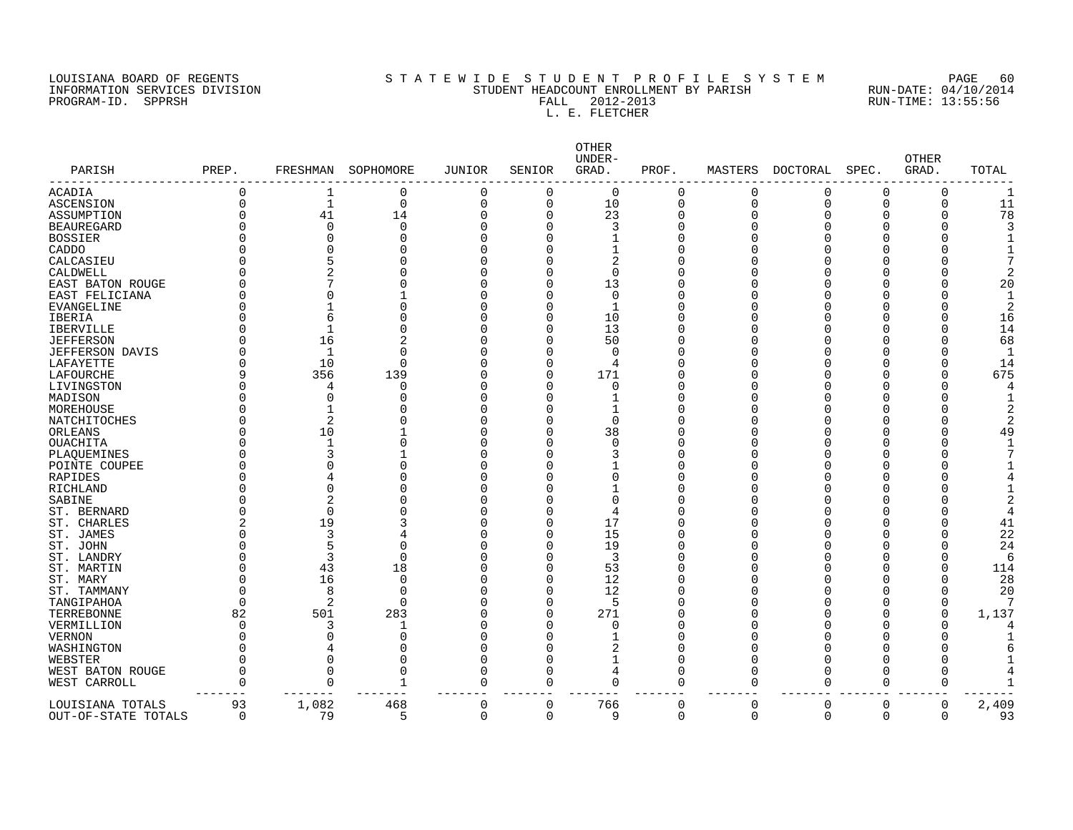## LOUISIANA BOARD OF REGENTS S T A T E W I D E S T U D E N T P R O F I L E S Y S T E M PAGE 60 INFORMATION SERVICES DIVISION STUDENT HEADCOUNT ENROLLMENT BY PARISH RUN-DATE: 04/10/2014 PROGRAM-ID. SPPRSH FALL 2012-2013 RUN-TIME: 13:55:56 FALL 2012-2013<br>L. E. FLETCHER

| PARISH                 | PREP.                | FRESHMAN             | SOPHOMORE | <b>JUNIOR</b>        | SENIOR      | OTHER<br>UNDER-<br>GRAD. | PROF.    | MASTERS              | DOCTORAL | SPEC.       | <b>OTHER</b><br>GRAD. | TOTAL |
|------------------------|----------------------|----------------------|-----------|----------------------|-------------|--------------------------|----------|----------------------|----------|-------------|-----------------------|-------|
| ACADIA                 | $\Omega$             | 1                    | 0         | 0                    | $\Omega$    | 0                        | $\Omega$ | 0                    | 0        | $\Omega$    | 0                     | 1     |
| ASCENSION              | $\Omega$             | $\mathbf{1}$         | 0         | $\mathbf 0$          | 0           | 10                       | 0        | $\Omega$             | $\Omega$ | $\Omega$    | 0                     | 11    |
| ASSUMPTION             | $\Omega$             | 41                   | 14        | $\Omega$             | $\Omega$    | 23                       | 0        | $\Omega$             | 0        | 0           | 0                     | 78    |
| <b>BEAUREGARD</b>      | $\Omega$             | $\Omega$             | 0         | $\Omega$             | $\Omega$    | 3                        | 0        | $\Omega$             | U        | C           | U                     |       |
| <b>BOSSIER</b>         |                      | $\Omega$             | $\Omega$  | $\Omega$             | 0           |                          | 0        | $\Omega$             |          | U           |                       |       |
| CADDO                  |                      | $\Omega$             | O         | $\Omega$             | 0           |                          | 0        | ∩                    |          | O           |                       |       |
| CALCASIEU              | ∩                    |                      | 0         | C                    | 0           | 2                        | 0        | $\Omega$             |          | C           |                       |       |
| CALDWELL               |                      | $\overline{2}$       | O         | $\Omega$             | 0           | $\Omega$                 | 0        | $\Omega$             |          | C           |                       |       |
| EAST BATON ROUGE       | U                    |                      | N         | $\Omega$             | 0           | 13                       | O        | $\Omega$             |          | U           |                       | 20    |
| EAST FELICIANA         |                      |                      |           | $\Omega$             | 0           | $\Omega$                 | O        | ∩                    |          | U           |                       |       |
| EVANGELINE             | ∩                    |                      | O         | $\Omega$             | 0           | $\mathbf{1}$             | O        | O                    | Ω        | O           |                       | 2     |
| IBERIA                 |                      |                      | O         | $\Omega$             | $\Omega$    | 10                       | O        | ∩                    | C        | C           |                       | 16    |
| <b>IBERVILLE</b>       | ∩                    |                      | 0         | $\Omega$             | $\Omega$    | 13                       | 0        | $\Omega$             | O        | C           | O                     | 14    |
| <b>JEFFERSON</b>       | ∩                    | 16                   | 2         | $\Omega$             | $\Omega$    | 50                       | Ω        | ∩                    | Ω        | U           | U                     | 68    |
| <b>JEFFERSON DAVIS</b> |                      | $\mathbf{1}$         | $\Omega$  | $\Omega$             | 0           | $\Omega$                 | Ω        | ∩                    | U        | O           | O                     | -1    |
| LAFAYETTE              | ∩                    | 10                   | $\Omega$  | $\Omega$             | $\Omega$    | 4                        | Ω        | ∩                    | U        | O           | U                     | 14    |
| LAFOURCHE              | 9                    | 356                  | 139       | $\Omega$             | $\Omega$    | 171                      | O        | ∩                    | C        | 0           | O                     | 675   |
| LIVINGSTON             | $\Omega$             | 4                    | $\Omega$  | $\Omega$             | $\Omega$    | $\Omega$                 | O        | ∩                    | O        | O           | U                     |       |
| MADISON                | ∩                    | $\Omega$             | $\Omega$  | n                    | U           |                          | O        | ∩                    | U        | U           |                       |       |
| MOREHOUSE              | ∩                    |                      | N         | $\Omega$             | U           |                          | Ω        | ∩                    |          | U           |                       |       |
| NATCHITOCHES           | ∩                    | 2                    | N         | $\sqrt{ }$           | O           | $\Omega$                 | O        | ∩                    | U        | U           |                       |       |
| ORLEANS                | $\Omega$             | 10                   |           | C                    | 0           | 38                       | O        | $\Omega$             |          | U           | U                     | 49    |
| OUACHITA               |                      | -1                   | 0         | $\sqrt{ }$           | 0           | $\Omega$                 | 0        | $\Omega$             | Ω        | O           | U                     |       |
| PLAQUEMINES            | ∩                    | 3                    |           | $\sqrt{ }$           | U           | 3                        | 0        | ∩                    |          | U           | U                     |       |
| POINTE COUPEE          | $\Omega$             | $\Omega$             | O         | ſ                    | U           |                          | 0        | ∩                    |          | U           |                       |       |
| RAPIDES                | ∩                    | 4                    | 0         | $\sqrt{ }$           | U           | $\Omega$                 | O        | ∩                    |          | U           |                       |       |
| RICHLAND               |                      | $\Omega$             | O         | C                    |             |                          | 0        | ∩                    |          | C           |                       |       |
| SABINE                 | $\Omega$             | $\overline{2}$       | O         | $\Omega$             | U           | $\Omega$                 | 0        | $\Omega$             |          | C           |                       |       |
| ST. BERNARD            | ∩                    | $\Omega$             | N         | n                    | U           | $\overline{4}$           | O        | ∩                    | Ω        | U           |                       |       |
| ST. CHARLES            | 2                    | 19                   | 3         | $\Omega$             | 0           | 17                       | O        | ∩                    |          | O           |                       | 41    |
| ST. JAMES              | ∩                    | 3                    | 4         | $\Omega$             | 0           | 15                       | O        | ∩                    | U        | O           |                       | 22    |
| ST. JOHN               |                      | 5                    | 0         | $\Omega$             | $\Omega$    | 19                       | O        | $\Omega$             | C        | C           |                       | 24    |
| ST. LANDRY             |                      | 3                    | $\Omega$  | $\Omega$             | $\Omega$    | 3                        | 0        | $\Omega$             | Ω        | C           | O                     | 6     |
| ST. MARTIN             | ∩                    | 43                   | 18        | $\Omega$             | $\Omega$    | 53                       | 0        | ∩                    | O        | O           | 0                     | 114   |
| ST. MARY               | ∩                    | 16                   | 0         | $\Omega$             | $\Omega$    | 12                       | O        | ∩                    | U        | U           | U                     | 28    |
| ST. TAMMANY            | ∩                    | 8                    | $\Omega$  | $\Omega$             | $\Omega$    | 12                       | O        | ∩                    | O        | O           | 0                     | 20    |
| TANGIPAHOA             | ∩                    | $\overline{c}$       | $\Omega$  | $\Omega$             | $\Omega$    |                          | Ω        | ∩                    | C        | C           | $\Omega$              |       |
| TERREBONNE             | 82                   | 501                  | 283       | $\Omega$             | $\Omega$    | 271                      | 0        | ∩                    | C        | C           | $\Omega$              | 1,137 |
| VERMILLION             | ∩                    | 3                    | 1         | n                    | U           | $\Omega$                 | Ω        | ∩                    | U        | U           |                       |       |
|                        | ∩                    | $\Omega$             | $\Omega$  | ſ                    | U           |                          | Ω        | ∩                    |          |             |                       |       |
| VERNON                 | ∩                    |                      | $\Omega$  | $\Omega$             | 0           | 2                        | O        |                      |          | U           | ∩                     |       |
| WASHINGTON             |                      | 4                    |           |                      |             |                          |          | O                    | U        |             |                       |       |
| WEBSTER                | $\Omega$             | $\Omega$             | 0         | $\Omega$             | 0           | $\mathbf{1}$             | O        | $\Omega$             | U        | C           |                       |       |
| WEST BATON ROUGE       | $\Omega$<br>$\Omega$ | $\Omega$<br>$\Omega$ | 0         | $\Omega$<br>$\Omega$ | $\Omega$    | 4<br>$\Omega$            | $\Omega$ | $\Omega$<br>$\Omega$ | C        | 0           | $\Omega$              |       |
| WEST CARROLL           |                      |                      | 1         |                      | $\Omega$    |                          | $\Omega$ |                      | 0        | $\mathbf 0$ | $\Omega$              |       |
| LOUISIANA TOTALS       | 93                   | 1,082                | 468       | 0                    | $\mathbf 0$ | 766<br>q                 | 0        | $\mathbf 0$          | 0        | 0           | 0                     | 2,409 |
| OUT-OF-STATE TOTALS    | $\Omega$             | 79                   | 5         | $\Omega$             | $\Omega$    |                          | 0        | $\Omega$             | $\Omega$ | $\mathbf 0$ | 0                     | 93    |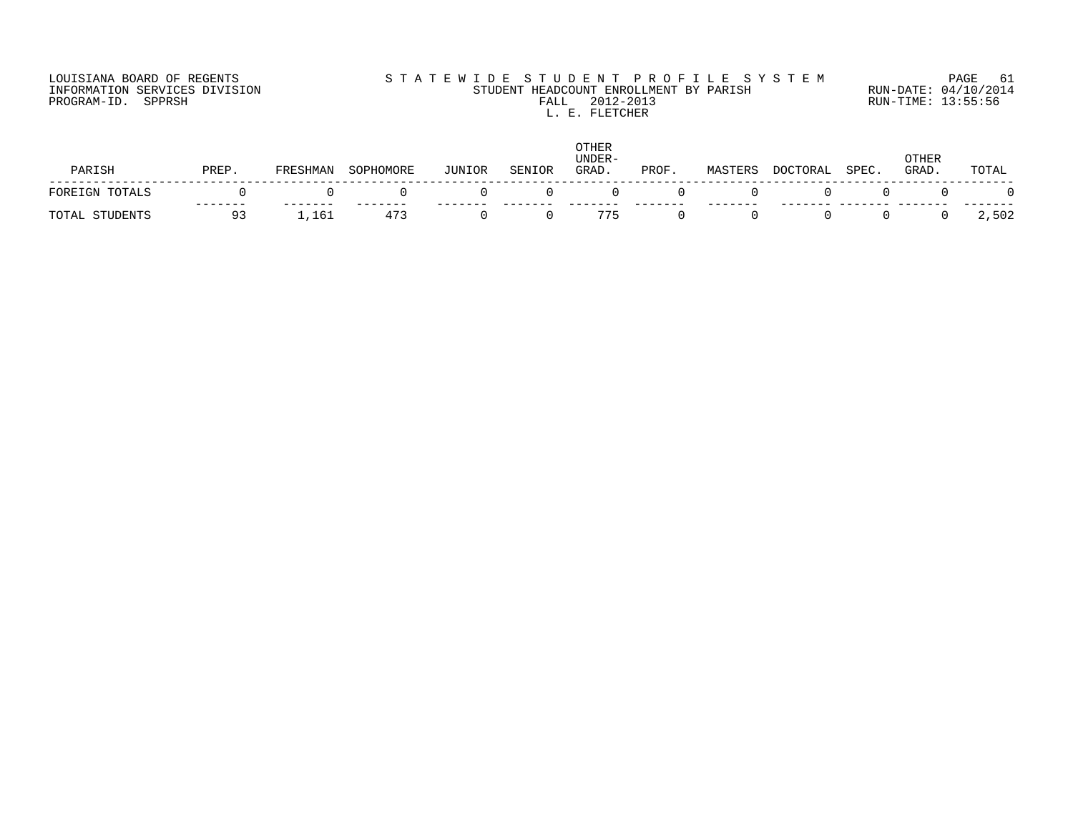## LOUISIANA BOARD OF REGENTS SOURCLEARIE WIDE STUDENT PROFILE SYSTEM PAGE 61. INFORMATION SERVICES DIVISION STUDENT HEADCOUNT ENROLLMENT BY PARISH RUN-DATE: 04/10/2014 PROGRAM-ID. SPPRSH FALL 2012-2013 RUN-TIME: 13:55:56 FALL 2012-2013<br>L. E. FLETCHER

|                   |       |          |           |        |            | <b>OTHER</b><br>UNDER- |       |         |          |       | OTHER |       |
|-------------------|-------|----------|-----------|--------|------------|------------------------|-------|---------|----------|-------|-------|-------|
| PARISH            | PREP. | FRESHMAN | SOPHOMORE | JUNIOR | SENIOR     | GRAD.                  | PROF. | MASTERS | DOCTORAL | SPEC. | GRAD. | TOTAL |
| FOREIGN TOTALS    |       |          |           |        | $^{\circ}$ | $\left( \right)$       |       |         |          |       |       |       |
| STUDENTS<br>TOTAL | 93    | 1,161    | 473       |        |            | 775                    |       |         |          |       |       | 2,502 |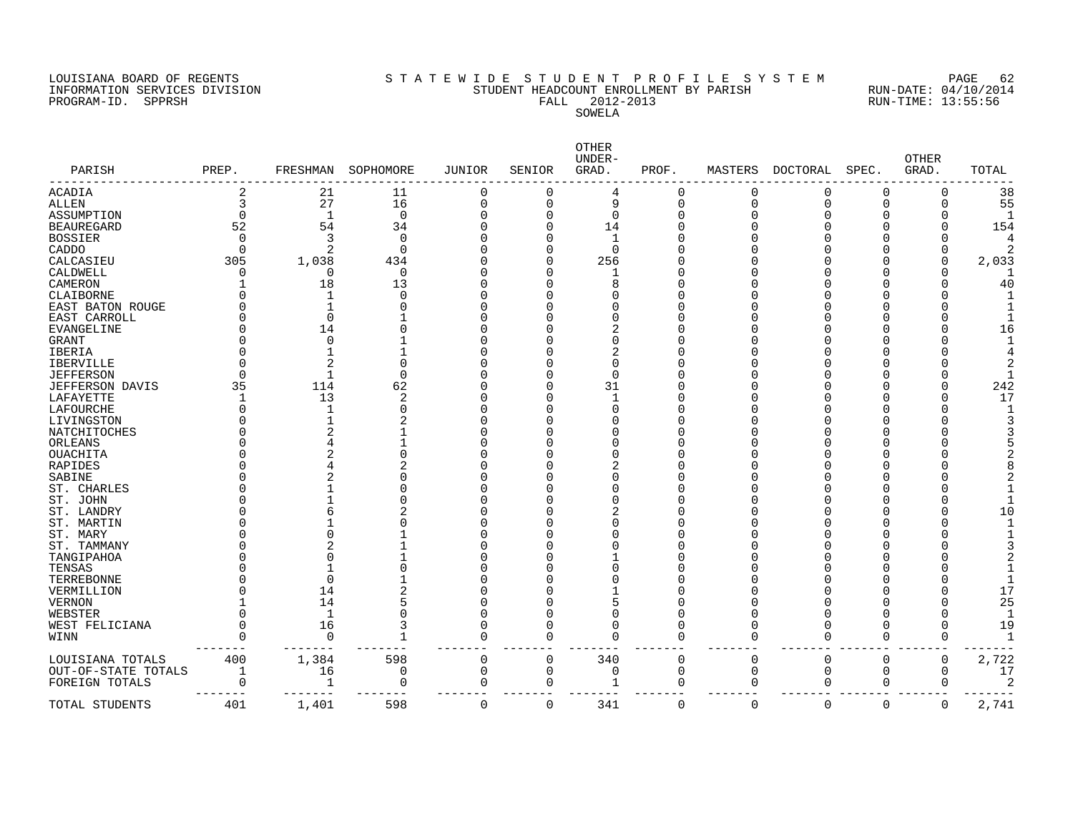PROGRAM-ID. SERVICES DIVISION<br>PROGRAM-ID. SPPRSH

# LOUISIANA BOARD OF REGENTS SOURCOMER'S STATEWIDE STUDENT PROFILE SYSTEM PAGE 62<br>INFORMATION SERVICES DIVISION STUDENT HEADCOUNT ENROLLMENT BY PARISH RUN-DATE: 04/10/2014 STUDENT HEADCOUNT ENROLLMENT BY PARISH RUN-DATE: 04/10/201<br>FALL 2012-2013 RUN-TIME: 13:55:56 SOWELA

| PARISH                 | PREP.    | FRESHMAN     | SOPHOMORE   | <b>JUNIOR</b> | SENIOR      | OTHER<br>UNDER-<br>GRAD. | PROF.    | MASTERS  | <b>DOCTORAL</b> | SPEC.    | <b>OTHER</b><br>GRAD. | TOTAL |
|------------------------|----------|--------------|-------------|---------------|-------------|--------------------------|----------|----------|-----------------|----------|-----------------------|-------|
| <b>ACADIA</b>          | 2        | 21           | 11          | $\mathbf 0$   | 0           | 4                        | 0        | 0        | 0               | 0        | 0                     | 38    |
| <b>ALLEN</b>           | 3        | 27           | 16          | $\Omega$      | $\Omega$    | 9                        | 0        | $\Omega$ | $\Omega$        | $\Omega$ | $\Omega$              | 55    |
| ASSUMPTION             | $\Omega$ | $\mathbf{1}$ | $\mathbf 0$ | $\Omega$      | 0           | $\Omega$                 | 0        | $\Omega$ | C               | 0        | U                     |       |
| <b>BEAUREGARD</b>      | 52       | 54           | 34          | n             | 0           | 14                       | O        | ∩        | Ω               | O        | O                     | 154   |
| <b>BOSSIER</b>         | $\Omega$ | 3            | $\Omega$    | ſ             | 0           |                          | O        |          |                 |          |                       |       |
| CADDO                  | $\Omega$ | 2            | $\Omega$    |               | 0           | $\Omega$                 | Ω        |          |                 |          | U                     |       |
| CALCASIEU              | 305      | 1,038        | 434         |               | 0           | 256                      | Ω        |          |                 |          | U                     | 2,033 |
| CALDWELL               | O        | $\Omega$     | 0           |               | 0           |                          | ი        |          |                 |          |                       |       |
| CAMERON                |          | 18           | 13          | ſ             | U           | 8                        | O        |          |                 |          |                       | 40    |
| CLAIBORNE              |          |              | 0           |               | O           | $\Omega$                 | O        |          |                 |          |                       |       |
| EAST BATON ROUGE       |          |              | $\Omega$    | r             | U           | U                        | O        |          |                 |          |                       |       |
| EAST CARROLL           |          | $\Omega$     |             |               |             |                          | 0        |          |                 |          |                       |       |
| <b>EVANGELINE</b>      | ∩        | 14           | O           | ſ             |             |                          | O        |          |                 |          |                       | 16    |
| <b>GRANT</b>           |          | $\Omega$     |             |               |             |                          | O        |          |                 |          |                       |       |
| IBERIA                 |          |              |             |               |             |                          | O        |          |                 |          |                       |       |
| IBERVILLE              | ∩        | 2            | O           |               |             | $\Omega$                 | O        |          |                 |          |                       |       |
| <b>JEFFERSON</b>       | ∩        |              | $\Omega$    |               |             | $\Omega$                 | Ω        |          |                 |          |                       |       |
| <b>JEFFERSON DAVIS</b> | 35       | 114          | 62          |               | 0           | 31                       | O        |          |                 |          |                       | 242   |
| LAFAYETTE              |          | 13           | 2           |               | U           |                          | Ω        |          |                 |          |                       | 17    |
| LAFOURCHE              | ∩        |              | 0           |               | O           | O                        | O        |          |                 |          |                       |       |
| LIVINGSTON             |          |              | 2           | r             | U           |                          | O        |          |                 |          |                       |       |
| NATCHITOCHES           |          | 2            |             |               |             | U                        | Ω        |          |                 | U        |                       |       |
| ORLEANS                |          |              |             |               |             |                          | O        |          |                 |          |                       |       |
| OUACHITA               |          | 2            | O           |               |             |                          | O        |          |                 |          |                       |       |
| RAPIDES                |          |              |             |               |             |                          | O        |          |                 |          |                       |       |
| SABINE                 |          |              | N           |               |             |                          | O        |          |                 |          |                       |       |
| ST. CHARLES            |          |              |             |               |             |                          | O        |          |                 |          |                       |       |
| ST. JOHN               |          |              |             |               |             |                          | O        |          |                 |          |                       |       |
| ST. LANDRY             |          | 6            |             |               |             | 2                        | Ω        |          |                 | U        |                       | 10    |
| ST. MARTIN             |          |              |             |               |             |                          | O        |          |                 |          |                       |       |
| ST. MARY               |          | $\Omega$     |             |               |             |                          | O        |          |                 |          |                       |       |
| ST. TAMMANY            |          |              |             |               |             |                          | 0        |          |                 |          |                       |       |
| TANGIPAHOA             |          |              |             |               |             |                          | O        |          |                 |          |                       |       |
| TENSAS                 |          |              |             |               |             |                          | Ω        |          |                 |          |                       |       |
| TERREBONNE             |          | $\Omega$     |             |               |             |                          | 0        |          |                 |          |                       |       |
| VERMILLION             |          | 14           |             |               |             |                          | O        |          |                 | U        |                       | 17    |
| <b>VERNON</b>          |          | 14           | 5           | ſ             |             |                          | 0        | ∩        |                 | U        |                       | 25    |
|                        | $\Omega$ | $\mathbf{1}$ | 0           | $\Omega$      | O           |                          | 0        | $\Omega$ |                 | O        | O                     |       |
| WEBSTER                | $\Omega$ | 16           |             | $\Omega$      | 0           | $\Omega$                 | 0        | $\Omega$ | U               | O        | O                     | 19    |
| WEST FELICIANA         |          |              | 3           |               |             | $\Omega$                 |          |          |                 |          |                       |       |
| WINN                   | $\Omega$ | $\Omega$     | 1           | $\Omega$      | $\Omega$    |                          | 0        | $\Omega$ | 0               | $\Omega$ | $\Omega$              |       |
| LOUISIANA TOTALS       | 400      | 1,384        | 598         | $\mathbf 0$   | $\mathbf 0$ | 340                      | 0        | 0        | 0               | 0        | 0                     | 2,722 |
| OUT-OF-STATE TOTALS    | 1        | 16           | 0           | 0             | 0           | $\Omega$                 | 0        | 0        | 0               | 0        | 0                     | 17    |
| FOREIGN TOTALS         | $\Omega$ |              | 0           | $\Omega$      | $\Omega$    |                          | O        | $\Omega$ | $\Omega$        | 0        | 0                     | 2     |
|                        |          |              |             |               |             |                          |          |          |                 |          |                       |       |
| TOTAL STUDENTS         | 401      | 1,401        | 598         | $\Omega$      | $\Omega$    | 341                      | $\Omega$ | $\Omega$ | $\Omega$        | $\Omega$ | 0                     | 2,741 |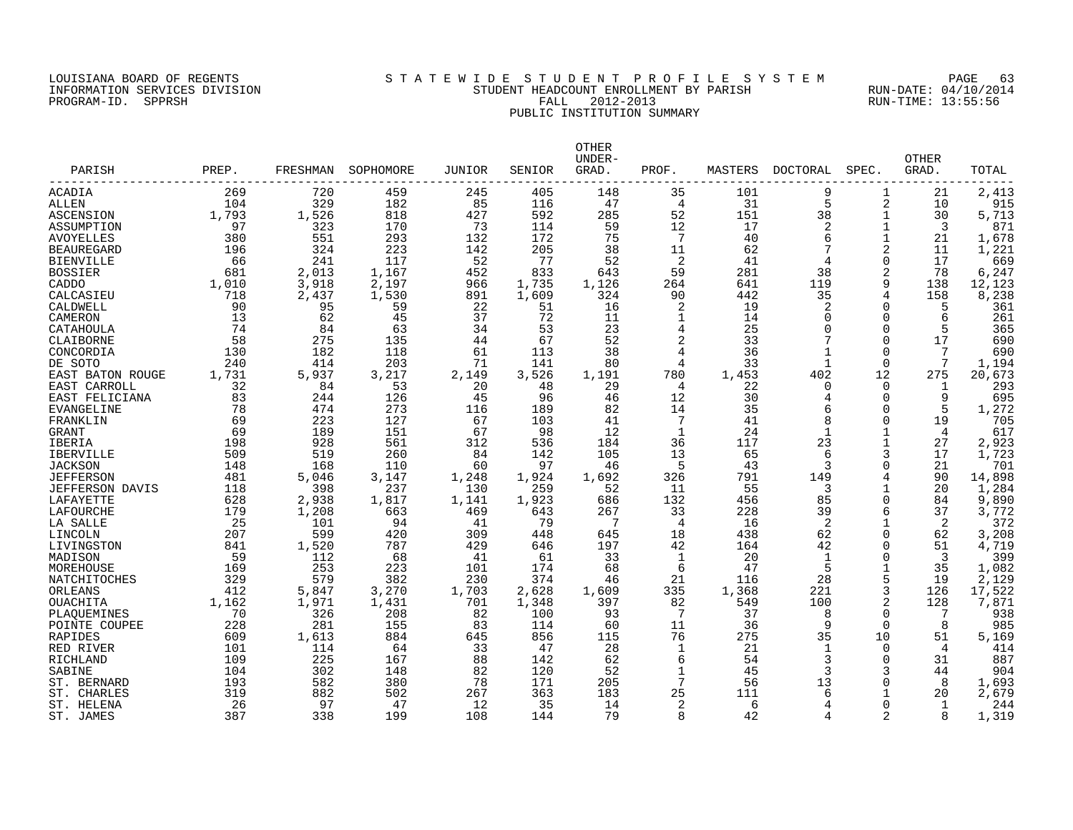#### LOUISIANA BOARD OF REGENTS S T A T E W I D E S T U D E N T P R O F I L E S Y S T E M PAGE 63 INFORMATION SERVICES DIVISION STUDENT HEADCOUNT ENROLLMENT BY PARISH RUN-DATE: 04/10/2014 PROGRAM-ID. SPPRSH FALL 2012-2013 RUN-TIME: 13:55:56 PUBLIC INSTITUTION SUMMARY

| PARISH                 | PREP. | FRESHMAN | SOPHOMORE | JUNIOR | SENIOR | <b>OTHER</b><br>UNDER-<br>GRAD. | PROF.          | MASTERS | DOCTORAL     | SPEC.        | <b>OTHER</b><br>GRAD. | TOTAL  |
|------------------------|-------|----------|-----------|--------|--------|---------------------------------|----------------|---------|--------------|--------------|-----------------------|--------|
| ACADIA                 | 269   | 720      | 459       | 245    | 405    | 148                             | 35             | 101     | 9            | 1            | 21                    | 2,413  |
| ALLEN                  | 104   | 329      | 182       | 85     | 116    | 47                              | $\overline{4}$ | 31      | 5            | 2            | 10                    | 915    |
| ASCENSION              | 1,793 | 1,526    | 818       | 427    | 592    | 285                             | 52             | 151     | 38           | $\mathbf{1}$ | 30                    | 5,713  |
| ASSUMPTION             | 97    | 323      | 170       | 73     | 114    | 59                              | 12             | 17      | 2            | 1            | 3                     | 871    |
| AVOYELLES              | 380   | 551      | 293       | 132    | 172    | 75                              | 7              | 40      | 6            | $\mathbf{1}$ | 21                    | 1,678  |
| <b>BEAUREGARD</b>      | 196   | 324      | 223       | 142    | 205    | 38                              | 11             | 62      | 7            | 2            | 11                    | 1,221  |
| <b>BIENVILLE</b>       | 66    | 241      | 117       | 52     | 77     | 52                              | 2              | 41      |              | $\Omega$     | 17                    | 669    |
| <b>BOSSIER</b>         | 681   | 2,013    | 1,167     | 452    | 833    | 643                             | 59             | 281     | 38           | 2            | 78                    | 6,247  |
| CADDO                  | 1,010 | 3,918    | 2,197     | 966    | 1,735  | 1,126                           | 264            | 641     | 119          | 9            | 138                   | 12,123 |
| CALCASIEU              | 718   | 2,437    | 1,530     | 891    | 1,609  | 324                             | 90             | 442     | 35           | 4            | 158                   | 8,238  |
| CALDWELL               | 90    | 95       | 59        | 22     | 51     | 16                              | 2              | 19      | 2            | $\Omega$     | 5                     | 361    |
| CAMERON                | 13    | 62       | 45        | 37     | 72     | 11                              | 1              | 14      | 0            | $\Omega$     | 6                     | 261    |
| CATAHOULA              | 74    | 84       | 63        | 34     | 53     | 23                              | 4              | 25      | $\Omega$     | $\Omega$     | 5                     | 365    |
| CLAIBORNE              | 58    | 275      | 135       | 44     | 67     | 52                              | $\overline{c}$ | 33      |              | $\Omega$     | 17                    | 690    |
| CONCORDIA              | 130   | 182      | 118       | 61     | 113    | 38                              | 4              | 36      |              | $\Omega$     | 7                     | 690    |
| DE SOTO                | 240   | 414      | 203       | 71     | 141    | 80                              | 4              | 33      | 1            | $\Omega$     | 7                     | 1,194  |
| EAST BATON ROUGE       | 1,731 | 5,937    | 3,217     | 2,149  | 3,526  | 1,191                           | 780            | 1,453   | 402          | 12           | 275                   | 20,673 |
| EAST CARROLL           | 32    | 84       | 53        | 20     | 48     | 29                              | 4              | 22      | 0            | $\Omega$     | 1                     | 293    |
| EAST FELICIANA         | 83    | 244      | 126       | 45     | 96     | 46                              | 12             | 30      | 4            | $\Omega$     | 9                     | 695    |
| EVANGELINE             | 78    | 474      | 273       | 116    | 189    | 82                              | 14             | 35      | 6            | $\Omega$     | 5                     | 1,272  |
| FRANKLIN               | 69    | 223      | 127       | 67     | 103    | 41                              | 7              | 41      | 8            | $\Omega$     | 19                    | 705    |
| <b>GRANT</b>           | 69    | 189      | 151       | 67     | 98     | 12                              | 1              | 24      |              |              | 4                     | 617    |
| IBERIA                 | 198   | 928      | 561       | 312    | 536    | 184                             | 36             | 117     | 23           |              | 27                    | 2,923  |
| <b>IBERVILLE</b>       | 509   | 519      | 260       | 84     | 142    | 105                             | 13             | 65      | 6            | 3            | 17                    | 1,723  |
| <b>JACKSON</b>         | 148   | 168      | 110       | 60     | 97     | 46                              | 5              | 43      | 3            | $\Omega$     | 21                    | 701    |
| <b>JEFFERSON</b>       | 481   | 5,046    | 3,147     | 1,248  | 1,924  | 1,692                           | 326            | 791     | 149          | 4            | 90                    | 14,898 |
| <b>JEFFERSON DAVIS</b> | 118   | 398      | 237       | 130    | 259    | 52                              | 11             | 55      | 3            | $\mathbf{1}$ | 20                    | 1,284  |
| LAFAYETTE              | 628   | 2,938    | 1,817     | 1,141  | 1,923  | 686                             | 132            | 456     | 85           | $\Omega$     | 84                    | 9,890  |
| LAFOURCHE              | 179   | 1,208    | 663       | 469    | 643    | 267                             | 33             | 228     | 39           | 6            | 37                    | 3,772  |
| LA SALLE               | 25    | 101      | 94        | 41     | 79     | $\overline{7}$                  | 4              | 16      | 2            |              | 2                     | 372    |
| LINCOLN                | 207   | 599      | 420       | 309    | 448    | 645                             | 18             | 438     | 62           | $\Omega$     | 62                    | 3,208  |
| LIVINGSTON             | 841   | 1,520    | 787       | 429    | 646    | 197                             | 42             | 164     | 42           | $\Omega$     | 51                    | 4,719  |
| MADISON                | 59    | 112      | 68        | 41     | 61     | 33                              | 1              | 20      | $\mathbf{1}$ | $\Omega$     | 3                     | 399    |
| MOREHOUSE              | 169   | 253      | 223       | 101    | 174    | 68                              | 6              | 47      | 5            |              | 35                    | 1,082  |
| NATCHITOCHES           | 329   | 579      | 382       | 230    | 374    | 46                              | 21             | 116     | 28           | 5            | 19                    | 2,129  |
| ORLEANS                | 412   | 5,847    | 3,270     | 1,703  | 2,628  | 1,609                           | 335            | 1,368   | 221          | 3            | 126                   | 17,522 |
| OUACHITA               | 1,162 | 1,971    | 1,431     | 701    | 1,348  | 397                             | 82             | 549     | 100          | 2            | 128                   | 7,871  |
| PLAQUEMINES            | 70    | 326      | 208       | 82     | 100    | 93                              | 7              | 37      | 8            | $\Omega$     | 7                     | 938    |
| POINTE COUPEE          | 228   | 281      | 155       | 83     | 114    | 60                              | 11             | 36      | 9            | $\Omega$     | 8                     | 985    |
| RAPIDES                | 609   | 1,613    | 884       | 645    | 856    | 115                             | 76             | 275     | 35           | 10           | 51                    | 5,169  |
| RED RIVER              | 101   | 114      | 64        | 33     | 47     | 28                              | 1              | 21      | 1            | $\Omega$     | 4                     | 414    |
| RICHLAND               | 109   | 225      | 167       | 88     | 142    | 62                              | 6              | 54      | 3            | $\Omega$     | 31                    | 887    |
| SABINE                 | 104   | 302      | 148       | 82     | 120    | 52                              | 1              | 45      | 3            | 3            | 44                    | 904    |
| ST. BERNARD            | 193   | 582      | 380       | 78     | 171    | 205                             | 7              | 56      | 13           | $\Omega$     | 8                     | 1,693  |
| ST. CHARLES            | 319   | 882      | 502       | 267    | 363    | 183                             | 25             | 111     | 6            |              | 20                    | 2,679  |
| ST. HELENA             | 26    | 97       | 47        | 12     | 35     | 14                              | 2              | 6       | 4            | $\Omega$     | 1                     | 244    |
| ST. JAMES              | 387   | 338      | 199       | 108    | 144    | 79                              | 8              | 42      | 4            | 2            | 8                     | 1,319  |
|                        |       |          |           |        |        |                                 |                |         |              |              |                       |        |